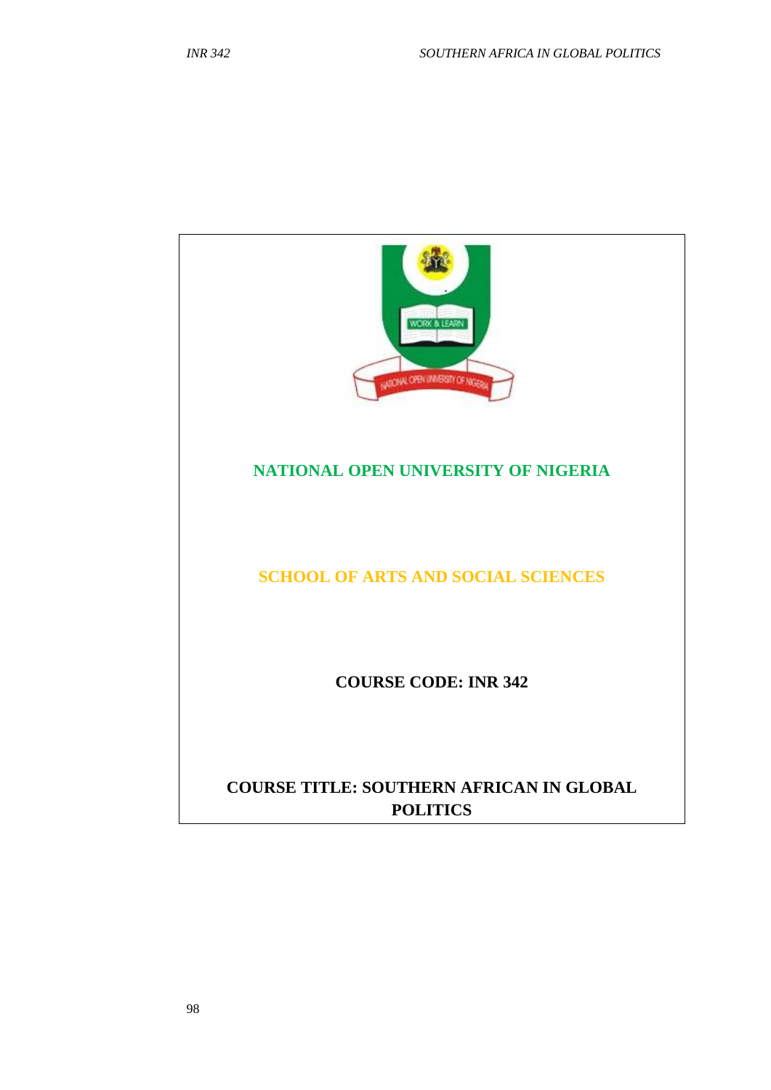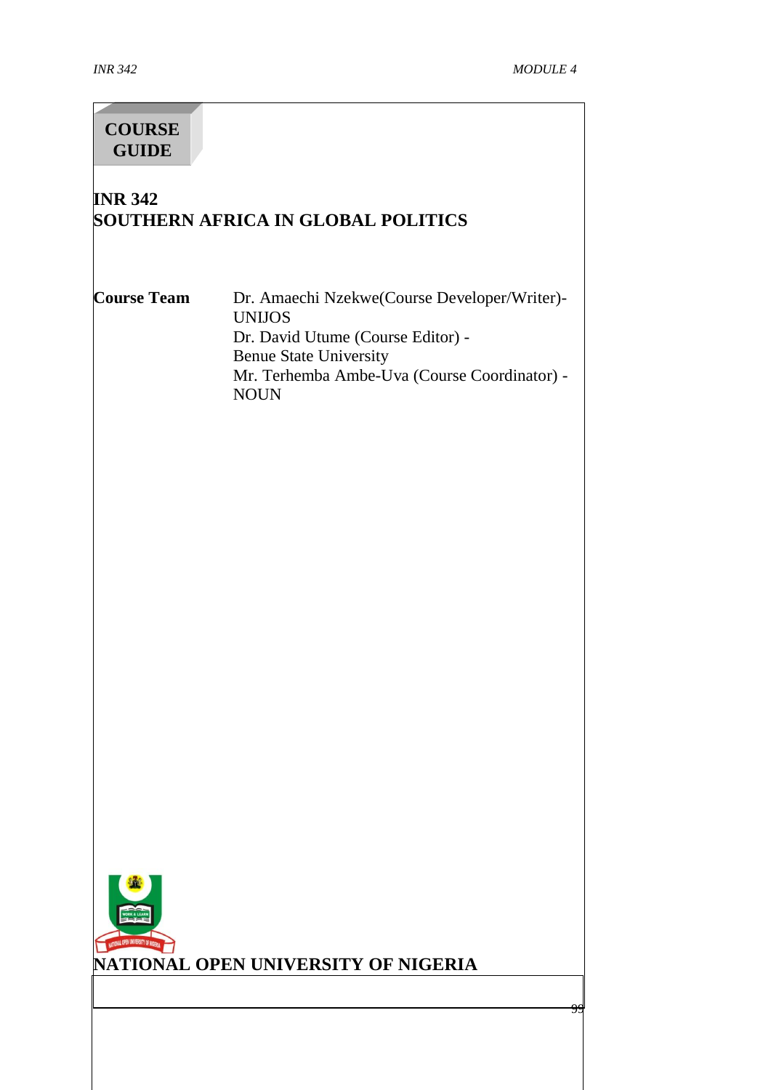99

# **INR 342 SOUTHERN AFRICA IN GLOBAL POLITICS Course Team** Dr. Amaechi Nzekwe(Course Developer/Writer)- UNIJOS Dr. David Utume (Course Editor) - Benue State University Mr. Terhemba Ambe-Uva (Course Coordinator) - NOUN **COURSE GUIDE**



# **NATIONAL OPEN UNIVERSITY OF NIGERIA**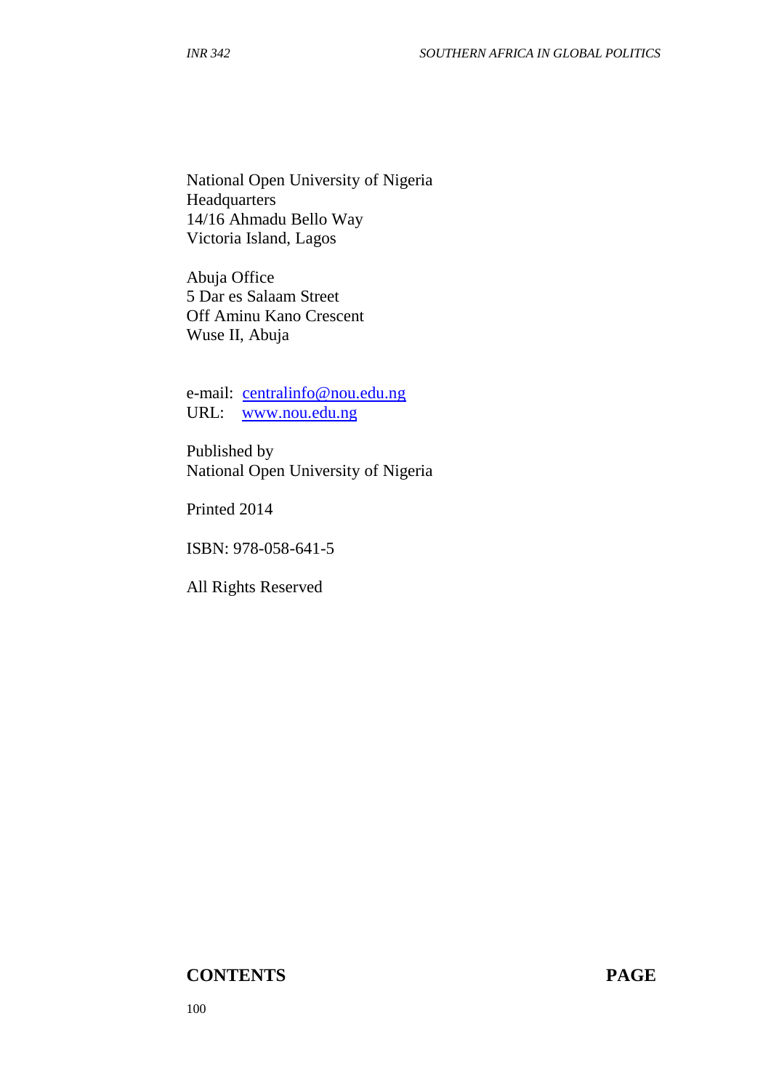National Open University of Nigeria Headquarters 14/16 Ahmadu Bello Way Victoria Island, Lagos

Abuja Office 5 Dar es Salaam Street Off Aminu Kano Crescent Wuse II, Abuja

e-mail: [centralinfo@nou.edu.ng](mailto:centralinfo@nou.edu.ng) URL: [www.nou.edu.ng](http://www.nou.edu.ng/)

Published by National Open University of Nigeria

Printed 2014

ISBN: 978-058-641-5

All Rights Reserved

#### **CONTENTS PAGE**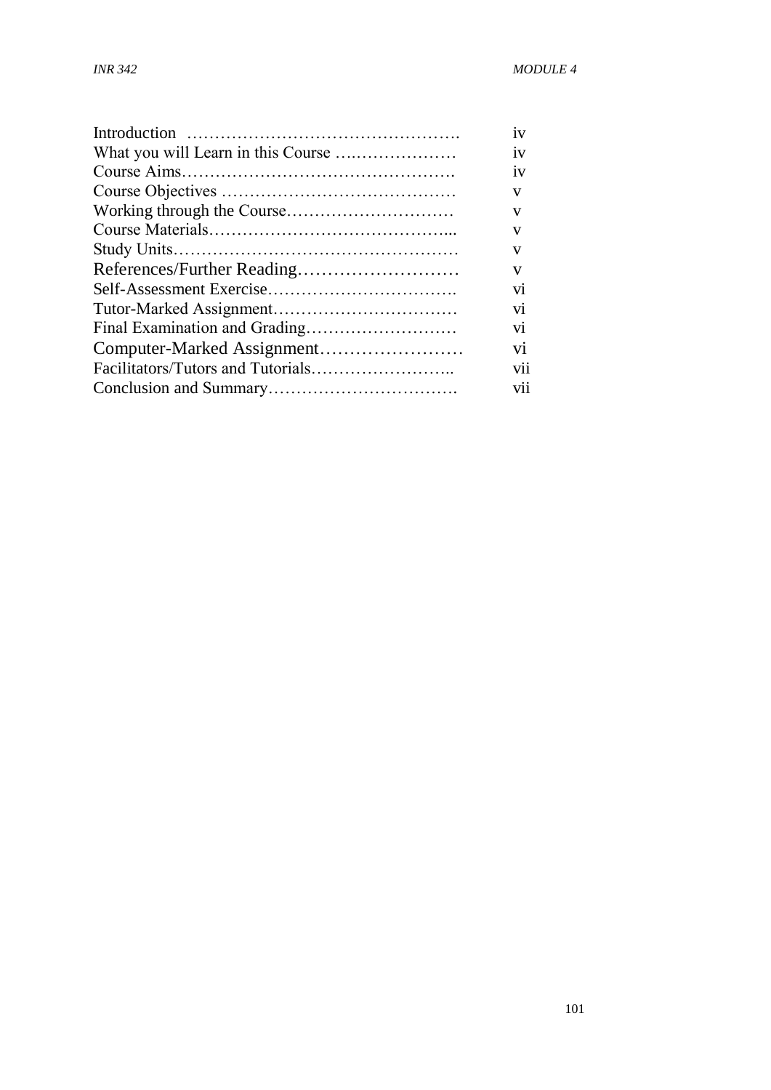| iv                      |
|-------------------------|
| 1V                      |
| 1V                      |
| V                       |
| V                       |
| V                       |
| V                       |
| V                       |
| $\overline{\mathbf{v}}$ |
| V1                      |
| V1                      |
| $\overline{vi}$         |
| vii                     |
| vii                     |
|                         |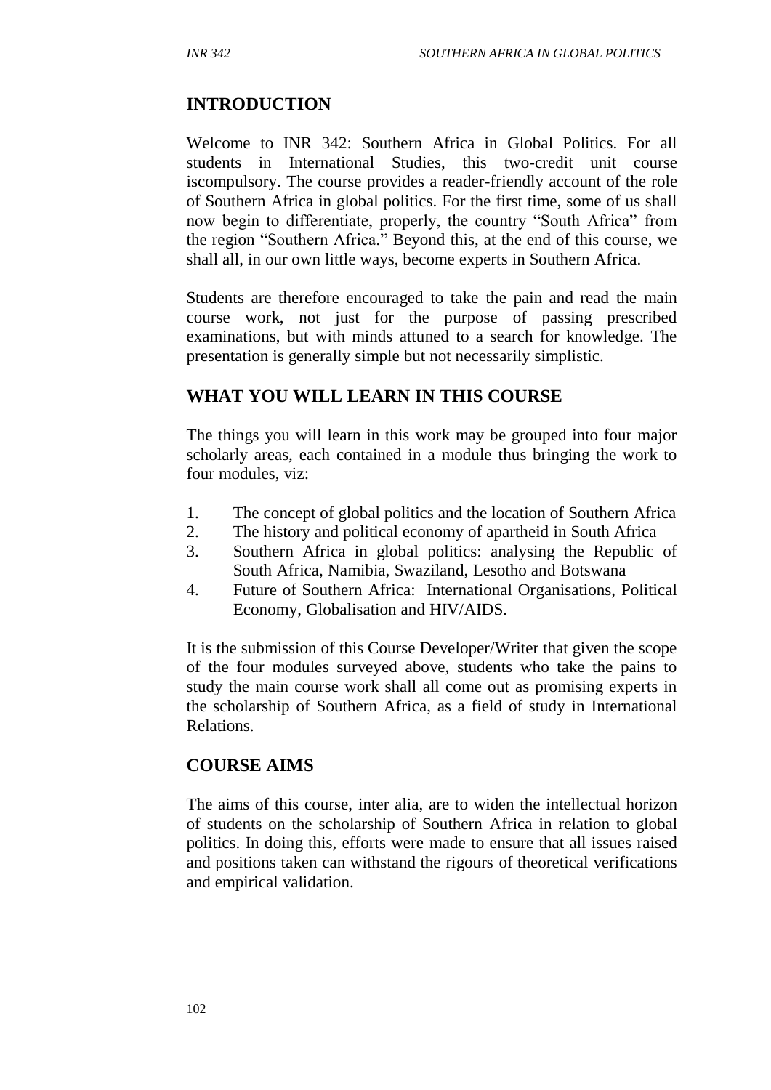# **INTRODUCTION**

Welcome to INR 342: Southern Africa in Global Politics. For all students in International Studies, this two-credit unit course iscompulsory. The course provides a reader-friendly account of the role of Southern Africa in global politics. For the first time, some of us shall now begin to differentiate, properly, the country "South Africa" from the region "Southern Africa." Beyond this, at the end of this course, we shall all, in our own little ways, become experts in Southern Africa.

Students are therefore encouraged to take the pain and read the main course work, not just for the purpose of passing prescribed examinations, but with minds attuned to a search for knowledge. The presentation is generally simple but not necessarily simplistic.

## **WHAT YOU WILL LEARN IN THIS COURSE**

The things you will learn in this work may be grouped into four major scholarly areas, each contained in a module thus bringing the work to four modules, viz:

- 1. The concept of global politics and the location of Southern Africa
- 2. The history and political economy of apartheid in South Africa
- 3. Southern Africa in global politics: analysing the Republic of South Africa, Namibia, Swaziland, Lesotho and Botswana
- 4. Future of Southern Africa: International Organisations, Political Economy, Globalisation and HIV/AIDS.

It is the submission of this Course Developer/Writer that given the scope of the four modules surveyed above, students who take the pains to study the main course work shall all come out as promising experts in the scholarship of Southern Africa, as a field of study in International Relations.

# **COURSE AIMS**

The aims of this course, inter alia, are to widen the intellectual horizon of students on the scholarship of Southern Africa in relation to global politics. In doing this, efforts were made to ensure that all issues raised and positions taken can withstand the rigours of theoretical verifications and empirical validation.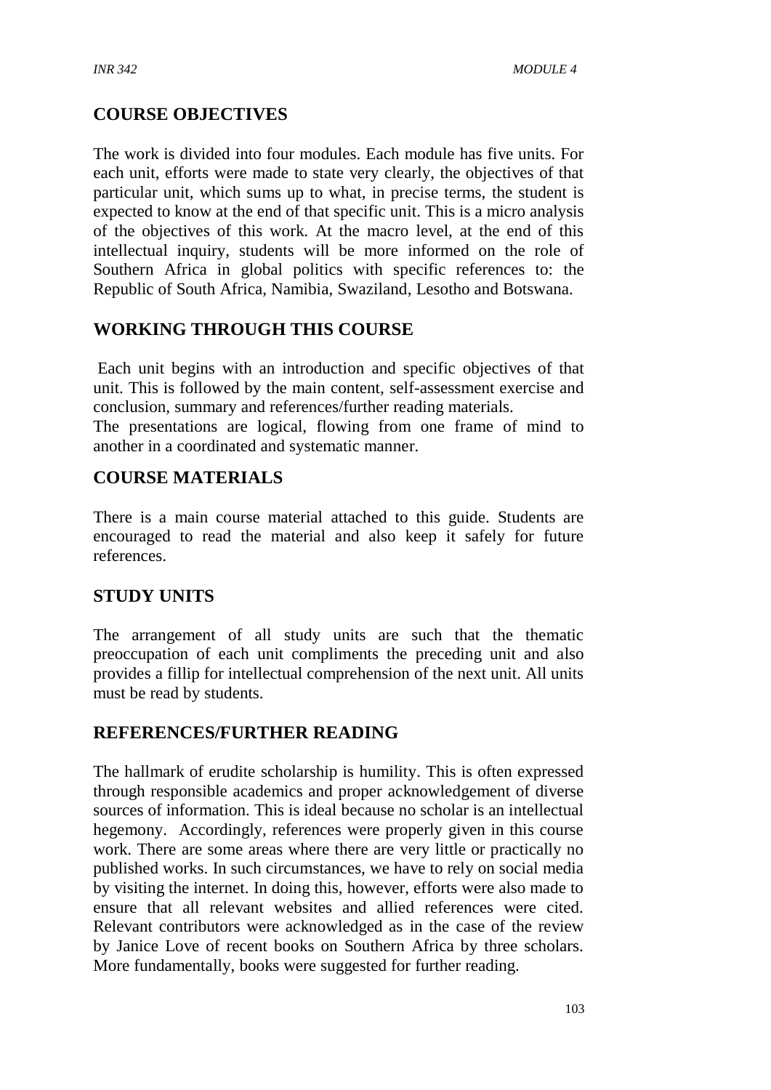# **COURSE OBJECTIVES**

The work is divided into four modules. Each module has five units. For each unit, efforts were made to state very clearly, the objectives of that particular unit, which sums up to what, in precise terms, the student is expected to know at the end of that specific unit. This is a micro analysis of the objectives of this work. At the macro level, at the end of this intellectual inquiry, students will be more informed on the role of Southern Africa in global politics with specific references to: the Republic of South Africa, Namibia, Swaziland, Lesotho and Botswana.

# **WORKING THROUGH THIS COURSE**

Each unit begins with an introduction and specific objectives of that unit. This is followed by the main content, self-assessment exercise and conclusion, summary and references/further reading materials.

The presentations are logical, flowing from one frame of mind to another in a coordinated and systematic manner.

# **COURSE MATERIALS**

There is a main course material attached to this guide. Students are encouraged to read the material and also keep it safely for future references.

# **STUDY UNITS**

The arrangement of all study units are such that the thematic preoccupation of each unit compliments the preceding unit and also provides a fillip for intellectual comprehension of the next unit. All units must be read by students.

# **REFERENCES/FURTHER READING**

The hallmark of erudite scholarship is humility. This is often expressed through responsible academics and proper acknowledgement of diverse sources of information. This is ideal because no scholar is an intellectual hegemony. Accordingly, references were properly given in this course work. There are some areas where there are very little or practically no published works. In such circumstances, we have to rely on social media by visiting the internet. In doing this, however, efforts were also made to ensure that all relevant websites and allied references were cited. Relevant contributors were acknowledged as in the case of the review by Janice Love of recent books on Southern Africa by three scholars. More fundamentally, books were suggested for further reading.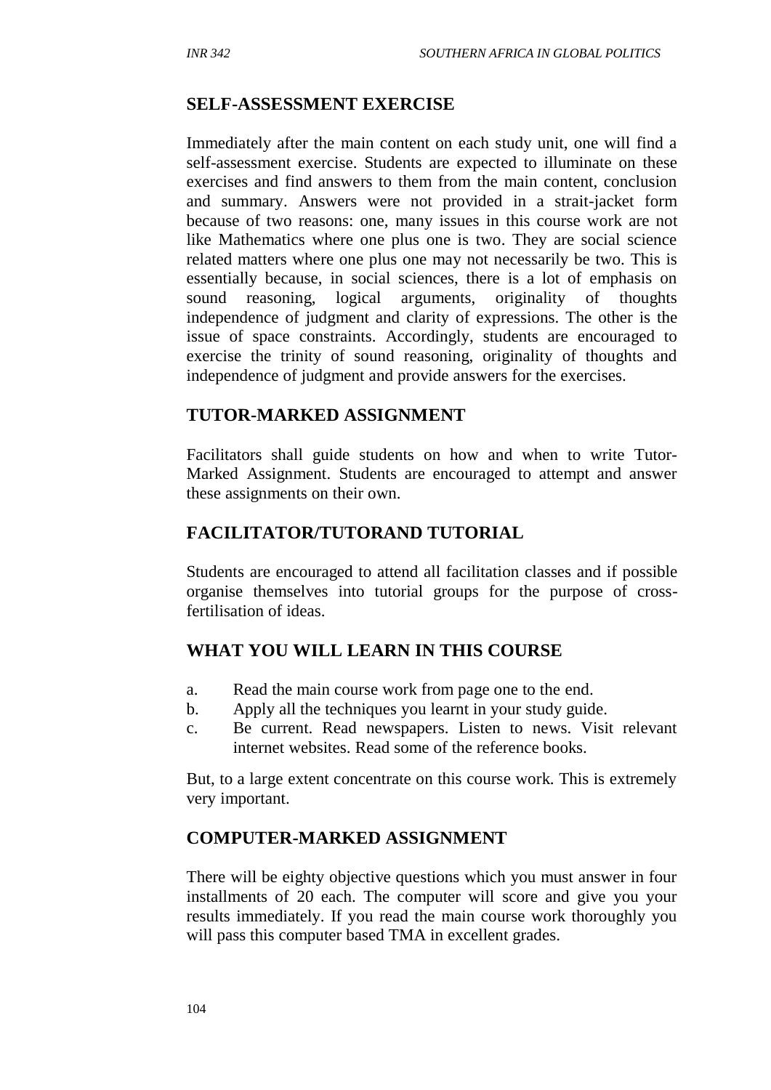#### **SELF-ASSESSMENT EXERCISE**

Immediately after the main content on each study unit, one will find a self-assessment exercise. Students are expected to illuminate on these exercises and find answers to them from the main content, conclusion and summary. Answers were not provided in a strait-jacket form because of two reasons: one, many issues in this course work are not like Mathematics where one plus one is two. They are social science related matters where one plus one may not necessarily be two. This is essentially because, in social sciences, there is a lot of emphasis on sound reasoning, logical arguments, originality of thoughts independence of judgment and clarity of expressions. The other is the issue of space constraints. Accordingly, students are encouraged to exercise the trinity of sound reasoning, originality of thoughts and independence of judgment and provide answers for the exercises.

## **TUTOR-MARKED ASSIGNMENT**

Facilitators shall guide students on how and when to write Tutor-Marked Assignment. Students are encouraged to attempt and answer these assignments on their own.

## **FACILITATOR/TUTORAND TUTORIAL**

Students are encouraged to attend all facilitation classes and if possible organise themselves into tutorial groups for the purpose of crossfertilisation of ideas.

# **WHAT YOU WILL LEARN IN THIS COURSE**

- a. Read the main course work from page one to the end.
- b. Apply all the techniques you learnt in your study guide.
- c. Be current. Read newspapers. Listen to news. Visit relevant internet websites. Read some of the reference books.

But, to a large extent concentrate on this course work. This is extremely very important.

# **COMPUTER-MARKED ASSIGNMENT**

There will be eighty objective questions which you must answer in four installments of 20 each. The computer will score and give you your results immediately. If you read the main course work thoroughly you will pass this computer based TMA in excellent grades.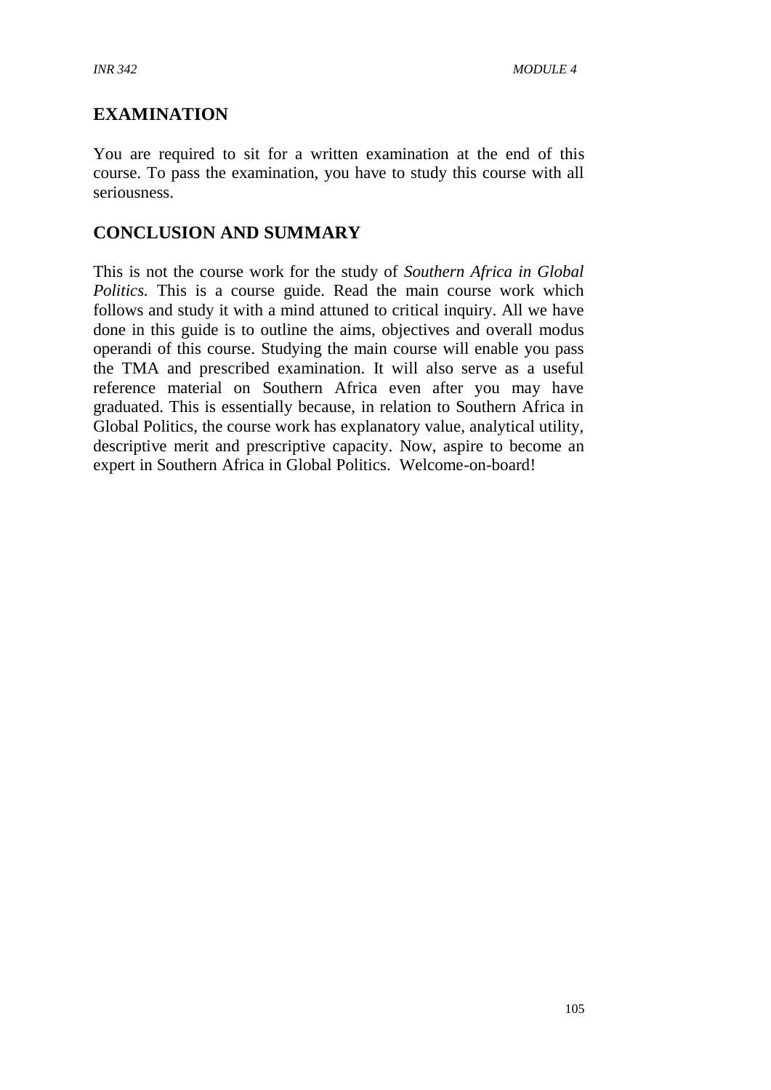# **EXAMINATION**

You are required to sit for a written examination at the end of this course. To pass the examination, you have to study this course with all seriousness.

# **CONCLUSION AND SUMMARY**

This is not the course work for the study of *Southern Africa in Global Politics.* This is a course guide. Read the main course work which follows and study it with a mind attuned to critical inquiry. All we have done in this guide is to outline the aims, objectives and overall modus operandi of this course. Studying the main course will enable you pass the TMA and prescribed examination. It will also serve as a useful reference material on Southern Africa even after you may have graduated. This is essentially because, in relation to Southern Africa in Global Politics, the course work has explanatory value, analytical utility, descriptive merit and prescriptive capacity. Now, aspire to become an expert in Southern Africa in Global Politics. Welcome-on-board!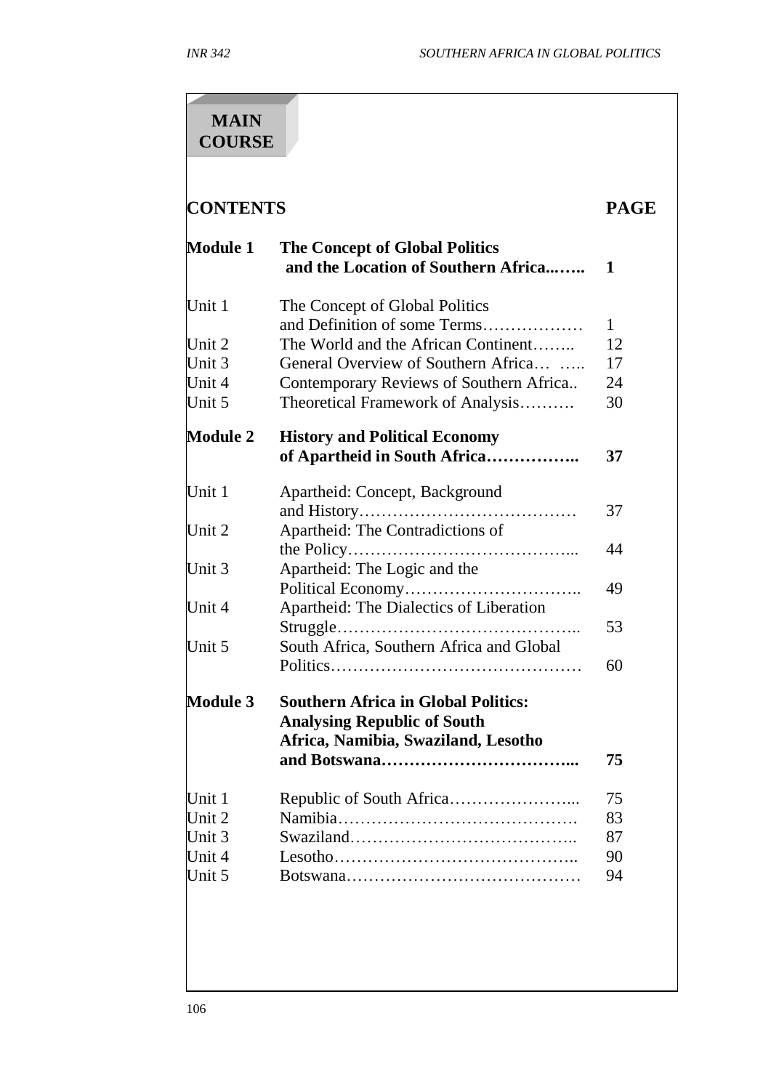# **MAIN COURSE**

# **CONTENTS PAGE**

| <b>Module 1</b> | <b>The Concept of Global Politics</b><br>and the Location of Southern Africa     | 1  |
|-----------------|----------------------------------------------------------------------------------|----|
| Unit 1          | The Concept of Global Politics<br>and Definition of some Terms                   | 1  |
| Unit 2          | The World and the African Continent                                              | 12 |
| Unit 3          | General Overview of Southern Africa                                              | 17 |
| Unit 4          | Contemporary Reviews of Southern Africa                                          | 24 |
| Unit 5          | Theoretical Framework of Analysis                                                | 30 |
| <b>Module 2</b> | <b>History and Political Economy</b><br>of Apartheid in South Africa             | 37 |
| Unit 1          | Apartheid: Concept, Background                                                   | 37 |
| Unit 2          | Apartheid: The Contradictions of                                                 | 44 |
| Unit 3          | Apartheid: The Logic and the                                                     |    |
| Unit 4          | Apartheid: The Dialectics of Liberation                                          | 49 |
|                 |                                                                                  | 53 |
| Unit 5          | South Africa, Southern Africa and Global                                         |    |
|                 |                                                                                  | 60 |
| <b>Module 3</b> | <b>Southern Africa in Global Politics:</b><br><b>Analysing Republic of South</b> |    |
|                 | Africa, Namibia, Swaziland, Lesotho                                              |    |
|                 |                                                                                  | 75 |
| Unit 1          |                                                                                  | 75 |
| Unit 2          |                                                                                  | 83 |
| Unit 3          |                                                                                  | 87 |
| Unit 4          |                                                                                  | 90 |
| Unit 5          |                                                                                  | 94 |
|                 |                                                                                  |    |
|                 |                                                                                  |    |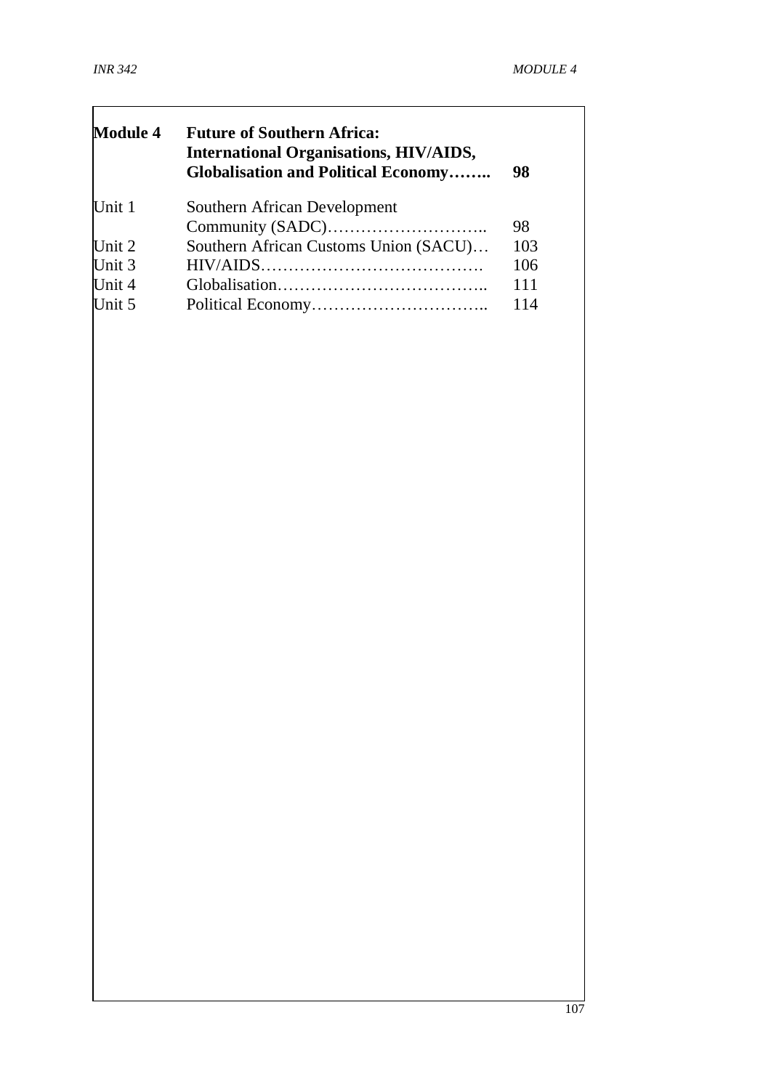$\Gamma$ 

| <b>Future of Southern Africa:</b><br><b>International Organisations, HIV/AIDS,</b><br><b>Globalisation and Political Economy</b> | 98  |
|----------------------------------------------------------------------------------------------------------------------------------|-----|
| Southern African Development                                                                                                     |     |
|                                                                                                                                  | 98  |
| Southern African Customs Union (SACU)                                                                                            | 103 |
|                                                                                                                                  | 106 |
|                                                                                                                                  | 111 |
|                                                                                                                                  | 114 |
|                                                                                                                                  |     |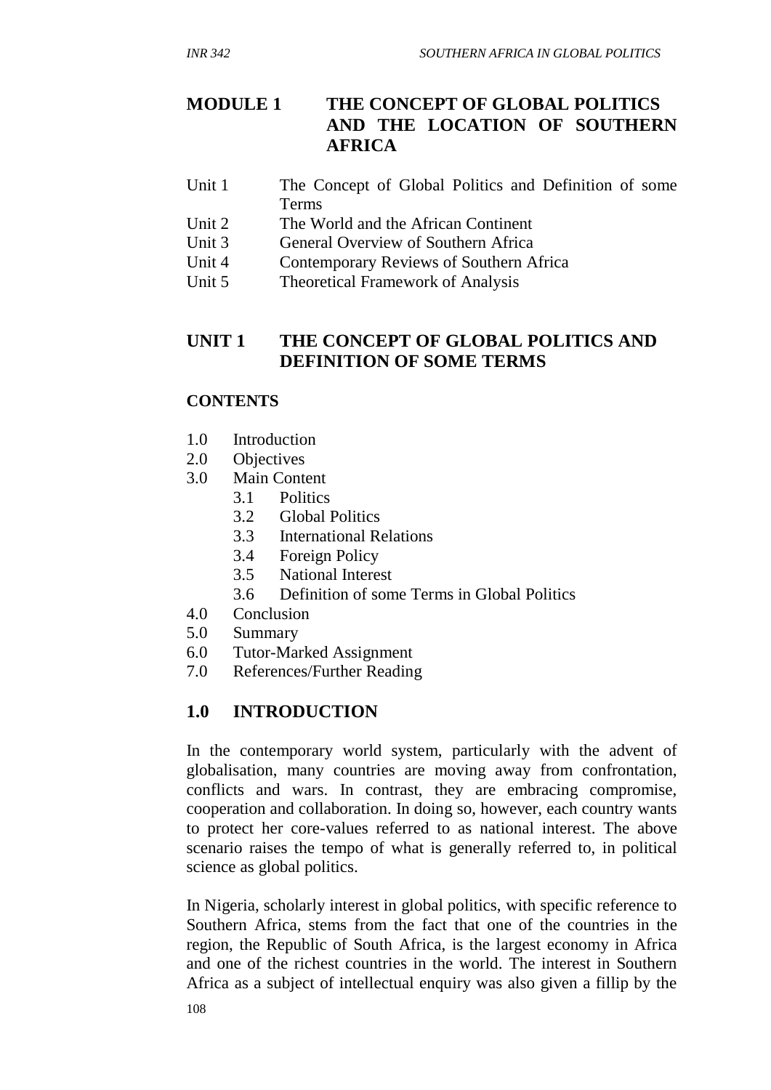# **MODULE 1 THE CONCEPT OF GLOBAL POLITICS AND THE LOCATION OF SOUTHERN AFRICA**

- Unit 1 The Concept of Global Politics and Definition of some Terms
- Unit 2 The World and the African Continent
- Unit 3 General Overview of Southern Africa
- Unit 4 Contemporary Reviews of Southern Africa
- Unit 5 Theoretical Framework of Analysis

# **UNIT 1 THE CONCEPT OF GLOBAL POLITICS AND DEFINITION OF SOME TERMS**

#### **CONTENTS**

- 1.0 Introduction
- 2.0 Objectives
- 3.0 Main Content
	- 3.1 Politics
	- 3.2 Global Politics
	- 3.3 International Relations
	- 3.4 Foreign Policy
	- 3.5 National Interest
	- 3.6 Definition of some Terms in Global Politics
- 4.0 Conclusion
- 5.0 Summary
- 6.0 Tutor-Marked Assignment
- 7.0 References/Further Reading

# **1.0 INTRODUCTION**

In the contemporary world system, particularly with the advent of globalisation, many countries are moving away from confrontation, conflicts and wars. In contrast, they are embracing compromise, cooperation and collaboration. In doing so, however, each country wants to protect her core-values referred to as national interest. The above scenario raises the tempo of what is generally referred to, in political science as global politics.

In Nigeria, scholarly interest in global politics, with specific reference to Southern Africa, stems from the fact that one of the countries in the region, the Republic of South Africa, is the largest economy in Africa and one of the richest countries in the world. The interest in Southern Africa as a subject of intellectual enquiry was also given a fillip by the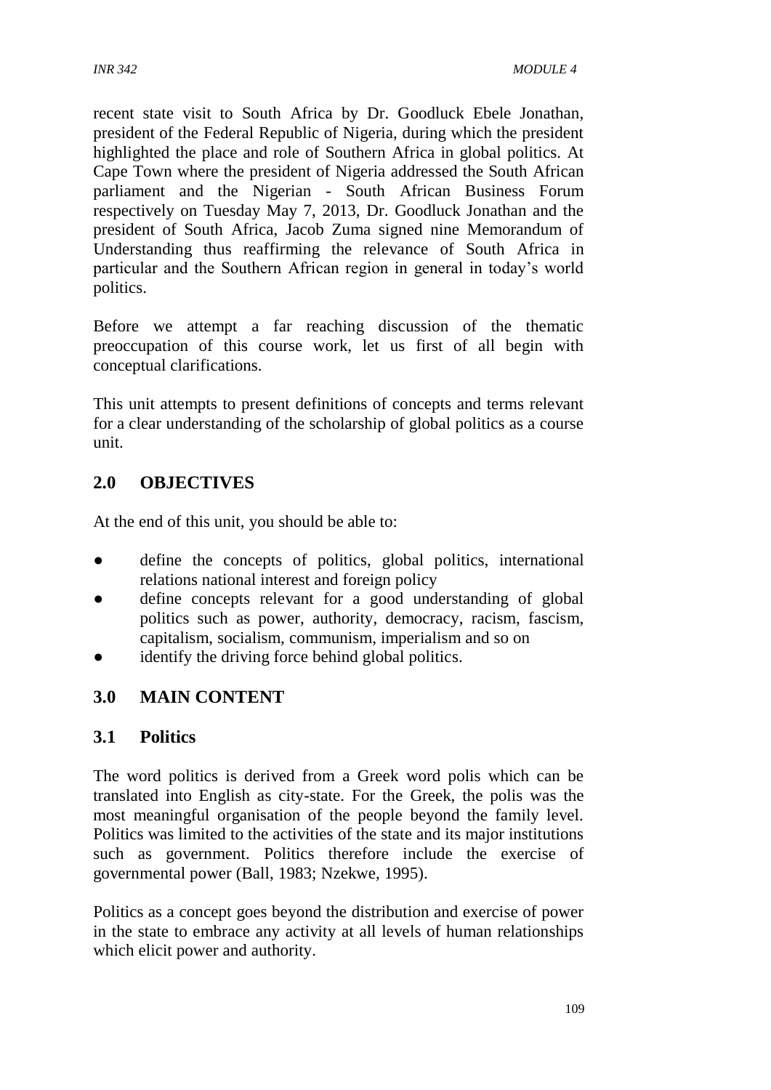recent state visit to South Africa by Dr. Goodluck Ebele Jonathan, president of the Federal Republic of Nigeria, during which the president highlighted the place and role of Southern Africa in global politics. At Cape Town where the president of Nigeria addressed the South African parliament and the Nigerian - South African Business Forum respectively on Tuesday May 7, 2013, Dr. Goodluck Jonathan and the president of South Africa, Jacob Zuma signed nine Memorandum of Understanding thus reaffirming the relevance of South Africa in particular and the Southern African region in general in today's world politics.

Before we attempt a far reaching discussion of the thematic preoccupation of this course work, let us first of all begin with conceptual clarifications.

This unit attempts to present definitions of concepts and terms relevant for a clear understanding of the scholarship of global politics as a course unit.

# **2.0 OBJECTIVES**

At the end of this unit, you should be able to:

- define the concepts of politics, global politics, international relations national interest and foreign policy
- define concepts relevant for a good understanding of global politics such as power, authority, democracy, racism, fascism, capitalism, socialism, communism, imperialism and so on
- identify the driving force behind global politics.

#### **3.0 MAIN CONTENT**

#### **3.1 Politics**

The word politics is derived from a Greek word polis which can be translated into English as city-state. For the Greek, the polis was the most meaningful organisation of the people beyond the family level. Politics was limited to the activities of the state and its major institutions such as government. Politics therefore include the exercise of governmental power (Ball, 1983; Nzekwe, 1995).

Politics as a concept goes beyond the distribution and exercise of power in the state to embrace any activity at all levels of human relationships which elicit power and authority.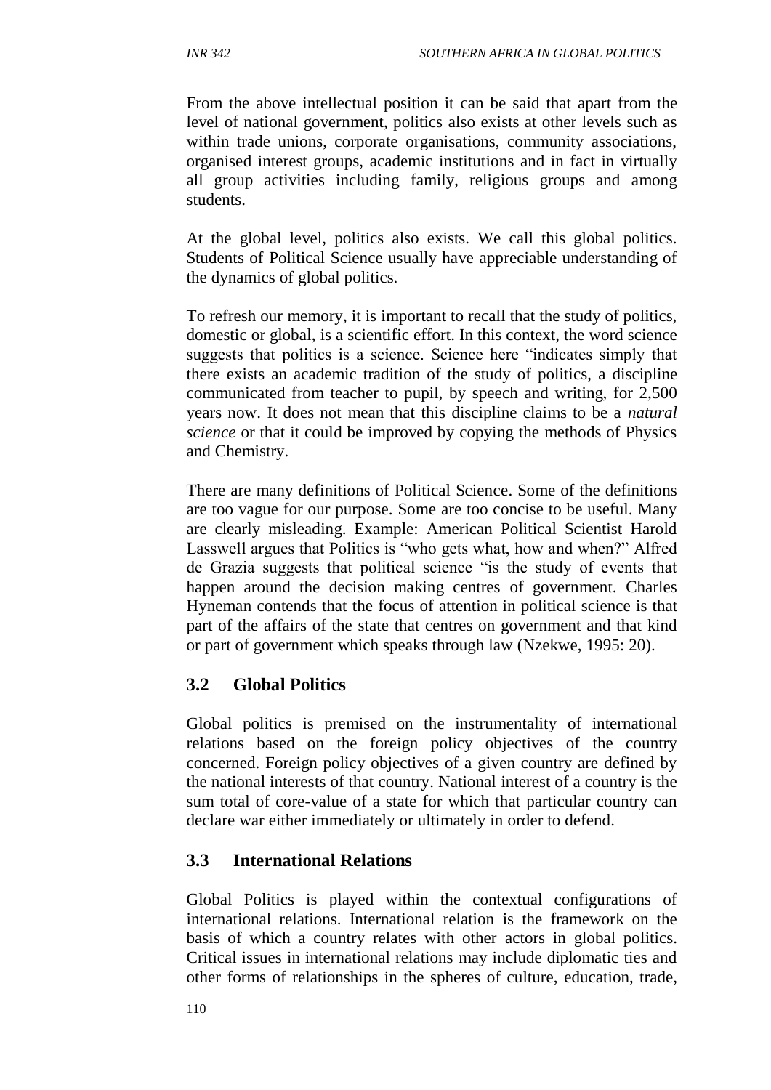From the above intellectual position it can be said that apart from the level of national government, politics also exists at other levels such as within trade unions, corporate organisations, community associations, organised interest groups, academic institutions and in fact in virtually all group activities including family, religious groups and among students.

At the global level, politics also exists. We call this global politics. Students of Political Science usually have appreciable understanding of the dynamics of global politics.

To refresh our memory, it is important to recall that the study of politics, domestic or global, is a scientific effort. In this context, the word science suggests that politics is a science. Science here "indicates simply that there exists an academic tradition of the study of politics, a discipline communicated from teacher to pupil, by speech and writing, for 2,500 years now. It does not mean that this discipline claims to be a *natural science* or that it could be improved by copying the methods of Physics and Chemistry.

There are many definitions of Political Science. Some of the definitions are too vague for our purpose. Some are too concise to be useful. Many are clearly misleading. Example: American Political Scientist Harold Lasswell argues that Politics is "who gets what, how and when?" Alfred de Grazia suggests that political science "is the study of events that happen around the decision making centres of government. Charles Hyneman contends that the focus of attention in political science is that part of the affairs of the state that centres on government and that kind or part of government which speaks through law (Nzekwe, 1995: 20).

#### **3.2 Global Politics**

Global politics is premised on the instrumentality of international relations based on the foreign policy objectives of the country concerned. Foreign policy objectives of a given country are defined by the national interests of that country. National interest of a country is the sum total of core-value of a state for which that particular country can declare war either immediately or ultimately in order to defend.

#### **3.3 International Relations**

Global Politics is played within the contextual configurations of international relations. International relation is the framework on the basis of which a country relates with other actors in global politics. Critical issues in international relations may include diplomatic ties and other forms of relationships in the spheres of culture, education, trade,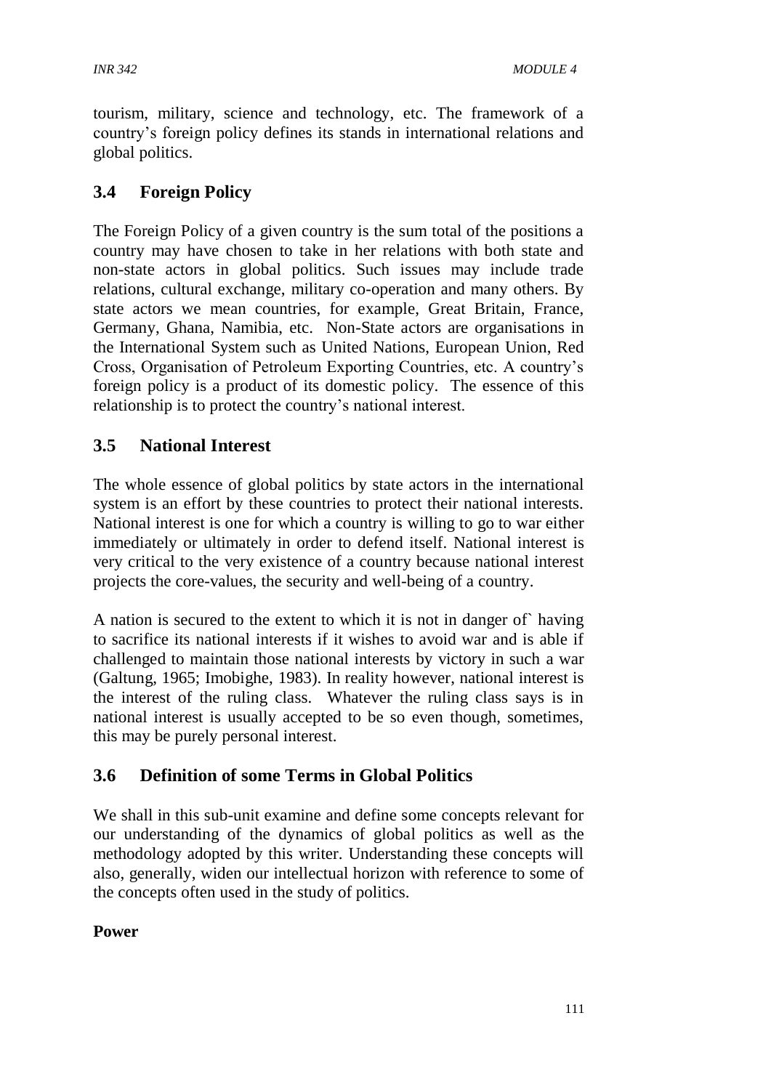tourism, military, science and technology, etc. The framework of a country's foreign policy defines its stands in international relations and global politics.

# **3.4 Foreign Policy**

The Foreign Policy of a given country is the sum total of the positions a country may have chosen to take in her relations with both state and non-state actors in global politics. Such issues may include trade relations, cultural exchange, military co-operation and many others. By state actors we mean countries, for example, Great Britain, France, Germany, Ghana, Namibia, etc. Non-State actors are organisations in the International System such as United Nations, European Union, Red Cross, Organisation of Petroleum Exporting Countries, etc. A country's foreign policy is a product of its domestic policy. The essence of this relationship is to protect the country's national interest.

## **3.5 National Interest**

The whole essence of global politics by state actors in the international system is an effort by these countries to protect their national interests. National interest is one for which a country is willing to go to war either immediately or ultimately in order to defend itself. National interest is very critical to the very existence of a country because national interest projects the core-values, the security and well-being of a country.

A nation is secured to the extent to which it is not in danger of` having to sacrifice its national interests if it wishes to avoid war and is able if challenged to maintain those national interests by victory in such a war (Galtung, 1965; Imobighe, 1983). In reality however, national interest is the interest of the ruling class. Whatever the ruling class says is in national interest is usually accepted to be so even though, sometimes, this may be purely personal interest.

#### **3.6 Definition of some Terms in Global Politics**

We shall in this sub-unit examine and define some concepts relevant for our understanding of the dynamics of global politics as well as the methodology adopted by this writer. Understanding these concepts will also, generally, widen our intellectual horizon with reference to some of the concepts often used in the study of politics.

#### **Power**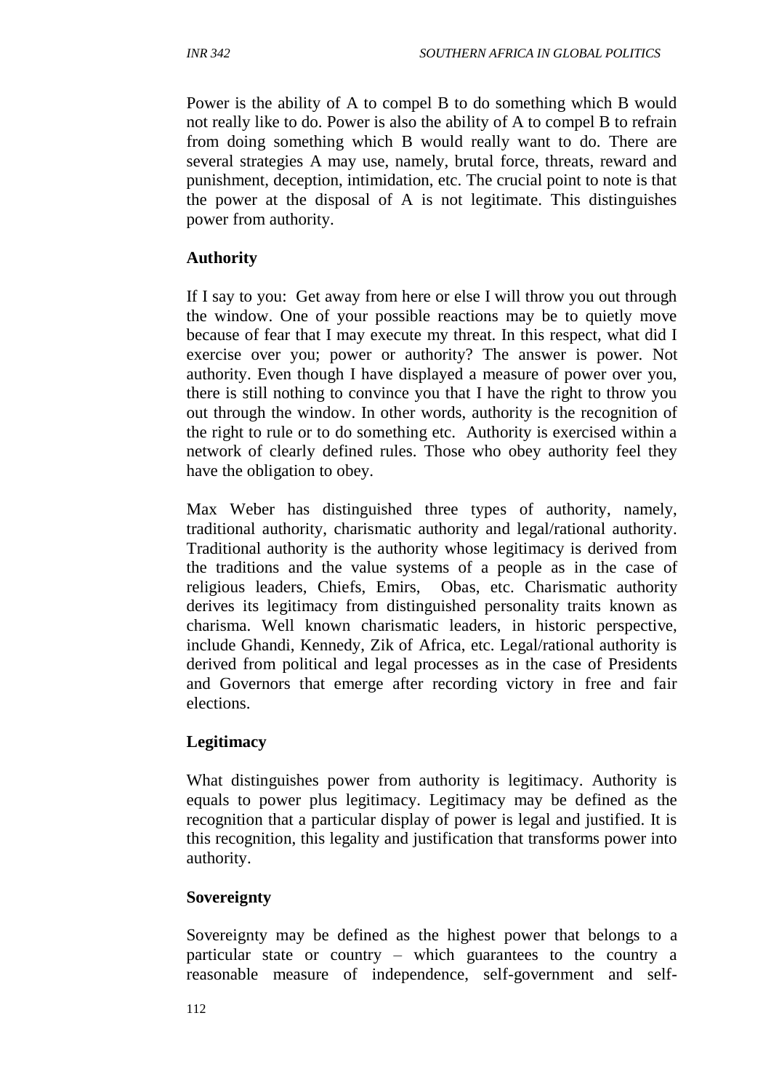Power is the ability of A to compel B to do something which B would not really like to do. Power is also the ability of A to compel B to refrain from doing something which B would really want to do. There are several strategies A may use, namely, brutal force, threats, reward and punishment, deception, intimidation, etc. The crucial point to note is that the power at the disposal of A is not legitimate. This distinguishes power from authority.

#### **Authority**

If I say to you: Get away from here or else I will throw you out through the window. One of your possible reactions may be to quietly move because of fear that I may execute my threat. In this respect, what did I exercise over you; power or authority? The answer is power. Not authority. Even though I have displayed a measure of power over you, there is still nothing to convince you that I have the right to throw you out through the window. In other words, authority is the recognition of the right to rule or to do something etc. Authority is exercised within a network of clearly defined rules. Those who obey authority feel they have the obligation to obey.

Max Weber has distinguished three types of authority, namely, traditional authority, charismatic authority and legal/rational authority. Traditional authority is the authority whose legitimacy is derived from the traditions and the value systems of a people as in the case of religious leaders, Chiefs, Emirs, Obas, etc. Charismatic authority derives its legitimacy from distinguished personality traits known as charisma. Well known charismatic leaders, in historic perspective, include Ghandi, Kennedy, Zik of Africa, etc. Legal/rational authority is derived from political and legal processes as in the case of Presidents and Governors that emerge after recording victory in free and fair elections.

#### **Legitimacy**

What distinguishes power from authority is legitimacy. Authority is equals to power plus legitimacy. Legitimacy may be defined as the recognition that a particular display of power is legal and justified. It is this recognition, this legality and justification that transforms power into authority.

#### **Sovereignty**

Sovereignty may be defined as the highest power that belongs to a particular state or country – which guarantees to the country a reasonable measure of independence, self-government and self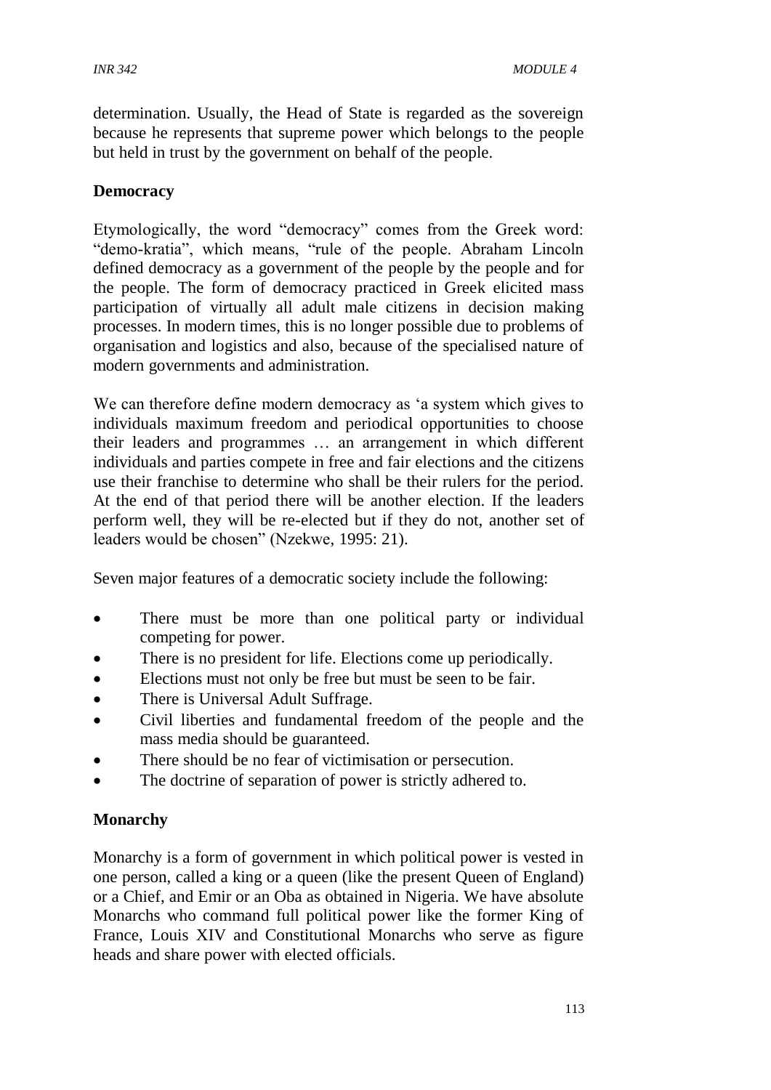determination. Usually, the Head of State is regarded as the sovereign because he represents that supreme power which belongs to the people but held in trust by the government on behalf of the people.

#### **Democracy**

Etymologically, the word "democracy" comes from the Greek word: "demo-kratia", which means, "rule of the people. Abraham Lincoln defined democracy as a government of the people by the people and for the people. The form of democracy practiced in Greek elicited mass participation of virtually all adult male citizens in decision making processes. In modern times, this is no longer possible due to problems of organisation and logistics and also, because of the specialised nature of modern governments and administration.

We can therefore define modern democracy as 'a system which gives to individuals maximum freedom and periodical opportunities to choose their leaders and programmes … an arrangement in which different individuals and parties compete in free and fair elections and the citizens use their franchise to determine who shall be their rulers for the period. At the end of that period there will be another election. If the leaders perform well, they will be re-elected but if they do not, another set of leaders would be chosen" (Nzekwe, 1995: 21).

Seven major features of a democratic society include the following:

- There must be more than one political party or individual competing for power.
- There is no president for life. Elections come up periodically.
- Elections must not only be free but must be seen to be fair.
- There is Universal Adult Suffrage.
- Civil liberties and fundamental freedom of the people and the mass media should be guaranteed.
- There should be no fear of victimisation or persecution.
- The doctrine of separation of power is strictly adhered to.

#### **Monarchy**

Monarchy is a form of government in which political power is vested in one person, called a king or a queen (like the present Queen of England) or a Chief, and Emir or an Oba as obtained in Nigeria. We have absolute Monarchs who command full political power like the former King of France, Louis XIV and Constitutional Monarchs who serve as figure heads and share power with elected officials.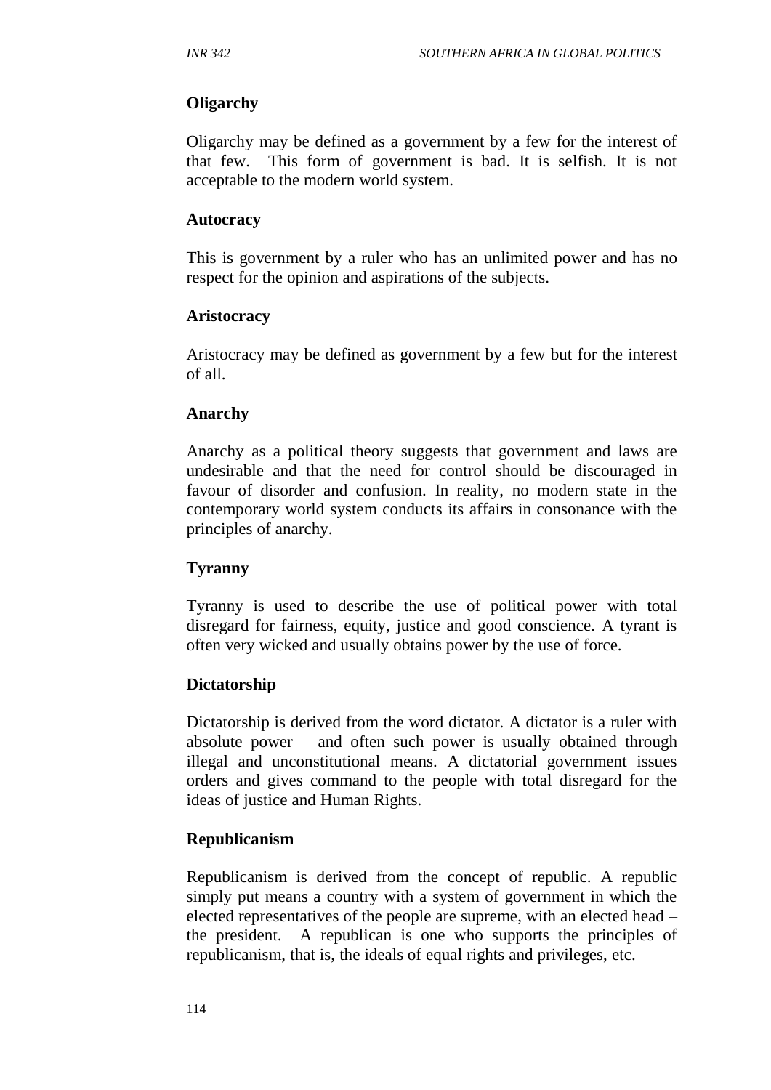#### **Oligarchy**

Oligarchy may be defined as a government by a few for the interest of that few. This form of government is bad. It is selfish. It is not acceptable to the modern world system.

#### **Autocracy**

This is government by a ruler who has an unlimited power and has no respect for the opinion and aspirations of the subjects.

#### **Aristocracy**

Aristocracy may be defined as government by a few but for the interest of all.

#### **Anarchy**

Anarchy as a political theory suggests that government and laws are undesirable and that the need for control should be discouraged in favour of disorder and confusion. In reality, no modern state in the contemporary world system conducts its affairs in consonance with the principles of anarchy.

#### **Tyranny**

Tyranny is used to describe the use of political power with total disregard for fairness, equity, justice and good conscience. A tyrant is often very wicked and usually obtains power by the use of force.

#### **Dictatorship**

Dictatorship is derived from the word dictator. A dictator is a ruler with absolute power – and often such power is usually obtained through illegal and unconstitutional means. A dictatorial government issues orders and gives command to the people with total disregard for the ideas of justice and Human Rights.

#### **Republicanism**

Republicanism is derived from the concept of republic. A republic simply put means a country with a system of government in which the elected representatives of the people are supreme, with an elected head – the president. A republican is one who supports the principles of republicanism, that is, the ideals of equal rights and privileges, etc.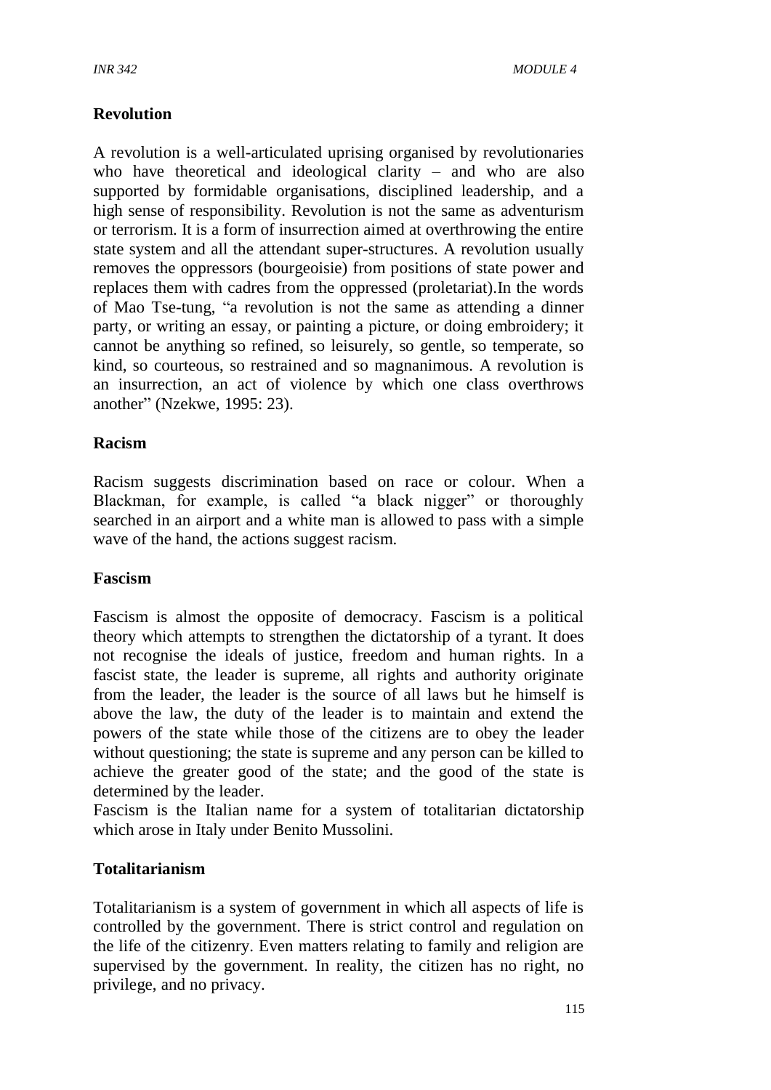#### **Revolution**

A revolution is a well-articulated uprising organised by revolutionaries who have theoretical and ideological clarity – and who are also supported by formidable organisations, disciplined leadership, and a high sense of responsibility. Revolution is not the same as adventurism or terrorism. It is a form of insurrection aimed at overthrowing the entire state system and all the attendant super-structures. A revolution usually removes the oppressors (bourgeoisie) from positions of state power and replaces them with cadres from the oppressed (proletariat).In the words of Mao Tse-tung, "a revolution is not the same as attending a dinner party, or writing an essay, or painting a picture, or doing embroidery; it cannot be anything so refined, so leisurely, so gentle, so temperate, so kind, so courteous, so restrained and so magnanimous. A revolution is an insurrection, an act of violence by which one class overthrows another" (Nzekwe, 1995: 23).

#### **Racism**

Racism suggests discrimination based on race or colour. When a Blackman, for example, is called "a black nigger" or thoroughly searched in an airport and a white man is allowed to pass with a simple wave of the hand, the actions suggest racism.

#### **Fascism**

Fascism is almost the opposite of democracy. Fascism is a political theory which attempts to strengthen the dictatorship of a tyrant. It does not recognise the ideals of justice, freedom and human rights. In a fascist state, the leader is supreme, all rights and authority originate from the leader, the leader is the source of all laws but he himself is above the law, the duty of the leader is to maintain and extend the powers of the state while those of the citizens are to obey the leader without questioning; the state is supreme and any person can be killed to achieve the greater good of the state; and the good of the state is determined by the leader.

Fascism is the Italian name for a system of totalitarian dictatorship which arose in Italy under Benito Mussolini.

#### **Totalitarianism**

Totalitarianism is a system of government in which all aspects of life is controlled by the government. There is strict control and regulation on the life of the citizenry. Even matters relating to family and religion are supervised by the government. In reality, the citizen has no right, no privilege, and no privacy.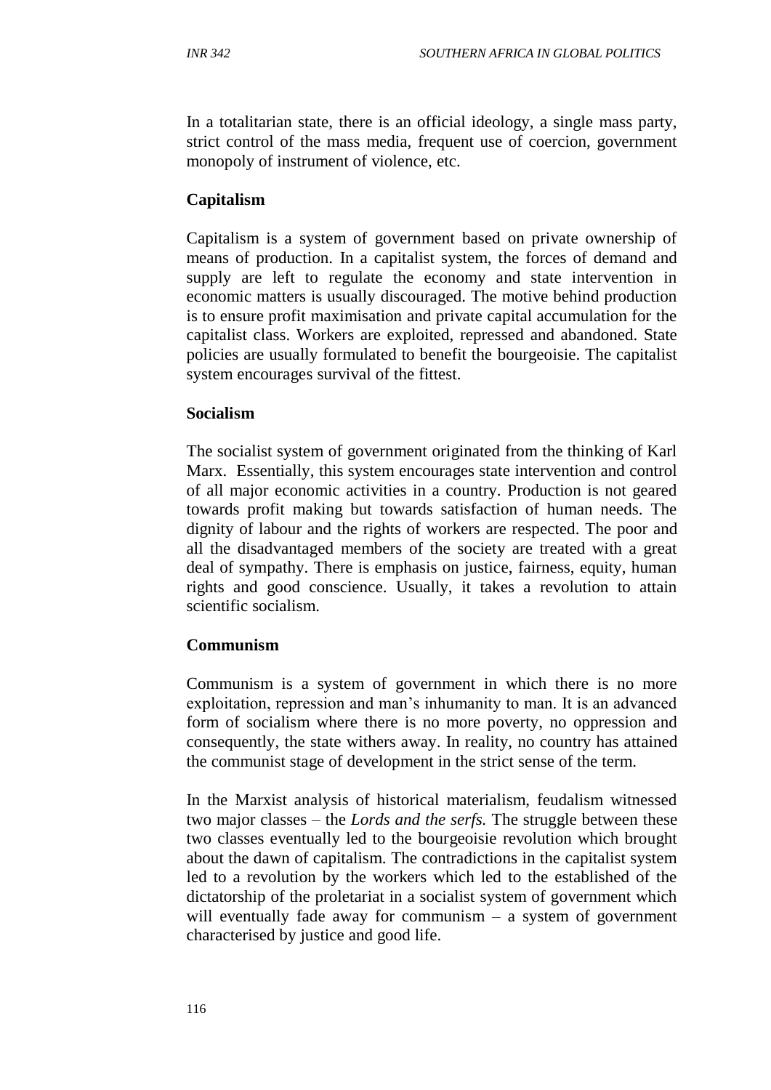In a totalitarian state, there is an official ideology, a single mass party, strict control of the mass media, frequent use of coercion, government monopoly of instrument of violence, etc.

#### **Capitalism**

Capitalism is a system of government based on private ownership of means of production. In a capitalist system, the forces of demand and supply are left to regulate the economy and state intervention in economic matters is usually discouraged. The motive behind production is to ensure profit maximisation and private capital accumulation for the capitalist class. Workers are exploited, repressed and abandoned. State policies are usually formulated to benefit the bourgeoisie. The capitalist system encourages survival of the fittest.

#### **Socialism**

The socialist system of government originated from the thinking of Karl Marx. Essentially, this system encourages state intervention and control of all major economic activities in a country. Production is not geared towards profit making but towards satisfaction of human needs. The dignity of labour and the rights of workers are respected. The poor and all the disadvantaged members of the society are treated with a great deal of sympathy. There is emphasis on justice, fairness, equity, human rights and good conscience. Usually, it takes a revolution to attain scientific socialism.

#### **Communism**

Communism is a system of government in which there is no more exploitation, repression and man's inhumanity to man. It is an advanced form of socialism where there is no more poverty, no oppression and consequently, the state withers away. In reality, no country has attained the communist stage of development in the strict sense of the term.

In the Marxist analysis of historical materialism, feudalism witnessed two major classes – the *Lords and the serfs.* The struggle between these two classes eventually led to the bourgeoisie revolution which brought about the dawn of capitalism. The contradictions in the capitalist system led to a revolution by the workers which led to the established of the dictatorship of the proletariat in a socialist system of government which will eventually fade away for communism  $-$  a system of government characterised by justice and good life.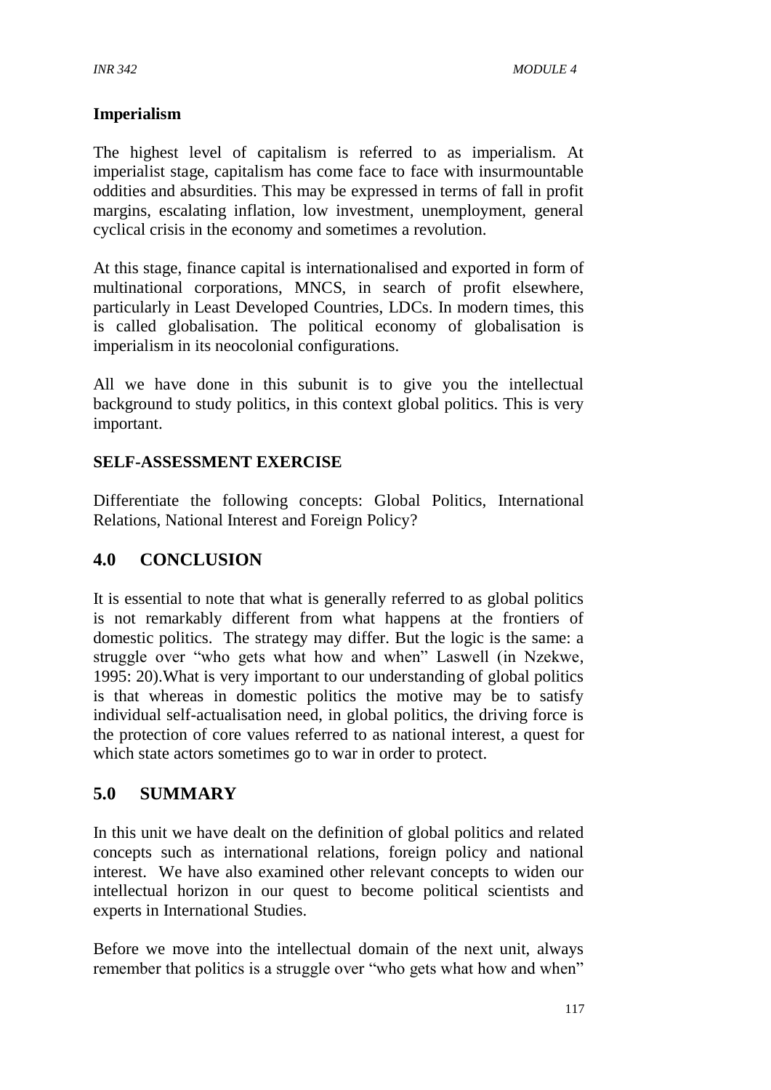#### **Imperialism**

The highest level of capitalism is referred to as imperialism. At imperialist stage, capitalism has come face to face with insurmountable oddities and absurdities. This may be expressed in terms of fall in profit margins, escalating inflation, low investment, unemployment, general cyclical crisis in the economy and sometimes a revolution.

At this stage, finance capital is internationalised and exported in form of multinational corporations, MNCS, in search of profit elsewhere, particularly in Least Developed Countries, LDCs. In modern times, this is called globalisation. The political economy of globalisation is imperialism in its neocolonial configurations.

All we have done in this subunit is to give you the intellectual background to study politics, in this context global politics. This is very important.

#### **SELF-ASSESSMENT EXERCISE**

Differentiate the following concepts: Global Politics, International Relations, National Interest and Foreign Policy?

# **4.0 CONCLUSION**

It is essential to note that what is generally referred to as global politics is not remarkably different from what happens at the frontiers of domestic politics. The strategy may differ. But the logic is the same: a struggle over "who gets what how and when" Laswell (in Nzekwe, 1995: 20).What is very important to our understanding of global politics is that whereas in domestic politics the motive may be to satisfy individual self-actualisation need, in global politics, the driving force is the protection of core values referred to as national interest, a quest for which state actors sometimes go to war in order to protect.

#### **5.0 SUMMARY**

In this unit we have dealt on the definition of global politics and related concepts such as international relations, foreign policy and national interest. We have also examined other relevant concepts to widen our intellectual horizon in our quest to become political scientists and experts in International Studies.

Before we move into the intellectual domain of the next unit, always remember that politics is a struggle over "who gets what how and when"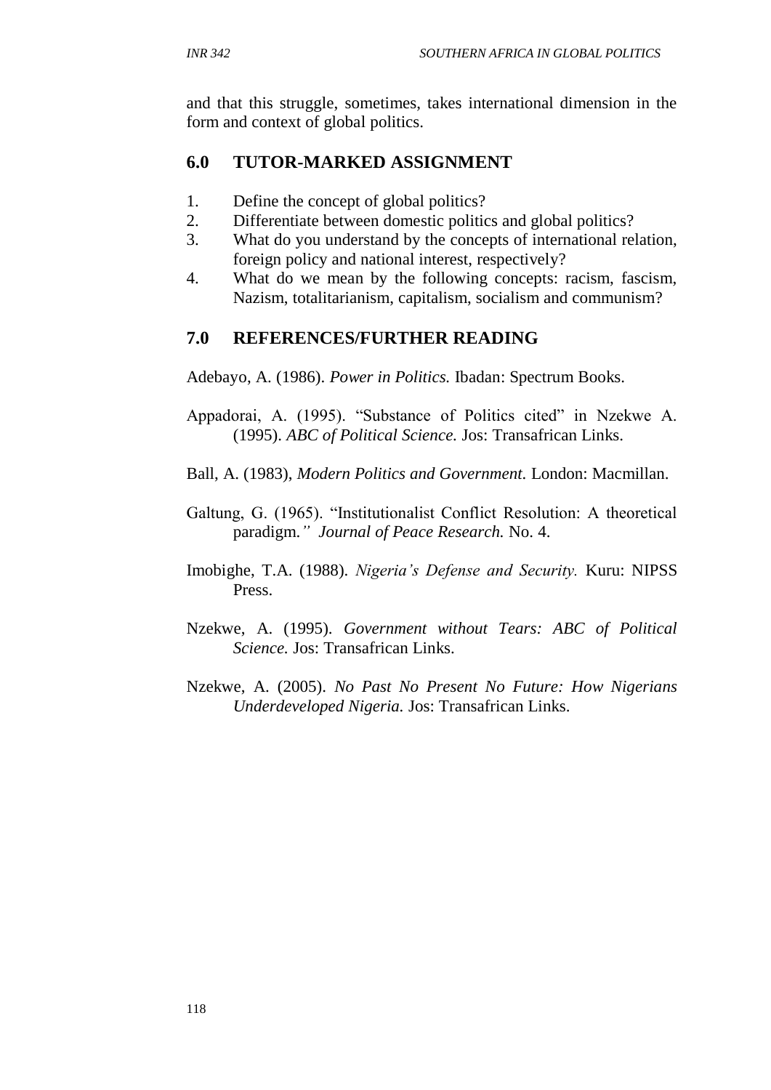and that this struggle, sometimes, takes international dimension in the form and context of global politics.

## **6.0 TUTOR-MARKED ASSIGNMENT**

- 1. Define the concept of global politics?
- 2. Differentiate between domestic politics and global politics?
- 3. What do you understand by the concepts of international relation, foreign policy and national interest, respectively?
- 4. What do we mean by the following concepts: racism, fascism, Nazism, totalitarianism, capitalism, socialism and communism?

# **7.0 REFERENCES/FURTHER READING**

Adebayo, A. (1986). *Power in Politics.* Ibadan: Spectrum Books.

- Appadorai, A. (1995). "Substance of Politics cited" in Nzekwe A. (1995). *ABC of Political Science.* Jos: Transafrican Links.
- Ball, A. (1983), *Modern Politics and Government.* London: Macmillan.
- Galtung, G. (1965). "Institutionalist Conflict Resolution: A theoretical paradigm.*" Journal of Peace Research.* No. 4.
- Imobighe, T.A. (1988). *Nigeria's Defense and Security.* Kuru: NIPSS Press.
- Nzekwe, A. (1995). *Government without Tears: ABC of Political Science.* Jos: Transafrican Links.
- Nzekwe, A. (2005). *No Past No Present No Future: How Nigerians Underdeveloped Nigeria.* Jos: Transafrican Links.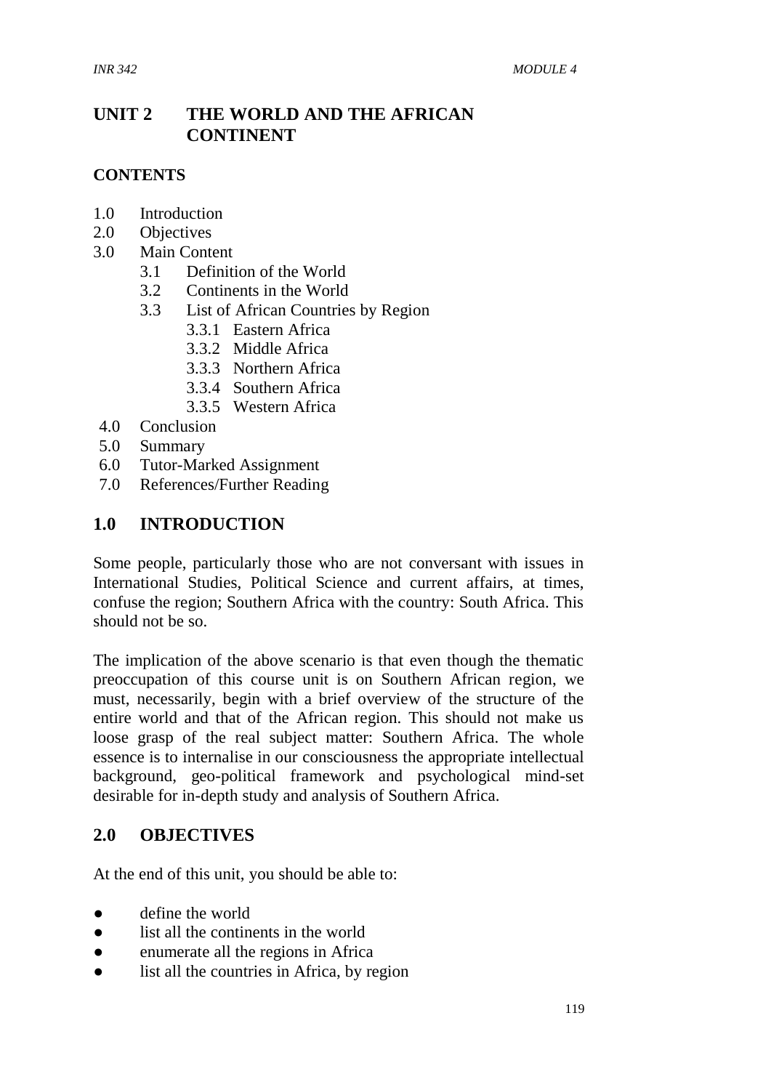#### **UNIT 2 THE WORLD AND THE AFRICAN CONTINENT**

#### **CONTENTS**

- 1.0 Introduction
- 2.0 Objectives
- 3.0 Main Content
	- 3.1 Definition of the World
	- 3.2 Continents in the World
	- 3.3 List of African Countries by Region
		- 3.3.1 Eastern Africa
		- 3.3.2 Middle Africa
		- 3.3.3 Northern Africa
		- 3.3.4 Southern Africa
		- 3.3.5 Western Africa
- 4.0 Conclusion
- 5.0 Summary
- 6.0 Tutor-Marked Assignment
- 7.0 References/Further Reading

#### **1.0 INTRODUCTION**

Some people, particularly those who are not conversant with issues in International Studies, Political Science and current affairs, at times, confuse the region; Southern Africa with the country: South Africa. This should not be so.

The implication of the above scenario is that even though the thematic preoccupation of this course unit is on Southern African region, we must, necessarily, begin with a brief overview of the structure of the entire world and that of the African region. This should not make us loose grasp of the real subject matter: Southern Africa. The whole essence is to internalise in our consciousness the appropriate intellectual background, geo-political framework and psychological mind-set desirable for in-depth study and analysis of Southern Africa.

#### **2.0 OBJECTIVES**

At the end of this unit, you should be able to:

- define the world
- list all the continents in the world
- enumerate all the regions in Africa
- list all the countries in Africa, by region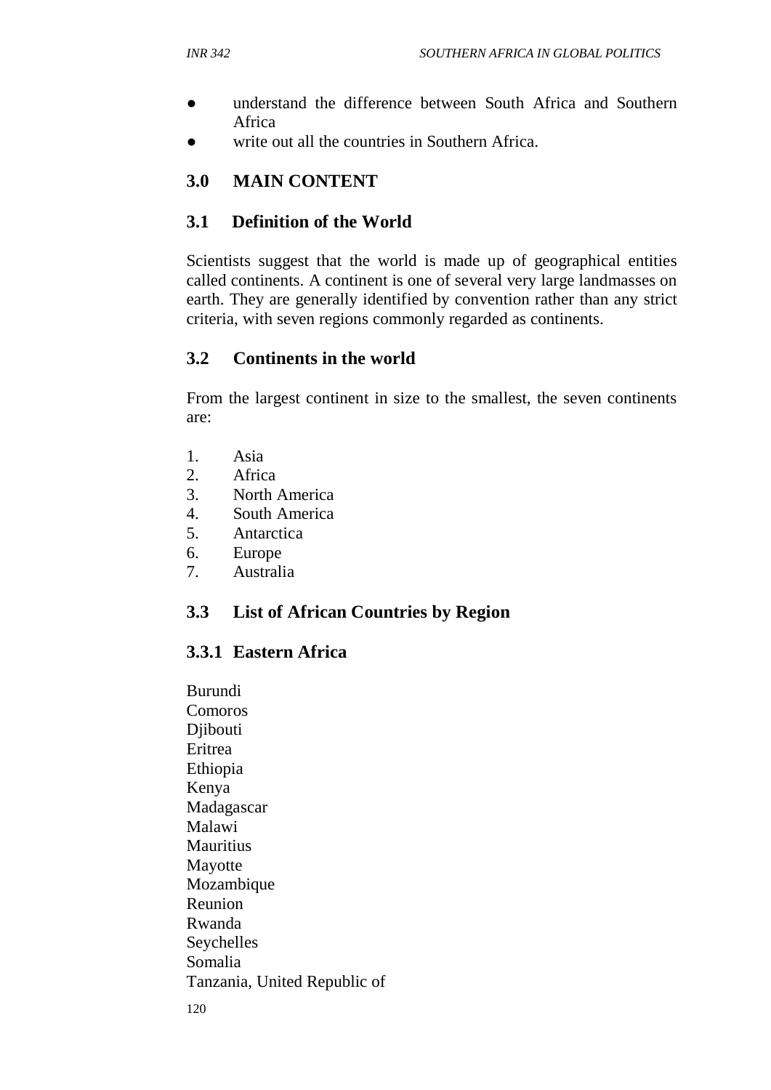- understand the difference between South Africa and Southern Africa
- write out all the countries in Southern Africa.

# **3.0 MAIN CONTENT**

#### **3.1 Definition of the World**

Scientists suggest that the world is made up of geographical entities called continents. A continent is one of several very large landmasses on earth. They are generally identified by convention rather than any strict criteria, with seven regions commonly regarded as continents.

#### **3.2 Continents in the world**

From the largest continent in size to the smallest, the seven continents are:

- 1. Asia
- 2. Africa
- 3. North America
- 4. South America
- 5. Antarctica
- 6. Europe
- 7. Australia

# **3.3 List of African Countries by Region**

#### **3.3.1 Eastern Africa**

Burundi Comoros Djibouti Eritrea Ethiopia Kenya Madagascar Malawi **Mauritius** Mayotte Mozambique Reunion Rwanda **Seychelles** Somalia Tanzania, United Republic of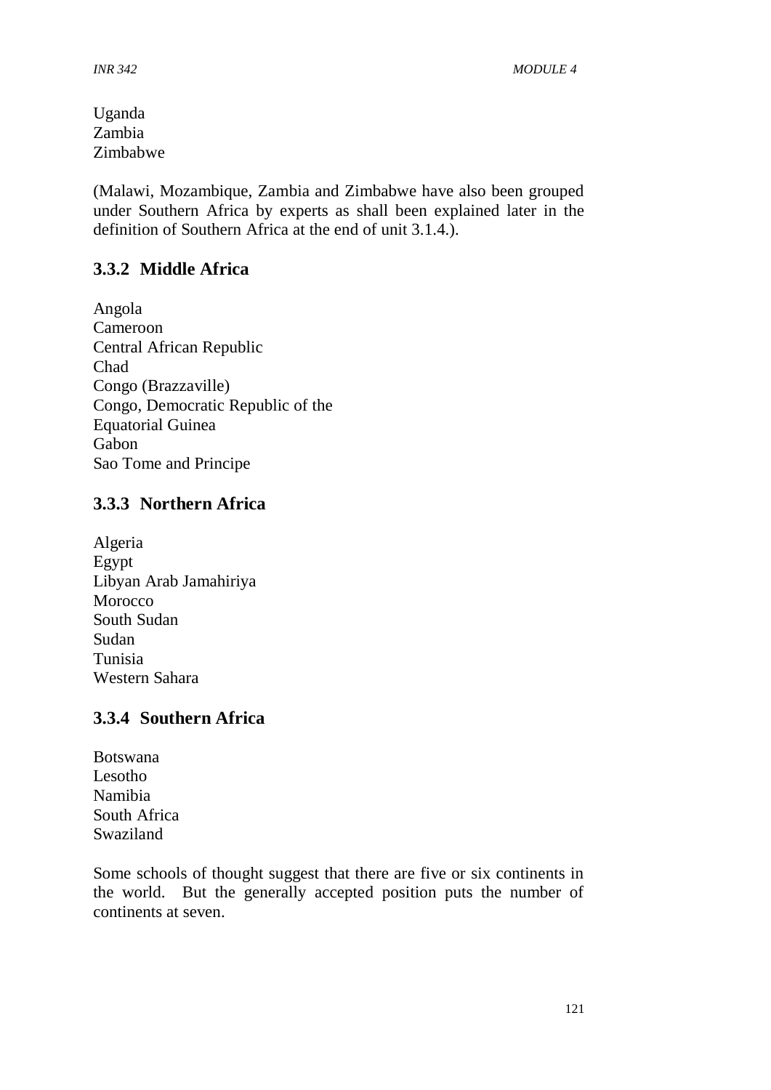Uganda Zambia Zimbabwe

(Malawi, Mozambique, Zambia and Zimbabwe have also been grouped under Southern Africa by experts as shall been explained later in the definition of Southern Africa at the end of unit 3.1.4.).

# **3.3.2 Middle Africa**

Angola Cameroon Central African Republic Chad Congo (Brazzaville) Congo, Democratic Republic of the Equatorial Guinea Gabon Sao Tome and Principe

#### **3.3.3 Northern Africa**

Algeria Egypt Libyan Arab Jamahiriya **Morocco** South Sudan Sudan Tunisia Western Sahara

#### **3.3.4 Southern Africa**

Botswana Lesotho Namibia South Africa Swaziland

Some schools of thought suggest that there are five or six continents in the world. But the generally accepted position puts the number of continents at seven.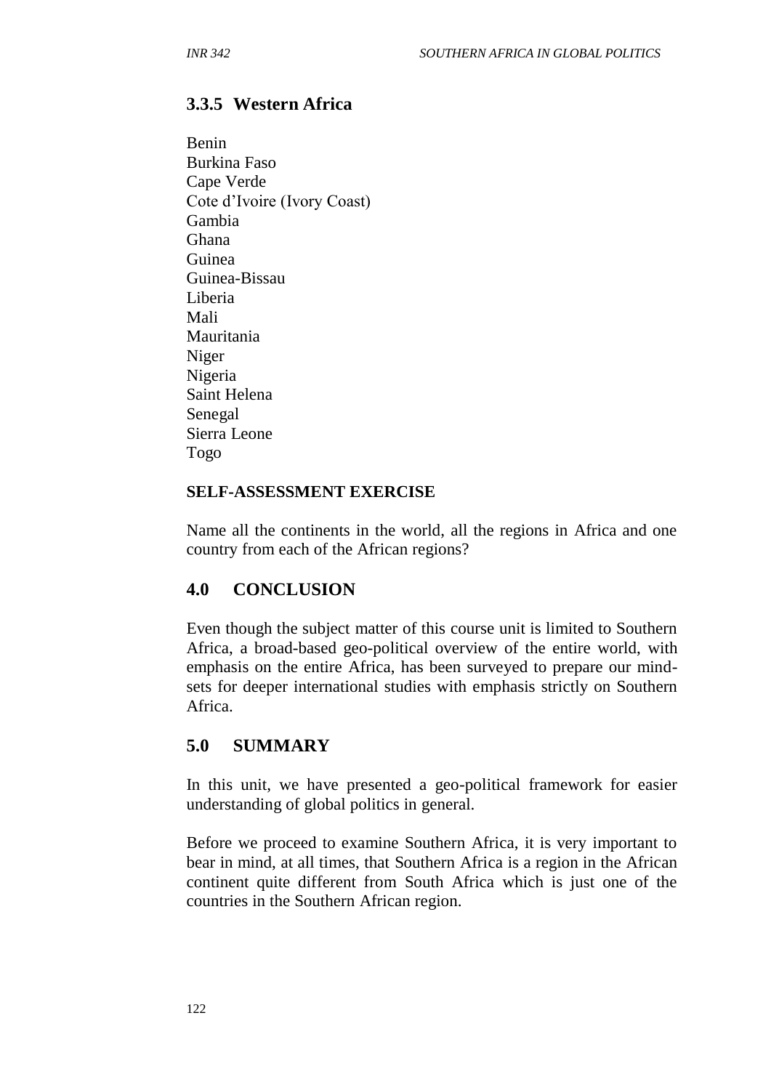# **3.3.5 Western Africa**

Benin Burkina Faso Cape Verde Cote d'Ivoire (Ivory Coast) Gambia Ghana Guinea Guinea-Bissau Liberia Mali Mauritania Niger Nigeria Saint Helena Senegal Sierra Leone Togo

#### **SELF-ASSESSMENT EXERCISE**

Name all the continents in the world, all the regions in Africa and one country from each of the African regions?

# **4.0 CONCLUSION**

Even though the subject matter of this course unit is limited to Southern Africa, a broad-based geo-political overview of the entire world, with emphasis on the entire Africa, has been surveyed to prepare our mindsets for deeper international studies with emphasis strictly on Southern Africa.

# **5.0 SUMMARY**

In this unit, we have presented a geo-political framework for easier understanding of global politics in general.

Before we proceed to examine Southern Africa, it is very important to bear in mind, at all times, that Southern Africa is a region in the African continent quite different from South Africa which is just one of the countries in the Southern African region.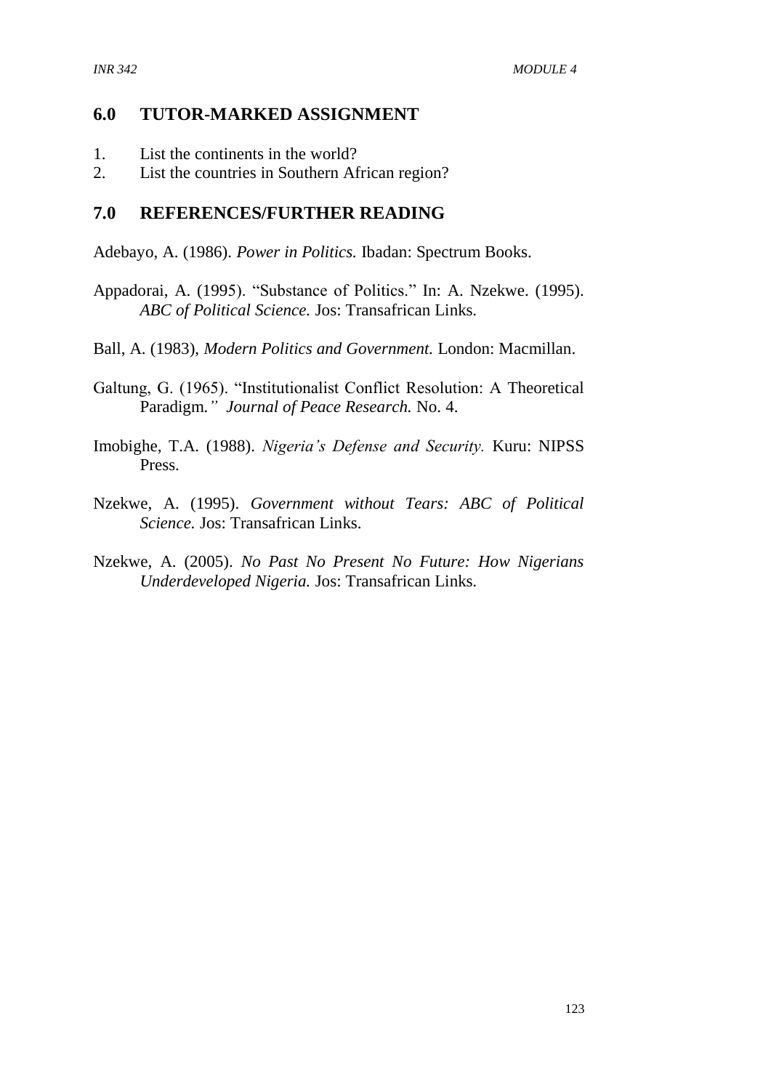#### **6.0 TUTOR-MARKED ASSIGNMENT**

- 1. List the continents in the world?
- 2. List the countries in Southern African region?

#### **7.0 REFERENCES/FURTHER READING**

Adebayo, A. (1986). *Power in Politics.* Ibadan: Spectrum Books.

- Appadorai, A. (1995). "Substance of Politics." In: A. Nzekwe. (1995). *ABC of Political Science.* Jos: Transafrican Links.
- Ball, A. (1983), *Modern Politics and Government.* London: Macmillan.
- Galtung, G. (1965). "Institutionalist Conflict Resolution: A Theoretical Paradigm.*" Journal of Peace Research.* No. 4.
- Imobighe, T.A. (1988). *Nigeria's Defense and Security.* Kuru: NIPSS Press.
- Nzekwe, A. (1995). *Government without Tears: ABC of Political Science.* Jos: Transafrican Links.
- Nzekwe, A. (2005). *No Past No Present No Future: How Nigerians Underdeveloped Nigeria.* Jos: Transafrican Links.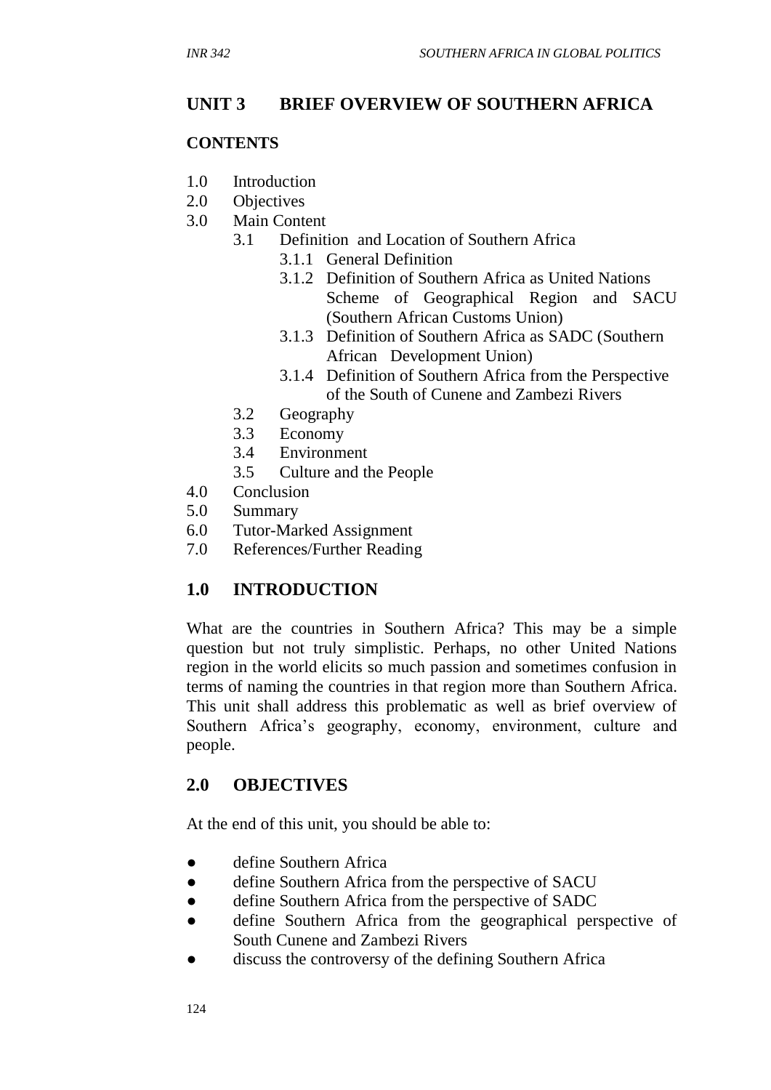# **UNIT 3 BRIEF OVERVIEW OF SOUTHERN AFRICA**

#### **CONTENTS**

- 1.0 Introduction
- 2.0 Objectives
- 3.0 Main Content
	- 3.1 Definition and Location of Southern Africa
		- 3.1.1 General Definition
		- 3.1.2 Definition of Southern Africa as United Nations Scheme of Geographical Region and SACU (Southern African Customs Union)
		- 3.1.3 Definition of Southern Africa as SADC (Southern African Development Union)
		- 3.1.4 Definition of Southern Africa from the Perspective of the South of Cunene and Zambezi Rivers
	- 3.2 Geography
	- 3.3 Economy
	- 3.4 Environment
	- 3.5 Culture and the People
- 4.0 Conclusion
- 5.0 Summary
- 6.0 Tutor-Marked Assignment
- 7.0 References/Further Reading

# **1.0 INTRODUCTION**

What are the countries in Southern Africa? This may be a simple question but not truly simplistic. Perhaps, no other United Nations region in the world elicits so much passion and sometimes confusion in terms of naming the countries in that region more than Southern Africa. This unit shall address this problematic as well as brief overview of Southern Africa's geography, economy, environment, culture and people.

#### **2.0 OBJECTIVES**

At the end of this unit, you should be able to:

- define Southern Africa
- define Southern Africa from the perspective of SACU
- define Southern Africa from the perspective of SADC
- define Southern Africa from the geographical perspective of South Cunene and Zambezi Rivers
- discuss the controversy of the defining Southern Africa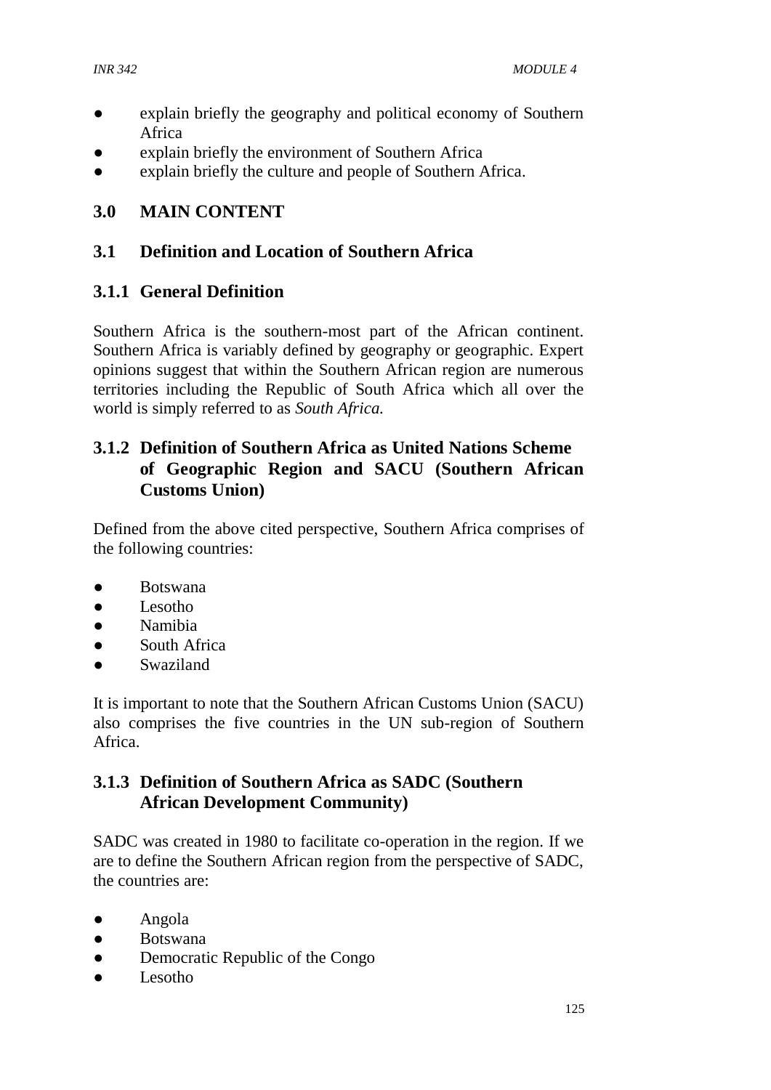- explain briefly the geography and political economy of Southern Africa
- explain briefly the environment of Southern Africa
- explain briefly the culture and people of Southern Africa.

# **3.0 MAIN CONTENT**

#### **3.1 Definition and Location of Southern Africa**

#### **3.1.1 General Definition**

Southern Africa is the southern-most part of the African continent. Southern Africa is variably defined by geography or geographic. Expert opinions suggest that within the Southern African region are numerous territories including the Republic of South Africa which all over the world is simply referred to as *South Africa.*

# **3.1.2 Definition of Southern Africa as United Nations Scheme of Geographic Region and SACU (Southern African Customs Union)**

Defined from the above cited perspective, Southern Africa comprises of the following countries:

- Botswana
- Lesotho
- Namibia
- South Africa
- Swaziland

It is important to note that the Southern African Customs Union (SACU) also comprises the five countries in the UN sub-region of Southern Africa.

#### **3.1.3 Definition of Southern Africa as SADC (Southern African Development Community)**

SADC was created in 1980 to facilitate co-operation in the region. If we are to define the Southern African region from the perspective of SADC, the countries are:

- Angola
- Botswana
- Democratic Republic of the Congo
- Lesotho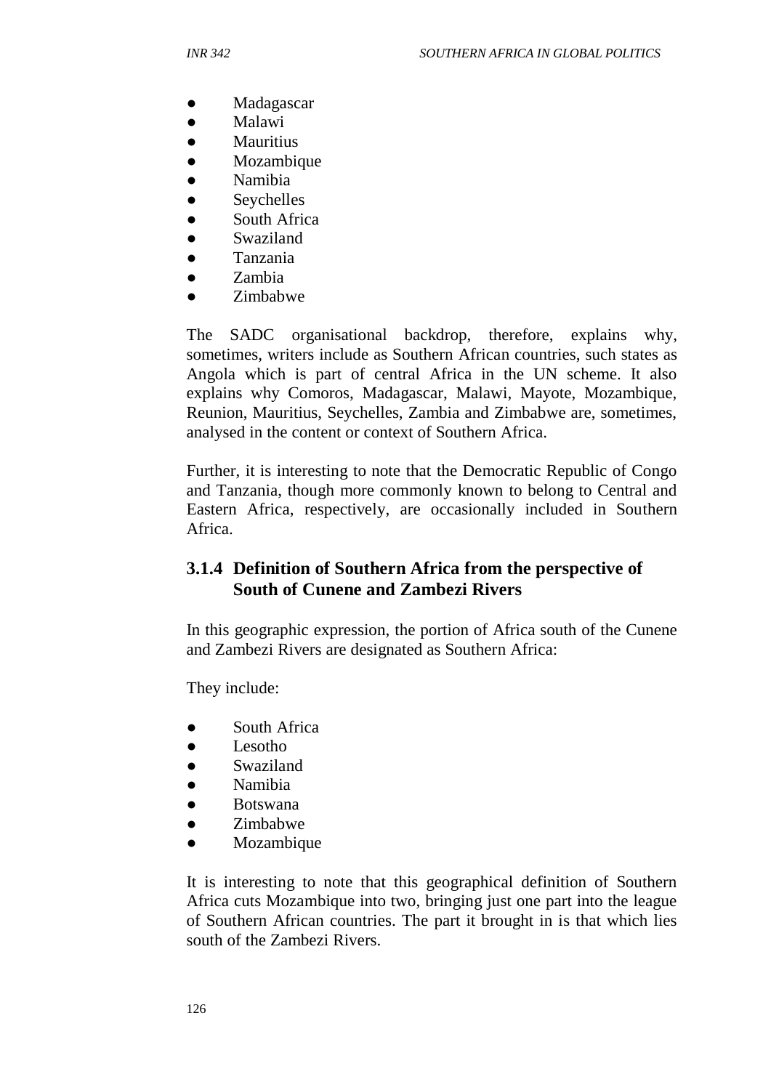- Madagascar
- Malawi
- **Mauritius**
- **Mozambique**
- **Namibia**
- **Seychelles**
- South Africa
- Swaziland
- Tanzania
- Zambia
- Zimbabwe

The SADC organisational backdrop, therefore, explains why, sometimes, writers include as Southern African countries, such states as Angola which is part of central Africa in the UN scheme. It also explains why Comoros, Madagascar, Malawi, Mayote, Mozambique, Reunion, Mauritius, Seychelles, Zambia and Zimbabwe are, sometimes, analysed in the content or context of Southern Africa.

Further, it is interesting to note that the Democratic Republic of Congo and Tanzania, though more commonly known to belong to Central and Eastern Africa, respectively, are occasionally included in Southern Africa.

## **3.1.4 Definition of Southern Africa from the perspective of South of Cunene and Zambezi Rivers**

In this geographic expression, the portion of Africa south of the Cunene and Zambezi Rivers are designated as Southern Africa:

They include:

- South Africa
- Lesotho
- Swaziland
- Namibia
- **Botswana**
- Zimbabwe
- Mozambique

It is interesting to note that this geographical definition of Southern Africa cuts Mozambique into two, bringing just one part into the league of Southern African countries. The part it brought in is that which lies south of the Zambezi Rivers.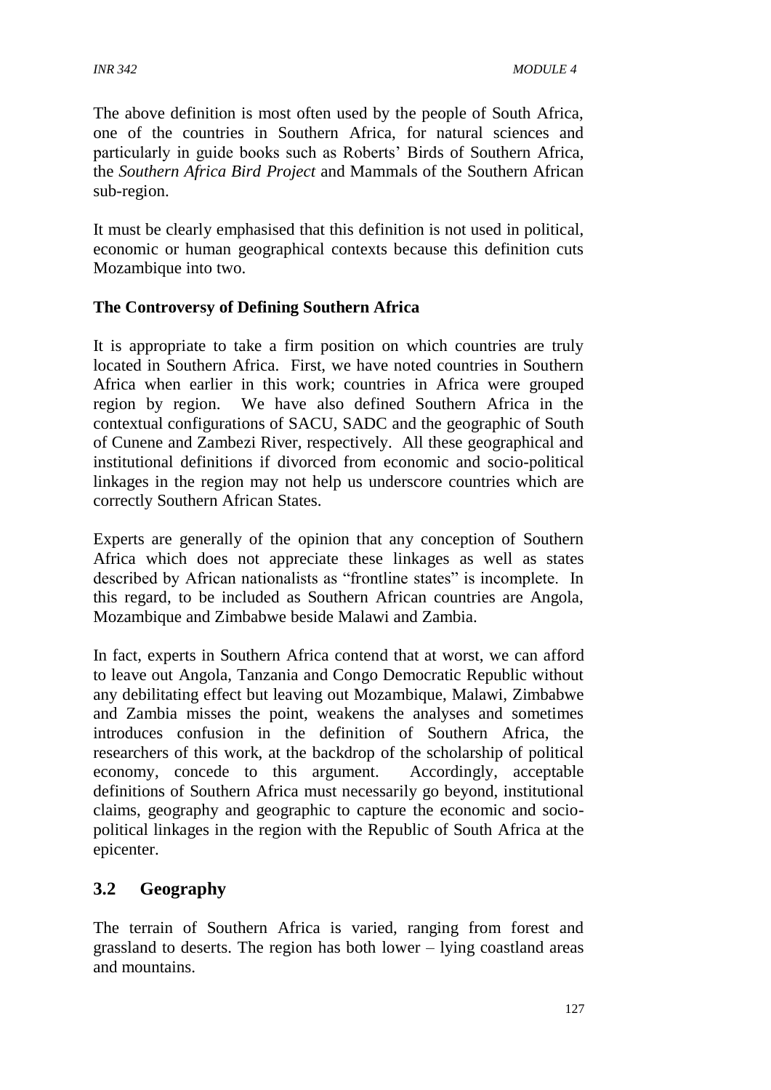The above definition is most often used by the people of South Africa, one of the countries in Southern Africa, for natural sciences and particularly in guide books such as Roberts' Birds of Southern Africa, the *Southern Africa Bird Project* and Mammals of the Southern African sub-region.

It must be clearly emphasised that this definition is not used in political, economic or human geographical contexts because this definition cuts Mozambique into two.

#### **The Controversy of Defining Southern Africa**

It is appropriate to take a firm position on which countries are truly located in Southern Africa. First, we have noted countries in Southern Africa when earlier in this work; countries in Africa were grouped region by region. We have also defined Southern Africa in the contextual configurations of SACU, SADC and the geographic of South of Cunene and Zambezi River, respectively. All these geographical and institutional definitions if divorced from economic and socio-political linkages in the region may not help us underscore countries which are correctly Southern African States.

Experts are generally of the opinion that any conception of Southern Africa which does not appreciate these linkages as well as states described by African nationalists as "frontline states" is incomplete. In this regard, to be included as Southern African countries are Angola, Mozambique and Zimbabwe beside Malawi and Zambia.

In fact, experts in Southern Africa contend that at worst, we can afford to leave out Angola, Tanzania and Congo Democratic Republic without any debilitating effect but leaving out Mozambique, Malawi, Zimbabwe and Zambia misses the point, weakens the analyses and sometimes introduces confusion in the definition of Southern Africa, the researchers of this work, at the backdrop of the scholarship of political economy, concede to this argument. Accordingly, acceptable definitions of Southern Africa must necessarily go beyond, institutional claims, geography and geographic to capture the economic and sociopolitical linkages in the region with the Republic of South Africa at the epicenter.

#### **3.2 Geography**

The terrain of Southern Africa is varied, ranging from forest and grassland to deserts. The region has both lower – lying coastland areas and mountains.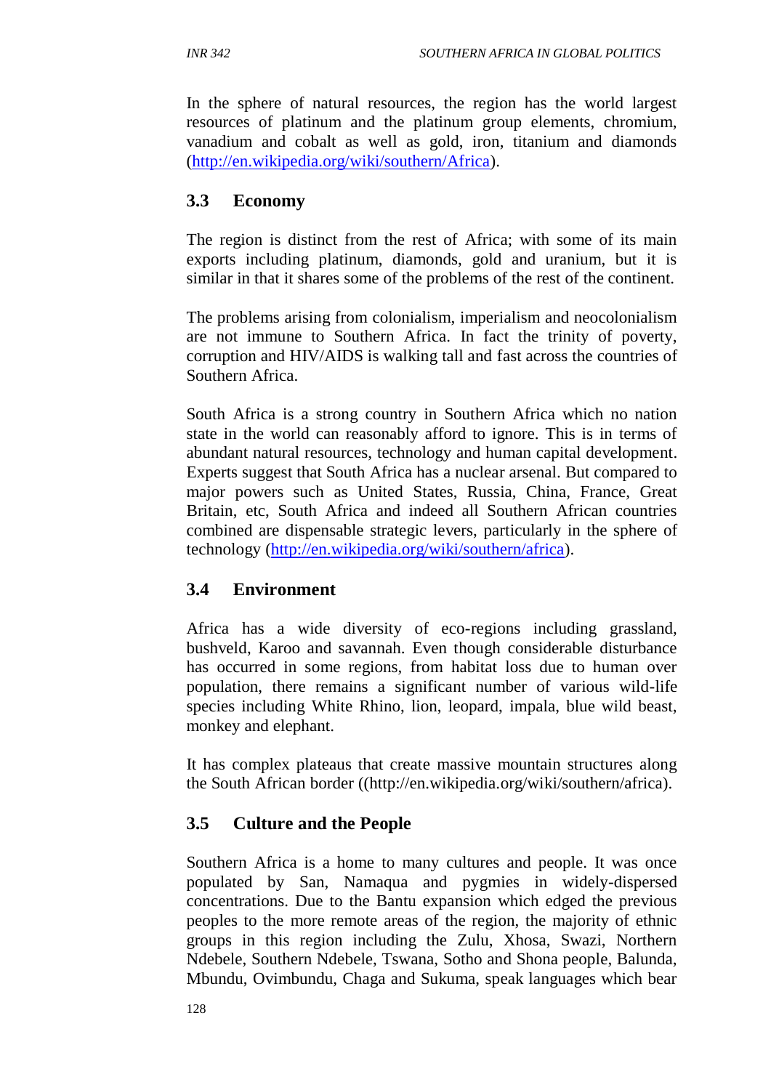In the sphere of natural resources, the region has the world largest resources of platinum and the platinum group elements, chromium, vanadium and cobalt as well as gold, iron, titanium and diamonds [\(http://en.wikipedia.org/wiki/southern/Africa\)](http://en.wikipedia.org/wiki/southern/Africa).

#### **3.3 Economy**

The region is distinct from the rest of Africa; with some of its main exports including platinum, diamonds, gold and uranium, but it is similar in that it shares some of the problems of the rest of the continent.

The problems arising from colonialism, imperialism and neocolonialism are not immune to Southern Africa. In fact the trinity of poverty, corruption and HIV/AIDS is walking tall and fast across the countries of Southern Africa.

South Africa is a strong country in Southern Africa which no nation state in the world can reasonably afford to ignore. This is in terms of abundant natural resources, technology and human capital development. Experts suggest that South Africa has a nuclear arsenal. But compared to major powers such as United States, Russia, China, France, Great Britain, etc, South Africa and indeed all Southern African countries combined are dispensable strategic levers, particularly in the sphere of technology [\(http://en.wikipedia.org/wiki/southern/africa\)](http://en.wikipedia.org/wiki/southern/africa).

#### **3.4 Environment**

Africa has a wide diversity of eco-regions including grassland, bushveld, Karoo and savannah. Even though considerable disturbance has occurred in some regions, from habitat loss due to human over population, there remains a significant number of various wild-life species including White Rhino, lion, leopard, impala, blue wild beast, monkey and elephant.

It has complex plateaus that create massive mountain structures along the South African border ((http://en.wikipedia.org/wiki/southern/africa).

#### **3.5 Culture and the People**

Southern Africa is a home to many cultures and people. It was once populated by San, Namaqua and pygmies in widely-dispersed concentrations. Due to the Bantu expansion which edged the previous peoples to the more remote areas of the region, the majority of ethnic groups in this region including the Zulu, Xhosa, Swazi, Northern Ndebele, Southern Ndebele, Tswana, Sotho and Shona people, Balunda, Mbundu, Ovimbundu, Chaga and Sukuma, speak languages which bear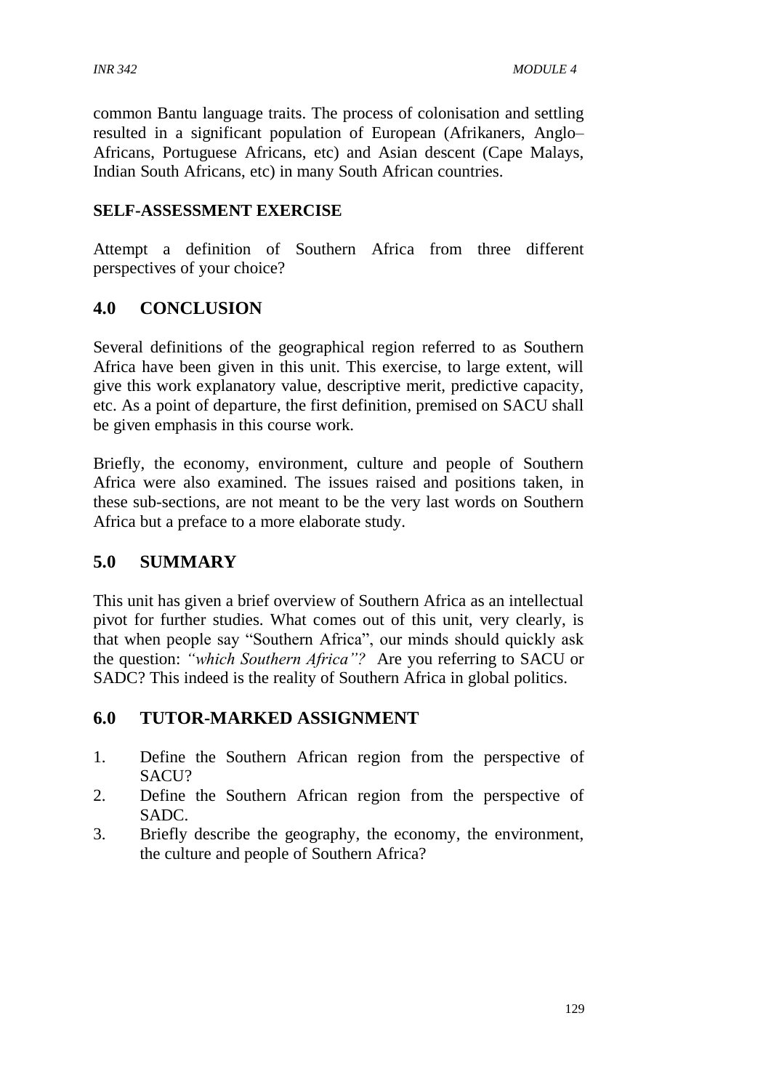common Bantu language traits. The process of colonisation and settling resulted in a significant population of European (Afrikaners, Anglo– Africans, Portuguese Africans, etc) and Asian descent (Cape Malays, Indian South Africans, etc) in many South African countries.

#### **SELF-ASSESSMENT EXERCISE**

Attempt a definition of Southern Africa from three different perspectives of your choice?

# **4.0 CONCLUSION**

Several definitions of the geographical region referred to as Southern Africa have been given in this unit. This exercise, to large extent, will give this work explanatory value, descriptive merit, predictive capacity, etc. As a point of departure, the first definition, premised on SACU shall be given emphasis in this course work.

Briefly, the economy, environment, culture and people of Southern Africa were also examined. The issues raised and positions taken, in these sub-sections, are not meant to be the very last words on Southern Africa but a preface to a more elaborate study.

#### **5.0 SUMMARY**

This unit has given a brief overview of Southern Africa as an intellectual pivot for further studies. What comes out of this unit, very clearly, is that when people say "Southern Africa", our minds should quickly ask the question: *"which Southern Africa"?* Are you referring to SACU or SADC? This indeed is the reality of Southern Africa in global politics.

#### **6.0 TUTOR-MARKED ASSIGNMENT**

- 1. Define the Southern African region from the perspective of SACU?
- 2. Define the Southern African region from the perspective of SADC.
- 3. Briefly describe the geography, the economy, the environment, the culture and people of Southern Africa?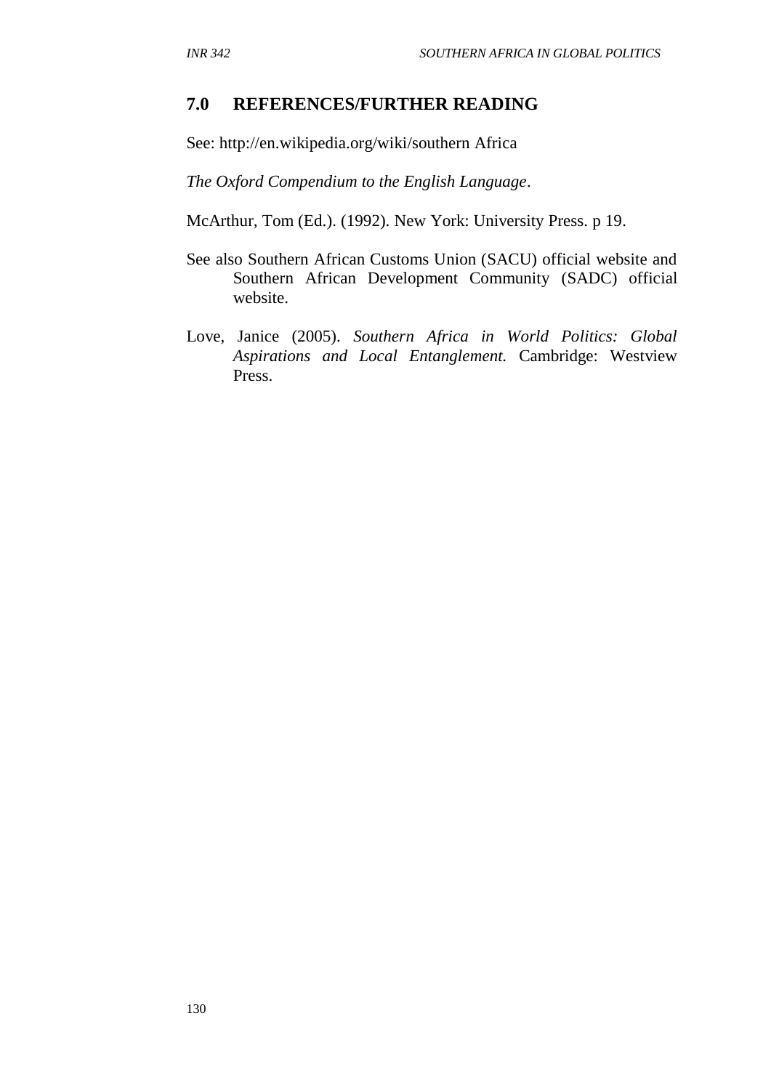#### **7.0 REFERENCES/FURTHER READING**

See: http://en.wikipedia.org/wiki/southern Africa

*The Oxford Compendium to the English Language*.

McArthur, Tom (Ed.). (1992). New York: University Press. p 19.

- See also Southern African Customs Union (SACU) official website and Southern African Development Community (SADC) official website.
- Love, Janice (2005). *Southern Africa in World Politics: Global Aspirations and Local Entanglement.* Cambridge: Westview Press.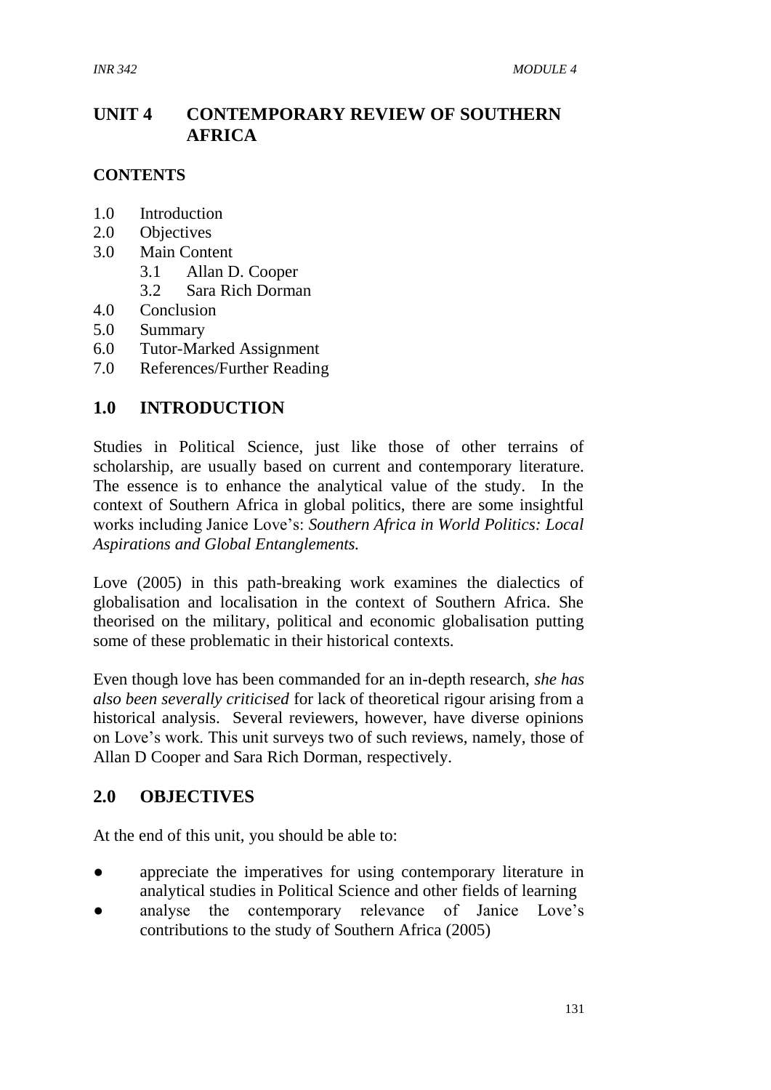# **UNIT 4 CONTEMPORARY REVIEW OF SOUTHERN AFRICA**

#### **CONTENTS**

- 1.0 Introduction
- 2.0 Objectives
- 3.0 Main Content
	- 3.1 Allan D. Cooper
	- 3.2 Sara Rich Dorman
- 4.0 Conclusion
- 5.0 Summary
- 6.0 Tutor-Marked Assignment
- 7.0 References/Further Reading

#### **1.0 INTRODUCTION**

Studies in Political Science, just like those of other terrains of scholarship, are usually based on current and contemporary literature. The essence is to enhance the analytical value of the study. In the context of Southern Africa in global politics, there are some insightful works including Janice Love's: *Southern Africa in World Politics: Local Aspirations and Global Entanglements.*

Love (2005) in this path-breaking work examines the dialectics of globalisation and localisation in the context of Southern Africa. She theorised on the military, political and economic globalisation putting some of these problematic in their historical contexts.

Even though love has been commanded for an in-depth research, *she has also been severally criticised* for lack of theoretical rigour arising from a historical analysis. Several reviewers, however, have diverse opinions on Love's work. This unit surveys two of such reviews, namely, those of Allan D Cooper and Sara Rich Dorman, respectively.

#### **2.0 OBJECTIVES**

At the end of this unit, you should be able to:

- appreciate the imperatives for using contemporary literature in analytical studies in Political Science and other fields of learning
- analyse the contemporary relevance of Janice Love's contributions to the study of Southern Africa (2005)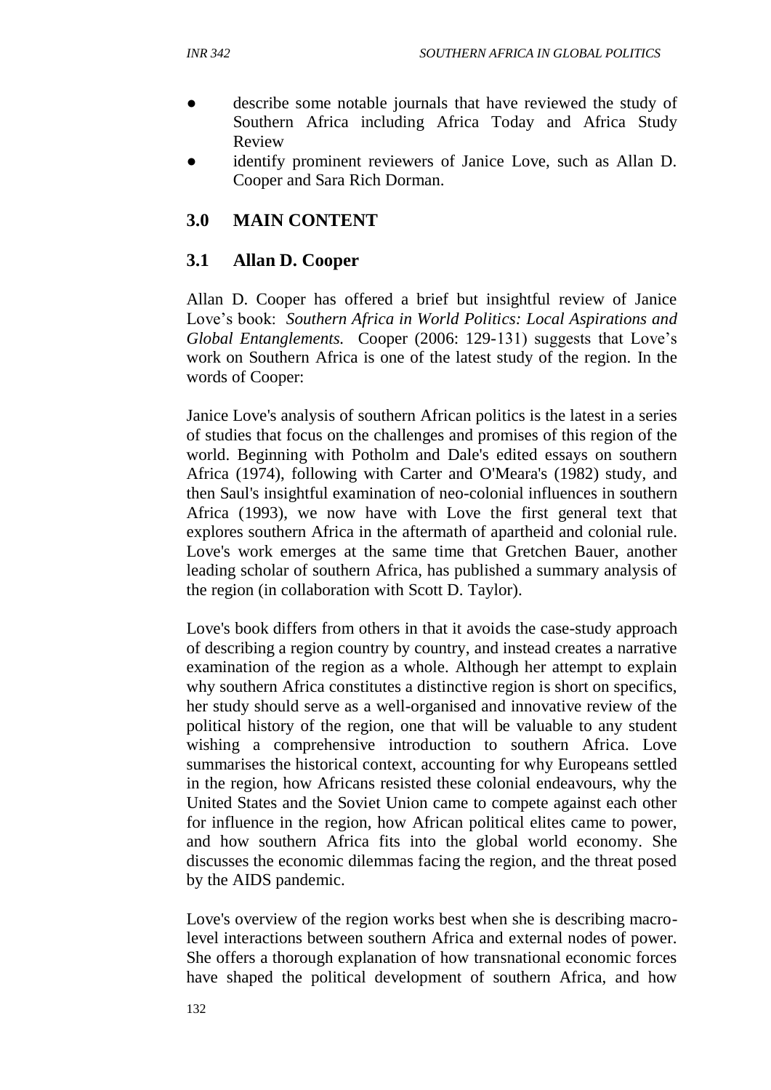- describe some notable journals that have reviewed the study of Southern Africa including Africa Today and Africa Study Review
- identify prominent reviewers of Janice Love, such as Allan D. Cooper and Sara Rich Dorman.

## **3.0 MAIN CONTENT**

#### **3.1 Allan D. Cooper**

Allan D. Cooper has offered a brief but insightful review of Janice Love's book: *Southern Africa in World Politics: Local Aspirations and Global Entanglements.* Cooper (2006: 129-131) suggests that Love's work on Southern Africa is one of the latest study of the region. In the words of Cooper:

Janice Love's analysis of southern African politics is the latest in a series of studies that focus on the challenges and promises of this region of the world. Beginning with Potholm and Dale's edited essays on southern Africa (1974), following with Carter and O'Meara's (1982) study, and then Saul's insightful examination of neo-colonial influences in southern Africa (1993), we now have with Love the first general text that explores southern Africa in the aftermath of apartheid and colonial rule. Love's work emerges at the same time that Gretchen Bauer, another leading scholar of southern Africa, has published a summary analysis of the region (in collaboration with Scott D. Taylor).

Love's book differs from others in that it avoids the case-study approach of describing a region country by country, and instead creates a narrative examination of the region as a whole. Although her attempt to explain why southern Africa constitutes a distinctive region is short on specifics, her study should serve as a well-organised and innovative review of the political history of the region, one that will be valuable to any student wishing a comprehensive introduction to southern Africa. Love summarises the historical context, accounting for why Europeans settled in the region, how Africans resisted these colonial endeavours, why the United States and the Soviet Union came to compete against each other for influence in the region, how African political elites came to power, and how southern Africa fits into the global world economy. She discusses the economic dilemmas facing the region, and the threat posed by the AIDS pandemic.

Love's overview of the region works best when she is describing macrolevel interactions between southern Africa and external nodes of power. She offers a thorough explanation of how transnational economic forces have shaped the political development of southern Africa, and how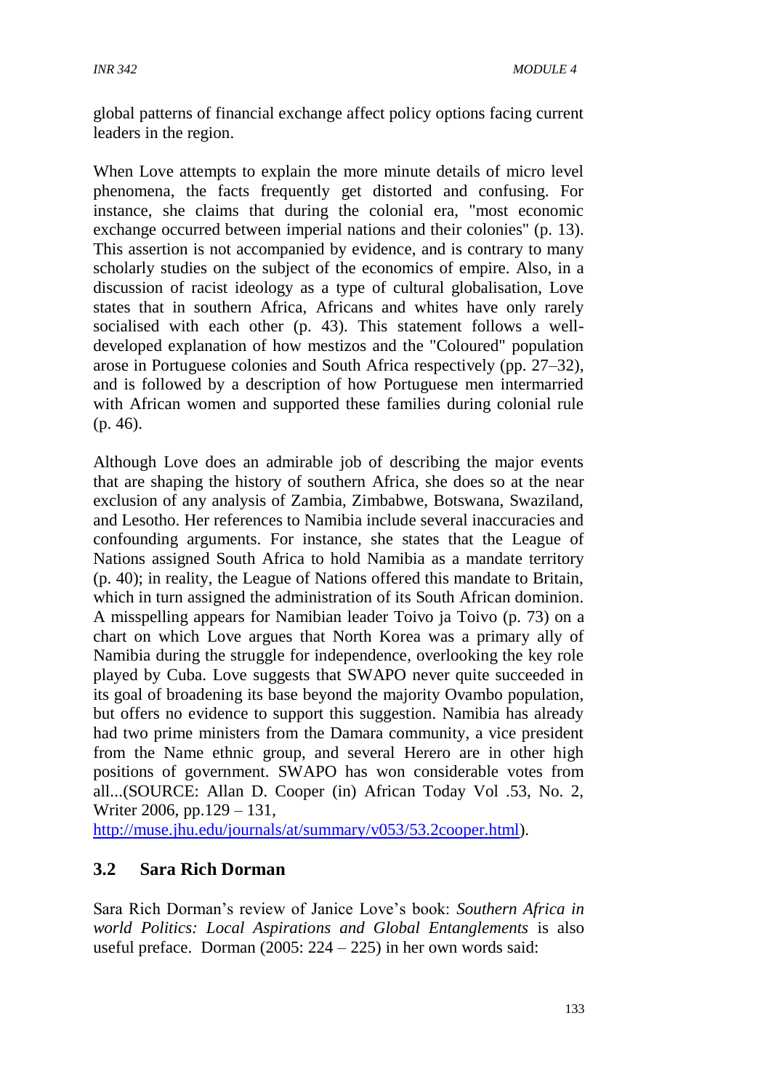global patterns of financial exchange affect policy options facing current leaders in the region.

When Love attempts to explain the more minute details of micro level phenomena, the facts frequently get distorted and confusing. For instance, she claims that during the colonial era, "most economic exchange occurred between imperial nations and their colonies" (p. 13). This assertion is not accompanied by evidence, and is contrary to many scholarly studies on the subject of the economics of empire. Also, in a discussion of racist ideology as a type of cultural globalisation, Love states that in southern Africa, Africans and whites have only rarely socialised with each other (p. 43). This statement follows a welldeveloped explanation of how mestizos and the "Coloured" population arose in Portuguese colonies and South Africa respectively (pp. 27–32), and is followed by a description of how Portuguese men intermarried with African women and supported these families during colonial rule (p. 46).

Although Love does an admirable job of describing the major events that are shaping the history of southern Africa, she does so at the near exclusion of any analysis of Zambia, Zimbabwe, Botswana, Swaziland, and Lesotho. Her references to Namibia include several inaccuracies and confounding arguments. For instance, she states that the League of Nations assigned South Africa to hold Namibia as a mandate territory (p. 40); in reality, the League of Nations offered this mandate to Britain, which in turn assigned the administration of its South African dominion. A misspelling appears for Namibian leader Toivo ja Toivo (p. 73) on a chart on which Love argues that North Korea was a primary ally of Namibia during the struggle for independence, overlooking the key role played by Cuba. Love suggests that SWAPO never quite succeeded in its goal of broadening its base beyond the majority Ovambo population, but offers no evidence to support this suggestion. Namibia has already had two prime ministers from the Damara community, a vice president from the Name ethnic group, and several Herero are in other high positions of government. SWAPO has won considerable votes from all...(SOURCE: Allan D. Cooper (in) African Today Vol .53, No. 2, Writer 2006, pp.129 – 131,

[http://muse.jhu.edu/journals/at/summary/v053/53.2cooper.html\)](http://muse.jhu.edu/journals/at/summary/v053/53.2cooper.html).

# **3.2 Sara Rich Dorman**

Sara Rich Dorman's review of Janice Love's book: *Southern Africa in world Politics: Local Aspirations and Global Entanglements* is also useful preface. Dorman (2005: 224 – 225) in her own words said: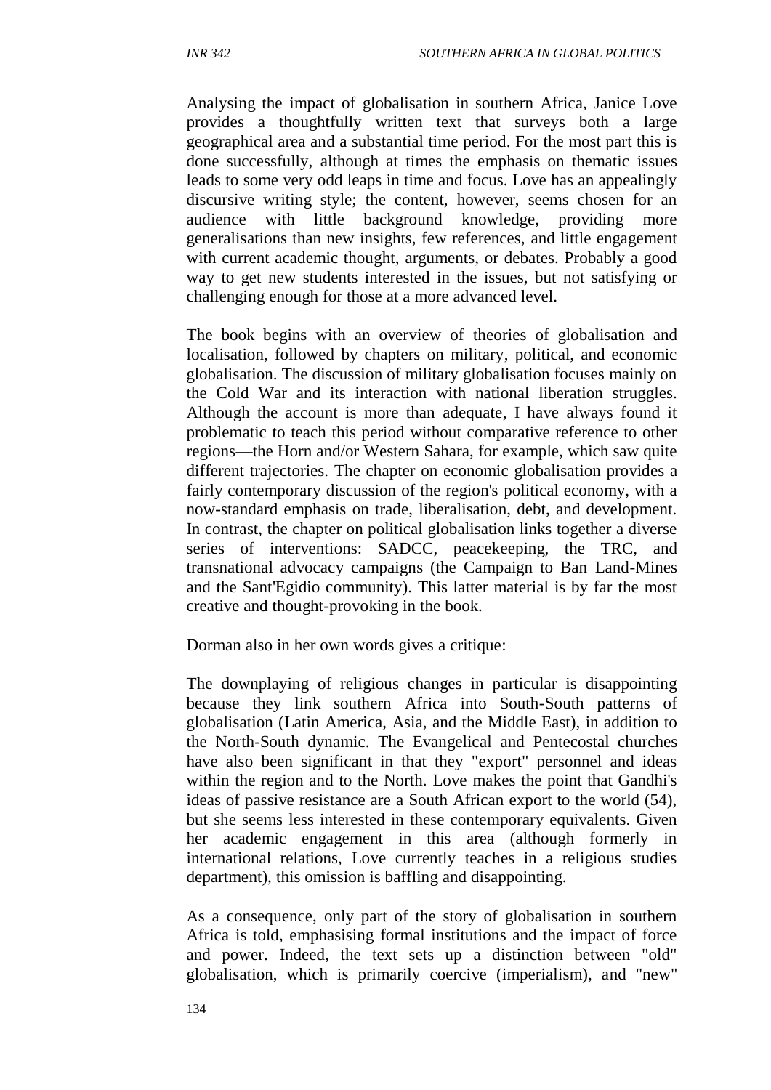Analysing the impact of globalisation in southern Africa, Janice Love provides a thoughtfully written text that surveys both a large geographical area and a substantial time period. For the most part this is done successfully, although at times the emphasis on thematic issues leads to some very odd leaps in time and focus. Love has an appealingly discursive writing style; the content, however, seems chosen for an audience with little background knowledge, providing more generalisations than new insights, few references, and little engagement with current academic thought, arguments, or debates. Probably a good way to get new students interested in the issues, but not satisfying or challenging enough for those at a more advanced level.

The book begins with an overview of theories of globalisation and localisation, followed by chapters on military, political, and economic globalisation. The discussion of military globalisation focuses mainly on the Cold War and its interaction with national liberation struggles. Although the account is more than adequate, I have always found it problematic to teach this period without comparative reference to other regions—the Horn and/or Western Sahara, for example, which saw quite different trajectories. The chapter on economic globalisation provides a fairly contemporary discussion of the region's political economy, with a now-standard emphasis on trade, liberalisation, debt, and development. In contrast, the chapter on political globalisation links together a diverse series of interventions: SADCC, peacekeeping, the TRC, and transnational advocacy campaigns (the Campaign to Ban Land-Mines and the Sant'Egidio community). This latter material is by far the most creative and thought-provoking in the book.

Dorman also in her own words gives a critique:

The downplaying of religious changes in particular is disappointing because they link southern Africa into South-South patterns of globalisation (Latin America, Asia, and the Middle East), in addition to the North-South dynamic. The Evangelical and Pentecostal churches have also been significant in that they "export" personnel and ideas within the region and to the North. Love makes the point that Gandhi's ideas of passive resistance are a South African export to the world (54), but she seems less interested in these contemporary equivalents. Given her academic engagement in this area (although formerly in international relations, Love currently teaches in a religious studies department), this omission is baffling and disappointing.

As a consequence, only part of the story of globalisation in southern Africa is told, emphasising formal institutions and the impact of force and power. Indeed, the text sets up a distinction between "old" globalisation, which is primarily coercive (imperialism), and "new"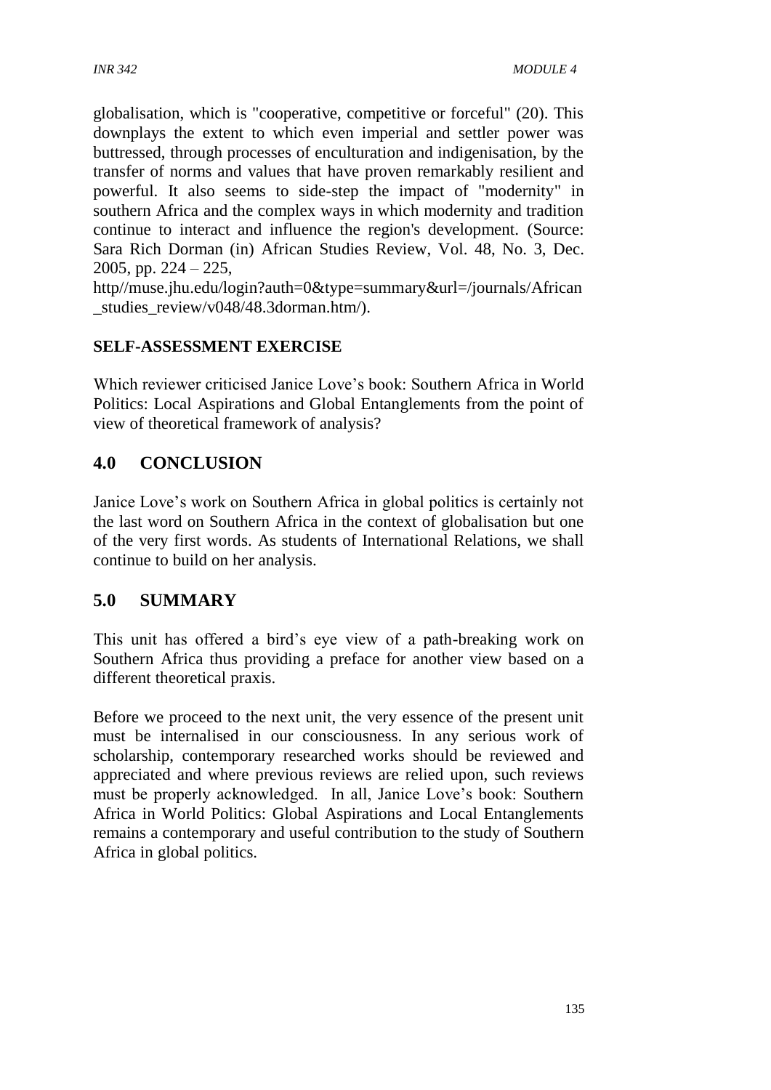globalisation, which is "cooperative, competitive or forceful" (20). This downplays the extent to which even imperial and settler power was buttressed, through processes of enculturation and indigenisation, by the transfer of norms and values that have proven remarkably resilient and powerful. It also seems to side-step the impact of "modernity" in southern Africa and the complex ways in which modernity and tradition continue to interact and influence the region's development. (Source: Sara Rich Dorman (in) African Studies Review, Vol. 48, No. 3, Dec. 2005, pp. 224 – 225,

http//muse.jhu.edu/login?auth=0&type=summary&url=/journals/African studies\_review/v048/48.3dorman.htm/).

# **SELF-ASSESSMENT EXERCISE**

Which reviewer criticised Janice Love's book: Southern Africa in World Politics: Local Aspirations and Global Entanglements from the point of view of theoretical framework of analysis?

# **4.0 CONCLUSION**

Janice Love's work on Southern Africa in global politics is certainly not the last word on Southern Africa in the context of globalisation but one of the very first words. As students of International Relations, we shall continue to build on her analysis.

# **5.0 SUMMARY**

This unit has offered a bird's eye view of a path-breaking work on Southern Africa thus providing a preface for another view based on a different theoretical praxis.

Before we proceed to the next unit, the very essence of the present unit must be internalised in our consciousness. In any serious work of scholarship, contemporary researched works should be reviewed and appreciated and where previous reviews are relied upon, such reviews must be properly acknowledged. In all, Janice Love's book: Southern Africa in World Politics: Global Aspirations and Local Entanglements remains a contemporary and useful contribution to the study of Southern Africa in global politics.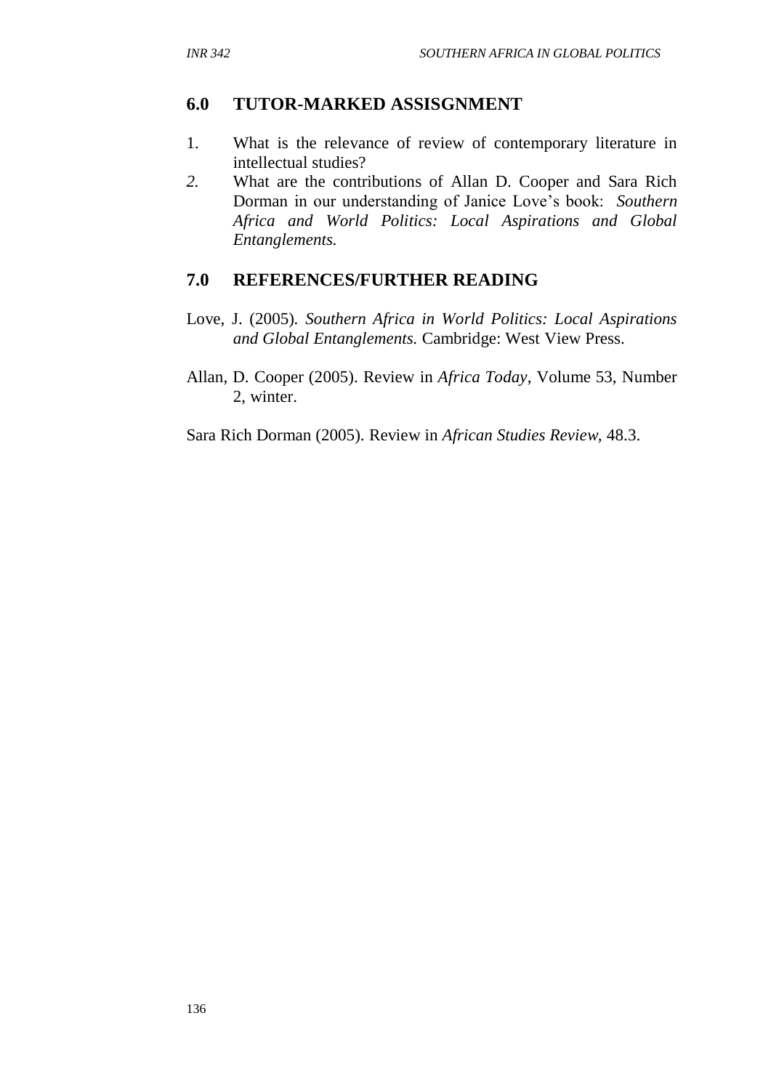# **6.0 TUTOR-MARKED ASSISGNMENT**

- 1. What is the relevance of review of contemporary literature in intellectual studies?
- *2.* What are the contributions of Allan D. Cooper and Sara Rich Dorman in our understanding of Janice Love's book: *Southern Africa and World Politics: Local Aspirations and Global Entanglements.*

# **7.0 REFERENCES/FURTHER READING**

- Love, J. (2005)*. Southern Africa in World Politics: Local Aspirations and Global Entanglements.* Cambridge: West View Press.
- Allan, D. Cooper (2005). Review in *Africa Today*, Volume 53, Number 2, winter.

Sara Rich Dorman (2005). Review in *African Studies Review,* 48.3.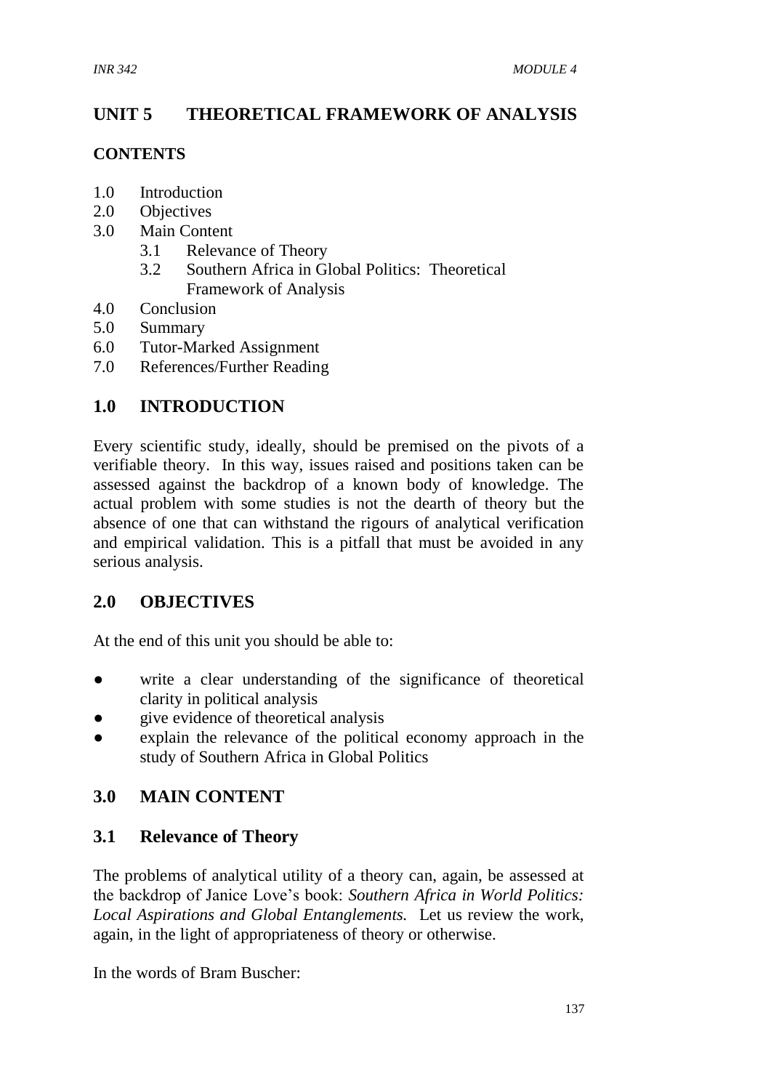# **UNIT 5 THEORETICAL FRAMEWORK OF ANALYSIS**

#### **CONTENTS**

- 1.0 Introduction
- 2.0 Objectives
- 3.0 Main Content
	- 3.1 Relevance of Theory
	- 3.2 Southern Africa in Global Politics: Theoretical Framework of Analysis
- 4.0 Conclusion
- 5.0 Summary
- 6.0 Tutor-Marked Assignment
- 7.0 References/Further Reading

#### **1.0 INTRODUCTION**

Every scientific study, ideally, should be premised on the pivots of a verifiable theory. In this way, issues raised and positions taken can be assessed against the backdrop of a known body of knowledge. The actual problem with some studies is not the dearth of theory but the absence of one that can withstand the rigours of analytical verification and empirical validation. This is a pitfall that must be avoided in any serious analysis.

# **2.0 OBJECTIVES**

At the end of this unit you should be able to:

- write a clear understanding of the significance of theoretical clarity in political analysis
- give evidence of theoretical analysis
- explain the relevance of the political economy approach in the study of Southern Africa in Global Politics

# **3.0 MAIN CONTENT**

#### **3.1 Relevance of Theory**

The problems of analytical utility of a theory can, again, be assessed at the backdrop of Janice Love's book: *Southern Africa in World Politics: Local Aspirations and Global Entanglements.* Let us review the work, again, in the light of appropriateness of theory or otherwise.

In the words of Bram Buscher: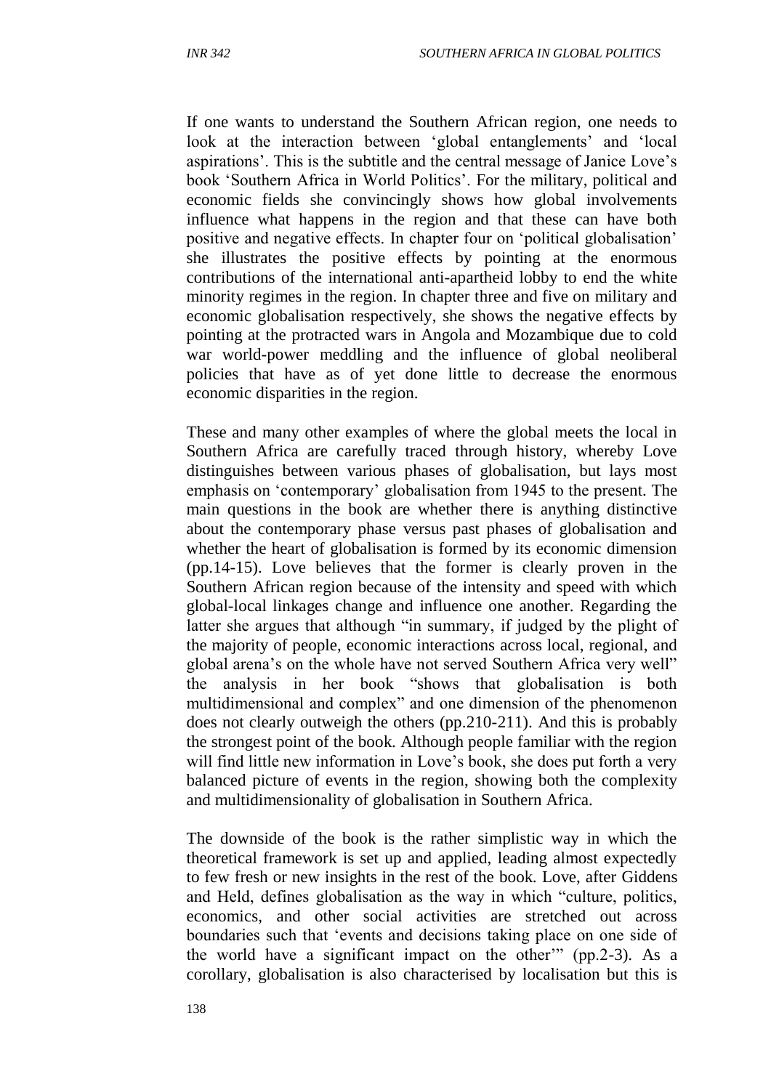If one wants to understand the Southern African region, one needs to look at the interaction between 'global entanglements' and 'local aspirations'. This is the subtitle and the central message of Janice Love's book 'Southern Africa in World Politics'. For the military, political and economic fields she convincingly shows how global involvements influence what happens in the region and that these can have both positive and negative effects. In chapter four on 'political globalisation' she illustrates the positive effects by pointing at the enormous contributions of the international anti-apartheid lobby to end the white minority regimes in the region. In chapter three and five on military and economic globalisation respectively, she shows the negative effects by pointing at the protracted wars in Angola and Mozambique due to cold war world-power meddling and the influence of global neoliberal policies that have as of yet done little to decrease the enormous economic disparities in the region.

These and many other examples of where the global meets the local in Southern Africa are carefully traced through history, whereby Love distinguishes between various phases of globalisation, but lays most emphasis on 'contemporary' globalisation from 1945 to the present. The main questions in the book are whether there is anything distinctive about the contemporary phase versus past phases of globalisation and whether the heart of globalisation is formed by its economic dimension (pp.14-15). Love believes that the former is clearly proven in the Southern African region because of the intensity and speed with which global-local linkages change and influence one another. Regarding the latter she argues that although "in summary, if judged by the plight of the majority of people, economic interactions across local, regional, and global arena's on the whole have not served Southern Africa very well" the analysis in her book "shows that globalisation is both multidimensional and complex" and one dimension of the phenomenon does not clearly outweigh the others (pp.210-211). And this is probably the strongest point of the book. Although people familiar with the region will find little new information in Love's book, she does put forth a very balanced picture of events in the region, showing both the complexity and multidimensionality of globalisation in Southern Africa.

The downside of the book is the rather simplistic way in which the theoretical framework is set up and applied, leading almost expectedly to few fresh or new insights in the rest of the book. Love, after Giddens and Held, defines globalisation as the way in which "culture, politics, economics, and other social activities are stretched out across boundaries such that 'events and decisions taking place on one side of the world have a significant impact on the other'" (pp.2-3). As a corollary, globalisation is also characterised by localisation but this is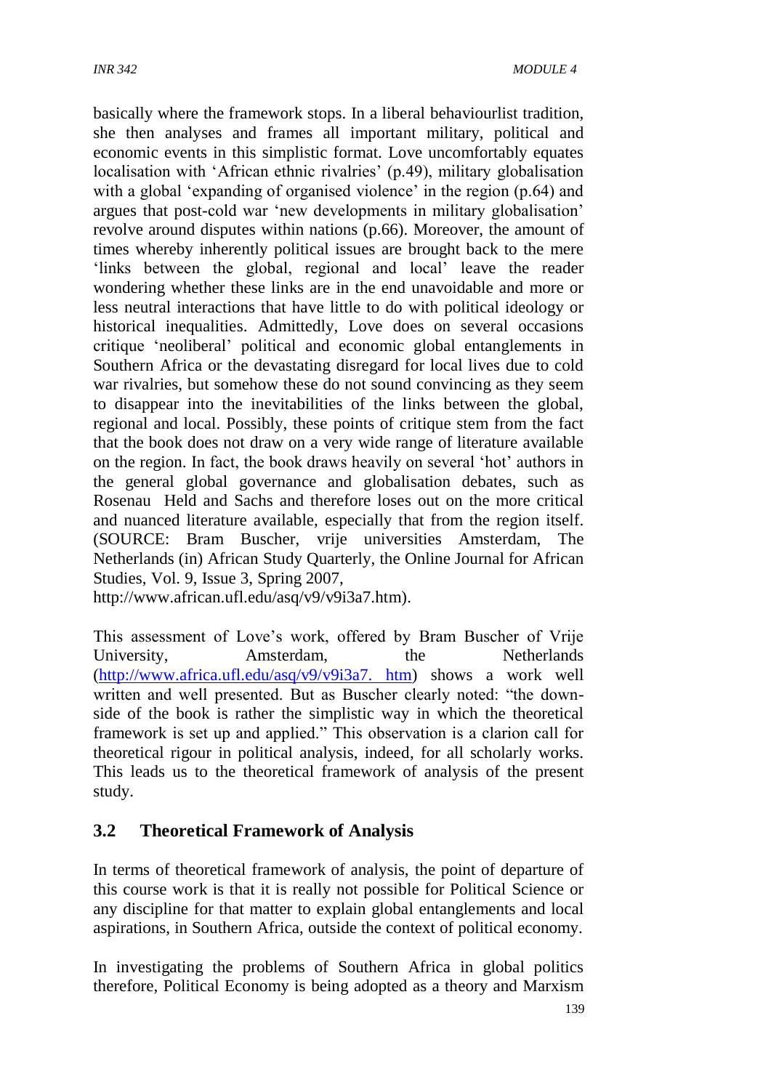basically where the framework stops. In a liberal behaviourlist tradition, she then analyses and frames all important military, political and economic events in this simplistic format. Love uncomfortably equates localisation with 'African ethnic rivalries' (p.49), military globalisation with a global 'expanding of organised violence' in the region  $(p.64)$  and argues that post-cold war 'new developments in military globalisation' revolve around disputes within nations (p.66). Moreover, the amount of times whereby inherently political issues are brought back to the mere 'links between the global, regional and local' leave the reader wondering whether these links are in the end unavoidable and more or less neutral interactions that have little to do with political ideology or historical inequalities. Admittedly, Love does on several occasions critique 'neoliberal' political and economic global entanglements in Southern Africa or the devastating disregard for local lives due to cold war rivalries, but somehow these do not sound convincing as they seem to disappear into the inevitabilities of the links between the global, regional and local. Possibly, these points of critique stem from the fact that the book does not draw on a very wide range of literature available on the region. In fact, the book draws heavily on several 'hot' authors in the general global governance and globalisation debates, such as Rosenau Held and Sachs and therefore loses out on the more critical and nuanced literature available, especially that from the region itself. (SOURCE: Bram Buscher, vrije universities Amsterdam, The Netherlands (in) African Study Quarterly, the Online Journal for African Studies, Vol. 9, Issue 3, Spring 2007,

http://www.african.ufl.edu/asq/v9/v9i3a7.htm).

This assessment of Love's work, offered by Bram Buscher of Vrije University, Amsterdam, the Netherlands [\(http://www.africa.ufl.edu/asq/v9/v9i3a7. htm\)](http://www.africa.ufl.edu/asq/v9/v9i3a7.%20htm) shows a work well written and well presented. But as Buscher clearly noted: "the downside of the book is rather the simplistic way in which the theoretical framework is set up and applied." This observation is a clarion call for theoretical rigour in political analysis, indeed, for all scholarly works. This leads us to the theoretical framework of analysis of the present study.

# **3.2 Theoretical Framework of Analysis**

In terms of theoretical framework of analysis, the point of departure of this course work is that it is really not possible for Political Science or any discipline for that matter to explain global entanglements and local aspirations, in Southern Africa, outside the context of political economy.

In investigating the problems of Southern Africa in global politics therefore, Political Economy is being adopted as a theory and Marxism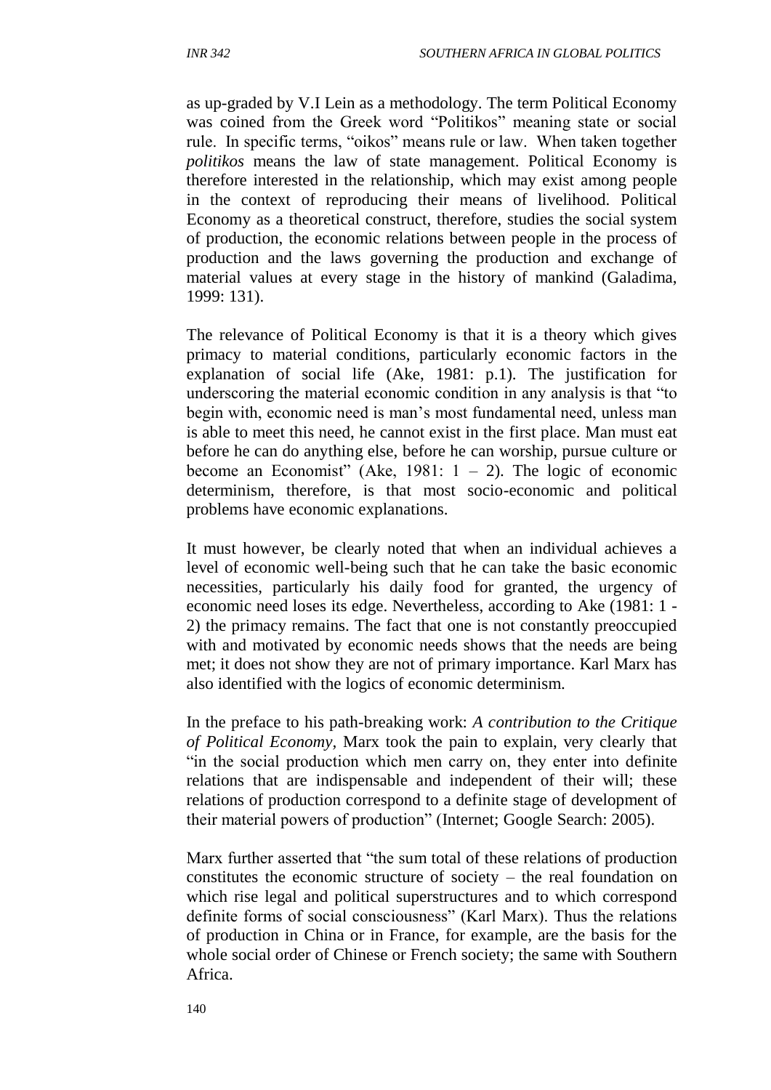as up-graded by V.I Lein as a methodology. The term Political Economy was coined from the Greek word "Politikos" meaning state or social rule. In specific terms, "oikos" means rule or law. When taken together *politikos* means the law of state management. Political Economy is therefore interested in the relationship, which may exist among people in the context of reproducing their means of livelihood. Political Economy as a theoretical construct, therefore, studies the social system of production, the economic relations between people in the process of production and the laws governing the production and exchange of material values at every stage in the history of mankind (Galadima, 1999: 131).

The relevance of Political Economy is that it is a theory which gives primacy to material conditions, particularly economic factors in the explanation of social life (Ake, 1981: p.1). The justification for underscoring the material economic condition in any analysis is that "to begin with, economic need is man's most fundamental need, unless man is able to meet this need, he cannot exist in the first place. Man must eat before he can do anything else, before he can worship, pursue culture or become an Economist" (Ake, 1981:  $1 - 2$ ). The logic of economic determinism, therefore, is that most socio-economic and political problems have economic explanations.

It must however, be clearly noted that when an individual achieves a level of economic well-being such that he can take the basic economic necessities, particularly his daily food for granted, the urgency of economic need loses its edge. Nevertheless, according to Ake (1981: 1 - 2) the primacy remains. The fact that one is not constantly preoccupied with and motivated by economic needs shows that the needs are being met; it does not show they are not of primary importance. Karl Marx has also identified with the logics of economic determinism.

In the preface to his path-breaking work: *A contribution to the Critique of Political Economy,* Marx took the pain to explain, very clearly that "in the social production which men carry on, they enter into definite relations that are indispensable and independent of their will; these relations of production correspond to a definite stage of development of their material powers of production" (Internet; Google Search: 2005).

Marx further asserted that "the sum total of these relations of production constitutes the economic structure of society – the real foundation on which rise legal and political superstructures and to which correspond definite forms of social consciousness" (Karl Marx). Thus the relations of production in China or in France, for example, are the basis for the whole social order of Chinese or French society; the same with Southern Africa.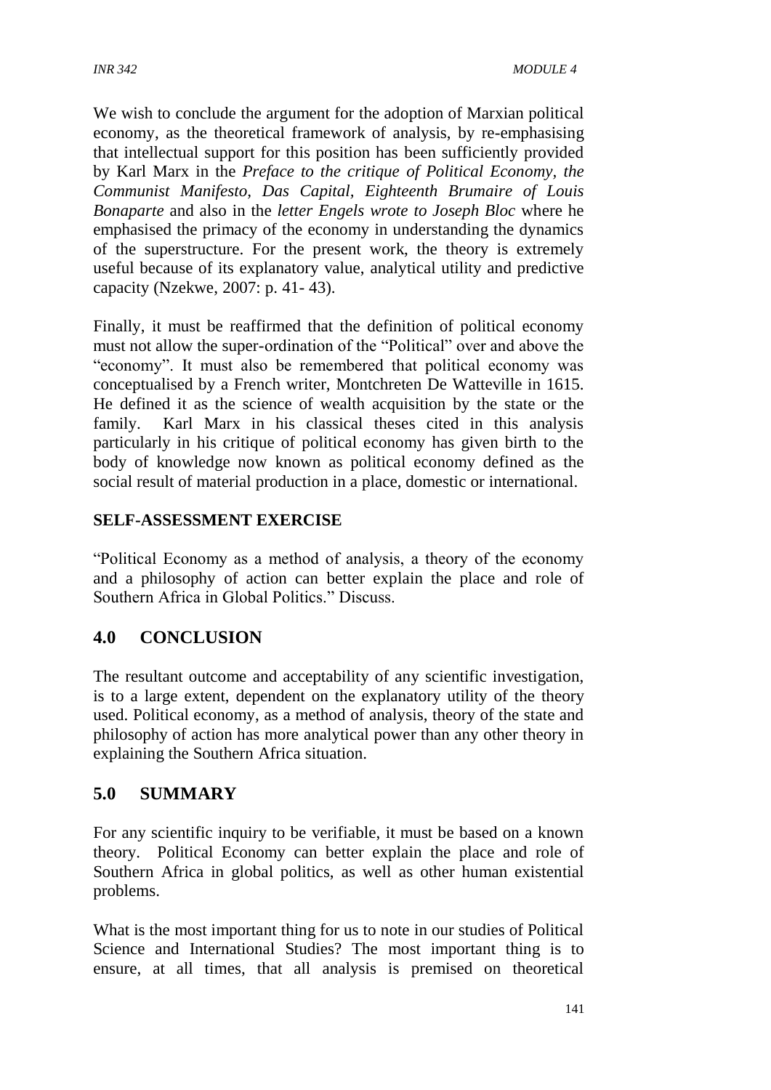We wish to conclude the argument for the adoption of Marxian political economy, as the theoretical framework of analysis, by re-emphasising that intellectual support for this position has been sufficiently provided by Karl Marx in the *Preface to the critique of Political Economy, the Communist Manifesto, Das Capital, Eighteenth Brumaire of Louis Bonaparte* and also in the *letter Engels wrote to Joseph Bloc* where he emphasised the primacy of the economy in understanding the dynamics of the superstructure. For the present work, the theory is extremely useful because of its explanatory value, analytical utility and predictive capacity (Nzekwe, 2007: p. 41- 43).

Finally, it must be reaffirmed that the definition of political economy must not allow the super-ordination of the "Political" over and above the "economy". It must also be remembered that political economy was conceptualised by a French writer, Montchreten De Watteville in 1615. He defined it as the science of wealth acquisition by the state or the family. Karl Marx in his classical theses cited in this analysis particularly in his critique of political economy has given birth to the body of knowledge now known as political economy defined as the social result of material production in a place, domestic or international.

#### **SELF-ASSESSMENT EXERCISE**

"Political Economy as a method of analysis, a theory of the economy and a philosophy of action can better explain the place and role of Southern Africa in Global Politics." Discuss.

# **4.0 CONCLUSION**

The resultant outcome and acceptability of any scientific investigation, is to a large extent, dependent on the explanatory utility of the theory used. Political economy, as a method of analysis, theory of the state and philosophy of action has more analytical power than any other theory in explaining the Southern Africa situation.

# **5.0 SUMMARY**

For any scientific inquiry to be verifiable, it must be based on a known theory. Political Economy can better explain the place and role of Southern Africa in global politics, as well as other human existential problems.

What is the most important thing for us to note in our studies of Political Science and International Studies? The most important thing is to ensure, at all times, that all analysis is premised on theoretical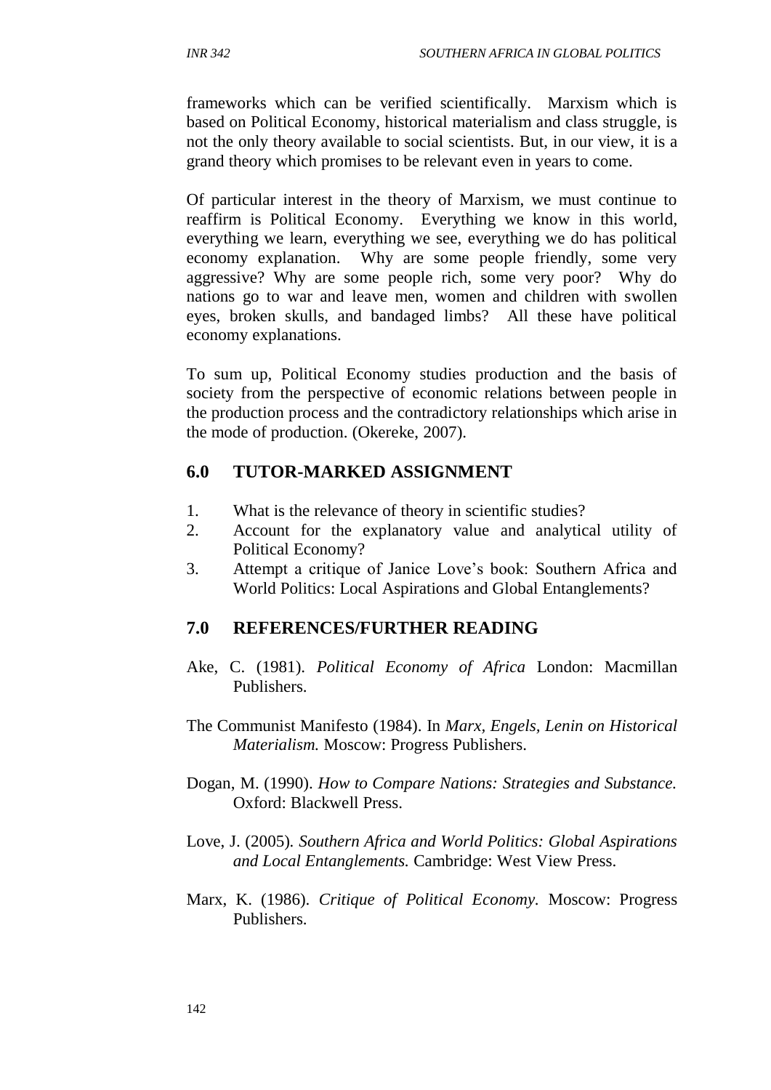frameworks which can be verified scientifically. Marxism which is based on Political Economy, historical materialism and class struggle, is not the only theory available to social scientists. But, in our view, it is a grand theory which promises to be relevant even in years to come.

Of particular interest in the theory of Marxism, we must continue to reaffirm is Political Economy. Everything we know in this world, everything we learn, everything we see, everything we do has political economy explanation. Why are some people friendly, some very aggressive? Why are some people rich, some very poor? Why do nations go to war and leave men, women and children with swollen eyes, broken skulls, and bandaged limbs? All these have political economy explanations.

To sum up, Political Economy studies production and the basis of society from the perspective of economic relations between people in the production process and the contradictory relationships which arise in the mode of production. (Okereke, 2007).

# **6.0 TUTOR-MARKED ASSIGNMENT**

- 1. What is the relevance of theory in scientific studies?
- 2. Account for the explanatory value and analytical utility of Political Economy?
- 3. Attempt a critique of Janice Love's book: Southern Africa and World Politics: Local Aspirations and Global Entanglements?

# **7.0 REFERENCES/FURTHER READING**

- Ake, C. (1981). *Political Economy of Africa* London: Macmillan Publishers.
- The Communist Manifesto (1984). In *Marx, Engels, Lenin on Historical Materialism.* Moscow: Progress Publishers.
- Dogan, M. (1990). *How to Compare Nations: Strategies and Substance.* Oxford: Blackwell Press.
- Love, J. (2005)*. Southern Africa and World Politics: Global Aspirations and Local Entanglements.* Cambridge: West View Press.
- Marx, K. (1986). *Critique of Political Economy.* Moscow: Progress Publishers.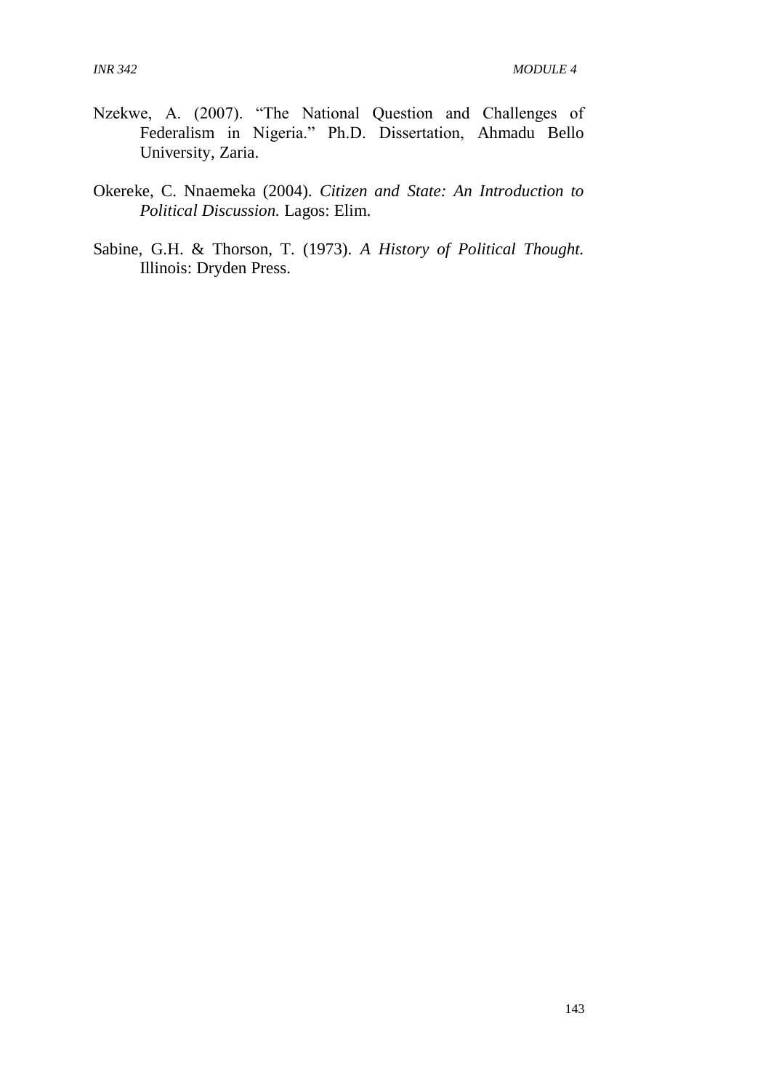- Nzekwe, A. (2007). "The National Question and Challenges of Federalism in Nigeria." Ph.D. Dissertation, Ahmadu Bello University, Zaria.
- Okereke, C. Nnaemeka (2004). *Citizen and State: An Introduction to Political Discussion.* Lagos: Elim.
- Sabine, G.H. & Thorson, T. (1973). *A History of Political Thought.* Illinois: Dryden Press.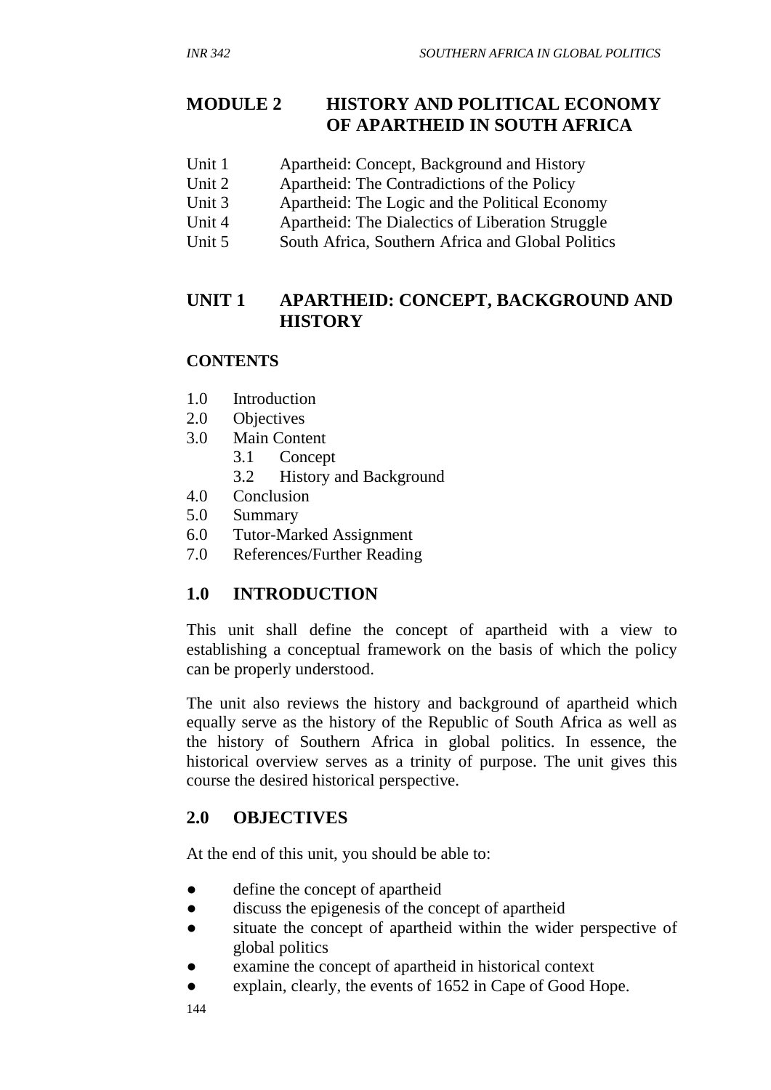# **MODULE 2 HISTORY AND POLITICAL ECONOMY OF APARTHEID IN SOUTH AFRICA**

- Unit 1 Apartheid: Concept, Background and History
- Unit 2 Apartheid: The Contradictions of the Policy
- Unit 3 Apartheid: The Logic and the Political Economy
- Unit 4 Apartheid: The Dialectics of Liberation Struggle
- Unit 5 South Africa, Southern Africa and Global Politics

# **UNIT 1 APARTHEID: CONCEPT, BACKGROUND AND HISTORY**

#### **CONTENTS**

- 1.0 Introduction
- 2.0 Objectives
- 3.0 Main Content
	- 3.1 Concept
	- 3.2 History and Background
- 4.0 Conclusion
- 5.0 Summary
- 6.0 Tutor-Marked Assignment
- 7.0 References/Further Reading

# **1.0 INTRODUCTION**

This unit shall define the concept of apartheid with a view to establishing a conceptual framework on the basis of which the policy can be properly understood.

The unit also reviews the history and background of apartheid which equally serve as the history of the Republic of South Africa as well as the history of Southern Africa in global politics. In essence, the historical overview serves as a trinity of purpose. The unit gives this course the desired historical perspective.

# **2.0 OBJECTIVES**

At the end of this unit, you should be able to:

- define the concept of apartheid
- discuss the epigenesis of the concept of apartheid
- situate the concept of apartheid within the wider perspective of global politics
- examine the concept of apartheid in historical context
- explain, clearly, the events of 1652 in Cape of Good Hope.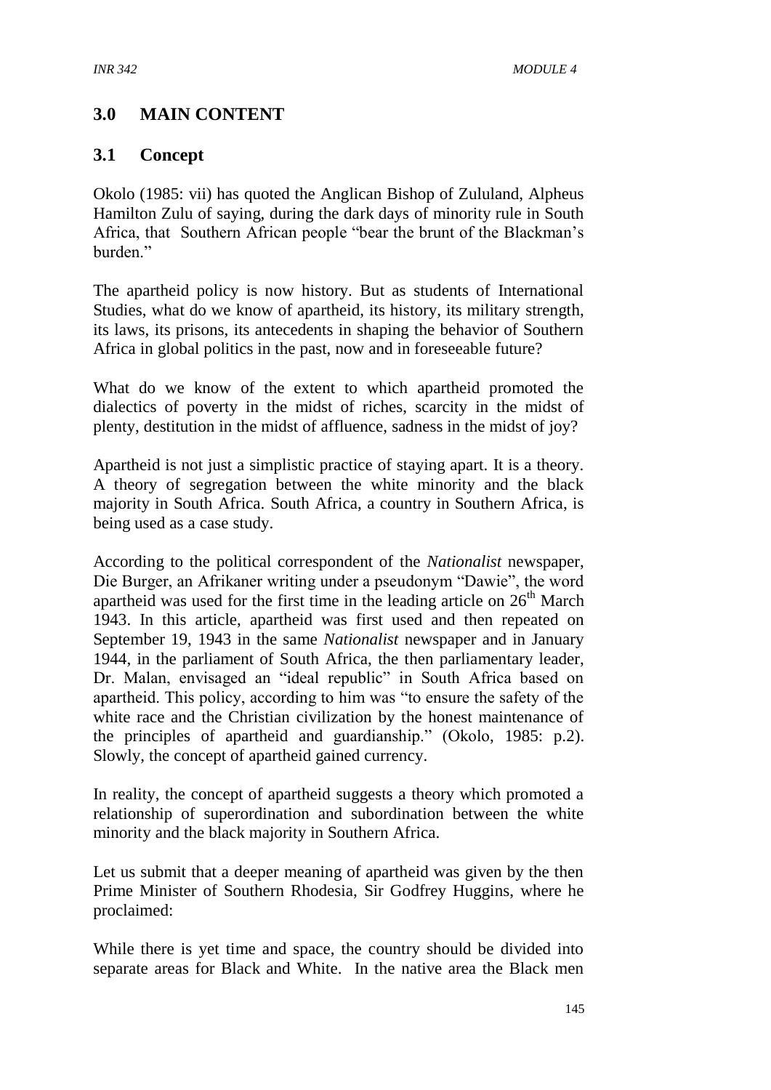# **3.0 MAIN CONTENT**

#### **3.1 Concept**

Okolo (1985: vii) has quoted the Anglican Bishop of Zululand, Alpheus Hamilton Zulu of saying, during the dark days of minority rule in South Africa, that Southern African people "bear the brunt of the Blackman's burden<sup>"</sup>

The apartheid policy is now history. But as students of International Studies, what do we know of apartheid, its history, its military strength, its laws, its prisons, its antecedents in shaping the behavior of Southern Africa in global politics in the past, now and in foreseeable future?

What do we know of the extent to which apartheid promoted the dialectics of poverty in the midst of riches, scarcity in the midst of plenty, destitution in the midst of affluence, sadness in the midst of joy?

Apartheid is not just a simplistic practice of staying apart. It is a theory. A theory of segregation between the white minority and the black majority in South Africa. South Africa, a country in Southern Africa, is being used as a case study.

According to the political correspondent of the *Nationalist* newspaper, Die Burger, an Afrikaner writing under a pseudonym "Dawie", the word apartheid was used for the first time in the leading article on  $26<sup>th</sup>$  March 1943. In this article, apartheid was first used and then repeated on September 19, 1943 in the same *Nationalist* newspaper and in January 1944, in the parliament of South Africa, the then parliamentary leader, Dr. Malan, envisaged an "ideal republic" in South Africa based on apartheid. This policy, according to him was "to ensure the safety of the white race and the Christian civilization by the honest maintenance of the principles of apartheid and guardianship." (Okolo, 1985: p.2). Slowly, the concept of apartheid gained currency.

In reality, the concept of apartheid suggests a theory which promoted a relationship of superordination and subordination between the white minority and the black majority in Southern Africa.

Let us submit that a deeper meaning of apartheid was given by the then Prime Minister of Southern Rhodesia, Sir Godfrey Huggins, where he proclaimed:

While there is yet time and space, the country should be divided into separate areas for Black and White. In the native area the Black men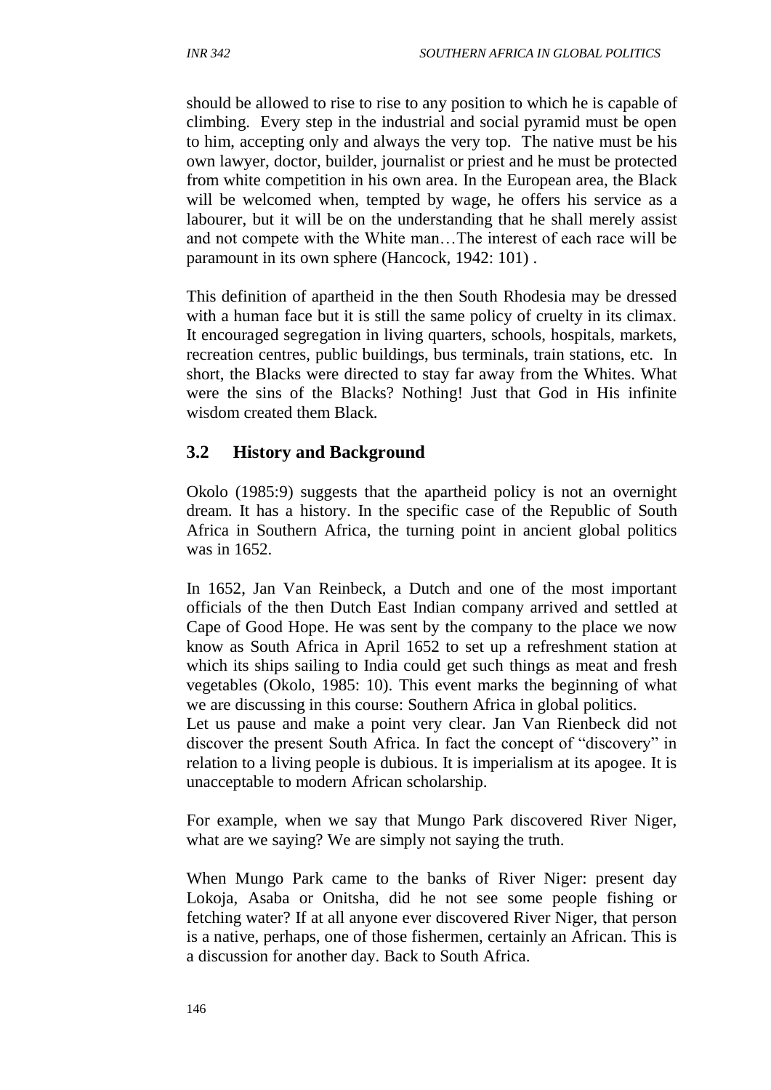should be allowed to rise to rise to any position to which he is capable of climbing. Every step in the industrial and social pyramid must be open to him, accepting only and always the very top. The native must be his own lawyer, doctor, builder, journalist or priest and he must be protected from white competition in his own area. In the European area, the Black will be welcomed when, tempted by wage, he offers his service as a labourer, but it will be on the understanding that he shall merely assist and not compete with the White man…The interest of each race will be paramount in its own sphere (Hancock, 1942: 101) .

This definition of apartheid in the then South Rhodesia may be dressed with a human face but it is still the same policy of cruelty in its climax. It encouraged segregation in living quarters, schools, hospitals, markets, recreation centres, public buildings, bus terminals, train stations, etc. In short, the Blacks were directed to stay far away from the Whites. What were the sins of the Blacks? Nothing! Just that God in His infinite wisdom created them Black.

# **3.2 History and Background**

Okolo (1985:9) suggests that the apartheid policy is not an overnight dream. It has a history. In the specific case of the Republic of South Africa in Southern Africa, the turning point in ancient global politics was in 1652.

In 1652, Jan Van Reinbeck, a Dutch and one of the most important officials of the then Dutch East Indian company arrived and settled at Cape of Good Hope. He was sent by the company to the place we now know as South Africa in April 1652 to set up a refreshment station at which its ships sailing to India could get such things as meat and fresh vegetables (Okolo, 1985: 10). This event marks the beginning of what we are discussing in this course: Southern Africa in global politics.

Let us pause and make a point very clear. Jan Van Rienbeck did not discover the present South Africa. In fact the concept of "discovery" in relation to a living people is dubious. It is imperialism at its apogee. It is unacceptable to modern African scholarship.

For example, when we say that Mungo Park discovered River Niger, what are we saying? We are simply not saying the truth.

When Mungo Park came to the banks of River Niger: present day Lokoja, Asaba or Onitsha, did he not see some people fishing or fetching water? If at all anyone ever discovered River Niger, that person is a native, perhaps, one of those fishermen, certainly an African. This is a discussion for another day. Back to South Africa.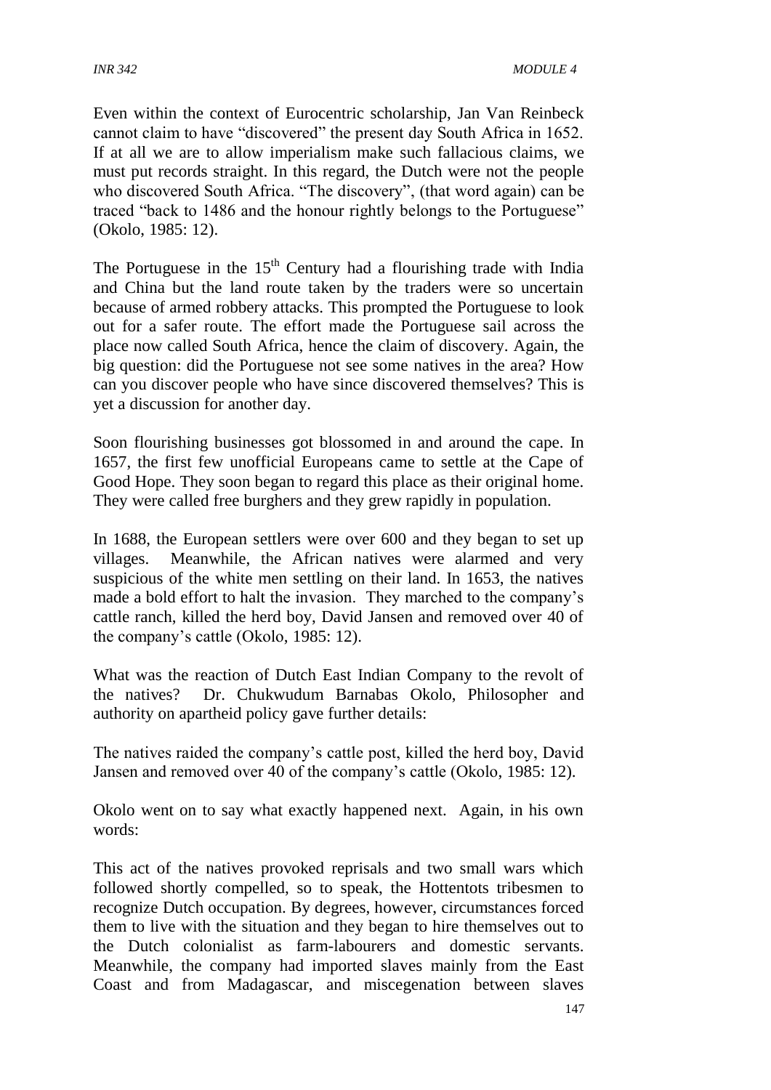Even within the context of Eurocentric scholarship, Jan Van Reinbeck cannot claim to have "discovered" the present day South Africa in 1652. If at all we are to allow imperialism make such fallacious claims, we must put records straight. In this regard, the Dutch were not the people who discovered South Africa. "The discovery", (that word again) can be traced "back to 1486 and the honour rightly belongs to the Portuguese" (Okolo, 1985: 12).

The Portuguese in the  $15<sup>th</sup>$  Century had a flourishing trade with India and China but the land route taken by the traders were so uncertain because of armed robbery attacks. This prompted the Portuguese to look out for a safer route. The effort made the Portuguese sail across the place now called South Africa, hence the claim of discovery. Again, the big question: did the Portuguese not see some natives in the area? How can you discover people who have since discovered themselves? This is yet a discussion for another day.

Soon flourishing businesses got blossomed in and around the cape. In 1657, the first few unofficial Europeans came to settle at the Cape of Good Hope. They soon began to regard this place as their original home. They were called free burghers and they grew rapidly in population.

In 1688, the European settlers were over 600 and they began to set up villages. Meanwhile, the African natives were alarmed and very suspicious of the white men settling on their land. In 1653, the natives made a bold effort to halt the invasion. They marched to the company's cattle ranch, killed the herd boy, David Jansen and removed over 40 of the company's cattle (Okolo, 1985: 12).

What was the reaction of Dutch East Indian Company to the revolt of the natives? Dr. Chukwudum Barnabas Okolo, Philosopher and authority on apartheid policy gave further details:

The natives raided the company's cattle post, killed the herd boy, David Jansen and removed over 40 of the company's cattle (Okolo, 1985: 12).

Okolo went on to say what exactly happened next. Again, in his own words:

This act of the natives provoked reprisals and two small wars which followed shortly compelled, so to speak, the Hottentots tribesmen to recognize Dutch occupation. By degrees, however, circumstances forced them to live with the situation and they began to hire themselves out to the Dutch colonialist as farm-labourers and domestic servants. Meanwhile, the company had imported slaves mainly from the East Coast and from Madagascar, and miscegenation between slaves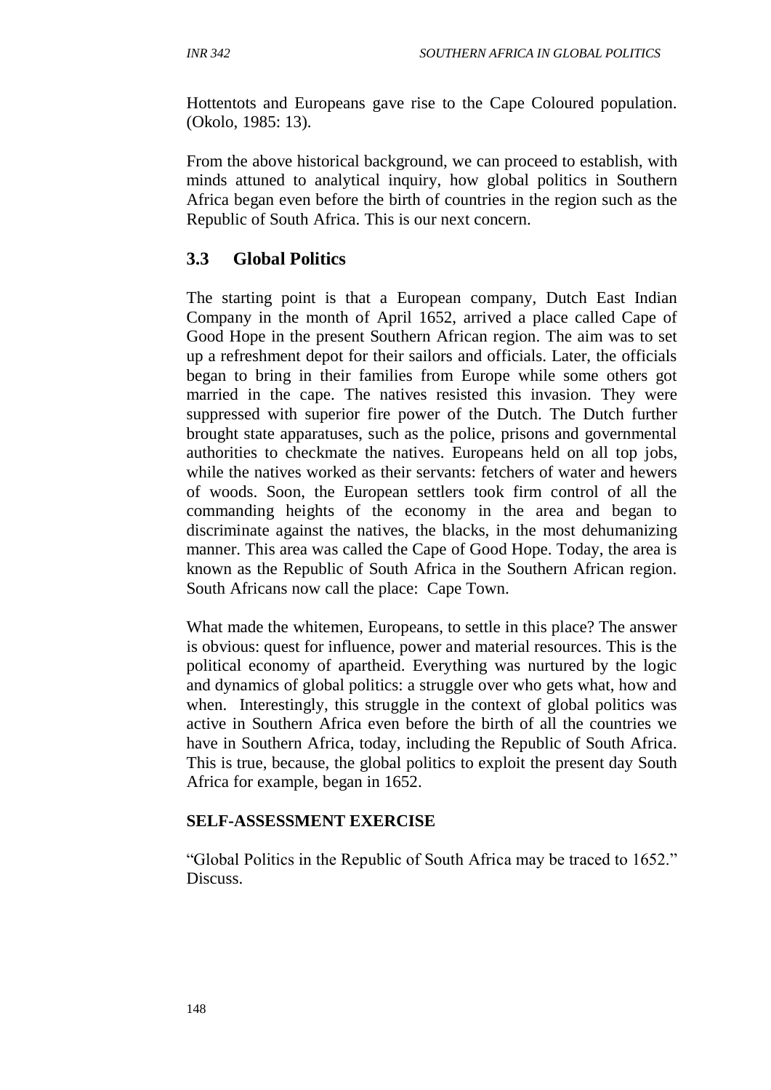Hottentots and Europeans gave rise to the Cape Coloured population. (Okolo, 1985: 13).

From the above historical background, we can proceed to establish, with minds attuned to analytical inquiry, how global politics in Southern Africa began even before the birth of countries in the region such as the Republic of South Africa. This is our next concern.

# **3.3 Global Politics**

The starting point is that a European company, Dutch East Indian Company in the month of April 1652, arrived a place called Cape of Good Hope in the present Southern African region. The aim was to set up a refreshment depot for their sailors and officials. Later, the officials began to bring in their families from Europe while some others got married in the cape. The natives resisted this invasion. They were suppressed with superior fire power of the Dutch. The Dutch further brought state apparatuses, such as the police, prisons and governmental authorities to checkmate the natives. Europeans held on all top jobs, while the natives worked as their servants: fetchers of water and hewers of woods. Soon, the European settlers took firm control of all the commanding heights of the economy in the area and began to discriminate against the natives, the blacks, in the most dehumanizing manner. This area was called the Cape of Good Hope. Today, the area is known as the Republic of South Africa in the Southern African region. South Africans now call the place: Cape Town.

What made the whitemen, Europeans, to settle in this place? The answer is obvious: quest for influence, power and material resources. This is the political economy of apartheid. Everything was nurtured by the logic and dynamics of global politics: a struggle over who gets what, how and when. Interestingly, this struggle in the context of global politics was active in Southern Africa even before the birth of all the countries we have in Southern Africa, today, including the Republic of South Africa. This is true, because, the global politics to exploit the present day South Africa for example, began in 1652.

#### **SELF-ASSESSMENT EXERCISE**

"Global Politics in the Republic of South Africa may be traced to 1652." Discuss.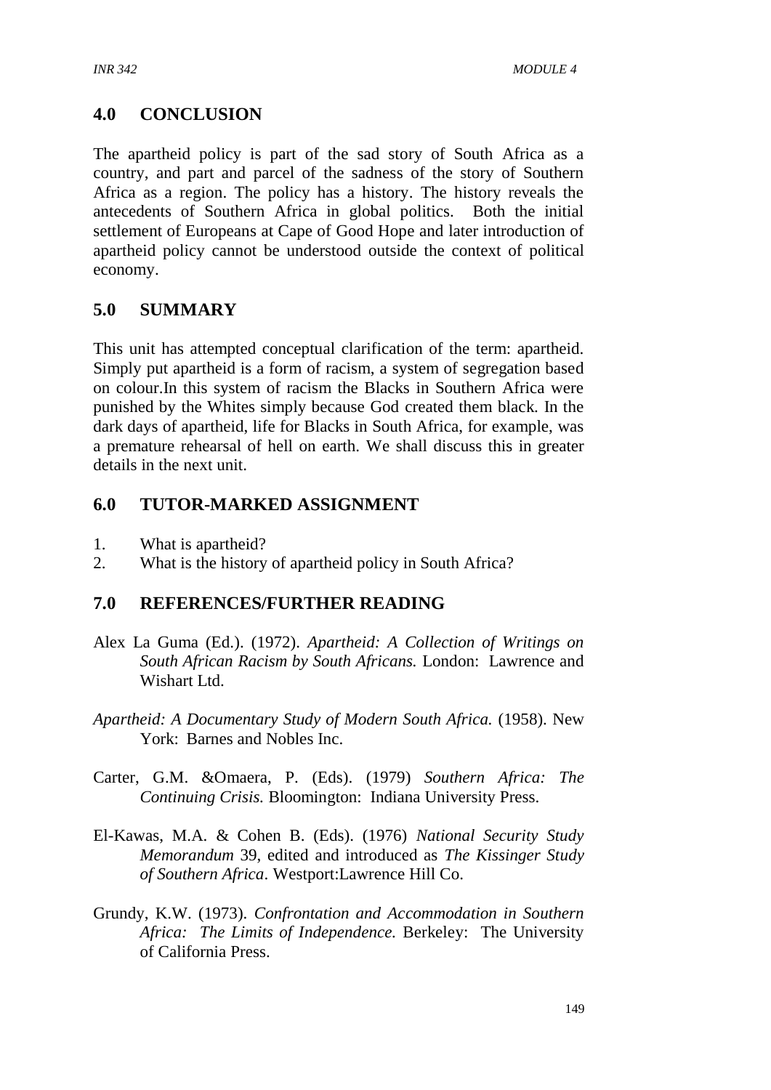# **4.0 CONCLUSION**

The apartheid policy is part of the sad story of South Africa as a country, and part and parcel of the sadness of the story of Southern Africa as a region. The policy has a history. The history reveals the antecedents of Southern Africa in global politics. Both the initial settlement of Europeans at Cape of Good Hope and later introduction of apartheid policy cannot be understood outside the context of political economy.

#### **5.0 SUMMARY**

This unit has attempted conceptual clarification of the term: apartheid. Simply put apartheid is a form of racism, a system of segregation based on colour.In this system of racism the Blacks in Southern Africa were punished by the Whites simply because God created them black. In the dark days of apartheid, life for Blacks in South Africa, for example, was a premature rehearsal of hell on earth. We shall discuss this in greater details in the next unit.

#### **6.0 TUTOR-MARKED ASSIGNMENT**

- 1. What is apartheid?
- 2. What is the history of apartheid policy in South Africa?

#### **7.0 REFERENCES/FURTHER READING**

- Alex La Guma (Ed.). (1972). *Apartheid: A Collection of Writings on South African Racism by South Africans.* London: Lawrence and Wishart Ltd.
- *Apartheid: A Documentary Study of Modern South Africa.* (1958). New York: Barnes and Nobles Inc.
- Carter, G.M. &Omaera, P. (Eds). (1979) *Southern Africa: The Continuing Crisis.* Bloomington: Indiana University Press.
- El-Kawas, M.A. & Cohen B. (Eds). (1976) *National Security Study Memorandum* 39, edited and introduced as *The Kissinger Study of Southern Africa*. Westport:Lawrence Hill Co.
- Grundy, K.W. (1973). *Confrontation and Accommodation in Southern Africa: The Limits of Independence.* Berkeley: The University of California Press.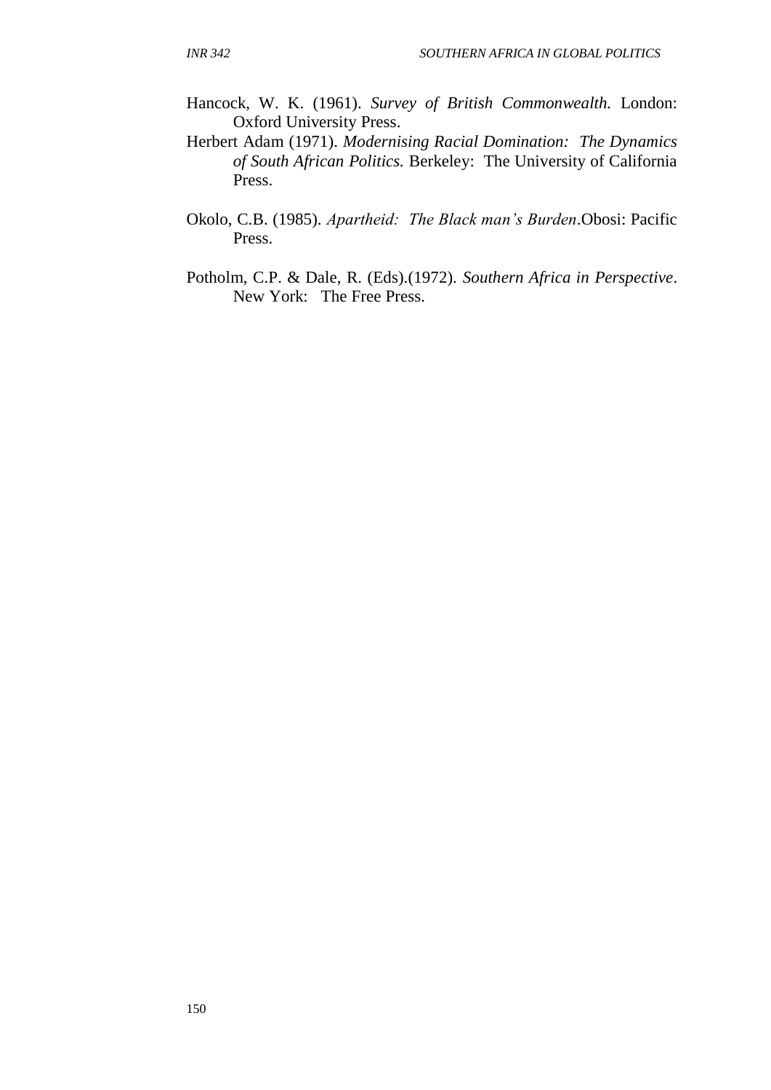- Hancock, W. K. (1961). *Survey of British Commonwealth.* London: Oxford University Press.
- Herbert Adam (1971). *Modernising Racial Domination: The Dynamics of South African Politics.* Berkeley: The University of California Press.
- Okolo, C.B. (1985). *Apartheid: The Black man's Burden*.Obosi: Pacific Press.
- Potholm, C.P. & Dale, R. (Eds).(1972). *Southern Africa in Perspective*. New York: The Free Press.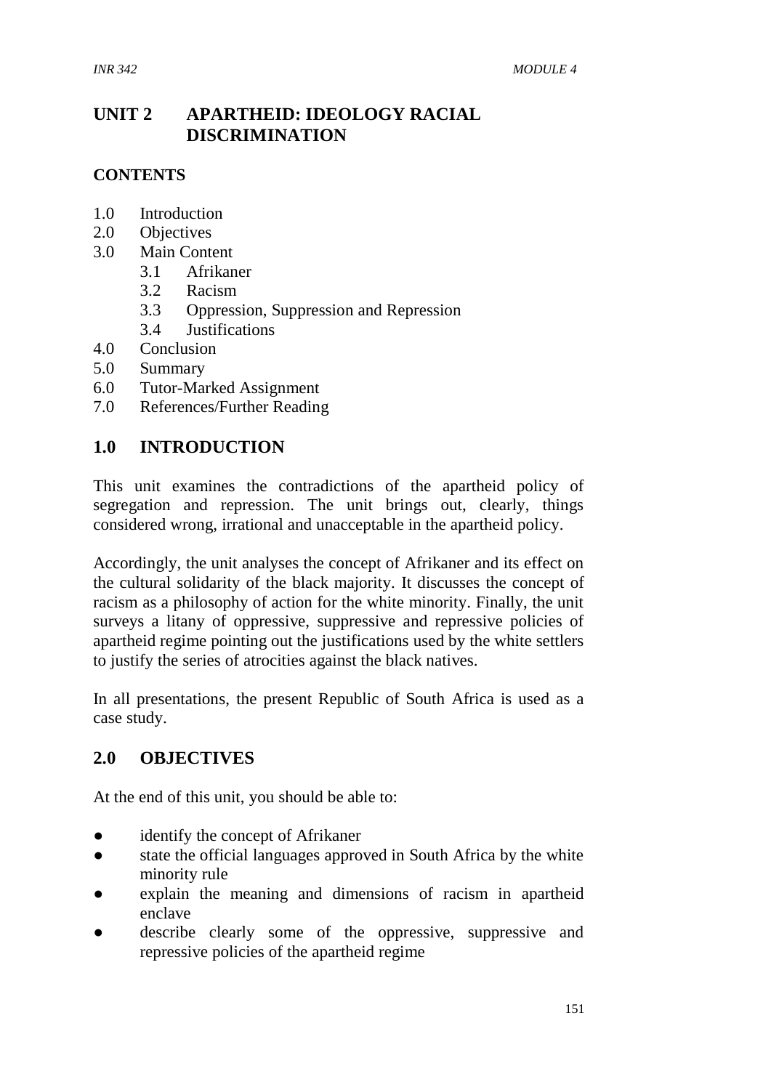# **UNIT 2 APARTHEID: IDEOLOGY RACIAL DISCRIMINATION**

#### **CONTENTS**

- 1.0 Introduction
- 2.0 Objectives
- 3.0 Main Content
	- 3.1 Afrikaner
	- 3.2 Racism
	- 3.3 Oppression, Suppression and Repression
	- 3.4 Justifications
- 4.0 Conclusion
- 5.0 Summary
- 6.0 Tutor-Marked Assignment
- 7.0 References/Further Reading

#### **1.0 INTRODUCTION**

This unit examines the contradictions of the apartheid policy of segregation and repression. The unit brings out, clearly, things considered wrong, irrational and unacceptable in the apartheid policy.

Accordingly, the unit analyses the concept of Afrikaner and its effect on the cultural solidarity of the black majority. It discusses the concept of racism as a philosophy of action for the white minority. Finally, the unit surveys a litany of oppressive, suppressive and repressive policies of apartheid regime pointing out the justifications used by the white settlers to justify the series of atrocities against the black natives.

In all presentations, the present Republic of South Africa is used as a case study.

# **2.0 OBJECTIVES**

At the end of this unit, you should be able to:

- identify the concept of Afrikaner
- state the official languages approved in South Africa by the white minority rule
- explain the meaning and dimensions of racism in apartheid enclave
- describe clearly some of the oppressive, suppressive and repressive policies of the apartheid regime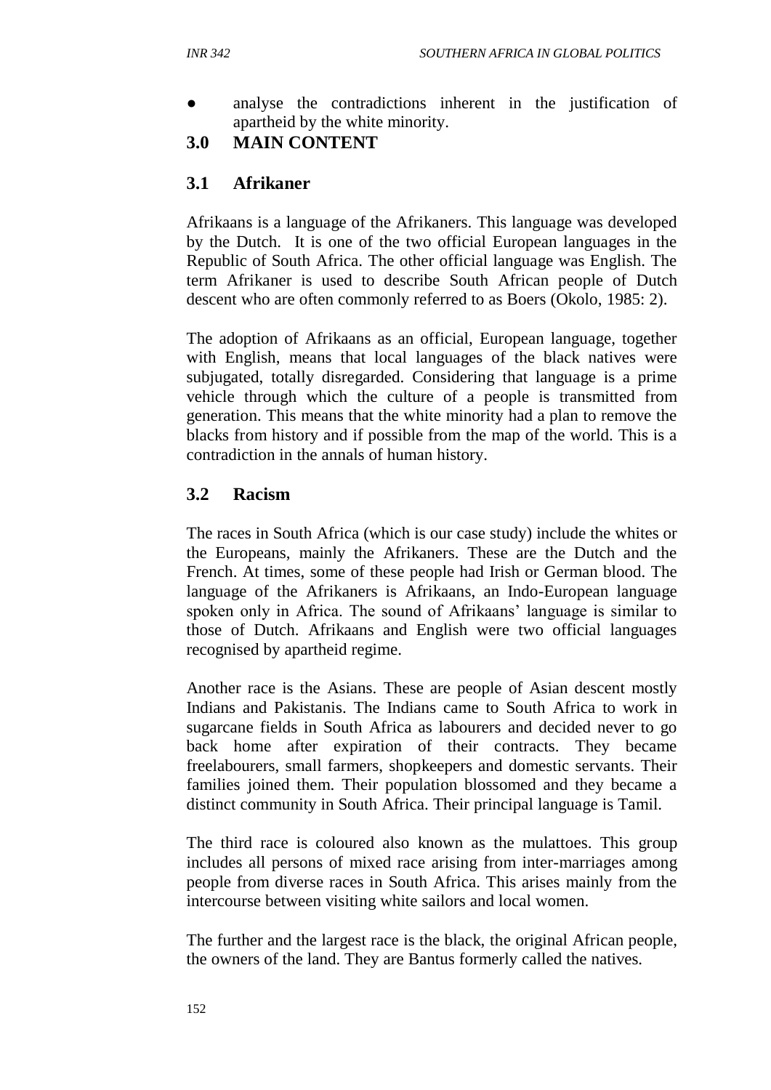analyse the contradictions inherent in the justification of apartheid by the white minority.

# **3.0 MAIN CONTENT**

# **3.1 Afrikaner**

Afrikaans is a language of the Afrikaners. This language was developed by the Dutch. It is one of the two official European languages in the Republic of South Africa. The other official language was English. The term Afrikaner is used to describe South African people of Dutch descent who are often commonly referred to as Boers (Okolo, 1985: 2).

The adoption of Afrikaans as an official, European language, together with English, means that local languages of the black natives were subjugated, totally disregarded. Considering that language is a prime vehicle through which the culture of a people is transmitted from generation. This means that the white minority had a plan to remove the blacks from history and if possible from the map of the world. This is a contradiction in the annals of human history.

# **3.2 Racism**

The races in South Africa (which is our case study) include the whites or the Europeans, mainly the Afrikaners. These are the Dutch and the French. At times, some of these people had Irish or German blood. The language of the Afrikaners is Afrikaans, an Indo-European language spoken only in Africa. The sound of Afrikaans' language is similar to those of Dutch. Afrikaans and English were two official languages recognised by apartheid regime.

Another race is the Asians. These are people of Asian descent mostly Indians and Pakistanis. The Indians came to South Africa to work in sugarcane fields in South Africa as labourers and decided never to go back home after expiration of their contracts. They became freelabourers, small farmers, shopkeepers and domestic servants. Their families joined them. Their population blossomed and they became a distinct community in South Africa. Their principal language is Tamil.

The third race is coloured also known as the mulattoes. This group includes all persons of mixed race arising from inter-marriages among people from diverse races in South Africa. This arises mainly from the intercourse between visiting white sailors and local women.

The further and the largest race is the black, the original African people, the owners of the land. They are Bantus formerly called the natives.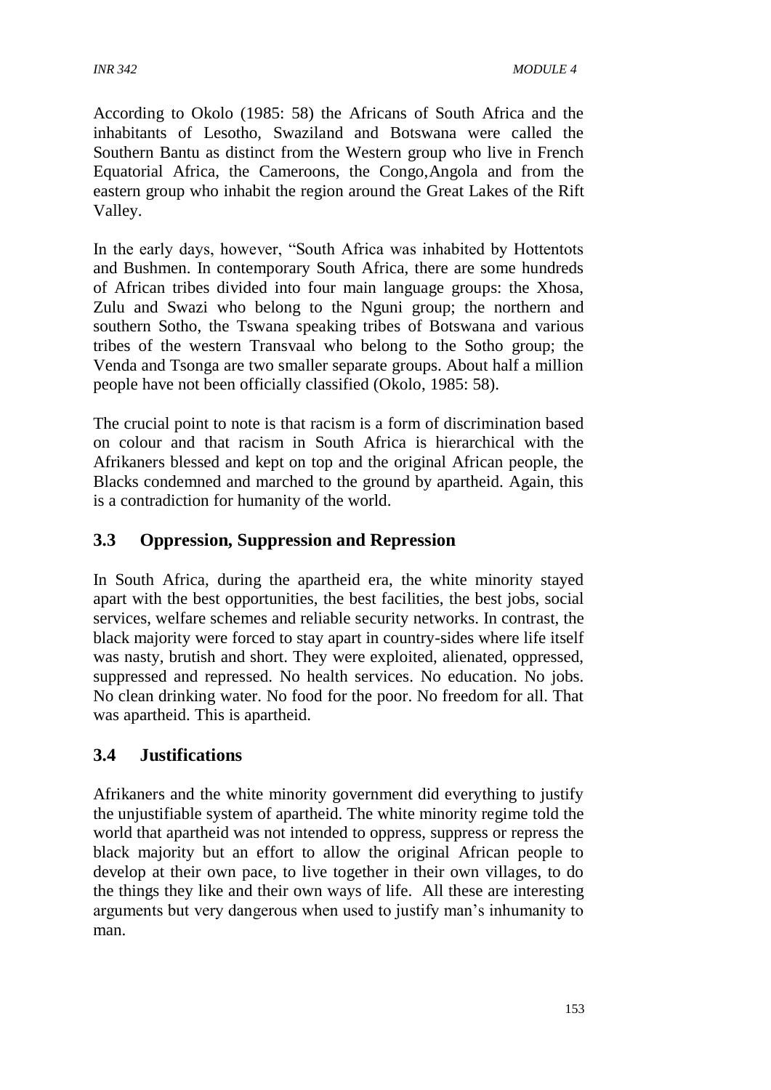According to Okolo (1985: 58) the Africans of South Africa and the inhabitants of Lesotho, Swaziland and Botswana were called the Southern Bantu as distinct from the Western group who live in French Equatorial Africa, the Cameroons, the Congo,Angola and from the eastern group who inhabit the region around the Great Lakes of the Rift Valley.

In the early days, however, "South Africa was inhabited by Hottentots and Bushmen. In contemporary South Africa, there are some hundreds of African tribes divided into four main language groups: the Xhosa, Zulu and Swazi who belong to the Nguni group; the northern and southern Sotho, the Tswana speaking tribes of Botswana and various tribes of the western Transvaal who belong to the Sotho group; the Venda and Tsonga are two smaller separate groups. About half a million people have not been officially classified (Okolo, 1985: 58).

The crucial point to note is that racism is a form of discrimination based on colour and that racism in South Africa is hierarchical with the Afrikaners blessed and kept on top and the original African people, the Blacks condemned and marched to the ground by apartheid. Again, this is a contradiction for humanity of the world.

# **3.3 Oppression, Suppression and Repression**

In South Africa, during the apartheid era, the white minority stayed apart with the best opportunities, the best facilities, the best jobs, social services, welfare schemes and reliable security networks. In contrast, the black majority were forced to stay apart in country-sides where life itself was nasty, brutish and short. They were exploited, alienated, oppressed, suppressed and repressed. No health services. No education. No jobs. No clean drinking water. No food for the poor. No freedom for all. That was apartheid. This is apartheid.

# **3.4 Justifications**

Afrikaners and the white minority government did everything to justify the unjustifiable system of apartheid. The white minority regime told the world that apartheid was not intended to oppress, suppress or repress the black majority but an effort to allow the original African people to develop at their own pace, to live together in their own villages, to do the things they like and their own ways of life. All these are interesting arguments but very dangerous when used to justify man's inhumanity to man.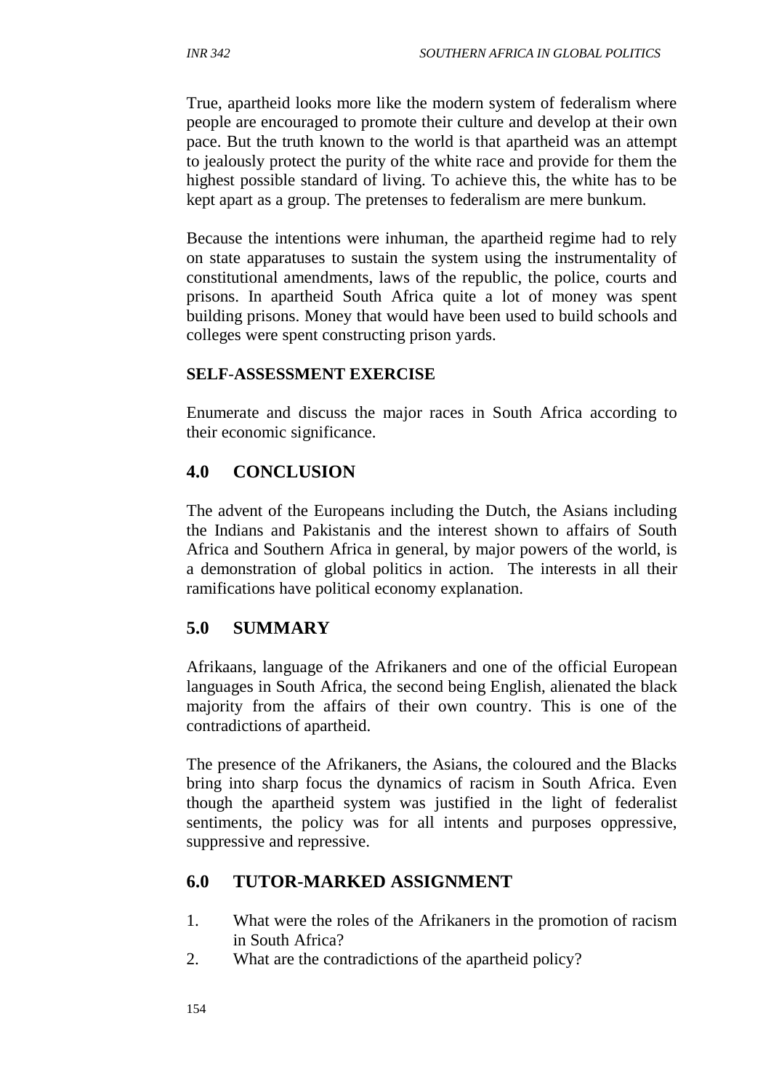True, apartheid looks more like the modern system of federalism where people are encouraged to promote their culture and develop at their own pace. But the truth known to the world is that apartheid was an attempt to jealously protect the purity of the white race and provide for them the highest possible standard of living. To achieve this, the white has to be kept apart as a group. The pretenses to federalism are mere bunkum.

Because the intentions were inhuman, the apartheid regime had to rely on state apparatuses to sustain the system using the instrumentality of constitutional amendments, laws of the republic, the police, courts and prisons. In apartheid South Africa quite a lot of money was spent building prisons. Money that would have been used to build schools and colleges were spent constructing prison yards.

#### **SELF**-**ASSESSMENT EXERCISE**

Enumerate and discuss the major races in South Africa according to their economic significance.

# **4.0 CONCLUSION**

The advent of the Europeans including the Dutch, the Asians including the Indians and Pakistanis and the interest shown to affairs of South Africa and Southern Africa in general, by major powers of the world, is a demonstration of global politics in action. The interests in all their ramifications have political economy explanation.

# **5.0 SUMMARY**

Afrikaans, language of the Afrikaners and one of the official European languages in South Africa, the second being English, alienated the black majority from the affairs of their own country. This is one of the contradictions of apartheid.

The presence of the Afrikaners, the Asians, the coloured and the Blacks bring into sharp focus the dynamics of racism in South Africa. Even though the apartheid system was justified in the light of federalist sentiments, the policy was for all intents and purposes oppressive, suppressive and repressive.

# **6.0 TUTOR-MARKED ASSIGNMENT**

- 1. What were the roles of the Afrikaners in the promotion of racism in South Africa?
- 2. What are the contradictions of the apartheid policy?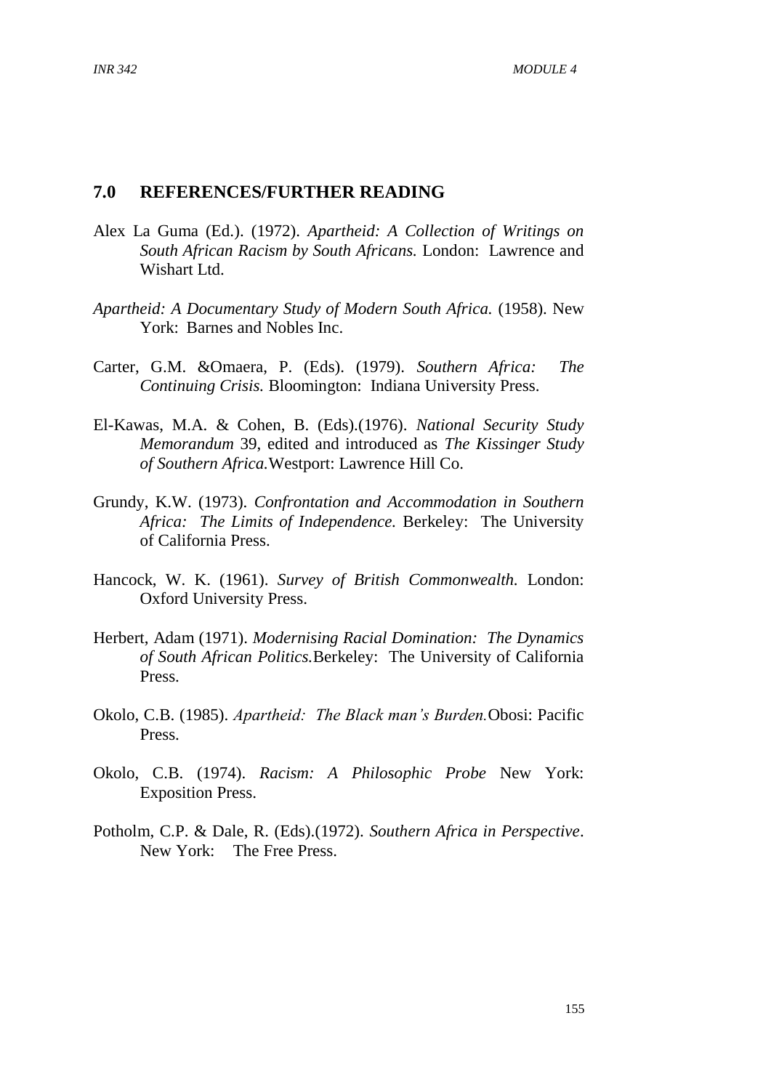#### **7.0 REFERENCES/FURTHER READING**

- Alex La Guma (Ed.). (1972). *Apartheid: A Collection of Writings on South African Racism by South Africans.* London: Lawrence and Wishart Ltd.
- *Apartheid: A Documentary Study of Modern South Africa.* (1958). New York: Barnes and Nobles Inc.
- Carter, G.M. &Omaera, P. (Eds). (1979). *Southern Africa: The Continuing Crisis.* Bloomington: Indiana University Press.
- El-Kawas, M.A. & Cohen, B. (Eds).(1976). *National Security Study Memorandum* 39, edited and introduced as *The Kissinger Study of Southern Africa.*Westport: Lawrence Hill Co.
- Grundy, K.W. (1973). *Confrontation and Accommodation in Southern Africa: The Limits of Independence.* Berkeley: The University of California Press.
- Hancock, W. K. (1961). *Survey of British Commonwealth.* London: Oxford University Press.
- Herbert, Adam (1971). *Modernising Racial Domination: The Dynamics of South African Politics.*Berkeley: The University of California Press.
- Okolo, C.B. (1985). *Apartheid: The Black man's Burden.*Obosi: Pacific Press.
- Okolo, C.B. (1974). *Racism: A Philosophic Probe* New York: Exposition Press.
- Potholm, C.P. & Dale, R. (Eds).(1972). *Southern Africa in Perspective*. New York: The Free Press.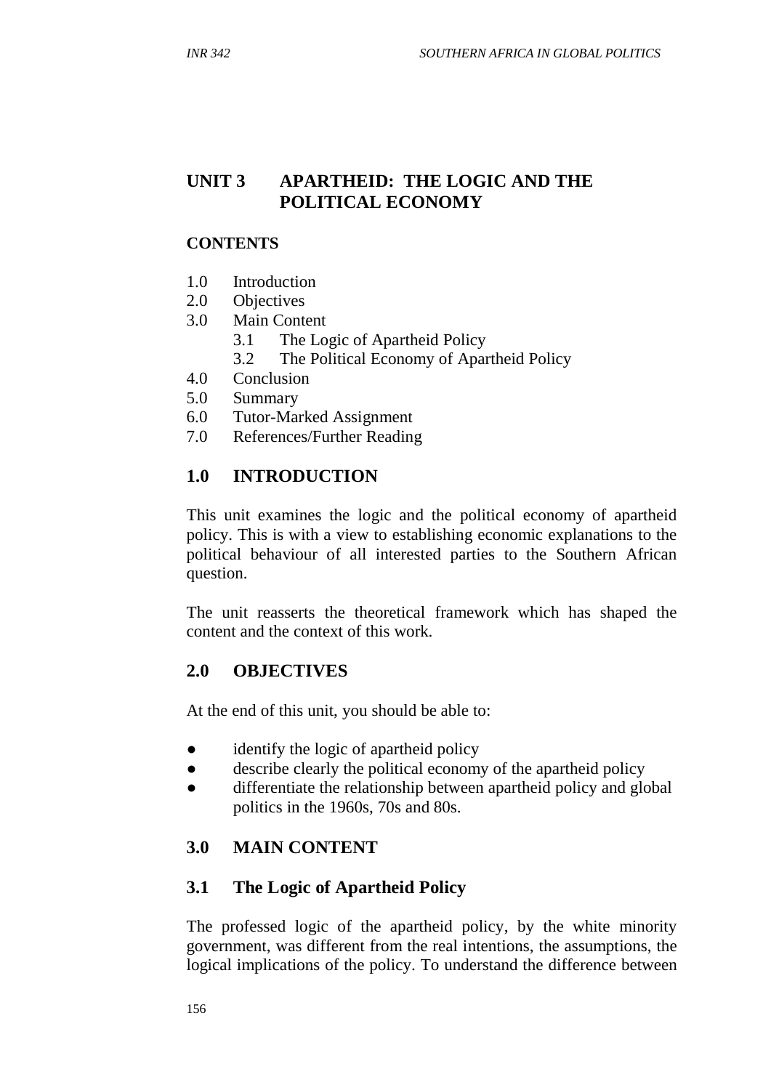# **UNIT 3 APARTHEID: THE LOGIC AND THE POLITICAL ECONOMY**

#### **CONTENTS**

- 1.0 Introduction
- 2.0 Objectives
- 3.0 Main Content
	- 3.1 The Logic of Apartheid Policy
	- 3.2 The Political Economy of Apartheid Policy
- 4.0 Conclusion
- 5.0 Summary
- 6.0 Tutor-Marked Assignment
- 7.0 References/Further Reading

# **1.0 INTRODUCTION**

This unit examines the logic and the political economy of apartheid policy. This is with a view to establishing economic explanations to the political behaviour of all interested parties to the Southern African question.

The unit reasserts the theoretical framework which has shaped the content and the context of this work.

#### **2.0 OBJECTIVES**

At the end of this unit, you should be able to:

- identify the logic of apartheid policy
- describe clearly the political economy of the apartheid policy
- differentiate the relationship between apartheid policy and global politics in the 1960s, 70s and 80s.

# **3.0 MAIN CONTENT**

#### **3.1 The Logic of Apartheid Policy**

The professed logic of the apartheid policy, by the white minority government, was different from the real intentions, the assumptions, the logical implications of the policy. To understand the difference between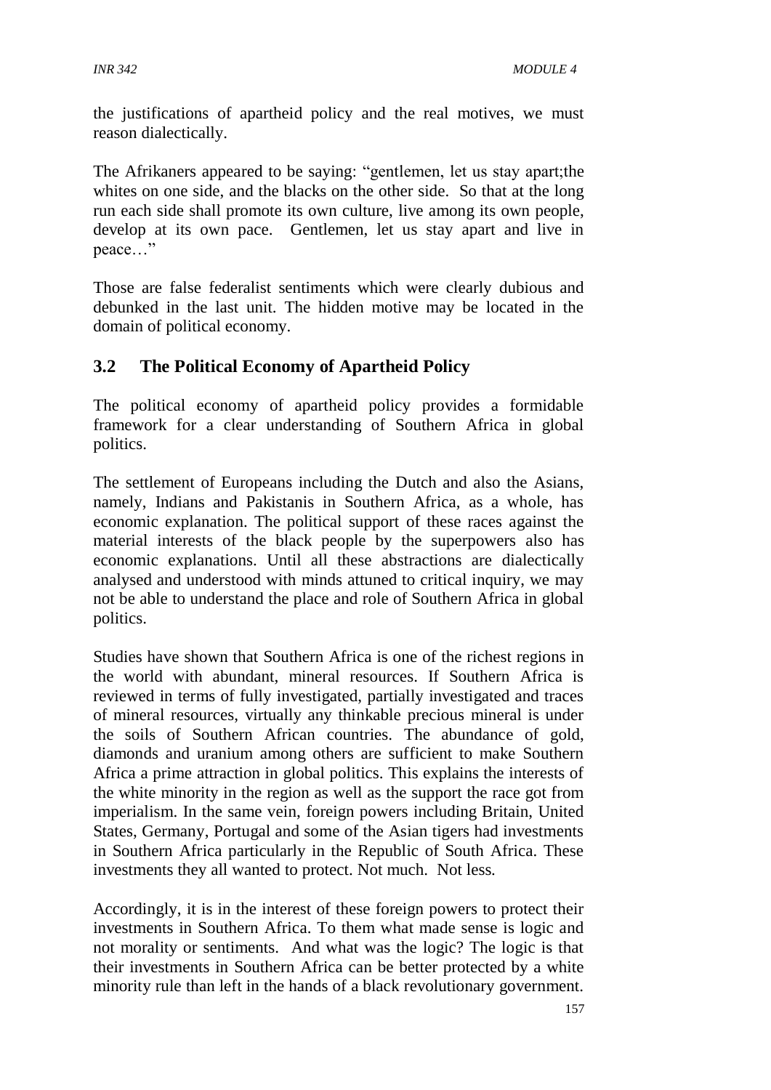the justifications of apartheid policy and the real motives, we must reason dialectically.

The Afrikaners appeared to be saying: "gentlemen, let us stay apart;the whites on one side, and the blacks on the other side. So that at the long run each side shall promote its own culture, live among its own people, develop at its own pace. Gentlemen, let us stay apart and live in peace…"

Those are false federalist sentiments which were clearly dubious and debunked in the last unit. The hidden motive may be located in the domain of political economy.

# **3.2 The Political Economy of Apartheid Policy**

The political economy of apartheid policy provides a formidable framework for a clear understanding of Southern Africa in global politics.

The settlement of Europeans including the Dutch and also the Asians, namely, Indians and Pakistanis in Southern Africa, as a whole, has economic explanation. The political support of these races against the material interests of the black people by the superpowers also has economic explanations. Until all these abstractions are dialectically analysed and understood with minds attuned to critical inquiry, we may not be able to understand the place and role of Southern Africa in global politics.

Studies have shown that Southern Africa is one of the richest regions in the world with abundant, mineral resources. If Southern Africa is reviewed in terms of fully investigated, partially investigated and traces of mineral resources, virtually any thinkable precious mineral is under the soils of Southern African countries. The abundance of gold, diamonds and uranium among others are sufficient to make Southern Africa a prime attraction in global politics. This explains the interests of the white minority in the region as well as the support the race got from imperialism. In the same vein, foreign powers including Britain, United States, Germany, Portugal and some of the Asian tigers had investments in Southern Africa particularly in the Republic of South Africa. These investments they all wanted to protect. Not much. Not less.

Accordingly, it is in the interest of these foreign powers to protect their investments in Southern Africa. To them what made sense is logic and not morality or sentiments. And what was the logic? The logic is that their investments in Southern Africa can be better protected by a white minority rule than left in the hands of a black revolutionary government.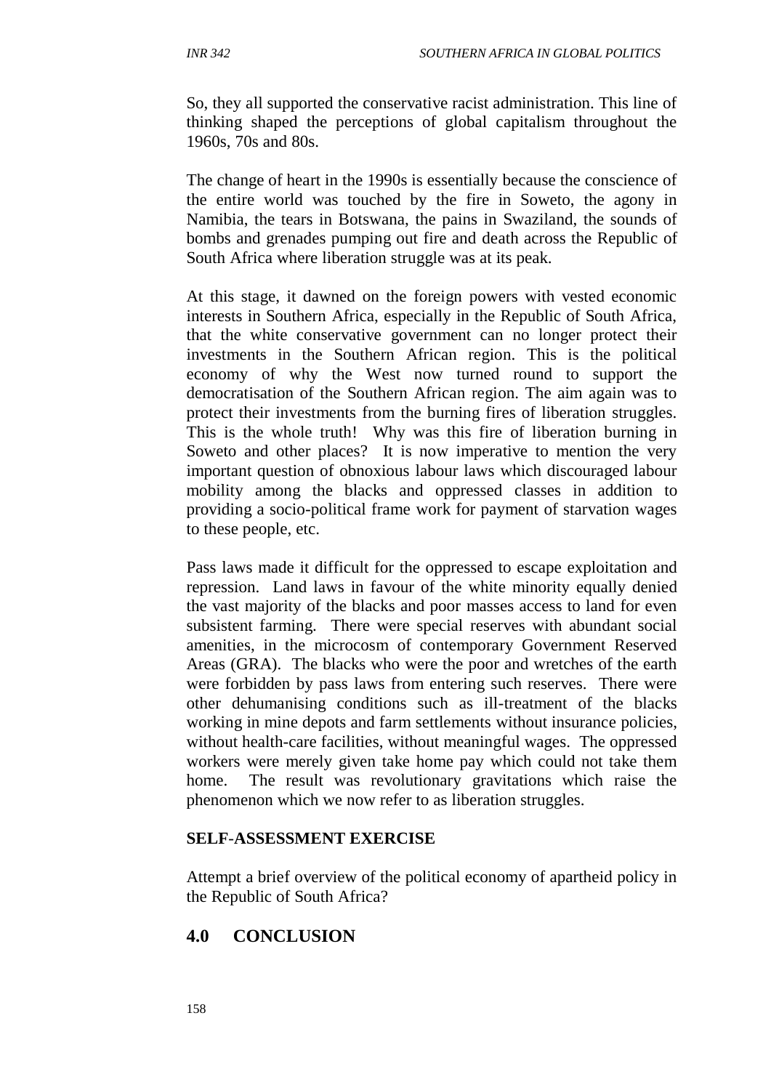So, they all supported the conservative racist administration. This line of thinking shaped the perceptions of global capitalism throughout the 1960s, 70s and 80s.

The change of heart in the 1990s is essentially because the conscience of the entire world was touched by the fire in Soweto, the agony in Namibia, the tears in Botswana, the pains in Swaziland, the sounds of bombs and grenades pumping out fire and death across the Republic of South Africa where liberation struggle was at its peak.

At this stage, it dawned on the foreign powers with vested economic interests in Southern Africa, especially in the Republic of South Africa, that the white conservative government can no longer protect their investments in the Southern African region. This is the political economy of why the West now turned round to support the democratisation of the Southern African region. The aim again was to protect their investments from the burning fires of liberation struggles. This is the whole truth! Why was this fire of liberation burning in Soweto and other places? It is now imperative to mention the very important question of obnoxious labour laws which discouraged labour mobility among the blacks and oppressed classes in addition to providing a socio-political frame work for payment of starvation wages to these people, etc.

Pass laws made it difficult for the oppressed to escape exploitation and repression. Land laws in favour of the white minority equally denied the vast majority of the blacks and poor masses access to land for even subsistent farming. There were special reserves with abundant social amenities, in the microcosm of contemporary Government Reserved Areas (GRA). The blacks who were the poor and wretches of the earth were forbidden by pass laws from entering such reserves. There were other dehumanising conditions such as ill-treatment of the blacks working in mine depots and farm settlements without insurance policies, without health-care facilities, without meaningful wages. The oppressed workers were merely given take home pay which could not take them home. The result was revolutionary gravitations which raise the phenomenon which we now refer to as liberation struggles.

#### **SELF**-**ASSESSMENT EXERCISE**

Attempt a brief overview of the political economy of apartheid policy in the Republic of South Africa?

# **4.0 CONCLUSION**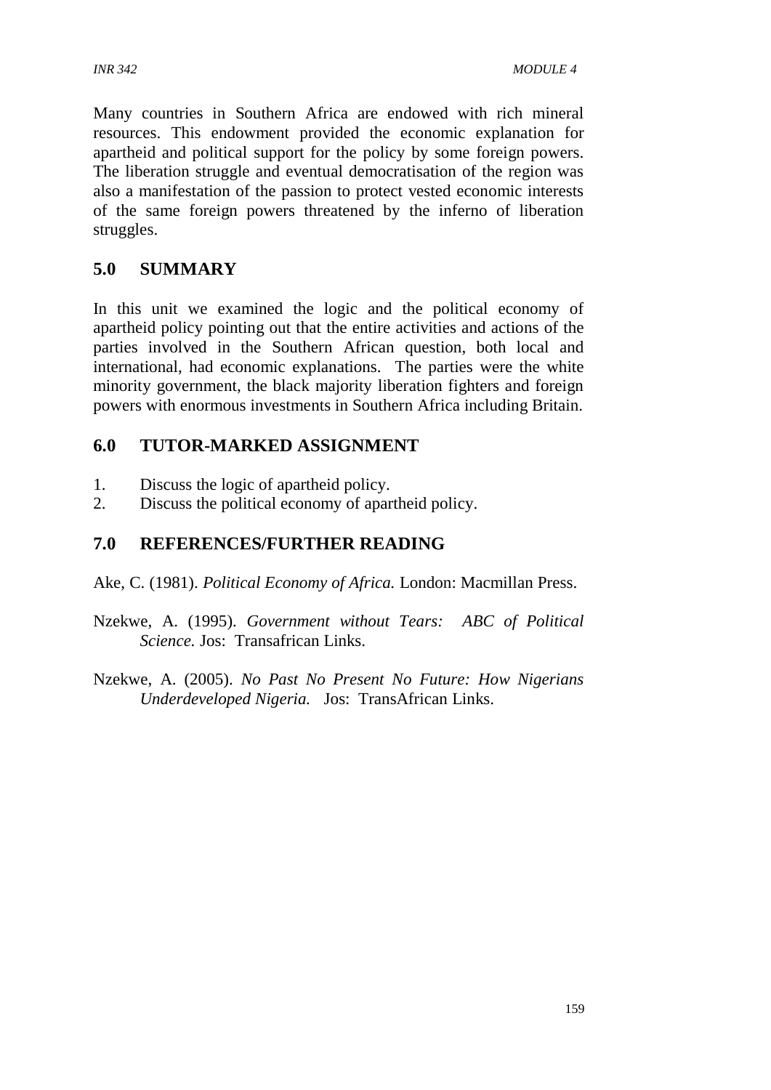Many countries in Southern Africa are endowed with rich mineral resources. This endowment provided the economic explanation for apartheid and political support for the policy by some foreign powers. The liberation struggle and eventual democratisation of the region was also a manifestation of the passion to protect vested economic interests of the same foreign powers threatened by the inferno of liberation struggles.

# **5.0 SUMMARY**

In this unit we examined the logic and the political economy of apartheid policy pointing out that the entire activities and actions of the parties involved in the Southern African question, both local and international, had economic explanations. The parties were the white minority government, the black majority liberation fighters and foreign powers with enormous investments in Southern Africa including Britain.

# **6.0 TUTOR-MARKED ASSIGNMENT**

- 1. Discuss the logic of apartheid policy.
- 2. Discuss the political economy of apartheid policy.

# **7.0 REFERENCES/FURTHER READING**

- Ake, C. (1981). *Political Economy of Africa.* London: Macmillan Press.
- Nzekwe, A. (1995). *Government without Tears: ABC of Political Science.* Jos: Transafrican Links.
- Nzekwe, A. (2005). *No Past No Present No Future: How Nigerians Underdeveloped Nigeria.* Jos: TransAfrican Links.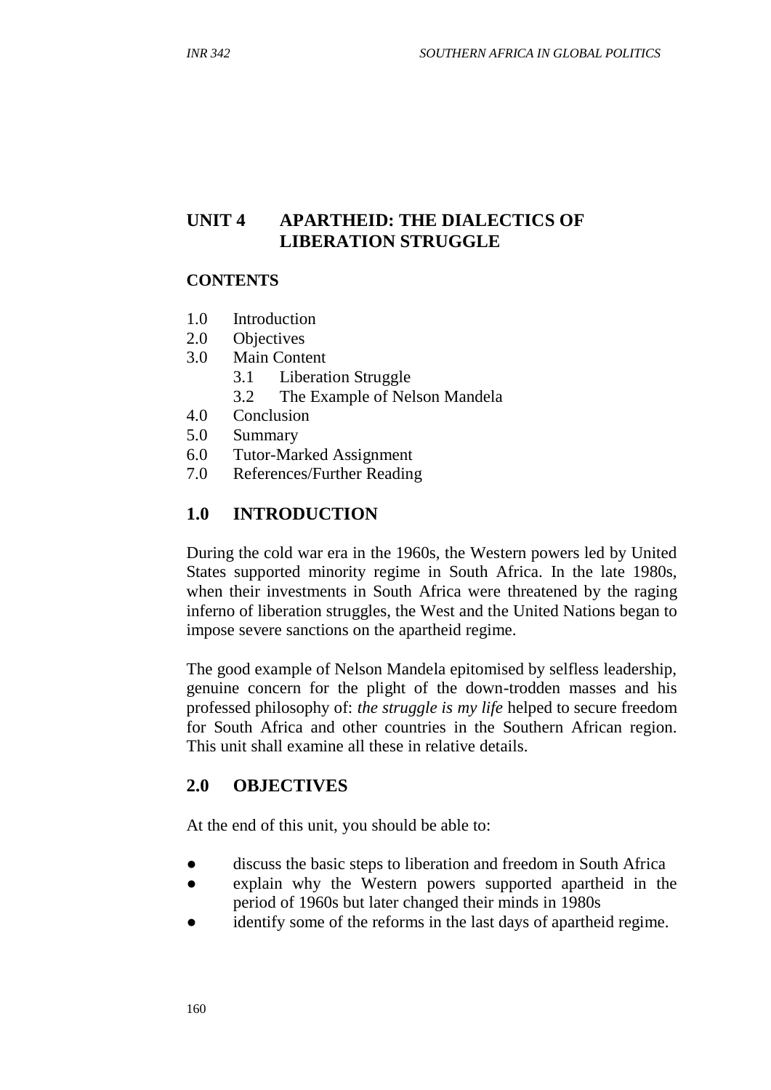# **UNIT 4 APARTHEID: THE DIALECTICS OF LIBERATION STRUGGLE**

#### **CONTENTS**

- 1.0 Introduction
- 2.0 Objectives
- 3.0 Main Content
	- 3.1 Liberation Struggle
	- 3.2 The Example of Nelson Mandela
- 4.0 Conclusion
- 5.0 Summary
- 6.0 Tutor-Marked Assignment
- 7.0 References/Further Reading

# **1.0 INTRODUCTION**

During the cold war era in the 1960s, the Western powers led by United States supported minority regime in South Africa. In the late 1980s, when their investments in South Africa were threatened by the raging inferno of liberation struggles, the West and the United Nations began to impose severe sanctions on the apartheid regime.

The good example of Nelson Mandela epitomised by selfless leadership, genuine concern for the plight of the down-trodden masses and his professed philosophy of: *the struggle is my life* helped to secure freedom for South Africa and other countries in the Southern African region. This unit shall examine all these in relative details.

# **2.0 OBJECTIVES**

At the end of this unit, you should be able to:

- discuss the basic steps to liberation and freedom in South Africa
- explain why the Western powers supported apartheid in the period of 1960s but later changed their minds in 1980s
- identify some of the reforms in the last days of apartheid regime.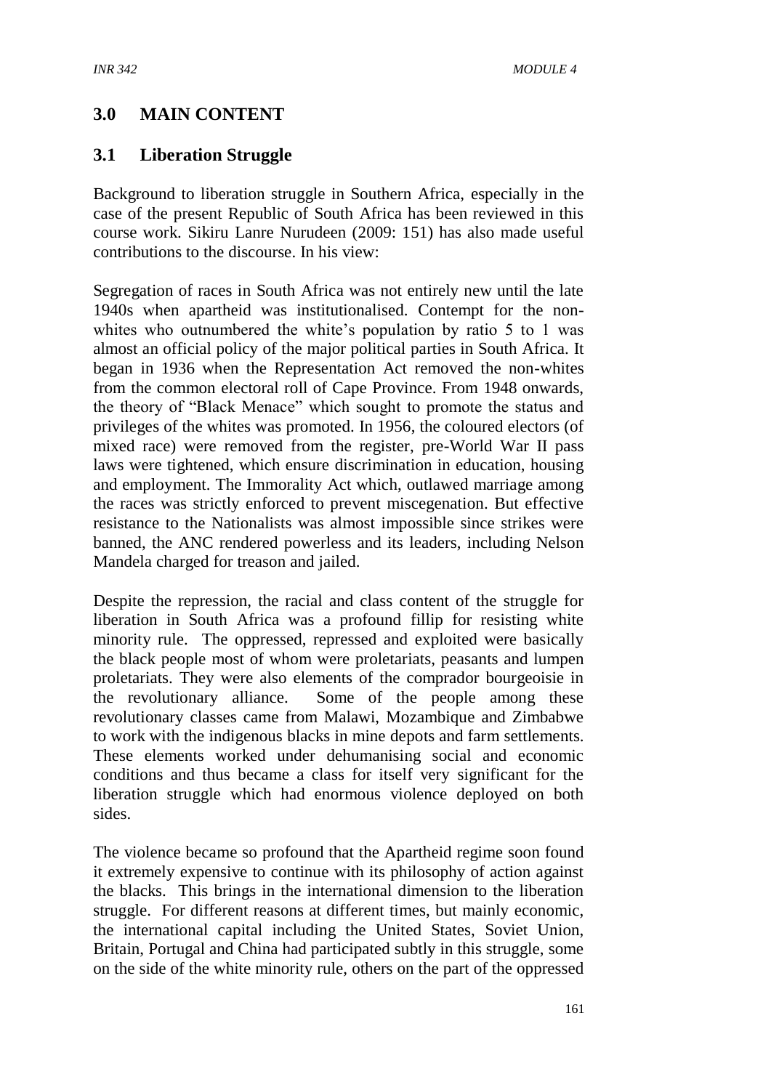# **3.0 MAIN CONTENT**

### **3.1 Liberation Struggle**

Background to liberation struggle in Southern Africa, especially in the case of the present Republic of South Africa has been reviewed in this course work. Sikiru Lanre Nurudeen (2009: 151) has also made useful contributions to the discourse. In his view:

Segregation of races in South Africa was not entirely new until the late 1940s when apartheid was institutionalised. Contempt for the nonwhites who outnumbered the white's population by ratio 5 to 1 was almost an official policy of the major political parties in South Africa. It began in 1936 when the Representation Act removed the non-whites from the common electoral roll of Cape Province. From 1948 onwards, the theory of "Black Menace" which sought to promote the status and privileges of the whites was promoted. In 1956, the coloured electors (of mixed race) were removed from the register, pre-World War II pass laws were tightened, which ensure discrimination in education, housing and employment. The Immorality Act which, outlawed marriage among the races was strictly enforced to prevent miscegenation. But effective resistance to the Nationalists was almost impossible since strikes were banned, the ANC rendered powerless and its leaders, including Nelson Mandela charged for treason and jailed.

Despite the repression, the racial and class content of the struggle for liberation in South Africa was a profound fillip for resisting white minority rule. The oppressed, repressed and exploited were basically the black people most of whom were proletariats, peasants and lumpen proletariats. They were also elements of the comprador bourgeoisie in the revolutionary alliance. Some of the people among these revolutionary classes came from Malawi, Mozambique and Zimbabwe to work with the indigenous blacks in mine depots and farm settlements. These elements worked under dehumanising social and economic conditions and thus became a class for itself very significant for the liberation struggle which had enormous violence deployed on both sides.

The violence became so profound that the Apartheid regime soon found it extremely expensive to continue with its philosophy of action against the blacks. This brings in the international dimension to the liberation struggle. For different reasons at different times, but mainly economic, the international capital including the United States, Soviet Union, Britain, Portugal and China had participated subtly in this struggle, some on the side of the white minority rule, others on the part of the oppressed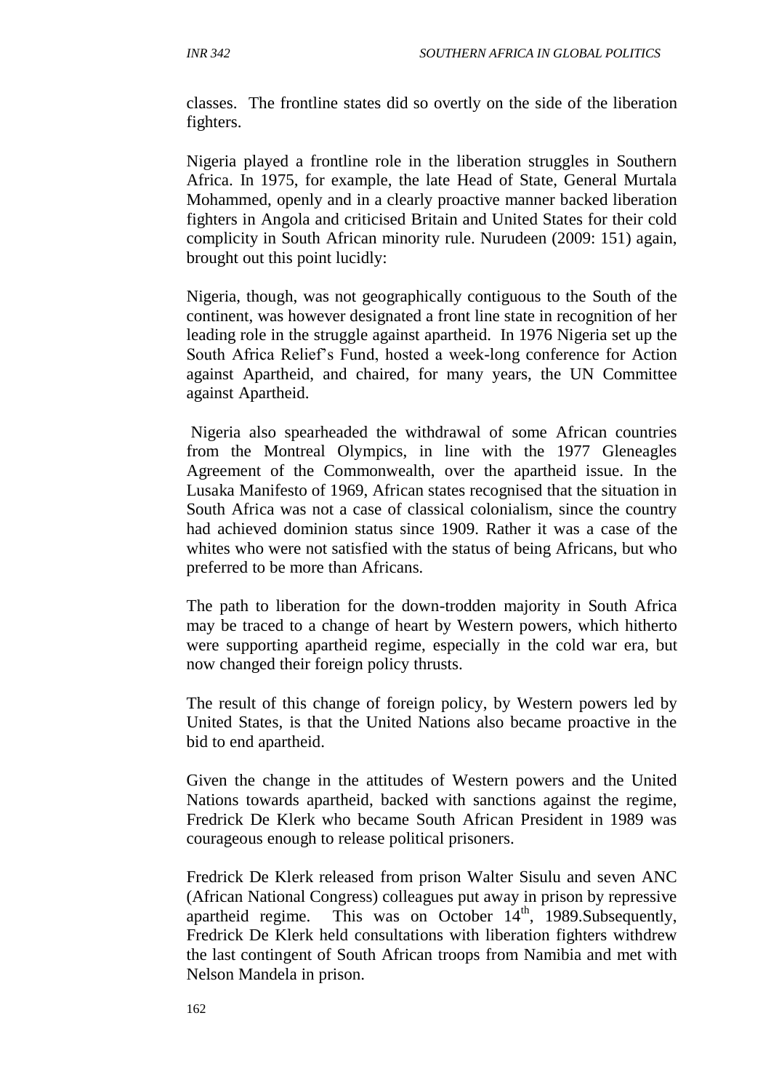classes. The frontline states did so overtly on the side of the liberation fighters.

Nigeria played a frontline role in the liberation struggles in Southern Africa. In 1975, for example, the late Head of State, General Murtala Mohammed, openly and in a clearly proactive manner backed liberation fighters in Angola and criticised Britain and United States for their cold complicity in South African minority rule. Nurudeen (2009: 151) again, brought out this point lucidly:

Nigeria, though, was not geographically contiguous to the South of the continent, was however designated a front line state in recognition of her leading role in the struggle against apartheid. In 1976 Nigeria set up the South Africa Relief's Fund, hosted a week-long conference for Action against Apartheid, and chaired, for many years, the UN Committee against Apartheid.

Nigeria also spearheaded the withdrawal of some African countries from the Montreal Olympics, in line with the 1977 Gleneagles Agreement of the Commonwealth, over the apartheid issue. In the Lusaka Manifesto of 1969, African states recognised that the situation in South Africa was not a case of classical colonialism, since the country had achieved dominion status since 1909. Rather it was a case of the whites who were not satisfied with the status of being Africans, but who preferred to be more than Africans*.*

The path to liberation for the down-trodden majority in South Africa may be traced to a change of heart by Western powers, which hitherto were supporting apartheid regime, especially in the cold war era, but now changed their foreign policy thrusts.

The result of this change of foreign policy, by Western powers led by United States, is that the United Nations also became proactive in the bid to end apartheid.

Given the change in the attitudes of Western powers and the United Nations towards apartheid, backed with sanctions against the regime, Fredrick De Klerk who became South African President in 1989 was courageous enough to release political prisoners.

Fredrick De Klerk released from prison Walter Sisulu and seven ANC (African National Congress) colleagues put away in prison by repressive apartheid regime. This was on October  $14<sup>th</sup>$ , 1989. Subsequently, Fredrick De Klerk held consultations with liberation fighters withdrew the last contingent of South African troops from Namibia and met with Nelson Mandela in prison.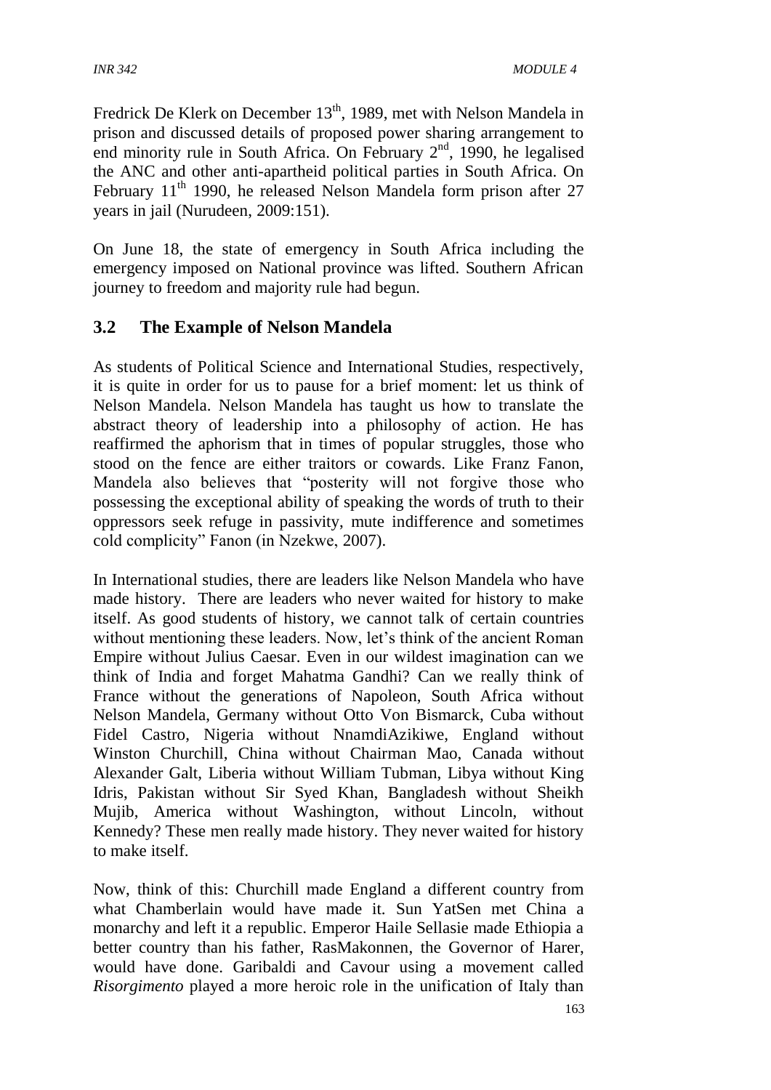Fredrick De Klerk on December 13<sup>th</sup>, 1989, met with Nelson Mandela in prison and discussed details of proposed power sharing arrangement to end minority rule in South Africa. On February  $2<sup>nd</sup>$ , 1990, he legalised the ANC and other anti-apartheid political parties in South Africa. On February 11<sup>th</sup> 1990, he released Nelson Mandela form prison after 27 years in jail (Nurudeen, 2009:151).

On June 18, the state of emergency in South Africa including the emergency imposed on National province was lifted. Southern African journey to freedom and majority rule had begun.

# **3.2 The Example of Nelson Mandela**

As students of Political Science and International Studies, respectively, it is quite in order for us to pause for a brief moment: let us think of Nelson Mandela. Nelson Mandela has taught us how to translate the abstract theory of leadership into a philosophy of action. He has reaffirmed the aphorism that in times of popular struggles, those who stood on the fence are either traitors or cowards. Like Franz Fanon, Mandela also believes that "posterity will not forgive those who possessing the exceptional ability of speaking the words of truth to their oppressors seek refuge in passivity, mute indifference and sometimes cold complicity" Fanon (in Nzekwe, 2007).

In International studies, there are leaders like Nelson Mandela who have made history. There are leaders who never waited for history to make itself. As good students of history, we cannot talk of certain countries without mentioning these leaders. Now, let's think of the ancient Roman Empire without Julius Caesar. Even in our wildest imagination can we think of India and forget Mahatma Gandhi? Can we really think of France without the generations of Napoleon, South Africa without Nelson Mandela, Germany without Otto Von Bismarck, Cuba without Fidel Castro, Nigeria without NnamdiAzikiwe, England without Winston Churchill, China without Chairman Mao, Canada without Alexander Galt, Liberia without William Tubman, Libya without King Idris, Pakistan without Sir Syed Khan, Bangladesh without Sheikh Mujib, America without Washington, without Lincoln, without Kennedy? These men really made history. They never waited for history to make itself.

Now, think of this: Churchill made England a different country from what Chamberlain would have made it. Sun YatSen met China a monarchy and left it a republic. Emperor Haile Sellasie made Ethiopia a better country than his father, RasMakonnen, the Governor of Harer, would have done. Garibaldi and Cavour using a movement called *Risorgimento* played a more heroic role in the unification of Italy than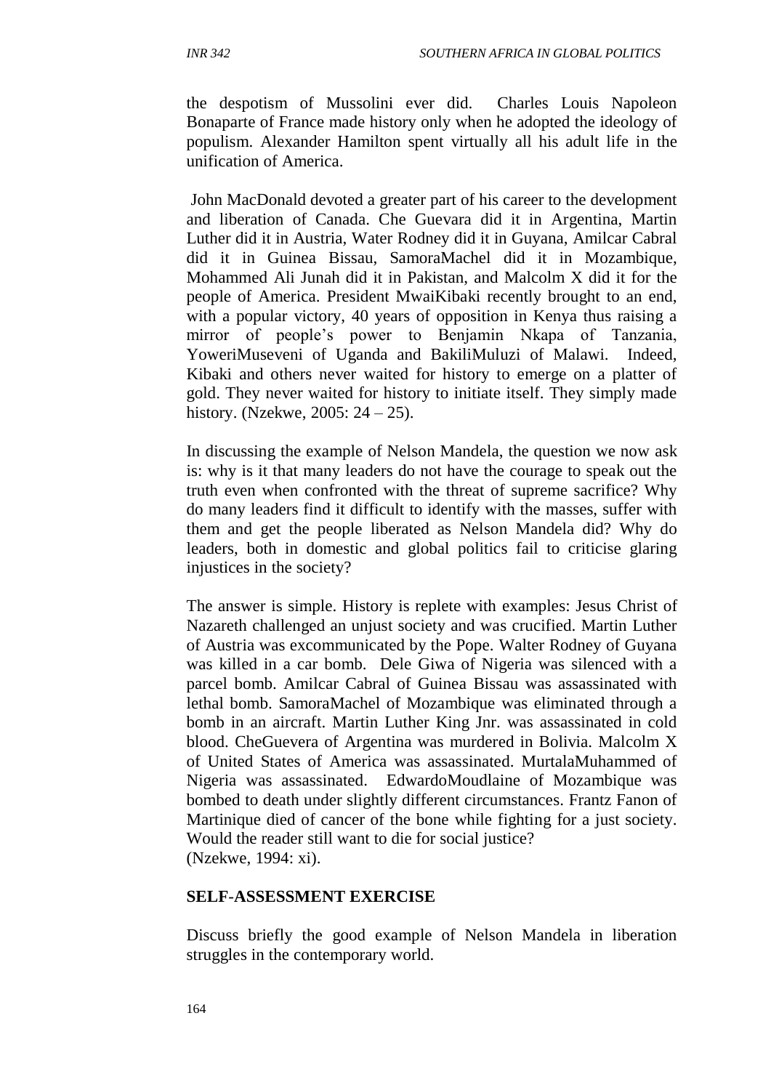the despotism of Mussolini ever did. Charles Louis Napoleon Bonaparte of France made history only when he adopted the ideology of populism. Alexander Hamilton spent virtually all his adult life in the unification of America.

John MacDonald devoted a greater part of his career to the development and liberation of Canada. Che Guevara did it in Argentina, Martin Luther did it in Austria, Water Rodney did it in Guyana, Amilcar Cabral did it in Guinea Bissau, SamoraMachel did it in Mozambique, Mohammed Ali Junah did it in Pakistan, and Malcolm X did it for the people of America. President MwaiKibaki recently brought to an end, with a popular victory, 40 years of opposition in Kenya thus raising a mirror of people's power to Benjamin Nkapa of Tanzania, YoweriMuseveni of Uganda and BakiliMuluzi of Malawi. Indeed, Kibaki and others never waited for history to emerge on a platter of gold. They never waited for history to initiate itself. They simply made history. (Nzekwe, 2005: 24 – 25).

In discussing the example of Nelson Mandela, the question we now ask is: why is it that many leaders do not have the courage to speak out the truth even when confronted with the threat of supreme sacrifice? Why do many leaders find it difficult to identify with the masses, suffer with them and get the people liberated as Nelson Mandela did? Why do leaders, both in domestic and global politics fail to criticise glaring injustices in the society?

The answer is simple. History is replete with examples: Jesus Christ of Nazareth challenged an unjust society and was crucified. Martin Luther of Austria was excommunicated by the Pope. Walter Rodney of Guyana was killed in a car bomb. Dele Giwa of Nigeria was silenced with a parcel bomb. Amilcar Cabral of Guinea Bissau was assassinated with lethal bomb. SamoraMachel of Mozambique was eliminated through a bomb in an aircraft. Martin Luther King Jnr. was assassinated in cold blood. CheGuevera of Argentina was murdered in Bolivia. Malcolm X of United States of America was assassinated. MurtalaMuhammed of Nigeria was assassinated. EdwardoMoudlaine of Mozambique was bombed to death under slightly different circumstances. Frantz Fanon of Martinique died of cancer of the bone while fighting for a just society. Would the reader still want to die for social justice? (Nzekwe, 1994: xi).

#### **SELF**-**ASSESSMENT EXERCISE**

Discuss briefly the good example of Nelson Mandela in liberation struggles in the contemporary world.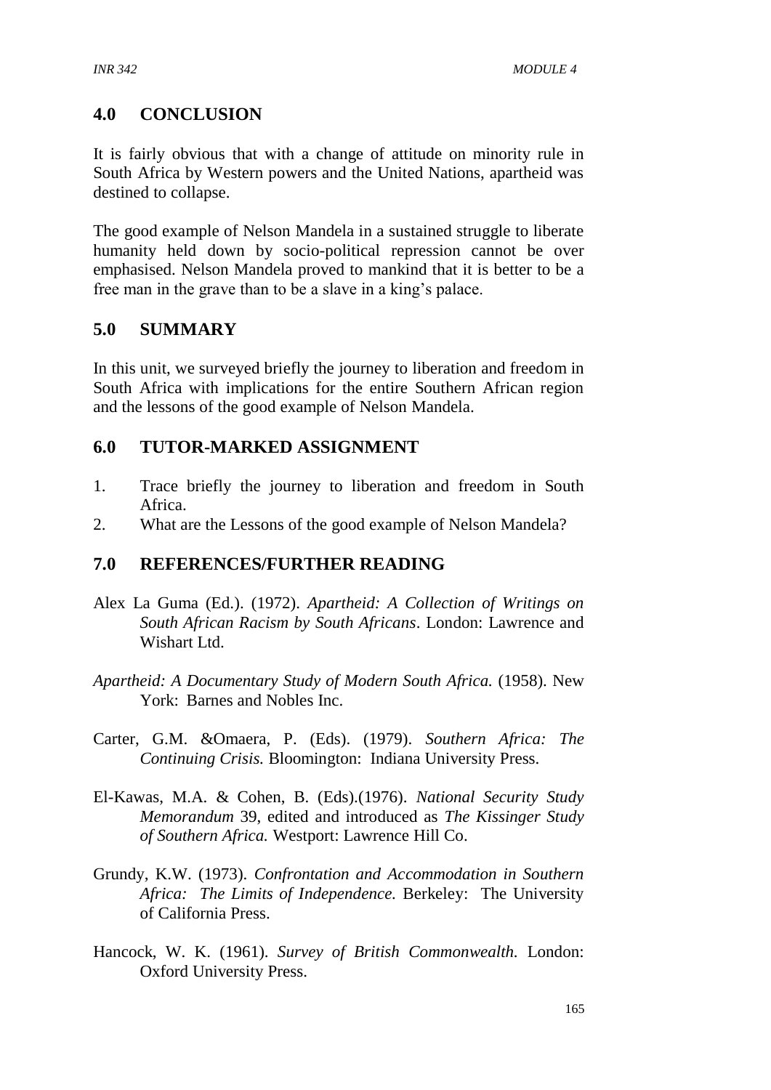# **4.0 CONCLUSION**

It is fairly obvious that with a change of attitude on minority rule in South Africa by Western powers and the United Nations, apartheid was destined to collapse.

The good example of Nelson Mandela in a sustained struggle to liberate humanity held down by socio-political repression cannot be over emphasised. Nelson Mandela proved to mankind that it is better to be a free man in the grave than to be a slave in a king's palace.

# **5.0 SUMMARY**

In this unit, we surveyed briefly the journey to liberation and freedom in South Africa with implications for the entire Southern African region and the lessons of the good example of Nelson Mandela.

# **6.0 TUTOR-MARKED ASSIGNMENT**

- 1. Trace briefly the journey to liberation and freedom in South Africa.
- 2. What are the Lessons of the good example of Nelson Mandela?

# **7.0 REFERENCES/FURTHER READING**

- Alex La Guma (Ed.). (1972). *Apartheid: A Collection of Writings on South African Racism by South Africans*. London: Lawrence and Wishart Ltd.
- *Apartheid: A Documentary Study of Modern South Africa.* (1958). New York: Barnes and Nobles Inc.
- Carter, G.M. &Omaera, P. (Eds). (1979). *Southern Africa: The Continuing Crisis.* Bloomington: Indiana University Press.
- El-Kawas, M.A. & Cohen, B. (Eds).(1976). *National Security Study Memorandum* 39, edited and introduced as *The Kissinger Study of Southern Africa.* Westport: Lawrence Hill Co.
- Grundy, K.W. (1973). *Confrontation and Accommodation in Southern Africa: The Limits of Independence.* Berkeley: The University of California Press.
- Hancock, W. K. (1961). *Survey of British Commonwealth.* London: Oxford University Press.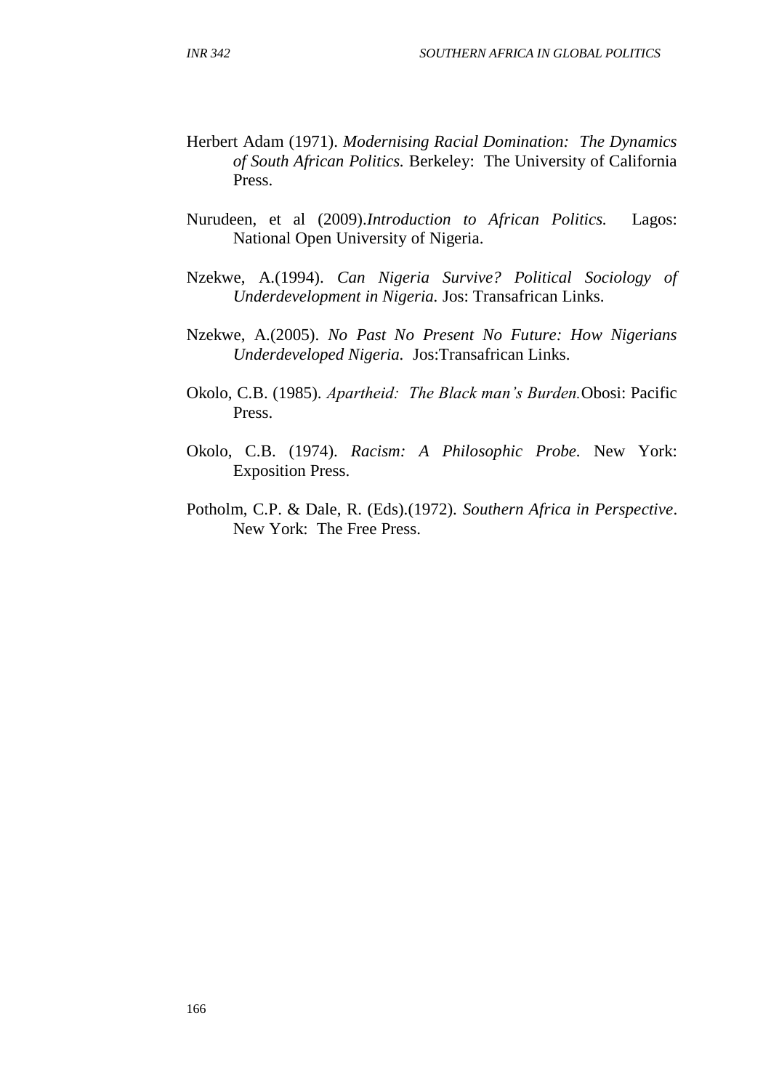- Herbert Adam (1971). *Modernising Racial Domination: The Dynamics of South African Politics.* Berkeley: The University of California Press.
- Nurudeen, et al (2009).*Introduction to African Politics.* Lagos: National Open University of Nigeria.
- Nzekwe, A.(1994). *Can Nigeria Survive? Political Sociology of Underdevelopment in Nigeria.* Jos: Transafrican Links.
- Nzekwe, A.(2005). *No Past No Present No Future: How Nigerians Underdeveloped Nigeria.* Jos:Transafrican Links.
- Okolo, C.B. (1985). *Apartheid: The Black man's Burden.*Obosi: Pacific Press.
- Okolo, C.B. (1974). *Racism: A Philosophic Probe.* New York: Exposition Press.
- Potholm, C.P. & Dale, R. (Eds).(1972). *Southern Africa in Perspective*. New York: The Free Press.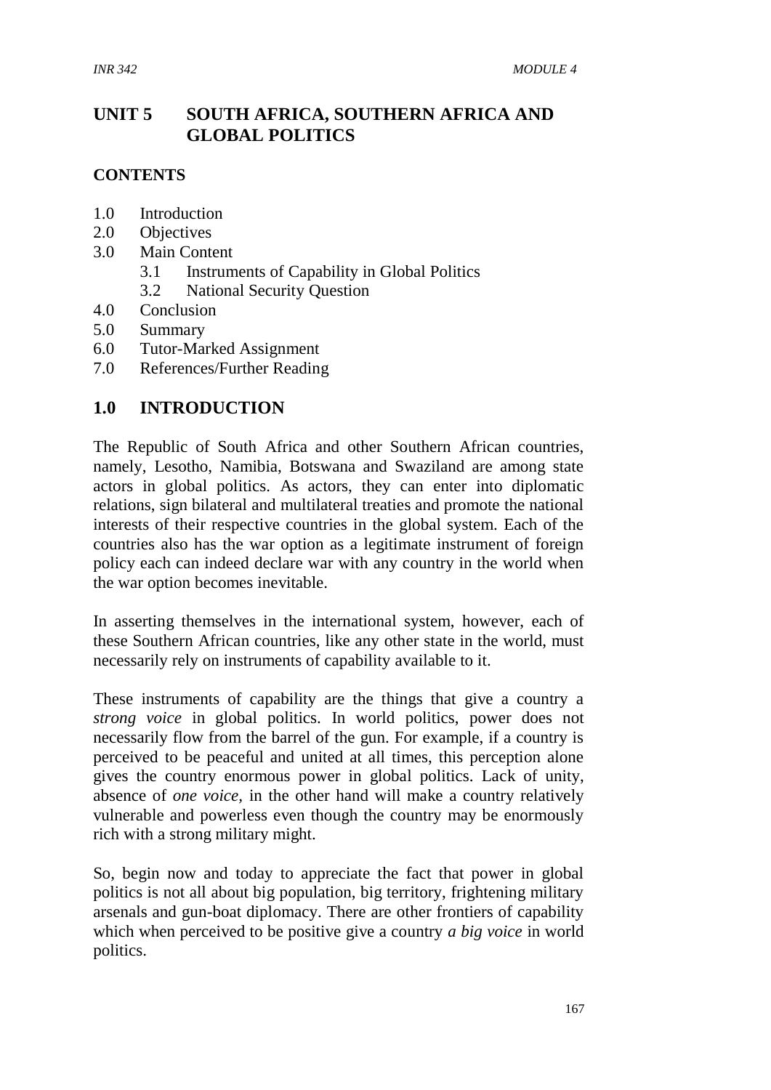# **UNIT 5 SOUTH AFRICA, SOUTHERN AFRICA AND GLOBAL POLITICS**

#### **CONTENTS**

- 1.0 Introduction
- 2.0 Objectives
- 3.0 Main Content
	- 3.1 Instruments of Capability in Global Politics
	- 3.2 National Security Question
- 4.0 Conclusion
- 5.0 Summary
- 6.0 Tutor-Marked Assignment
- 7.0 References/Further Reading

#### **1.0 INTRODUCTION**

The Republic of South Africa and other Southern African countries, namely, Lesotho, Namibia, Botswana and Swaziland are among state actors in global politics. As actors, they can enter into diplomatic relations, sign bilateral and multilateral treaties and promote the national interests of their respective countries in the global system. Each of the countries also has the war option as a legitimate instrument of foreign policy each can indeed declare war with any country in the world when the war option becomes inevitable.

In asserting themselves in the international system, however, each of these Southern African countries, like any other state in the world, must necessarily rely on instruments of capability available to it.

These instruments of capability are the things that give a country a *strong voice* in global politics. In world politics, power does not necessarily flow from the barrel of the gun. For example, if a country is perceived to be peaceful and united at all times, this perception alone gives the country enormous power in global politics. Lack of unity, absence of *one voice,* in the other hand will make a country relatively vulnerable and powerless even though the country may be enormously rich with a strong military might.

So, begin now and today to appreciate the fact that power in global politics is not all about big population, big territory, frightening military arsenals and gun-boat diplomacy. There are other frontiers of capability which when perceived to be positive give a country *a big voice* in world politics.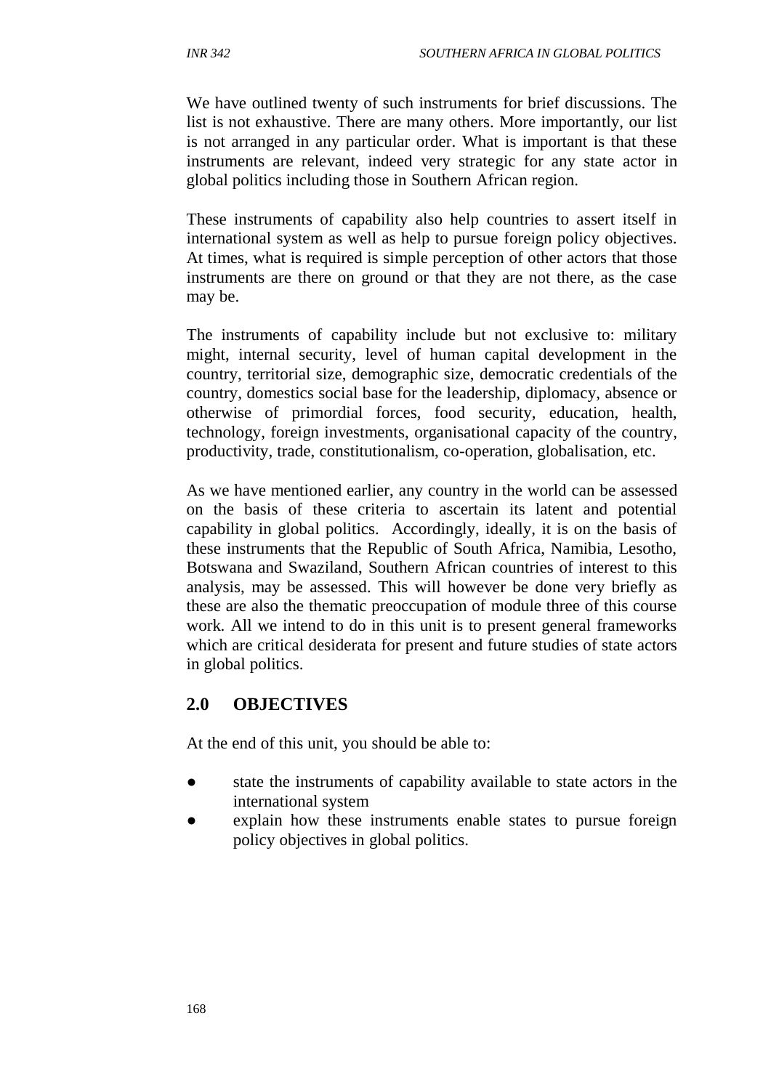We have outlined twenty of such instruments for brief discussions. The list is not exhaustive. There are many others. More importantly, our list is not arranged in any particular order. What is important is that these instruments are relevant, indeed very strategic for any state actor in global politics including those in Southern African region.

These instruments of capability also help countries to assert itself in international system as well as help to pursue foreign policy objectives. At times, what is required is simple perception of other actors that those instruments are there on ground or that they are not there, as the case may be.

The instruments of capability include but not exclusive to: military might, internal security, level of human capital development in the country, territorial size, demographic size, democratic credentials of the country, domestics social base for the leadership, diplomacy, absence or otherwise of primordial forces, food security, education, health, technology, foreign investments, organisational capacity of the country, productivity, trade, constitutionalism, co-operation, globalisation, etc.

As we have mentioned earlier, any country in the world can be assessed on the basis of these criteria to ascertain its latent and potential capability in global politics. Accordingly, ideally, it is on the basis of these instruments that the Republic of South Africa, Namibia, Lesotho, Botswana and Swaziland, Southern African countries of interest to this analysis, may be assessed. This will however be done very briefly as these are also the thematic preoccupation of module three of this course work. All we intend to do in this unit is to present general frameworks which are critical desiderata for present and future studies of state actors in global politics.

# **2.0 OBJECTIVES**

At the end of this unit, you should be able to:

- state the instruments of capability available to state actors in the international system
- explain how these instruments enable states to pursue foreign policy objectives in global politics.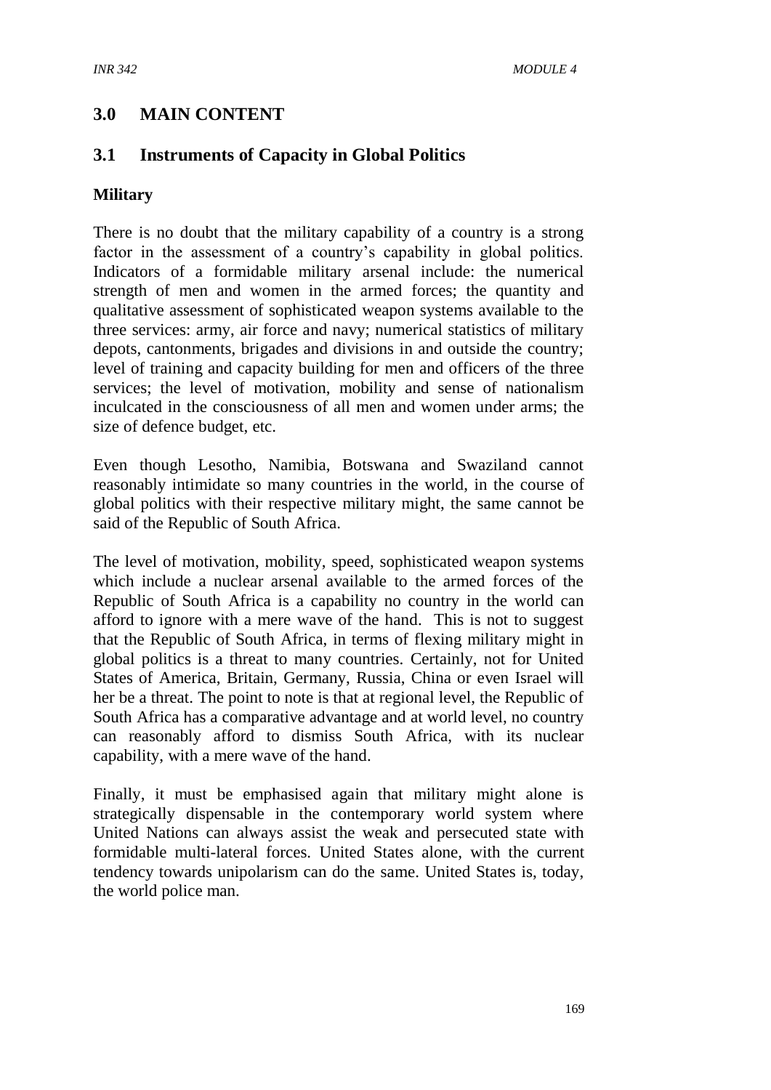# **3.0 MAIN CONTENT**

# **3.1 Instruments of Capacity in Global Politics**

#### **Military**

There is no doubt that the military capability of a country is a strong factor in the assessment of a country's capability in global politics. Indicators of a formidable military arsenal include: the numerical strength of men and women in the armed forces; the quantity and qualitative assessment of sophisticated weapon systems available to the three services: army, air force and navy; numerical statistics of military depots, cantonments, brigades and divisions in and outside the country; level of training and capacity building for men and officers of the three services; the level of motivation, mobility and sense of nationalism inculcated in the consciousness of all men and women under arms; the size of defence budget, etc.

Even though Lesotho, Namibia, Botswana and Swaziland cannot reasonably intimidate so many countries in the world, in the course of global politics with their respective military might, the same cannot be said of the Republic of South Africa.

The level of motivation, mobility, speed, sophisticated weapon systems which include a nuclear arsenal available to the armed forces of the Republic of South Africa is a capability no country in the world can afford to ignore with a mere wave of the hand. This is not to suggest that the Republic of South Africa, in terms of flexing military might in global politics is a threat to many countries. Certainly, not for United States of America, Britain, Germany, Russia, China or even Israel will her be a threat. The point to note is that at regional level, the Republic of South Africa has a comparative advantage and at world level, no country can reasonably afford to dismiss South Africa, with its nuclear capability, with a mere wave of the hand.

Finally, it must be emphasised again that military might alone is strategically dispensable in the contemporary world system where United Nations can always assist the weak and persecuted state with formidable multi-lateral forces. United States alone, with the current tendency towards unipolarism can do the same. United States is, today, the world police man.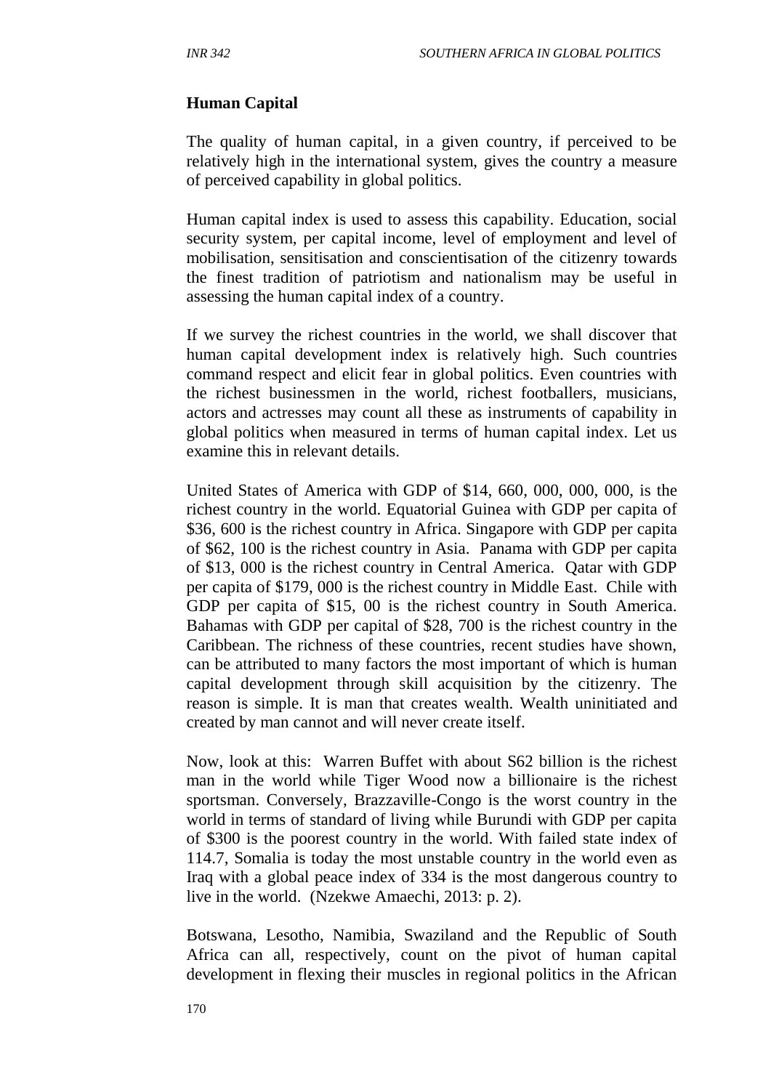### **Human Capital**

The quality of human capital, in a given country, if perceived to be relatively high in the international system, gives the country a measure of perceived capability in global politics.

Human capital index is used to assess this capability. Education, social security system, per capital income, level of employment and level of mobilisation, sensitisation and conscientisation of the citizenry towards the finest tradition of patriotism and nationalism may be useful in assessing the human capital index of a country.

If we survey the richest countries in the world, we shall discover that human capital development index is relatively high. Such countries command respect and elicit fear in global politics. Even countries with the richest businessmen in the world, richest footballers, musicians, actors and actresses may count all these as instruments of capability in global politics when measured in terms of human capital index. Let us examine this in relevant details.

United States of America with GDP of \$14, 660, 000, 000, 000, is the richest country in the world. Equatorial Guinea with GDP per capita of \$36, 600 is the richest country in Africa. Singapore with GDP per capita of \$62, 100 is the richest country in Asia. Panama with GDP per capita of \$13, 000 is the richest country in Central America. Qatar with GDP per capita of \$179, 000 is the richest country in Middle East. Chile with GDP per capita of \$15, 00 is the richest country in South America. Bahamas with GDP per capital of \$28, 700 is the richest country in the Caribbean. The richness of these countries, recent studies have shown, can be attributed to many factors the most important of which is human capital development through skill acquisition by the citizenry. The reason is simple. It is man that creates wealth. Wealth uninitiated and created by man cannot and will never create itself.

Now, look at this: Warren Buffet with about S62 billion is the richest man in the world while Tiger Wood now a billionaire is the richest sportsman. Conversely, Brazzaville-Congo is the worst country in the world in terms of standard of living while Burundi with GDP per capita of \$300 is the poorest country in the world. With failed state index of 114.7, Somalia is today the most unstable country in the world even as Iraq with a global peace index of 334 is the most dangerous country to live in the world. (Nzekwe Amaechi, 2013: p. 2).

Botswana, Lesotho, Namibia, Swaziland and the Republic of South Africa can all, respectively, count on the pivot of human capital development in flexing their muscles in regional politics in the African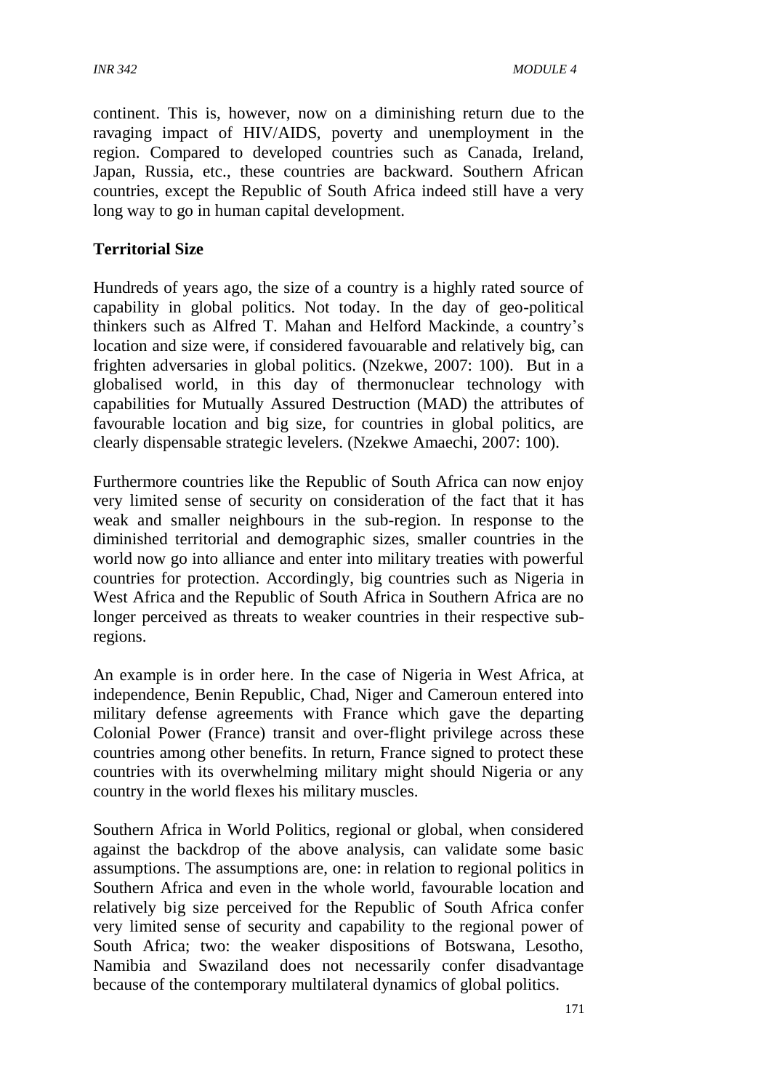continent. This is, however, now on a diminishing return due to the ravaging impact of HIV/AIDS, poverty and unemployment in the region. Compared to developed countries such as Canada, Ireland, Japan, Russia, etc., these countries are backward. Southern African countries, except the Republic of South Africa indeed still have a very long way to go in human capital development.

#### **Territorial Size**

Hundreds of years ago, the size of a country is a highly rated source of capability in global politics. Not today. In the day of geo-political thinkers such as Alfred T. Mahan and Helford Mackinde, a country's location and size were, if considered favouarable and relatively big, can frighten adversaries in global politics. (Nzekwe, 2007: 100). But in a globalised world, in this day of thermonuclear technology with capabilities for Mutually Assured Destruction (MAD) the attributes of favourable location and big size, for countries in global politics, are clearly dispensable strategic levelers. (Nzekwe Amaechi, 2007: 100).

Furthermore countries like the Republic of South Africa can now enjoy very limited sense of security on consideration of the fact that it has weak and smaller neighbours in the sub-region. In response to the diminished territorial and demographic sizes, smaller countries in the world now go into alliance and enter into military treaties with powerful countries for protection. Accordingly, big countries such as Nigeria in West Africa and the Republic of South Africa in Southern Africa are no longer perceived as threats to weaker countries in their respective subregions.

An example is in order here. In the case of Nigeria in West Africa, at independence, Benin Republic, Chad, Niger and Cameroun entered into military defense agreements with France which gave the departing Colonial Power (France) transit and over-flight privilege across these countries among other benefits. In return, France signed to protect these countries with its overwhelming military might should Nigeria or any country in the world flexes his military muscles.

Southern Africa in World Politics, regional or global, when considered against the backdrop of the above analysis, can validate some basic assumptions. The assumptions are, one: in relation to regional politics in Southern Africa and even in the whole world, favourable location and relatively big size perceived for the Republic of South Africa confer very limited sense of security and capability to the regional power of South Africa; two: the weaker dispositions of Botswana, Lesotho, Namibia and Swaziland does not necessarily confer disadvantage because of the contemporary multilateral dynamics of global politics.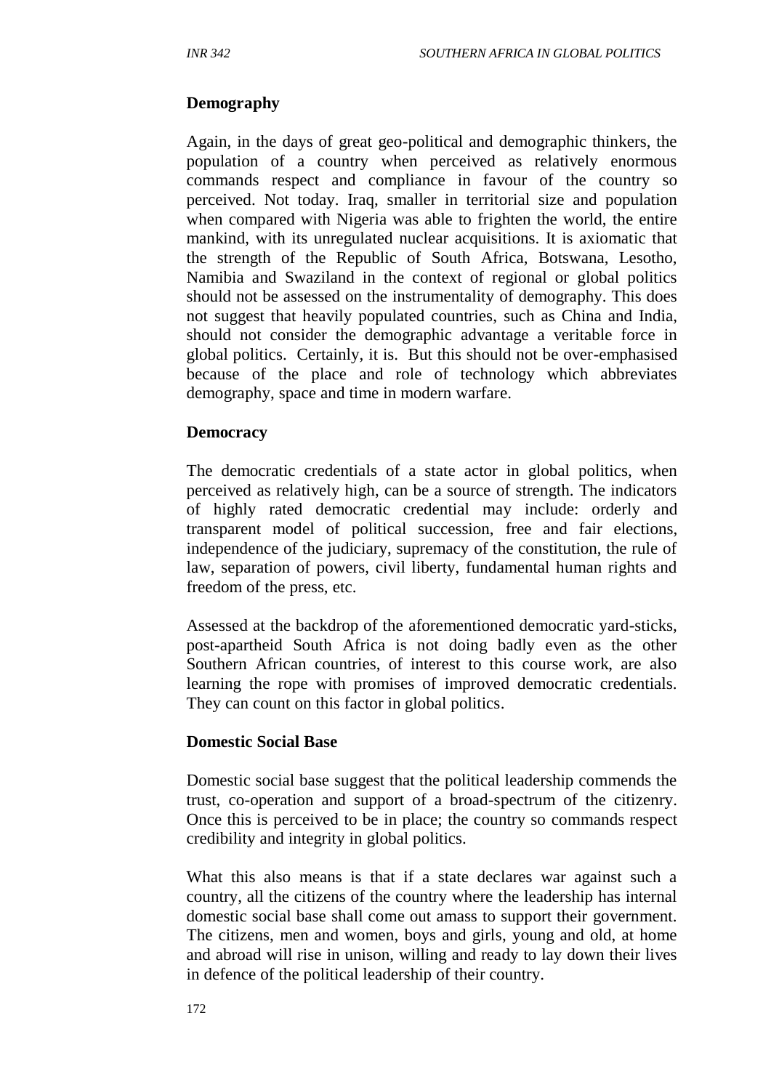### **Demography**

Again, in the days of great geo-political and demographic thinkers, the population of a country when perceived as relatively enormous commands respect and compliance in favour of the country so perceived. Not today. Iraq, smaller in territorial size and population when compared with Nigeria was able to frighten the world, the entire mankind, with its unregulated nuclear acquisitions. It is axiomatic that the strength of the Republic of South Africa, Botswana, Lesotho, Namibia and Swaziland in the context of regional or global politics should not be assessed on the instrumentality of demography. This does not suggest that heavily populated countries, such as China and India, should not consider the demographic advantage a veritable force in global politics. Certainly, it is. But this should not be over-emphasised because of the place and role of technology which abbreviates demography, space and time in modern warfare.

#### **Democracy**

The democratic credentials of a state actor in global politics, when perceived as relatively high, can be a source of strength. The indicators of highly rated democratic credential may include: orderly and transparent model of political succession, free and fair elections, independence of the judiciary, supremacy of the constitution, the rule of law, separation of powers, civil liberty, fundamental human rights and freedom of the press, etc.

Assessed at the backdrop of the aforementioned democratic yard-sticks, post-apartheid South Africa is not doing badly even as the other Southern African countries, of interest to this course work, are also learning the rope with promises of improved democratic credentials. They can count on this factor in global politics.

#### **Domestic Social Base**

Domestic social base suggest that the political leadership commends the trust, co-operation and support of a broad-spectrum of the citizenry. Once this is perceived to be in place; the country so commands respect credibility and integrity in global politics.

What this also means is that if a state declares war against such a country, all the citizens of the country where the leadership has internal domestic social base shall come out amass to support their government. The citizens, men and women, boys and girls, young and old, at home and abroad will rise in unison, willing and ready to lay down their lives in defence of the political leadership of their country.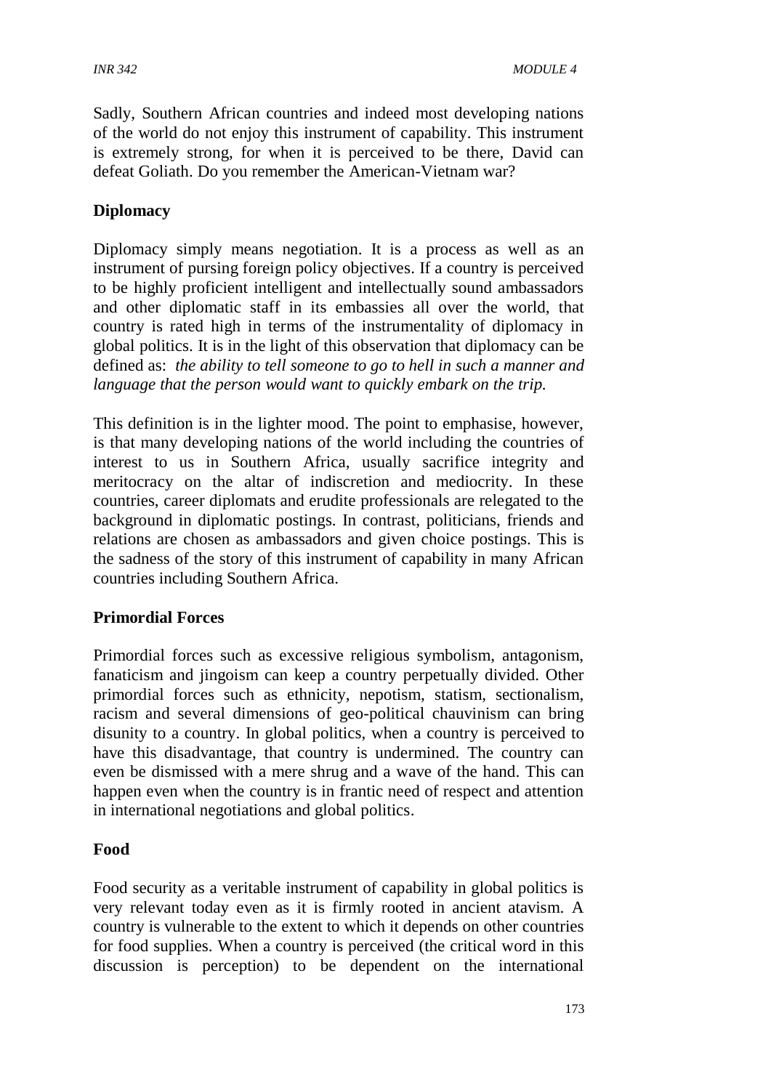Sadly, Southern African countries and indeed most developing nations of the world do not enjoy this instrument of capability. This instrument is extremely strong, for when it is perceived to be there, David can defeat Goliath. Do you remember the American-Vietnam war?

### **Diplomacy**

Diplomacy simply means negotiation. It is a process as well as an instrument of pursing foreign policy objectives. If a country is perceived to be highly proficient intelligent and intellectually sound ambassadors and other diplomatic staff in its embassies all over the world, that country is rated high in terms of the instrumentality of diplomacy in global politics. It is in the light of this observation that diplomacy can be defined as: *the ability to tell someone to go to hell in such a manner and language that the person would want to quickly embark on the trip.*

This definition is in the lighter mood. The point to emphasise, however, is that many developing nations of the world including the countries of interest to us in Southern Africa, usually sacrifice integrity and meritocracy on the altar of indiscretion and mediocrity. In these countries, career diplomats and erudite professionals are relegated to the background in diplomatic postings. In contrast, politicians, friends and relations are chosen as ambassadors and given choice postings. This is the sadness of the story of this instrument of capability in many African countries including Southern Africa.

#### **Primordial Forces**

Primordial forces such as excessive religious symbolism, antagonism, fanaticism and jingoism can keep a country perpetually divided. Other primordial forces such as ethnicity, nepotism, statism, sectionalism, racism and several dimensions of geo-political chauvinism can bring disunity to a country. In global politics, when a country is perceived to have this disadvantage, that country is undermined. The country can even be dismissed with a mere shrug and a wave of the hand. This can happen even when the country is in frantic need of respect and attention in international negotiations and global politics.

#### **Food**

Food security as a veritable instrument of capability in global politics is very relevant today even as it is firmly rooted in ancient atavism. A country is vulnerable to the extent to which it depends on other countries for food supplies. When a country is perceived (the critical word in this discussion is perception) to be dependent on the international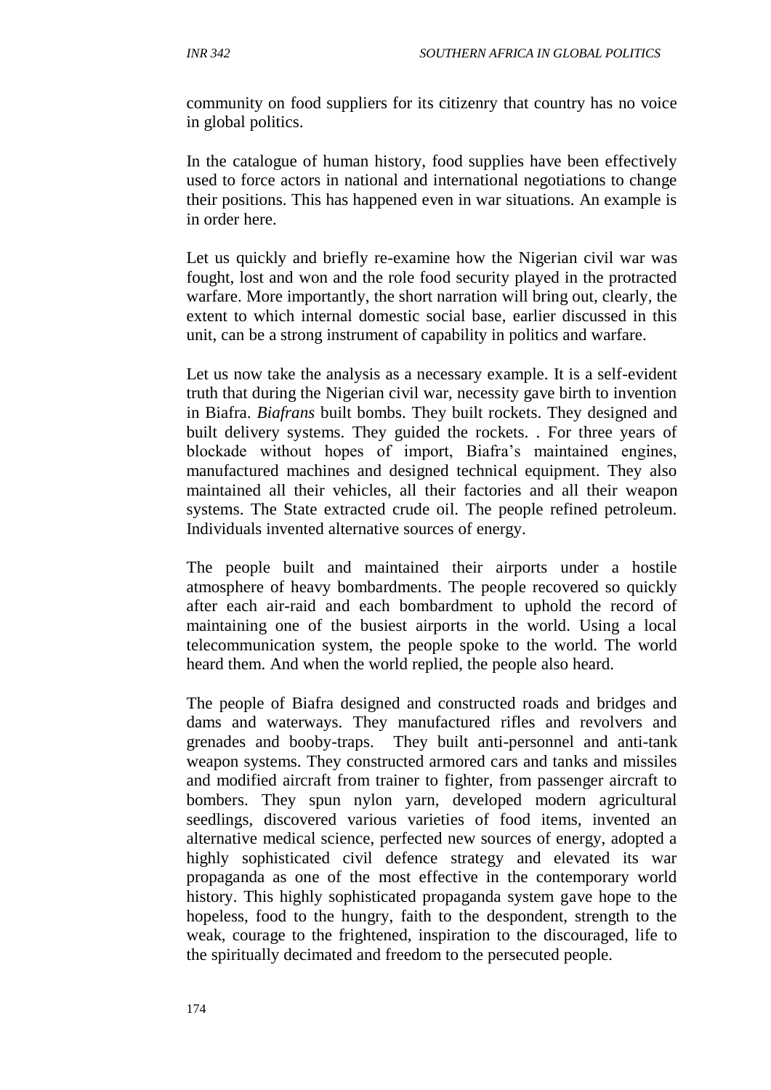community on food suppliers for its citizenry that country has no voice in global politics.

In the catalogue of human history, food supplies have been effectively used to force actors in national and international negotiations to change their positions. This has happened even in war situations. An example is in order here.

Let us quickly and briefly re-examine how the Nigerian civil war was fought, lost and won and the role food security played in the protracted warfare. More importantly, the short narration will bring out, clearly, the extent to which internal domestic social base, earlier discussed in this unit, can be a strong instrument of capability in politics and warfare.

Let us now take the analysis as a necessary example. It is a self-evident truth that during the Nigerian civil war, necessity gave birth to invention in Biafra. *Biafrans* built bombs. They built rockets. They designed and built delivery systems. They guided the rockets. . For three years of blockade without hopes of import, Biafra's maintained engines, manufactured machines and designed technical equipment. They also maintained all their vehicles, all their factories and all their weapon systems. The State extracted crude oil. The people refined petroleum. Individuals invented alternative sources of energy.

The people built and maintained their airports under a hostile atmosphere of heavy bombardments. The people recovered so quickly after each air-raid and each bombardment to uphold the record of maintaining one of the busiest airports in the world. Using a local telecommunication system, the people spoke to the world. The world heard them. And when the world replied, the people also heard.

The people of Biafra designed and constructed roads and bridges and dams and waterways. They manufactured rifles and revolvers and grenades and booby-traps. They built anti-personnel and anti-tank weapon systems. They constructed armored cars and tanks and missiles and modified aircraft from trainer to fighter, from passenger aircraft to bombers. They spun nylon yarn, developed modern agricultural seedlings, discovered various varieties of food items, invented an alternative medical science, perfected new sources of energy, adopted a highly sophisticated civil defence strategy and elevated its war propaganda as one of the most effective in the contemporary world history. This highly sophisticated propaganda system gave hope to the hopeless, food to the hungry, faith to the despondent, strength to the weak, courage to the frightened, inspiration to the discouraged, life to the spiritually decimated and freedom to the persecuted people.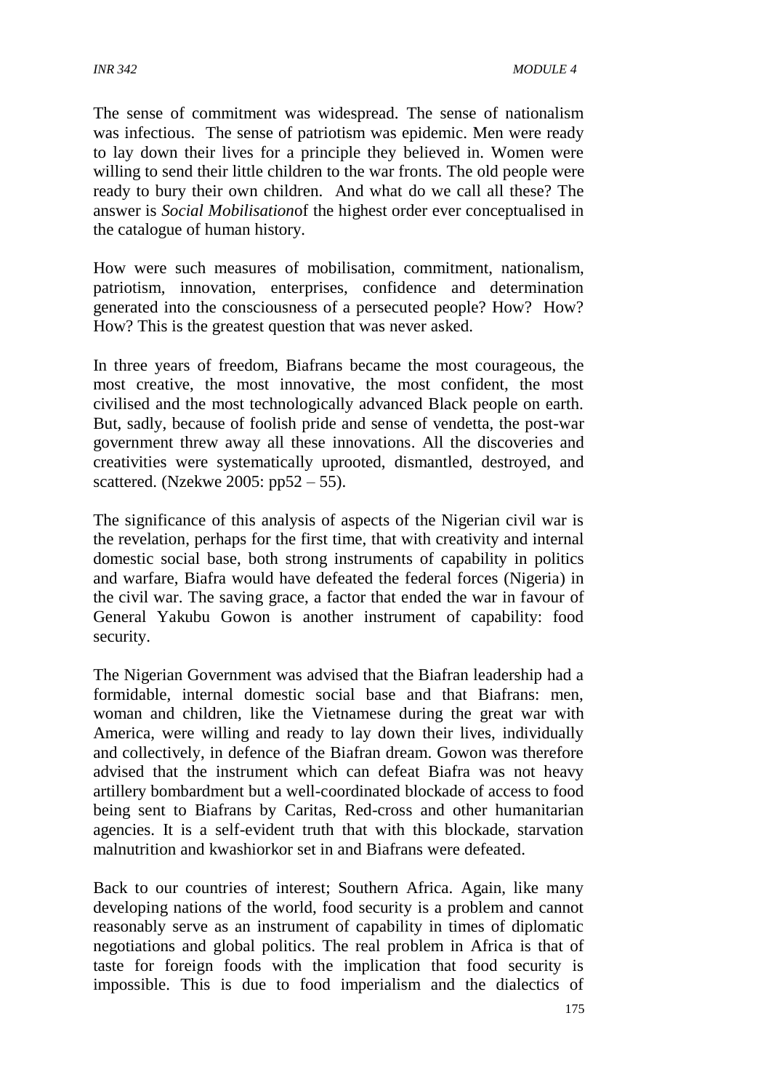The sense of commitment was widespread. The sense of nationalism was infectious. The sense of patriotism was epidemic. Men were ready to lay down their lives for a principle they believed in. Women were willing to send their little children to the war fronts. The old people were ready to bury their own children. And what do we call all these? The answer is *Social Mobilisation*of the highest order ever conceptualised in the catalogue of human history*.*

How were such measures of mobilisation, commitment, nationalism, patriotism, innovation, enterprises, confidence and determination generated into the consciousness of a persecuted people? How? How? How? This is the greatest question that was never asked.

In three years of freedom, Biafrans became the most courageous, the most creative, the most innovative, the most confident, the most civilised and the most technologically advanced Black people on earth. But, sadly, because of foolish pride and sense of vendetta, the post-war government threw away all these innovations. All the discoveries and creativities were systematically uprooted, dismantled, destroyed, and scattered. (Nzekwe 2005: pp52 – 55).

The significance of this analysis of aspects of the Nigerian civil war is the revelation, perhaps for the first time, that with creativity and internal domestic social base, both strong instruments of capability in politics and warfare, Biafra would have defeated the federal forces (Nigeria) in the civil war. The saving grace, a factor that ended the war in favour of General Yakubu Gowon is another instrument of capability: food security.

The Nigerian Government was advised that the Biafran leadership had a formidable, internal domestic social base and that Biafrans: men, woman and children, like the Vietnamese during the great war with America, were willing and ready to lay down their lives, individually and collectively, in defence of the Biafran dream. Gowon was therefore advised that the instrument which can defeat Biafra was not heavy artillery bombardment but a well-coordinated blockade of access to food being sent to Biafrans by Caritas, Red-cross and other humanitarian agencies. It is a self-evident truth that with this blockade, starvation malnutrition and kwashiorkor set in and Biafrans were defeated.

Back to our countries of interest; Southern Africa. Again, like many developing nations of the world, food security is a problem and cannot reasonably serve as an instrument of capability in times of diplomatic negotiations and global politics. The real problem in Africa is that of taste for foreign foods with the implication that food security is impossible. This is due to food imperialism and the dialectics of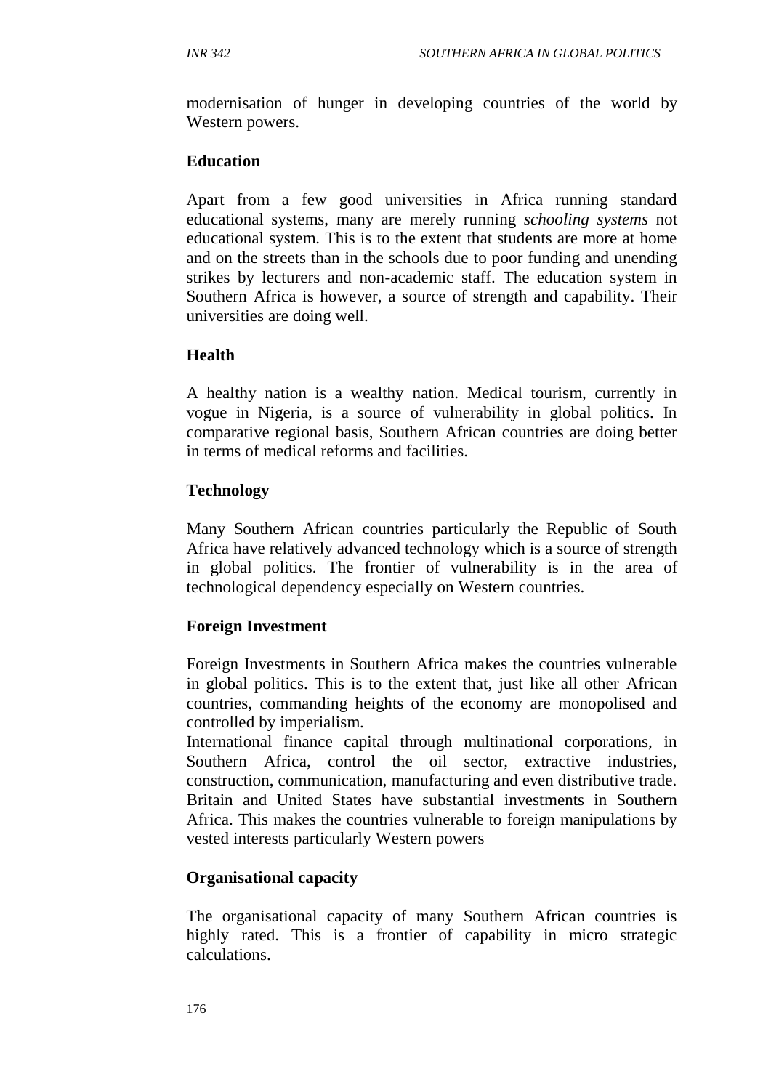modernisation of hunger in developing countries of the world by Western powers.

#### **Education**

Apart from a few good universities in Africa running standard educational systems, many are merely running *schooling systems* not educational system. This is to the extent that students are more at home and on the streets than in the schools due to poor funding and unending strikes by lecturers and non-academic staff. The education system in Southern Africa is however, a source of strength and capability. Their universities are doing well.

#### **Health**

A healthy nation is a wealthy nation. Medical tourism, currently in vogue in Nigeria, is a source of vulnerability in global politics. In comparative regional basis, Southern African countries are doing better in terms of medical reforms and facilities.

#### **Technology**

Many Southern African countries particularly the Republic of South Africa have relatively advanced technology which is a source of strength in global politics. The frontier of vulnerability is in the area of technological dependency especially on Western countries.

#### **Foreign Investment**

Foreign Investments in Southern Africa makes the countries vulnerable in global politics. This is to the extent that, just like all other African countries, commanding heights of the economy are monopolised and controlled by imperialism.

International finance capital through multinational corporations, in Southern Africa, control the oil sector, extractive industries, construction, communication, manufacturing and even distributive trade. Britain and United States have substantial investments in Southern Africa. This makes the countries vulnerable to foreign manipulations by vested interests particularly Western powers

#### **Organisational capacity**

The organisational capacity of many Southern African countries is highly rated. This is a frontier of capability in micro strategic calculations.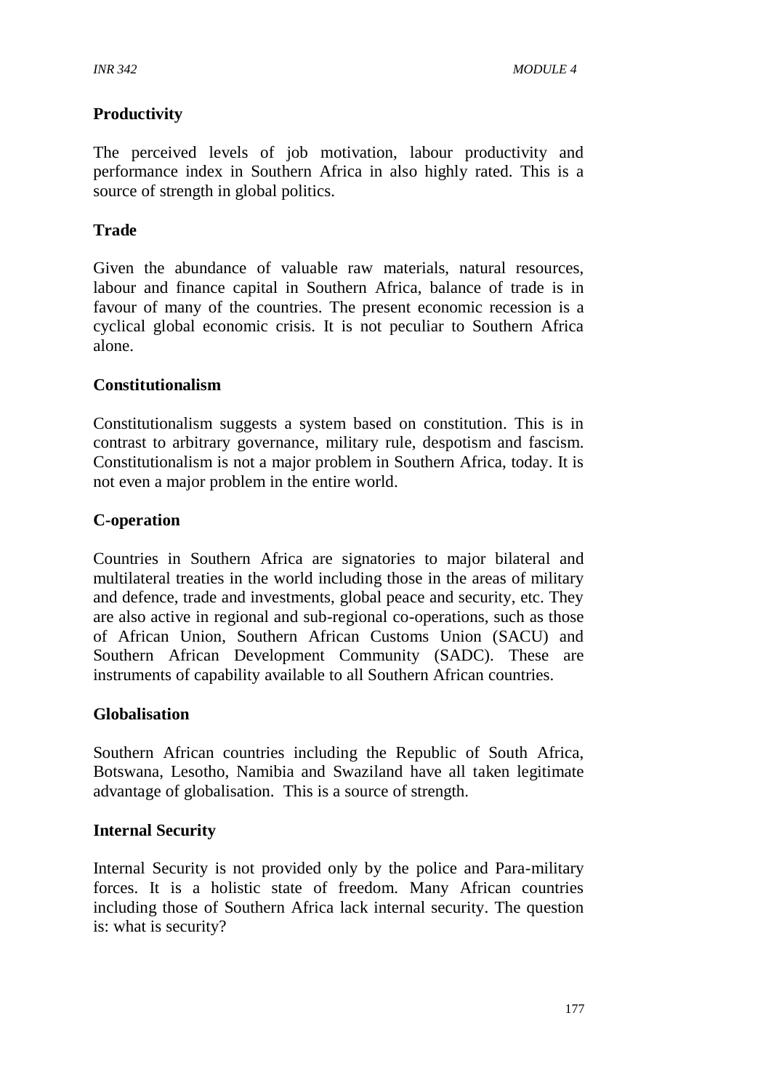#### **Productivity**

The perceived levels of job motivation, labour productivity and performance index in Southern Africa in also highly rated. This is a source of strength in global politics.

#### **Trade**

Given the abundance of valuable raw materials, natural resources, labour and finance capital in Southern Africa, balance of trade is in favour of many of the countries. The present economic recession is a cyclical global economic crisis. It is not peculiar to Southern Africa alone.

#### **Constitutionalism**

Constitutionalism suggests a system based on constitution. This is in contrast to arbitrary governance, military rule, despotism and fascism. Constitutionalism is not a major problem in Southern Africa, today. It is not even a major problem in the entire world.

### **C-operation**

Countries in Southern Africa are signatories to major bilateral and multilateral treaties in the world including those in the areas of military and defence, trade and investments, global peace and security, etc. They are also active in regional and sub-regional co-operations, such as those of African Union, Southern African Customs Union (SACU) and Southern African Development Community (SADC). These are instruments of capability available to all Southern African countries.

#### **Globalisation**

Southern African countries including the Republic of South Africa, Botswana, Lesotho, Namibia and Swaziland have all taken legitimate advantage of globalisation. This is a source of strength.

#### **Internal Security**

Internal Security is not provided only by the police and Para-military forces. It is a holistic state of freedom. Many African countries including those of Southern Africa lack internal security. The question is: what is security?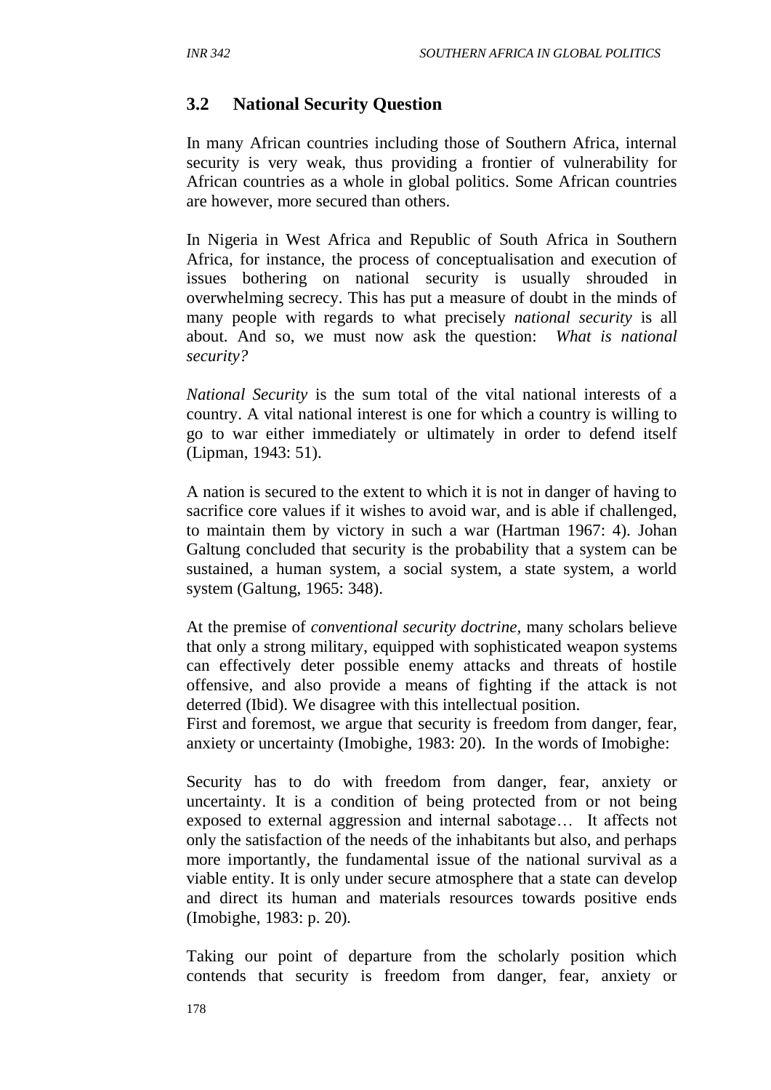## **3.2 National Security Question**

In many African countries including those of Southern Africa, internal security is very weak, thus providing a frontier of vulnerability for African countries as a whole in global politics. Some African countries are however, more secured than others.

In Nigeria in West Africa and Republic of South Africa in Southern Africa, for instance, the process of conceptualisation and execution of issues bothering on national security is usually shrouded in overwhelming secrecy. This has put a measure of doubt in the minds of many people with regards to what precisely *national security* is all about. And so, we must now ask the question: *What is national security?*

*National Security* is the sum total of the vital national interests of a country. A vital national interest is one for which a country is willing to go to war either immediately or ultimately in order to defend itself (Lipman, 1943: 51).

A nation is secured to the extent to which it is not in danger of having to sacrifice core values if it wishes to avoid war, and is able if challenged, to maintain them by victory in such a war (Hartman 1967: 4). Johan Galtung concluded that security is the probability that a system can be sustained, a human system, a social system, a state system, a world system (Galtung, 1965: 348).

At the premise of *conventional security doctrine,* many scholars believe that only a strong military, equipped with sophisticated weapon systems can effectively deter possible enemy attacks and threats of hostile offensive, and also provide a means of fighting if the attack is not deterred (Ibid). We disagree with this intellectual position.

First and foremost, we argue that security is freedom from danger, fear, anxiety or uncertainty (Imobighe, 1983: 20). In the words of Imobighe:

Security has to do with freedom from danger, fear, anxiety or uncertainty. It is a condition of being protected from or not being exposed to external aggression and internal sabotage… It affects not only the satisfaction of the needs of the inhabitants but also, and perhaps more importantly, the fundamental issue of the national survival as a viable entity. It is only under secure atmosphere that a state can develop and direct its human and materials resources towards positive ends (Imobighe, 1983: p. 20).

Taking our point of departure from the scholarly position which contends that security is freedom from danger, fear, anxiety or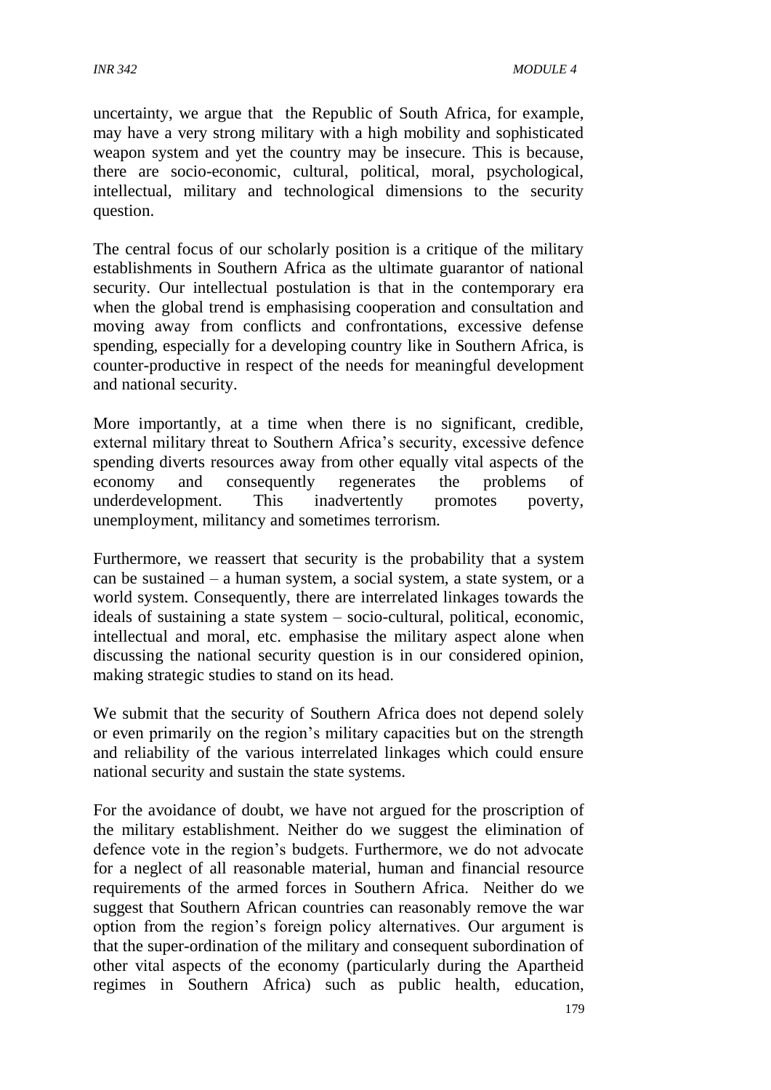uncertainty, we argue that the Republic of South Africa, for example, may have a very strong military with a high mobility and sophisticated weapon system and yet the country may be insecure. This is because, there are socio-economic, cultural, political, moral, psychological, intellectual, military and technological dimensions to the security question.

The central focus of our scholarly position is a critique of the military establishments in Southern Africa as the ultimate guarantor of national security. Our intellectual postulation is that in the contemporary era when the global trend is emphasising cooperation and consultation and moving away from conflicts and confrontations, excessive defense spending, especially for a developing country like in Southern Africa, is counter-productive in respect of the needs for meaningful development and national security.

More importantly, at a time when there is no significant, credible, external military threat to Southern Africa's security, excessive defence spending diverts resources away from other equally vital aspects of the economy and consequently regenerates the problems of underdevelopment. This inadvertently promotes poverty, unemployment, militancy and sometimes terrorism.

Furthermore, we reassert that security is the probability that a system can be sustained – a human system, a social system, a state system, or a world system. Consequently, there are interrelated linkages towards the ideals of sustaining a state system – socio-cultural, political, economic, intellectual and moral, etc. emphasise the military aspect alone when discussing the national security question is in our considered opinion, making strategic studies to stand on its head.

We submit that the security of Southern Africa does not depend solely or even primarily on the region's military capacities but on the strength and reliability of the various interrelated linkages which could ensure national security and sustain the state systems.

For the avoidance of doubt, we have not argued for the proscription of the military establishment. Neither do we suggest the elimination of defence vote in the region's budgets. Furthermore, we do not advocate for a neglect of all reasonable material, human and financial resource requirements of the armed forces in Southern Africa. Neither do we suggest that Southern African countries can reasonably remove the war option from the region's foreign policy alternatives. Our argument is that the super-ordination of the military and consequent subordination of other vital aspects of the economy (particularly during the Apartheid regimes in Southern Africa) such as public health, education,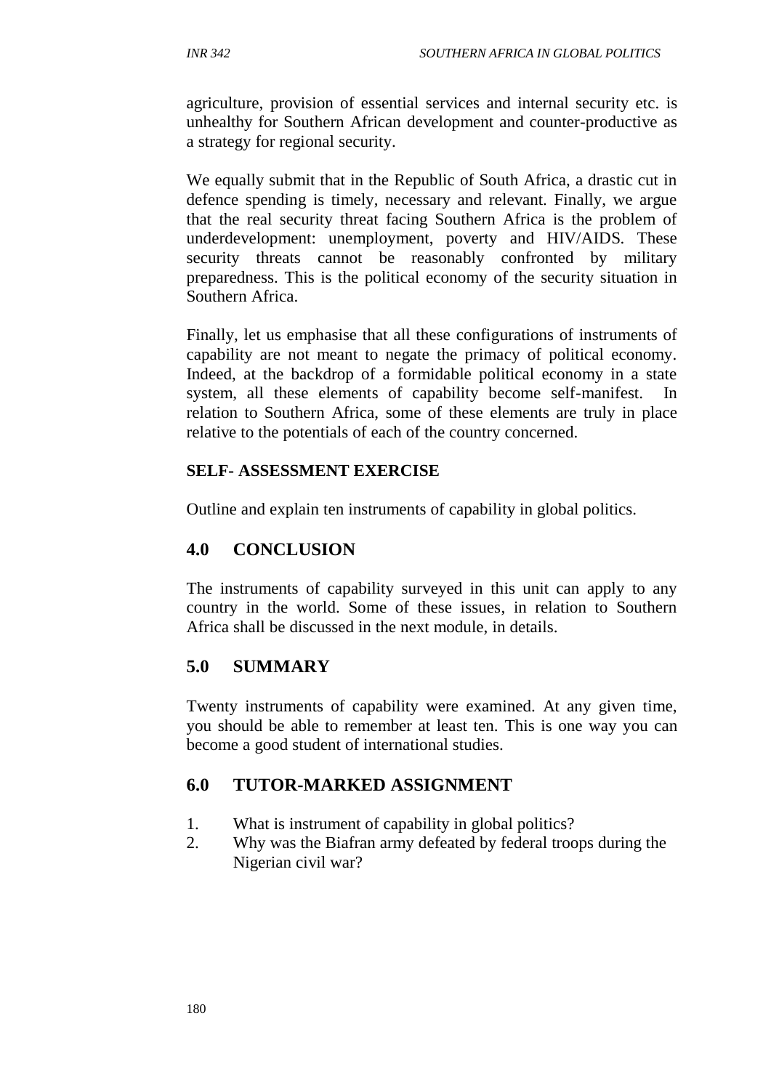agriculture, provision of essential services and internal security etc. is unhealthy for Southern African development and counter-productive as a strategy for regional security.

We equally submit that in the Republic of South Africa, a drastic cut in defence spending is timely, necessary and relevant. Finally, we argue that the real security threat facing Southern Africa is the problem of underdevelopment: unemployment, poverty and HIV/AIDS. These security threats cannot be reasonably confronted by military preparedness. This is the political economy of the security situation in Southern Africa.

Finally, let us emphasise that all these configurations of instruments of capability are not meant to negate the primacy of political economy. Indeed, at the backdrop of a formidable political economy in a state system, all these elements of capability become self-manifest. In relation to Southern Africa, some of these elements are truly in place relative to the potentials of each of the country concerned.

#### **SELF- ASSESSMENT EXERCISE**

Outline and explain ten instruments of capability in global politics.

### **4.0 CONCLUSION**

The instruments of capability surveyed in this unit can apply to any country in the world. Some of these issues, in relation to Southern Africa shall be discussed in the next module, in details.

### **5.0 SUMMARY**

Twenty instruments of capability were examined. At any given time, you should be able to remember at least ten. This is one way you can become a good student of international studies.

### **6.0 TUTOR-MARKED ASSIGNMENT**

- 1. What is instrument of capability in global politics?
- 2. Why was the Biafran army defeated by federal troops during the Nigerian civil war?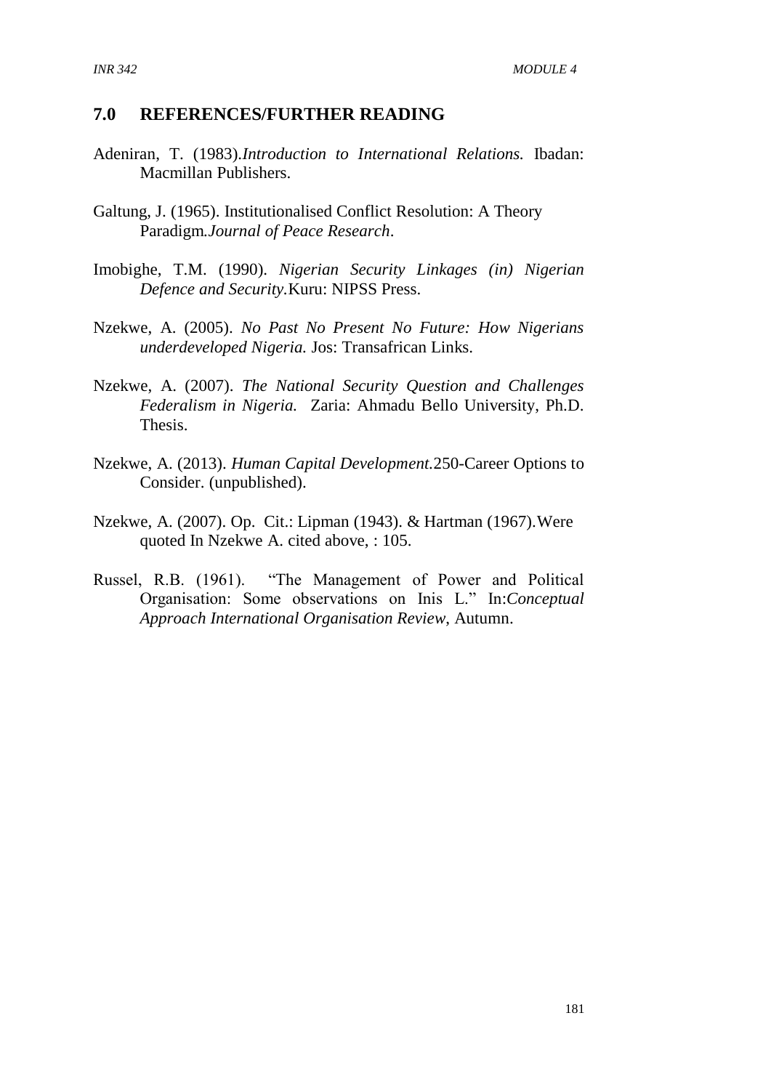#### **7.0 REFERENCES/FURTHER READING**

- Adeniran, T. (1983).*Introduction to International Relations.* Ibadan: Macmillan Publishers.
- Galtung, J. (1965). Institutionalised Conflict Resolution: A Theory Paradigm*.Journal of Peace Research*.
- Imobighe, T.M. (1990). *Nigerian Security Linkages (in) Nigerian Defence and Security.*Kuru: NIPSS Press.
- Nzekwe, A. (2005). *No Past No Present No Future: How Nigerians underdeveloped Nigeria.* Jos: Transafrican Links.
- Nzekwe, A. (2007). *The National Security Question and Challenges Federalism in Nigeria.* Zaria: Ahmadu Bello University, Ph.D. Thesis.
- Nzekwe, A. (2013). *Human Capital Development.*250-Career Options to Consider. (unpublished).
- Nzekwe, A. (2007). Op. Cit.: Lipman (1943). & Hartman (1967).Were quoted In Nzekwe A. cited above, : 105.
- Russel, R.B. (1961). "The Management of Power and Political Organisation: Some observations on Inis L." In:*Conceptual Approach International Organisation Review*, Autumn.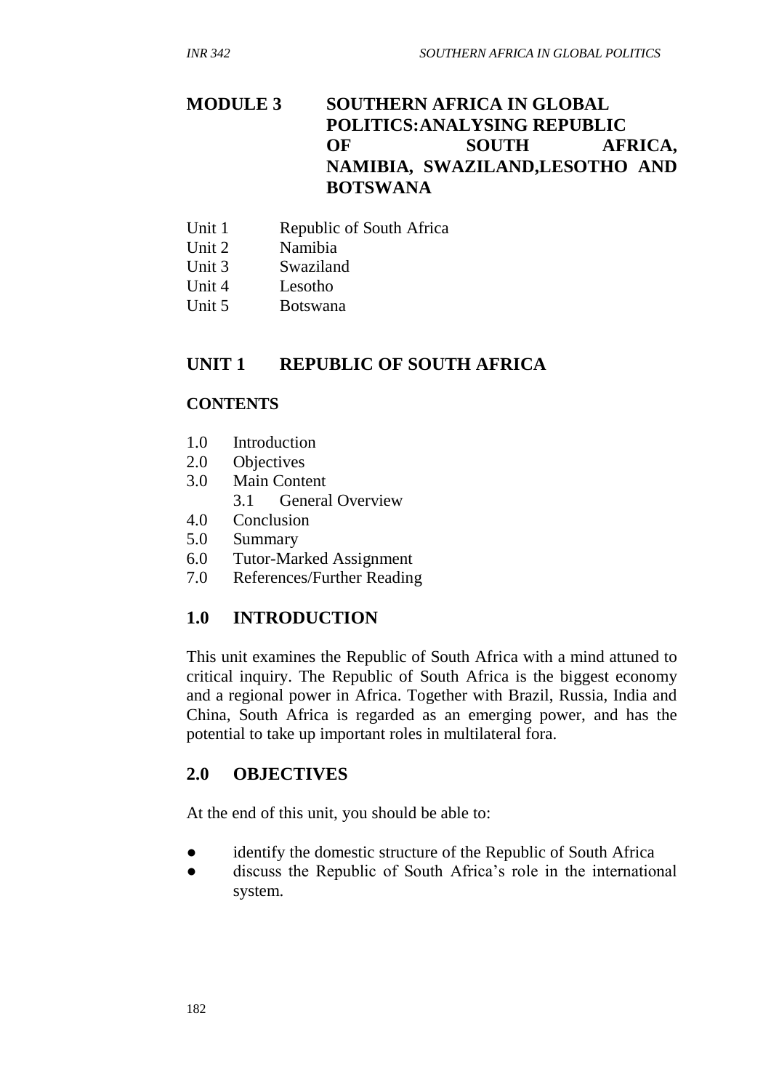## **MODULE 3 SOUTHERN AFRICA IN GLOBAL POLITICS:ANALYSING REPUBLIC OF SOUTH AFRICA, NAMIBIA, SWAZILAND,LESOTHO AND BOTSWANA**

- Unit 1 Republic of South Africa
- Unit 2 Namibia
- Unit 3 Swaziland
- Unit 4 Lesotho
- Unit 5 Botswana

# **UNIT 1 REPUBLIC OF SOUTH AFRICA**

#### **CONTENTS**

- 1.0 Introduction
- 2.0 Objectives
- 3.0 Main Content
	- 3.1 General Overview
- 4.0 Conclusion
- 5.0 Summary
- 6.0 Tutor-Marked Assignment
- 7.0 References/Further Reading

### **1.0 INTRODUCTION**

This unit examines the Republic of South Africa with a mind attuned to critical inquiry. The Republic of South Africa is the biggest economy and a regional power in Africa. Together with Brazil, Russia, India and China, South Africa is regarded as an emerging power, and has the potential to take up important roles in multilateral fora.

### **2.0 OBJECTIVES**

At the end of this unit, you should be able to:

- identify the domestic structure of the Republic of South Africa
- discuss the Republic of South Africa's role in the international system.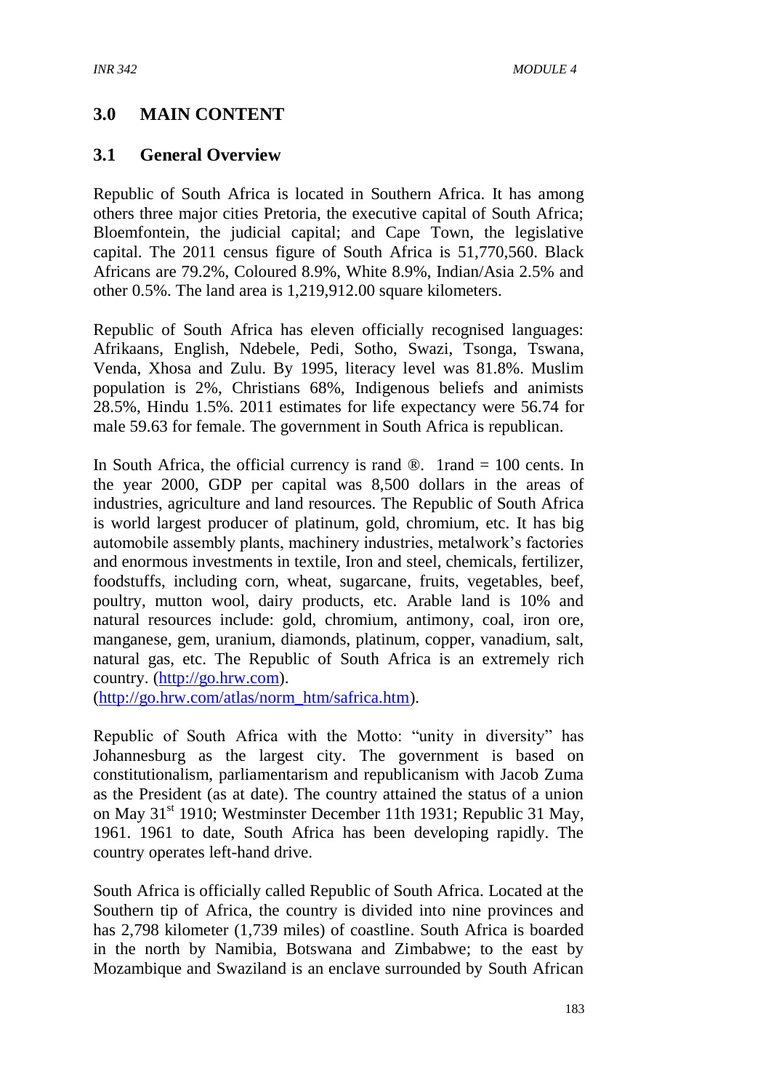## **3.0 MAIN CONTENT**

#### **3.1 General Overview**

Republic of South Africa is located in Southern Africa. It has among others three major cities Pretoria, the executive capital of South Africa; Bloemfontein, the judicial capital; and Cape Town, the legislative capital. The 2011 census figure of South Africa is 51,770,560. Black Africans are 79.2%, Coloured 8.9%, White 8.9%, Indian/Asia 2.5% and other 0.5%. The land area is 1,219,912.00 square kilometers.

Republic of South Africa has eleven officially recognised languages: Afrikaans, English, Ndebele, Pedi, Sotho, Swazi, Tsonga, Tswana, Venda, Xhosa and Zulu. By 1995, literacy level was 81.8%. Muslim population is 2%, Christians 68%, Indigenous beliefs and animists 28.5%, Hindu 1.5%. 2011 estimates for life expectancy were 56.74 for male 59.63 for female. The government in South Africa is republican.

In South Africa, the official currency is rand  $\mathcal{D}$ . 1rand = 100 cents. In the year 2000, GDP per capital was 8,500 dollars in the areas of industries, agriculture and land resources. The Republic of South Africa is world largest producer of platinum, gold, chromium, etc. It has big automobile assembly plants, machinery industries, metalwork's factories and enormous investments in textile, Iron and steel, chemicals, fertilizer, foodstuffs, including corn, wheat, sugarcane, fruits, vegetables, beef, poultry, mutton wool, dairy products, etc. Arable land is 10% and natural resources include: gold, chromium, antimony, coal, iron ore, manganese, gem, uranium, diamonds, platinum, copper, vanadium, salt, natural gas, etc. The Republic of South Africa is an extremely rich country. [\(http://go.hrw.com\)](http://go.hrw.com/).

[\(http://go.hrw.com/atlas/norm\\_htm/safrica.htm\)](http://go.hrw.com/atlas/norm_htm/safrica.htm).

Republic of South Africa with the Motto: "unity in diversity" has Johannesburg as the largest city. The government is based on constitutionalism, parliamentarism and republicanism with Jacob Zuma as the President (as at date). The country attained the status of a union on May 31<sup>st</sup> 1910; Westminster December 11th 1931; Republic 31 May, 1961. 1961 to date, South Africa has been developing rapidly. The country operates left-hand drive.

South Africa is officially called Republic of South Africa. Located at the Southern tip of Africa, the country is divided into nine provinces and has 2,798 kilometer (1,739 miles) of coastline. South Africa is boarded in the north by Namibia, Botswana and Zimbabwe; to the east by Mozambique and Swaziland is an enclave surrounded by South African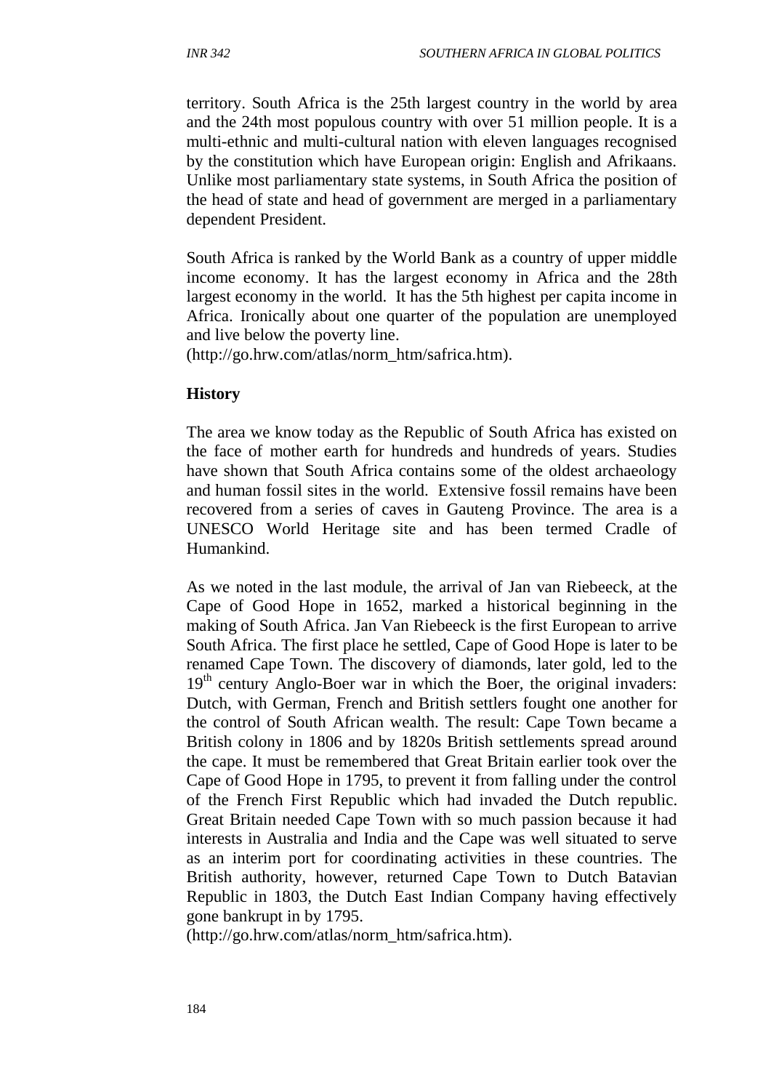territory. South Africa is the 25th largest country in the world by area and the 24th most populous country with over 51 million people. It is a multi-ethnic and multi-cultural nation with eleven languages recognised by the constitution which have European origin: English and Afrikaans. Unlike most parliamentary state systems, in South Africa the position of the head of state and head of government are merged in a parliamentary dependent President.

South Africa is ranked by the World Bank as a country of upper middle income economy. It has the largest economy in Africa and the 28th largest economy in the world. It has the 5th highest per capita income in Africa. Ironically about one quarter of the population are unemployed and live below the poverty line.

(http://go.hrw.com/atlas/norm\_htm/safrica.htm).

#### **History**

The area we know today as the Republic of South Africa has existed on the face of mother earth for hundreds and hundreds of years. Studies have shown that South Africa contains some of the oldest archaeology and human fossil sites in the world. Extensive fossil remains have been recovered from a series of caves in Gauteng Province. The area is a UNESCO World Heritage site and has been termed Cradle of Humankind.

As we noted in the last module, the arrival of Jan van Riebeeck, at the Cape of Good Hope in 1652, marked a historical beginning in the making of South Africa. Jan Van Riebeeck is the first European to arrive South Africa. The first place he settled, Cape of Good Hope is later to be renamed Cape Town. The discovery of diamonds, later gold, led to the 19<sup>th</sup> century Anglo-Boer war in which the Boer, the original invaders: Dutch, with German, French and British settlers fought one another for the control of South African wealth. The result: Cape Town became a British colony in 1806 and by 1820s British settlements spread around the cape. It must be remembered that Great Britain earlier took over the Cape of Good Hope in 1795, to prevent it from falling under the control of the French First Republic which had invaded the Dutch republic. Great Britain needed Cape Town with so much passion because it had interests in Australia and India and the Cape was well situated to serve as an interim port for coordinating activities in these countries. The British authority, however, returned Cape Town to Dutch Batavian Republic in 1803, the Dutch East Indian Company having effectively gone bankrupt in by 1795.

(http://go.hrw.com/atlas/norm\_htm/safrica.htm).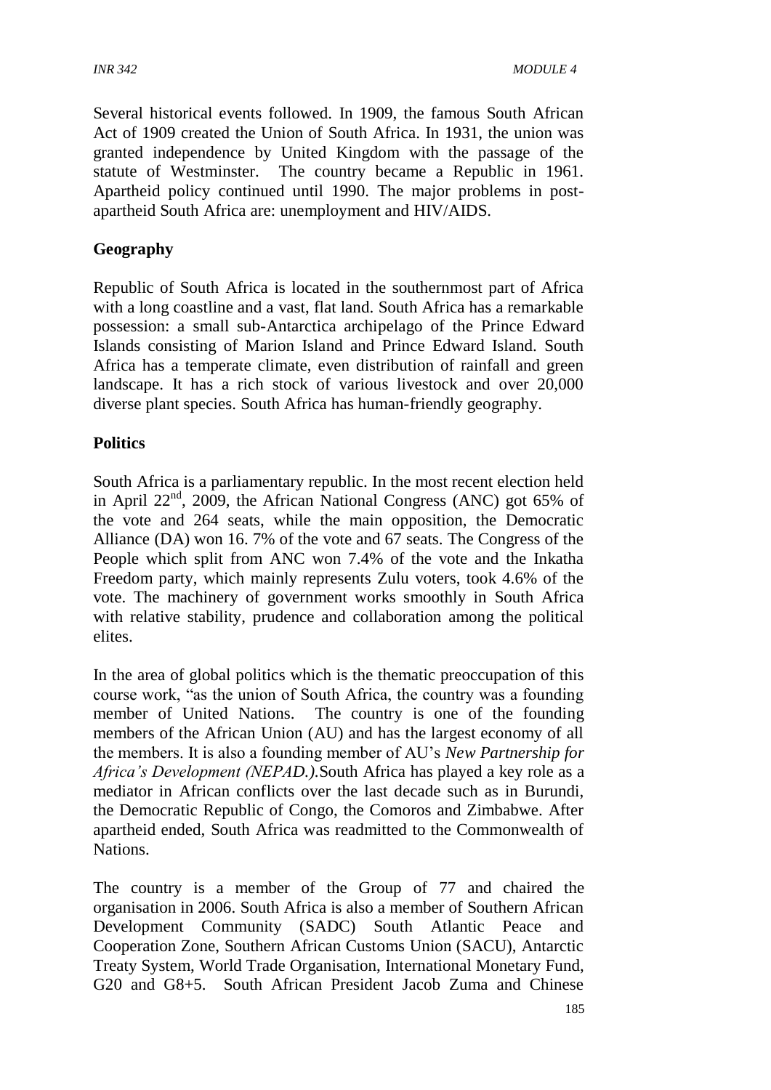Several historical events followed. In 1909, the famous South African Act of 1909 created the Union of South Africa. In 1931, the union was granted independence by United Kingdom with the passage of the statute of Westminster. The country became a Republic in 1961. Apartheid policy continued until 1990. The major problems in postapartheid South Africa are: unemployment and HIV/AIDS.

### **Geography**

Republic of South Africa is located in the southernmost part of Africa with a long coastline and a vast, flat land. South Africa has a remarkable possession: a small sub-Antarctica archipelago of the Prince Edward Islands consisting of Marion Island and Prince Edward Island. South Africa has a temperate climate, even distribution of rainfall and green landscape. It has a rich stock of various livestock and over 20,000 diverse plant species. South Africa has human-friendly geography.

#### **Politics**

South Africa is a parliamentary republic. In the most recent election held in April 22<sup>nd</sup>, 2009, the African National Congress (ANC) got 65% of the vote and 264 seats, while the main opposition, the Democratic Alliance (DA) won 16. 7% of the vote and 67 seats. The Congress of the People which split from ANC won 7.4% of the vote and the Inkatha Freedom party, which mainly represents Zulu voters, took 4.6% of the vote. The machinery of government works smoothly in South Africa with relative stability, prudence and collaboration among the political elites.

In the area of global politics which is the thematic preoccupation of this course work, "as the union of South Africa, the country was a founding member of United Nations. The country is one of the founding members of the African Union (AU) and has the largest economy of all the members. It is also a founding member of AU's *New Partnership for Africa's Development (NEPAD.).*South Africa has played a key role as a mediator in African conflicts over the last decade such as in Burundi, the Democratic Republic of Congo, the Comoros and Zimbabwe. After apartheid ended, South Africa was readmitted to the Commonwealth of Nations.

The country is a member of the Group of 77 and chaired the organisation in 2006. South Africa is also a member of Southern African Development Community (SADC) South Atlantic Peace and Cooperation Zone, Southern African Customs Union (SACU), Antarctic Treaty System, World Trade Organisation, International Monetary Fund, G20 and G8+5. South African President Jacob Zuma and Chinese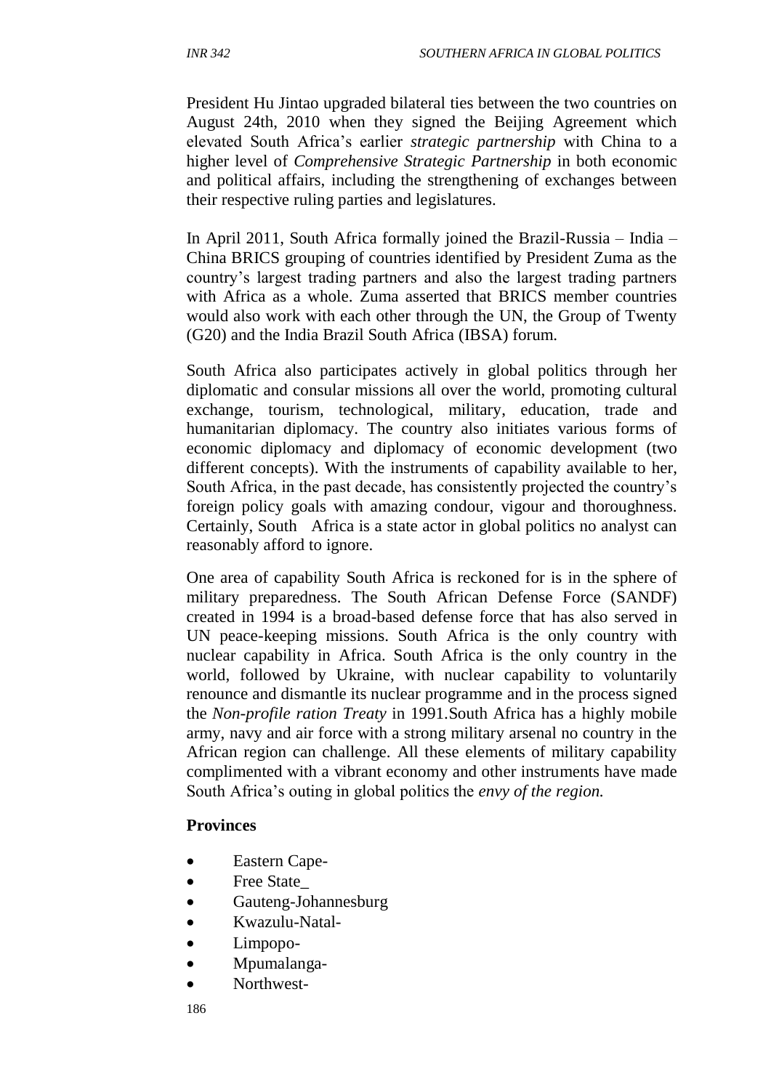President Hu Jintao upgraded bilateral ties between the two countries on August 24th, 2010 when they signed the Beijing Agreement which elevated South Africa's earlier *strategic partnership* with China to a higher level of *Comprehensive Strategic Partnership* in both economic and political affairs, including the strengthening of exchanges between their respective ruling parties and legislatures.

In April 2011, South Africa formally joined the Brazil-Russia – India – China BRICS grouping of countries identified by President Zuma as the country's largest trading partners and also the largest trading partners with Africa as a whole. Zuma asserted that BRICS member countries would also work with each other through the UN, the Group of Twenty (G20) and the India Brazil South Africa (IBSA) forum.

South Africa also participates actively in global politics through her diplomatic and consular missions all over the world, promoting cultural exchange, tourism, technological, military, education, trade and humanitarian diplomacy. The country also initiates various forms of economic diplomacy and diplomacy of economic development (two different concepts). With the instruments of capability available to her, South Africa, in the past decade, has consistently projected the country's foreign policy goals with amazing condour, vigour and thoroughness. Certainly, South Africa is a state actor in global politics no analyst can reasonably afford to ignore.

One area of capability South Africa is reckoned for is in the sphere of military preparedness. The South African Defense Force (SANDF) created in 1994 is a broad-based defense force that has also served in UN peace-keeping missions. South Africa is the only country with nuclear capability in Africa. South Africa is the only country in the world, followed by Ukraine, with nuclear capability to voluntarily renounce and dismantle its nuclear programme and in the process signed the *Non-profile ration Treaty* in 1991.South Africa has a highly mobile army, navy and air force with a strong military arsenal no country in the African region can challenge. All these elements of military capability complimented with a vibrant economy and other instruments have made South Africa's outing in global politics the *envy of the region.*

#### **Provinces**

- Eastern Cape-
- Free State
- Gauteng-Johannesburg
- Kwazulu-Natal-
- Limpopo-
- Mpumalanga-
- Northwest-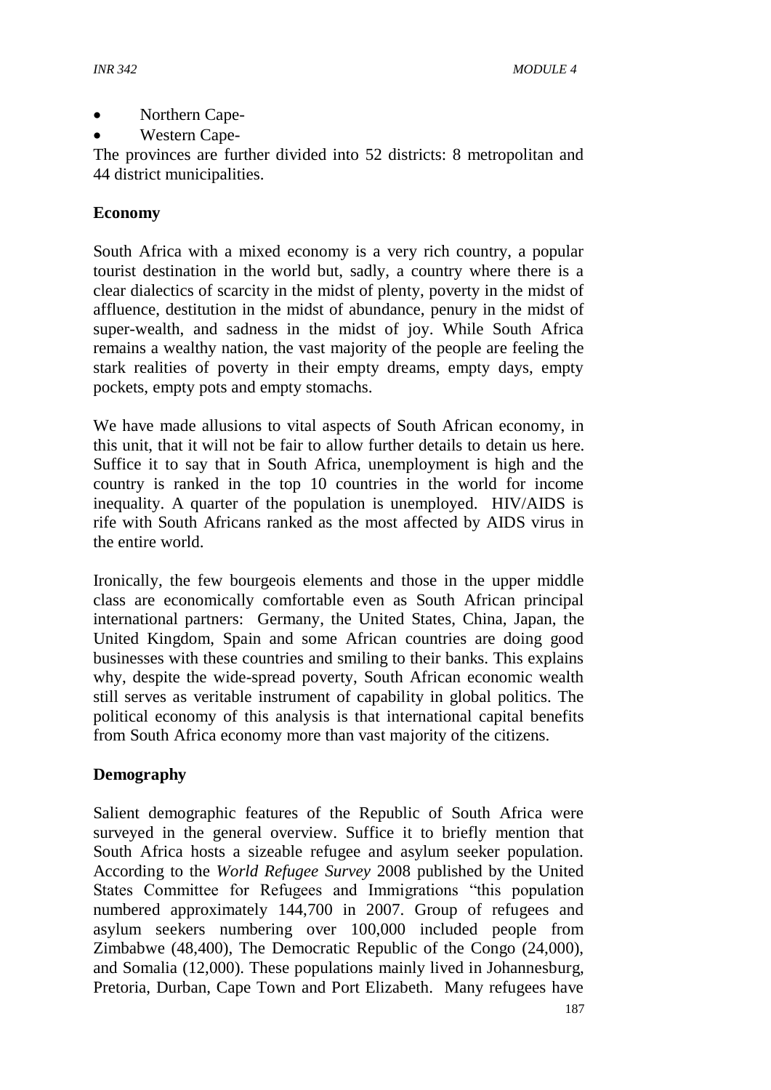- Northern Cape-
- Western Cape-

The provinces are further divided into 52 districts: 8 metropolitan and 44 district municipalities.

#### **Economy**

South Africa with a mixed economy is a very rich country, a popular tourist destination in the world but, sadly, a country where there is a clear dialectics of scarcity in the midst of plenty, poverty in the midst of affluence, destitution in the midst of abundance, penury in the midst of super-wealth, and sadness in the midst of joy. While South Africa remains a wealthy nation, the vast majority of the people are feeling the stark realities of poverty in their empty dreams, empty days, empty pockets, empty pots and empty stomachs.

We have made allusions to vital aspects of South African economy, in this unit, that it will not be fair to allow further details to detain us here. Suffice it to say that in South Africa, unemployment is high and the country is ranked in the top 10 countries in the world for income inequality. A quarter of the population is unemployed. HIV/AIDS is rife with South Africans ranked as the most affected by AIDS virus in the entire world.

Ironically, the few bourgeois elements and those in the upper middle class are economically comfortable even as South African principal international partners: Germany, the United States, China, Japan, the United Kingdom, Spain and some African countries are doing good businesses with these countries and smiling to their banks. This explains why, despite the wide-spread poverty, South African economic wealth still serves as veritable instrument of capability in global politics. The political economy of this analysis is that international capital benefits from South Africa economy more than vast majority of the citizens.

#### **Demography**

Salient demographic features of the Republic of South Africa were surveyed in the general overview. Suffice it to briefly mention that South Africa hosts a sizeable refugee and asylum seeker population. According to the *World Refugee Survey* 2008 published by the United States Committee for Refugees and Immigrations "this population numbered approximately 144,700 in 2007. Group of refugees and asylum seekers numbering over 100,000 included people from Zimbabwe (48,400), The Democratic Republic of the Congo (24,000), and Somalia (12,000). These populations mainly lived in Johannesburg, Pretoria, Durban, Cape Town and Port Elizabeth. Many refugees have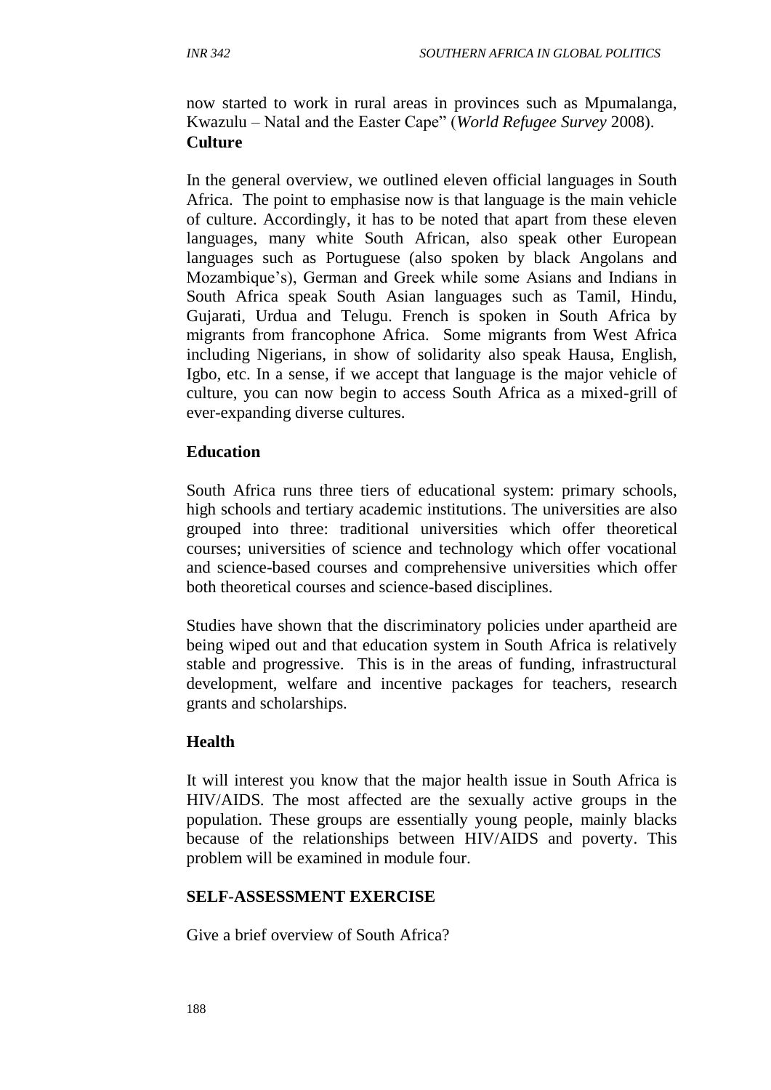now started to work in rural areas in provinces such as Mpumalanga, Kwazulu – Natal and the Easter Cape" (*World Refugee Survey* 2008). **Culture**

In the general overview, we outlined eleven official languages in South Africa. The point to emphasise now is that language is the main vehicle of culture. Accordingly, it has to be noted that apart from these eleven languages, many white South African, also speak other European languages such as Portuguese (also spoken by black Angolans and Mozambique's), German and Greek while some Asians and Indians in South Africa speak South Asian languages such as Tamil, Hindu, Gujarati, Urdua and Telugu. French is spoken in South Africa by migrants from francophone Africa. Some migrants from West Africa including Nigerians, in show of solidarity also speak Hausa, English, Igbo, etc. In a sense, if we accept that language is the major vehicle of culture, you can now begin to access South Africa as a mixed-grill of ever-expanding diverse cultures.

#### **Education**

South Africa runs three tiers of educational system: primary schools, high schools and tertiary academic institutions. The universities are also grouped into three: traditional universities which offer theoretical courses; universities of science and technology which offer vocational and science-based courses and comprehensive universities which offer both theoretical courses and science-based disciplines.

Studies have shown that the discriminatory policies under apartheid are being wiped out and that education system in South Africa is relatively stable and progressive. This is in the areas of funding, infrastructural development, welfare and incentive packages for teachers, research grants and scholarships.

#### **Health**

It will interest you know that the major health issue in South Africa is HIV/AIDS. The most affected are the sexually active groups in the population. These groups are essentially young people, mainly blacks because of the relationships between HIV/AIDS and poverty. This problem will be examined in module four.

#### **SELF**-**ASSESSMENT EXERCISE**

Give a brief overview of South Africa?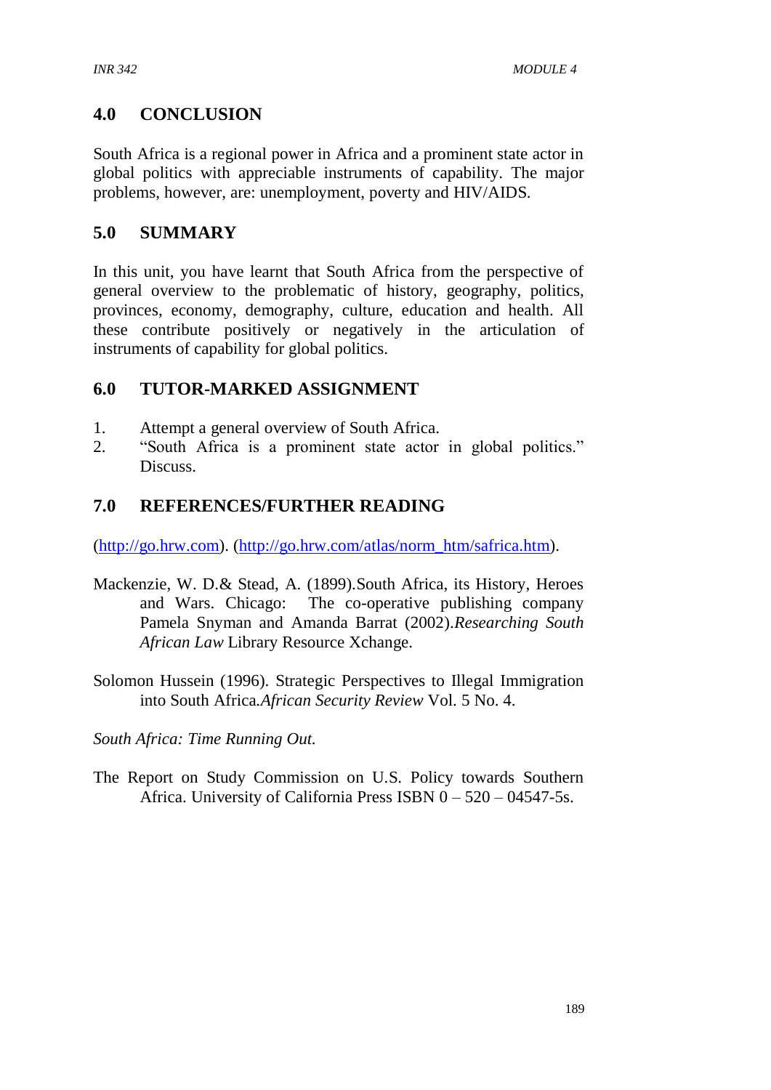## **4.0 CONCLUSION**

South Africa is a regional power in Africa and a prominent state actor in global politics with appreciable instruments of capability. The major problems, however, are: unemployment, poverty and HIV/AIDS.

# **5.0 SUMMARY**

In this unit, you have learnt that South Africa from the perspective of general overview to the problematic of history, geography, politics, provinces, economy, demography, culture, education and health. All these contribute positively or negatively in the articulation of instruments of capability for global politics.

## **6.0 TUTOR-MARKED ASSIGNMENT**

- 1. Attempt a general overview of South Africa.
- 2. "South Africa is a prominent state actor in global politics." **Discuss**

## **7.0 REFERENCES/FURTHER READING**

[\(http://go.hrw.com\)](http://go.hrw.com/). [\(http://go.hrw.com/atlas/norm\\_htm/safrica.htm\)](http://go.hrw.com/atlas/norm_htm/safrica.htm).

- Mackenzie, W. D.& Stead, A. (1899).South Africa, its History, Heroes and Wars. Chicago: The co-operative publishing company Pamela Snyman and Amanda Barrat (2002).*Researching South African Law* Library Resource Xchange.
- Solomon Hussein (1996). Strategic Perspectives to Illegal Immigration into South Africa*.African Security Review* Vol. 5 No. 4.

*South Africa: Time Running Out.*

The Report on Study Commission on U.S. Policy towards Southern Africa. University of California Press ISBN 0 – 520 – 04547-5s.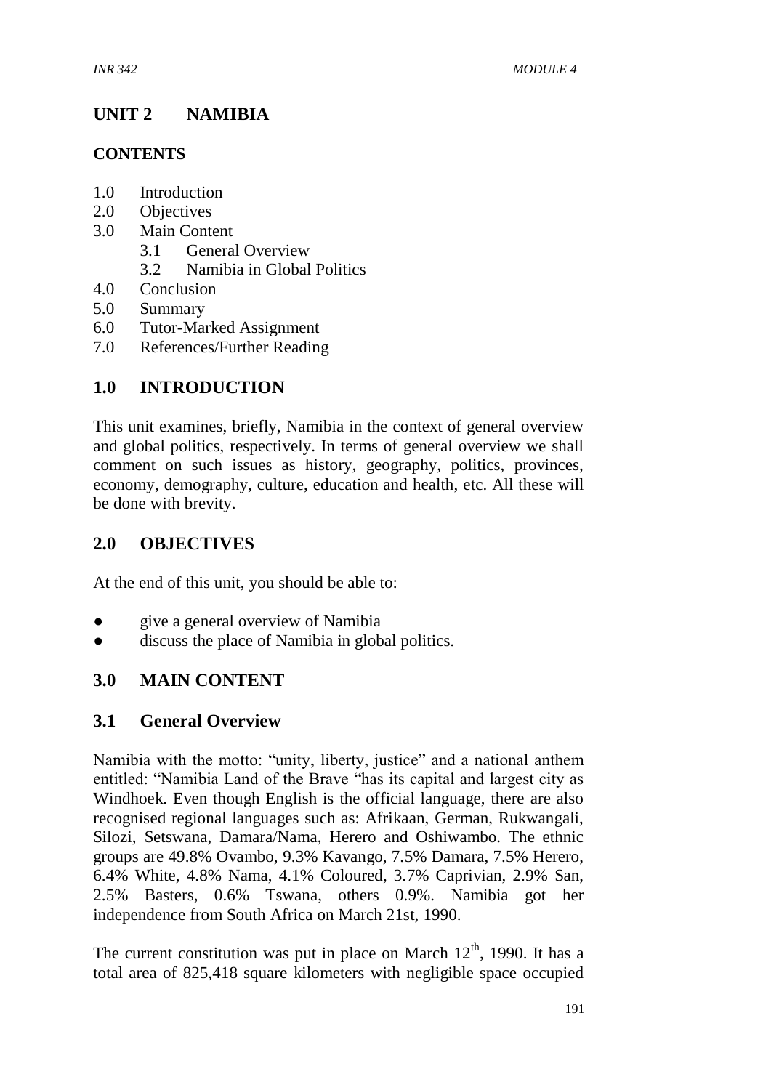# **UNIT 2 NAMIBIA**

### **CONTENTS**

- 1.0 Introduction
- 2.0 Objectives
- 3.0 Main Content
	- 3.1 General Overview
	- 3.2 Namibia in Global Politics
- 4.0 Conclusion
- 5.0 Summary
- 6.0 Tutor-Marked Assignment
- 7.0 References/Further Reading

## **1.0 INTRODUCTION**

This unit examines, briefly, Namibia in the context of general overview and global politics, respectively. In terms of general overview we shall comment on such issues as history, geography, politics, provinces, economy, demography, culture, education and health, etc. All these will be done with brevity.

### **2.0 OBJECTIVES**

At the end of this unit, you should be able to:

- give a general overview of Namibia
- discuss the place of Namibia in global politics.

### **3.0 MAIN CONTENT**

### **3.1 General Overview**

Namibia with the motto: "unity, liberty, justice" and a national anthem entitled: "Namibia Land of the Brave "has its capital and largest city as Windhoek. Even though English is the official language, there are also recognised regional languages such as: Afrikaan, German, Rukwangali, Silozi, Setswana, Damara/Nama, Herero and Oshiwambo. The ethnic groups are 49.8% Ovambo, 9.3% Kavango, 7.5% Damara, 7.5% Herero, 6.4% White, 4.8% Nama, 4.1% Coloured, 3.7% Caprivian, 2.9% San, 2.5% Basters, 0.6% Tswana, others 0.9%. Namibia got her independence from South Africa on March 21st, 1990.

The current constitution was put in place on March  $12<sup>th</sup>$ , 1990. It has a total area of 825,418 square kilometers with negligible space occupied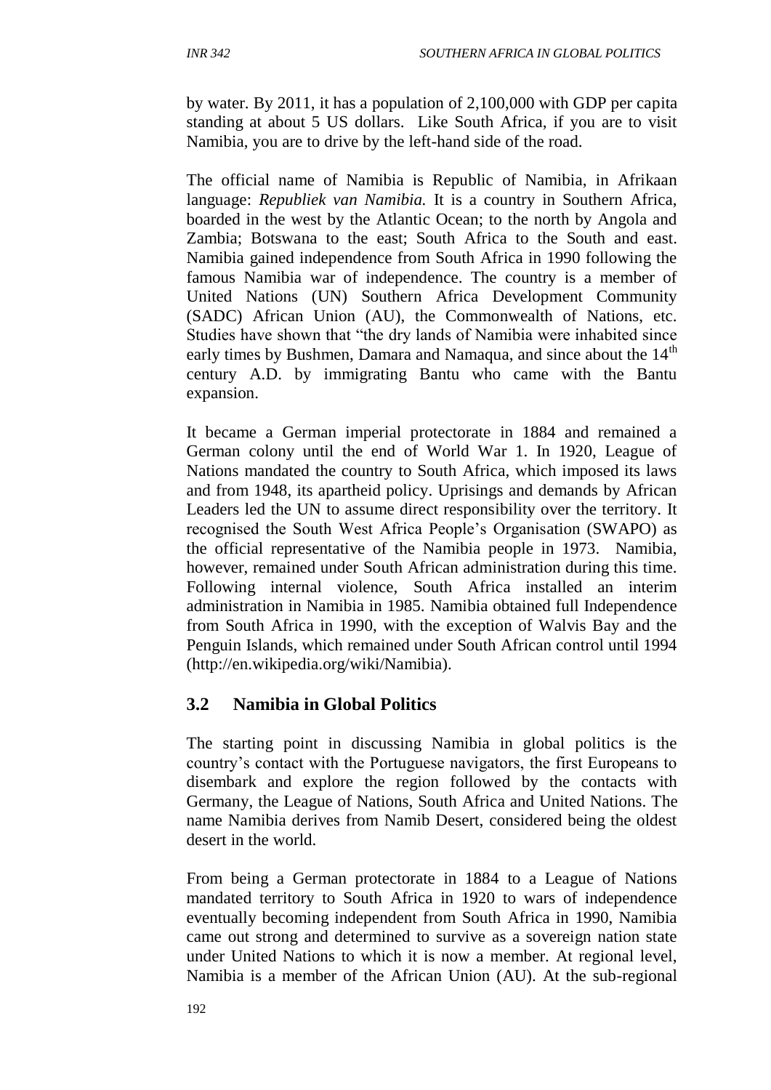by water. By 2011, it has a population of 2,100,000 with GDP per capita standing at about 5 US dollars. Like South Africa, if you are to visit Namibia, you are to drive by the left-hand side of the road.

The official name of Namibia is Republic of Namibia, in Afrikaan language: *Republiek van Namibia.* It is a country in Southern Africa, boarded in the west by the Atlantic Ocean; to the north by Angola and Zambia; Botswana to the east; South Africa to the South and east. Namibia gained independence from South Africa in 1990 following the famous Namibia war of independence. The country is a member of United Nations (UN) Southern Africa Development Community (SADC) African Union (AU), the Commonwealth of Nations, etc. Studies have shown that "the dry lands of Namibia were inhabited since early times by Bushmen, Damara and Namaqua, and since about the 14<sup>th</sup> century A.D. by immigrating Bantu who came with the Bantu expansion.

It became a German imperial protectorate in 1884 and remained a German colony until the end of World War 1. In 1920, League of Nations mandated the country to South Africa, which imposed its laws and from 1948, its apartheid policy. Uprisings and demands by African Leaders led the UN to assume direct responsibility over the territory. It recognised the South West Africa People's Organisation (SWAPO) as the official representative of the Namibia people in 1973. Namibia, however, remained under South African administration during this time. Following internal violence, South Africa installed an interim administration in Namibia in 1985. Namibia obtained full Independence from South Africa in 1990, with the exception of Walvis Bay and the Penguin Islands, which remained under South African control until 1994 (http://en.wikipedia.org/wiki/Namibia).

### **3.2 Namibia in Global Politics**

The starting point in discussing Namibia in global politics is the country's contact with the Portuguese navigators, the first Europeans to disembark and explore the region followed by the contacts with Germany, the League of Nations, South Africa and United Nations. The name Namibia derives from Namib Desert, considered being the oldest desert in the world.

From being a German protectorate in 1884 to a League of Nations mandated territory to South Africa in 1920 to wars of independence eventually becoming independent from South Africa in 1990, Namibia came out strong and determined to survive as a sovereign nation state under United Nations to which it is now a member. At regional level, Namibia is a member of the African Union (AU). At the sub-regional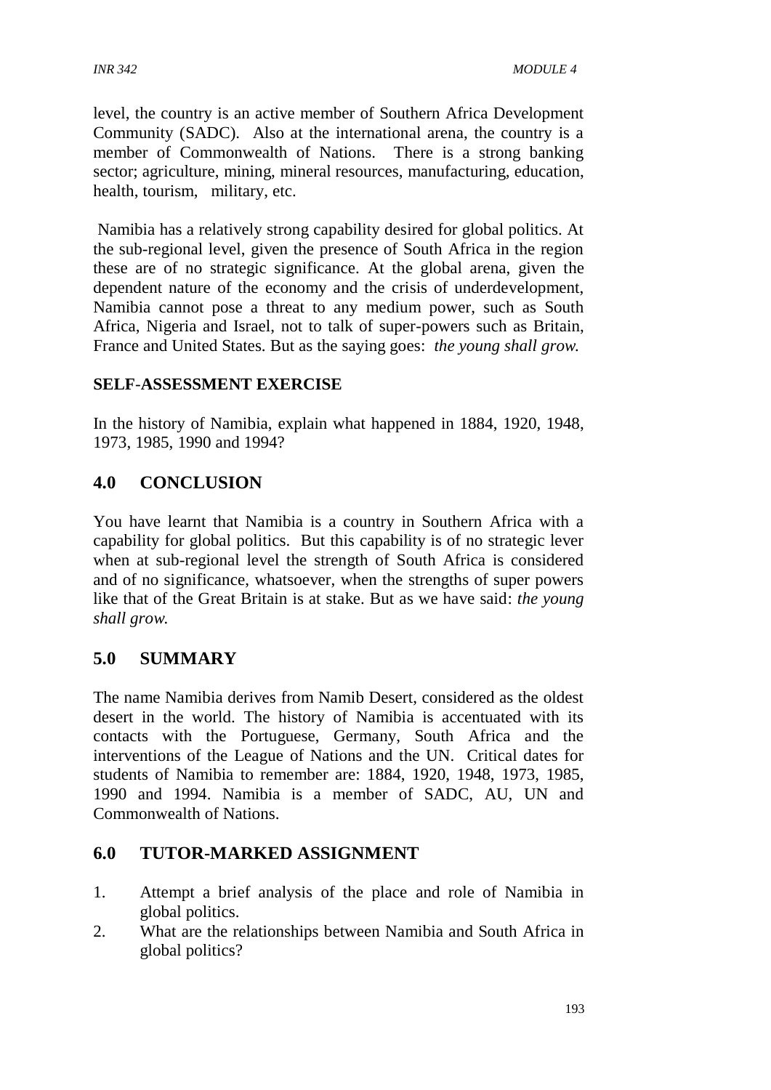level, the country is an active member of Southern Africa Development Community (SADC). Also at the international arena, the country is a member of Commonwealth of Nations. There is a strong banking sector; agriculture, mining, mineral resources, manufacturing, education, health, tourism, military, etc.

Namibia has a relatively strong capability desired for global politics. At the sub-regional level, given the presence of South Africa in the region these are of no strategic significance. At the global arena, given the dependent nature of the economy and the crisis of underdevelopment, Namibia cannot pose a threat to any medium power, such as South Africa, Nigeria and Israel, not to talk of super-powers such as Britain, France and United States. But as the saying goes: *the young shall grow.*

#### **SELF**-**ASSESSMENT EXERCISE**

In the history of Namibia, explain what happened in 1884, 1920, 1948, 1973, 1985, 1990 and 1994?

## **4.0 CONCLUSION**

You have learnt that Namibia is a country in Southern Africa with a capability for global politics. But this capability is of no strategic lever when at sub-regional level the strength of South Africa is considered and of no significance, whatsoever, when the strengths of super powers like that of the Great Britain is at stake. But as we have said: *the young shall grow.*

### **5.0 SUMMARY**

The name Namibia derives from Namib Desert, considered as the oldest desert in the world. The history of Namibia is accentuated with its contacts with the Portuguese, Germany, South Africa and the interventions of the League of Nations and the UN. Critical dates for students of Namibia to remember are: 1884, 1920, 1948, 1973, 1985, 1990 and 1994. Namibia is a member of SADC, AU, UN and Commonwealth of Nations.

### **6.0 TUTOR-MARKED ASSIGNMENT**

- 1. Attempt a brief analysis of the place and role of Namibia in global politics.
- 2. What are the relationships between Namibia and South Africa in global politics?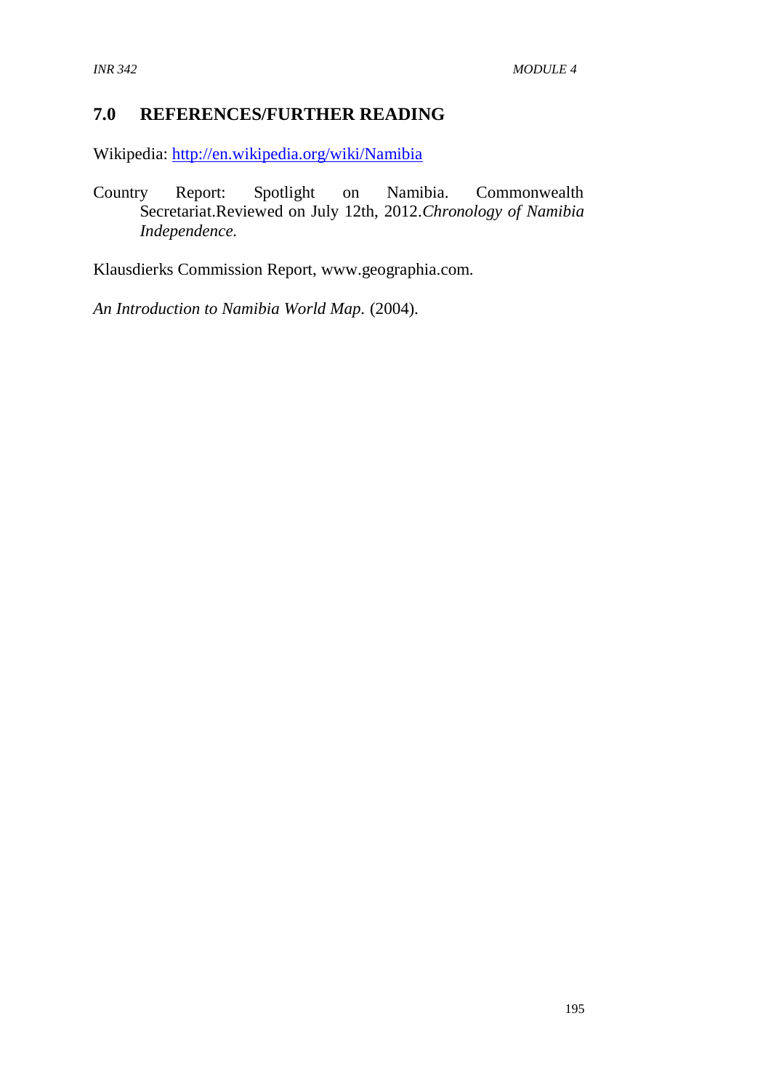## **7.0 REFERENCES/FURTHER READING**

Wikipedia:<http://en.wikipedia.org/wiki/Namibia>

Country Report: Spotlight on Namibia. Commonwealth Secretariat.Reviewed on July 12th, 2012.*Chronology of Namibia Independence.*

Klausdierks Commission Report, www.geographia.com.

*An Introduction to Namibia World Map.* (2004).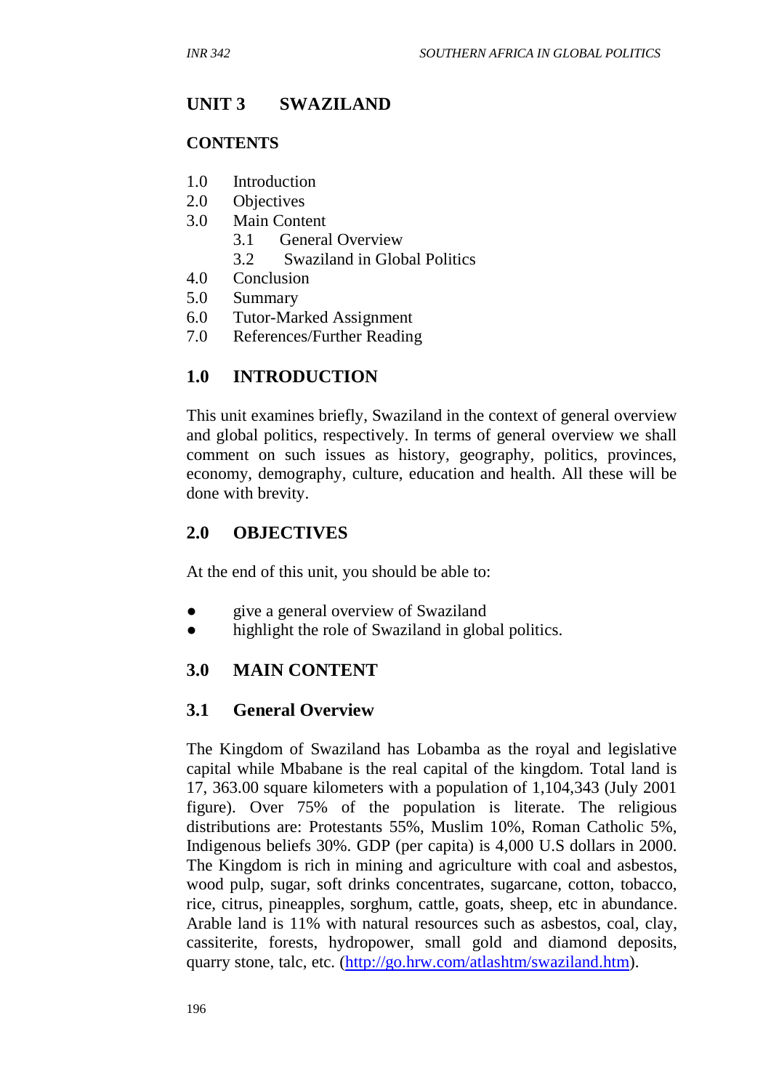## **UNIT 3 SWAZILAND**

#### **CONTENTS**

- 1.0 Introduction
- 2.0 Objectives
- 3.0 Main Content
	- 3.1 General Overview
	- 3.2 Swaziland in Global Politics
- 4.0 Conclusion
- 5.0 Summary
- 6.0 Tutor-Marked Assignment
- 7.0 References/Further Reading

### **1.0 INTRODUCTION**

This unit examines briefly, Swaziland in the context of general overview and global politics, respectively. In terms of general overview we shall comment on such issues as history, geography, politics, provinces, economy, demography, culture, education and health. All these will be done with brevity.

#### **2.0 OBJECTIVES**

At the end of this unit, you should be able to:

- give a general overview of Swaziland
- highlight the role of Swaziland in global politics.

### **3.0 MAIN CONTENT**

#### **3.1 General Overview**

The Kingdom of Swaziland has Lobamba as the royal and legislative capital while Mbabane is the real capital of the kingdom. Total land is 17, 363.00 square kilometers with a population of 1,104,343 (July 2001 figure). Over 75% of the population is literate. The religious distributions are: Protestants 55%, Muslim 10%, Roman Catholic 5%, Indigenous beliefs 30%. GDP (per capita) is 4,000 U.S dollars in 2000. The Kingdom is rich in mining and agriculture with coal and asbestos, wood pulp, sugar, soft drinks concentrates, sugarcane, cotton, tobacco, rice, citrus, pineapples, sorghum, cattle, goats, sheep, etc in abundance. Arable land is 11% with natural resources such as asbestos, coal, clay, cassiterite, forests, hydropower, small gold and diamond deposits, quarry stone, talc, etc. [\(http://go.hrw.com/atlashtm/swaziland.htm\)](http://go.hrw.com/atlashtm/swaziland.htm).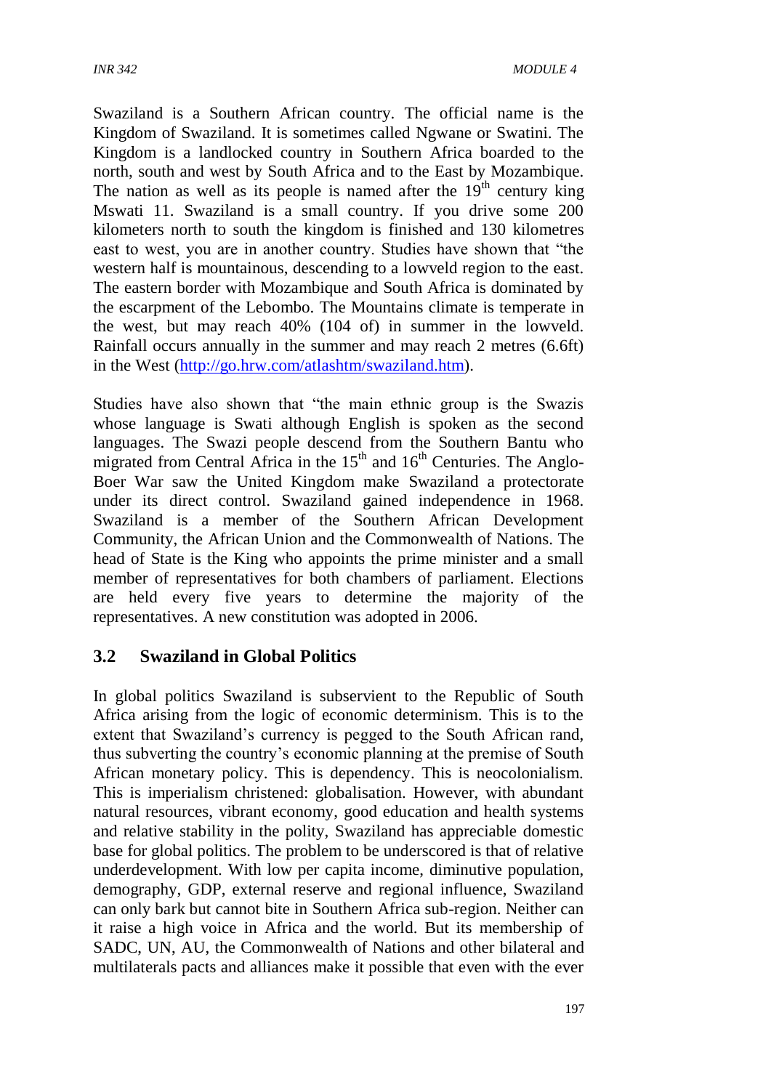Swaziland is a Southern African country. The official name is the Kingdom of Swaziland. It is sometimes called Ngwane or Swatini. The Kingdom is a landlocked country in Southern Africa boarded to the north, south and west by South Africa and to the East by Mozambique. The nation as well as its people is named after the  $19<sup>th</sup>$  century king Mswati 11. Swaziland is a small country. If you drive some 200 kilometers north to south the kingdom is finished and 130 kilometres east to west, you are in another country. Studies have shown that "the western half is mountainous, descending to a lowveld region to the east. The eastern border with Mozambique and South Africa is dominated by the escarpment of the Lebombo. The Mountains climate is temperate in the west, but may reach 40% (104 of) in summer in the lowveld. Rainfall occurs annually in the summer and may reach 2 metres (6.6ft) in the West [\(http://go.hrw.com/atlashtm/swaziland.htm\)](http://go.hrw.com/atlashtm/swaziland.htm).

Studies have also shown that "the main ethnic group is the Swazis whose language is Swati although English is spoken as the second languages. The Swazi people descend from the Southern Bantu who migrated from Central Africa in the  $15<sup>th</sup>$  and  $16<sup>th</sup>$  Centuries. The Anglo-Boer War saw the United Kingdom make Swaziland a protectorate under its direct control. Swaziland gained independence in 1968. Swaziland is a member of the Southern African Development Community, the African Union and the Commonwealth of Nations. The head of State is the King who appoints the prime minister and a small member of representatives for both chambers of parliament. Elections are held every five years to determine the majority of the representatives. A new constitution was adopted in 2006.

### **3.2 Swaziland in Global Politics**

In global politics Swaziland is subservient to the Republic of South Africa arising from the logic of economic determinism. This is to the extent that Swaziland's currency is pegged to the South African rand, thus subverting the country's economic planning at the premise of South African monetary policy. This is dependency. This is neocolonialism. This is imperialism christened: globalisation. However, with abundant natural resources, vibrant economy, good education and health systems and relative stability in the polity, Swaziland has appreciable domestic base for global politics. The problem to be underscored is that of relative underdevelopment. With low per capita income, diminutive population, demography, GDP, external reserve and regional influence, Swaziland can only bark but cannot bite in Southern Africa sub-region. Neither can it raise a high voice in Africa and the world. But its membership of SADC, UN, AU, the Commonwealth of Nations and other bilateral and multilaterals pacts and alliances make it possible that even with the ever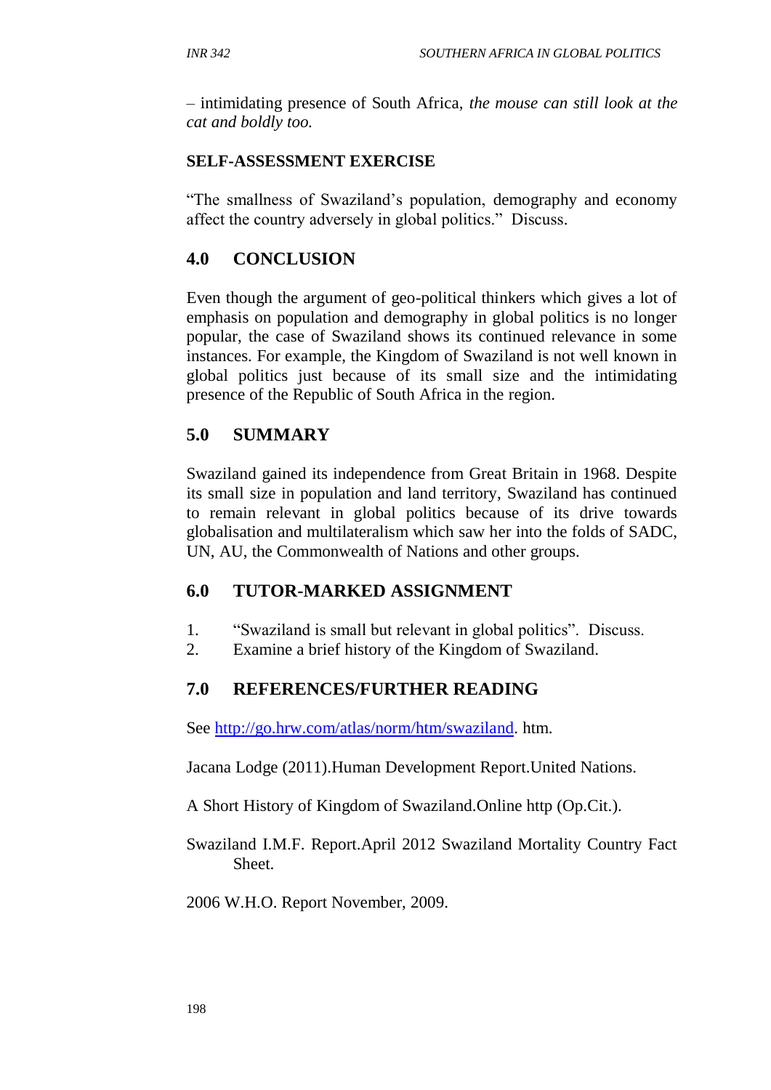– intimidating presence of South Africa, *the mouse can still look at the cat and boldly too.*

#### **SELF-ASSESSMENT EXERCISE**

"The smallness of Swaziland's population, demography and economy affect the country adversely in global politics." Discuss.

## **4.0 CONCLUSION**

Even though the argument of geo-political thinkers which gives a lot of emphasis on population and demography in global politics is no longer popular, the case of Swaziland shows its continued relevance in some instances. For example, the Kingdom of Swaziland is not well known in global politics just because of its small size and the intimidating presence of the Republic of South Africa in the region.

## **5.0 SUMMARY**

Swaziland gained its independence from Great Britain in 1968. Despite its small size in population and land territory, Swaziland has continued to remain relevant in global politics because of its drive towards globalisation and multilateralism which saw her into the folds of SADC, UN, AU, the Commonwealth of Nations and other groups.

### **6.0 TUTOR-MARKED ASSIGNMENT**

- 1. "Swaziland is small but relevant in global politics". Discuss.
- 2. Examine a brief history of the Kingdom of Swaziland.

## **7.0 REFERENCES/FURTHER READING**

See [http://go.hrw.com/atlas/norm/htm/swaziland.](http://go.hrw.com/atlas/norm/htm/swaziland) htm.

Jacana Lodge (2011).Human Development Report.United Nations.

A Short History of Kingdom of Swaziland.Online http (Op.Cit.).

Swaziland I.M.F. Report.April 2012 Swaziland Mortality Country Fact Sheet.

2006 W.H.O. Report November, 2009.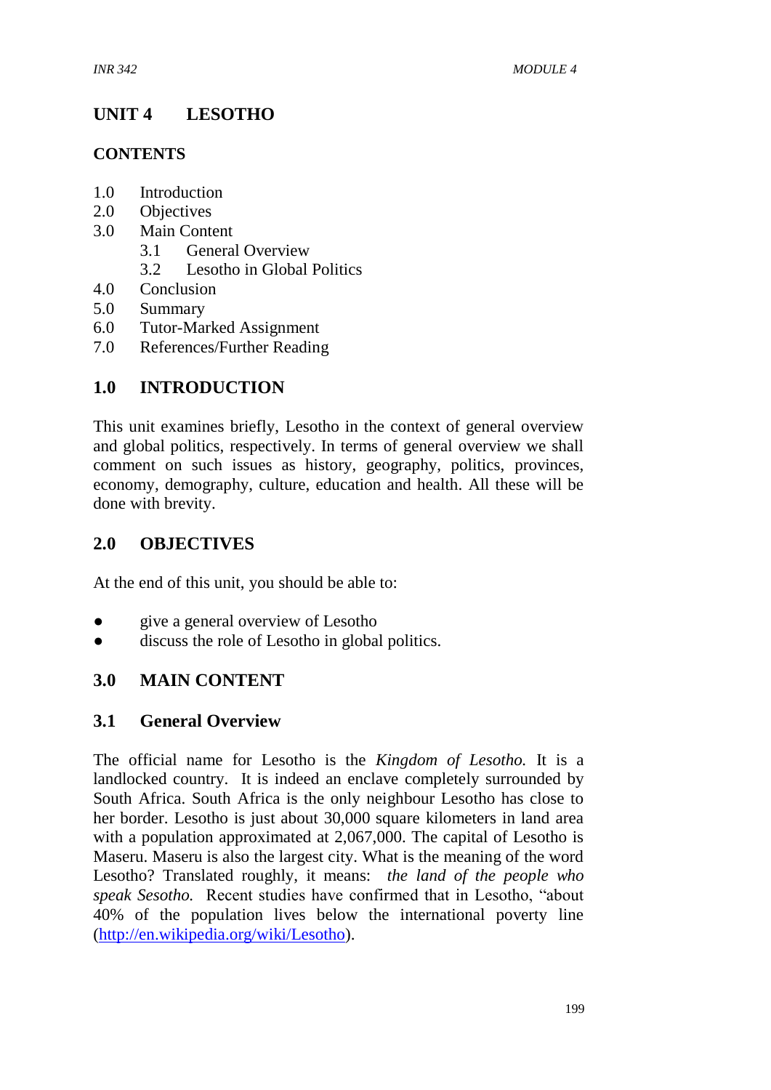# **UNIT 4 LESOTHO**

### **CONTENTS**

- 1.0 Introduction
- 2.0 Objectives
- 3.0 Main Content
	- 3.1 General Overview
	- 3.2 Lesotho in Global Politics
- 4.0 Conclusion
- 5.0 Summary
- 6.0 Tutor-Marked Assignment
- 7.0 References/Further Reading

## **1.0 INTRODUCTION**

This unit examines briefly, Lesotho in the context of general overview and global politics, respectively. In terms of general overview we shall comment on such issues as history, geography, politics, provinces, economy, demography, culture, education and health. All these will be done with brevity.

### **2.0 OBJECTIVES**

At the end of this unit, you should be able to:

- give a general overview of Lesotho
- discuss the role of Lesotho in global politics.

### **3.0 MAIN CONTENT**

### **3.1 General Overview**

The official name for Lesotho is the *Kingdom of Lesotho.* It is a landlocked country. It is indeed an enclave completely surrounded by South Africa. South Africa is the only neighbour Lesotho has close to her border. Lesotho is just about 30,000 square kilometers in land area with a population approximated at 2,067,000. The capital of Lesotho is Maseru. Maseru is also the largest city. What is the meaning of the word Lesotho? Translated roughly, it means: *the land of the people who speak Sesotho.* Recent studies have confirmed that in Lesotho, "about 40% of the population lives below the international poverty line [\(http://en.wikipedia.org/wiki/Lesotho\)](http://en.wikipedia.org/wiki/Lesotho).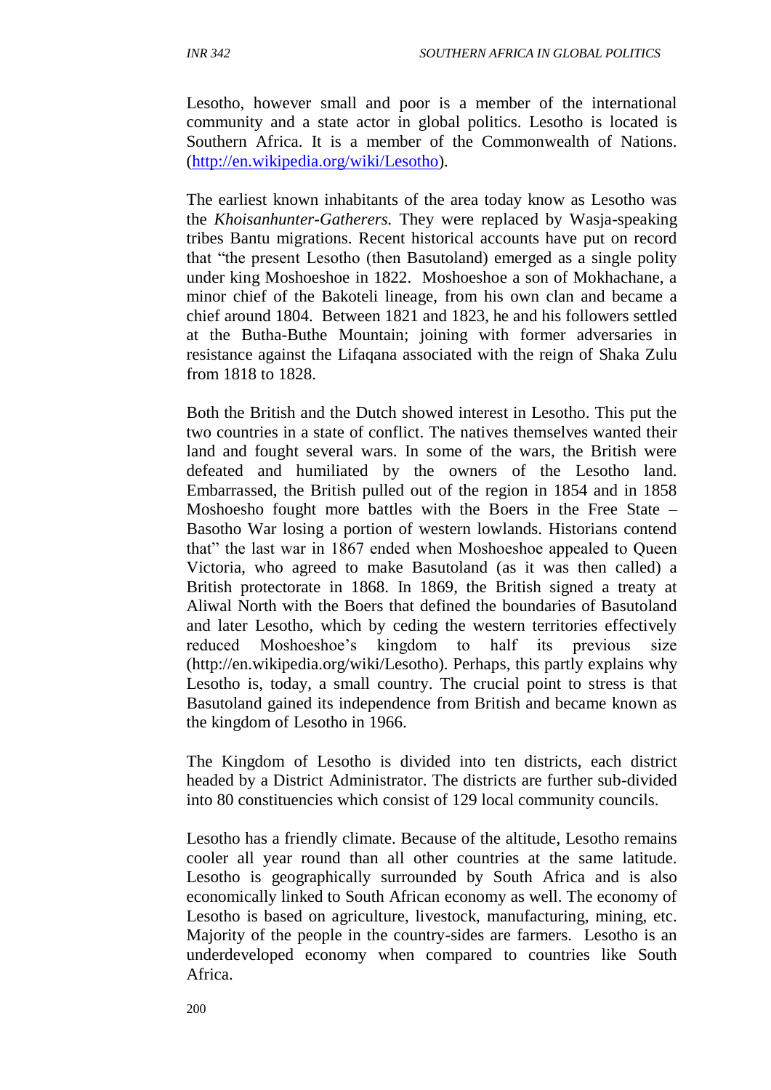Lesotho, however small and poor is a member of the international community and a state actor in global politics. Lesotho is located is Southern Africa. It is a member of the Commonwealth of Nations. [\(http://en.wikipedia.org/wiki/Lesotho\)](http://en.wikipedia.org/wiki/Lesotho).

The earliest known inhabitants of the area today know as Lesotho was the *Khoisanhunter-Gatherers.* They were replaced by Wasja-speaking tribes Bantu migrations. Recent historical accounts have put on record that "the present Lesotho (then Basutoland) emerged as a single polity under king Moshoeshoe in 1822. Moshoeshoe a son of Mokhachane, a minor chief of the Bakoteli lineage, from his own clan and became a chief around 1804. Between 1821 and 1823, he and his followers settled at the Butha-Buthe Mountain; joining with former adversaries in resistance against the Lifaqana associated with the reign of Shaka Zulu from 1818 to 1828.

Both the British and the Dutch showed interest in Lesotho. This put the two countries in a state of conflict. The natives themselves wanted their land and fought several wars. In some of the wars, the British were defeated and humiliated by the owners of the Lesotho land. Embarrassed, the British pulled out of the region in 1854 and in 1858 Moshoesho fought more battles with the Boers in the Free State – Basotho War losing a portion of western lowlands. Historians contend that" the last war in 1867 ended when Moshoeshoe appealed to Queen Victoria, who agreed to make Basutoland (as it was then called) a British protectorate in 1868. In 1869, the British signed a treaty at Aliwal North with the Boers that defined the boundaries of Basutoland and later Lesotho, which by ceding the western territories effectively reduced Moshoeshoe's kingdom to half its previous size (http://en.wikipedia.org/wiki/Lesotho). Perhaps, this partly explains why Lesotho is, today, a small country. The crucial point to stress is that Basutoland gained its independence from British and became known as the kingdom of Lesotho in 1966.

The Kingdom of Lesotho is divided into ten districts, each district headed by a District Administrator. The districts are further sub-divided into 80 constituencies which consist of 129 local community councils.

Lesotho has a friendly climate. Because of the altitude, Lesotho remains cooler all year round than all other countries at the same latitude. Lesotho is geographically surrounded by South Africa and is also economically linked to South African economy as well. The economy of Lesotho is based on agriculture, livestock, manufacturing, mining, etc. Majority of the people in the country-sides are farmers. Lesotho is an underdeveloped economy when compared to countries like South Africa.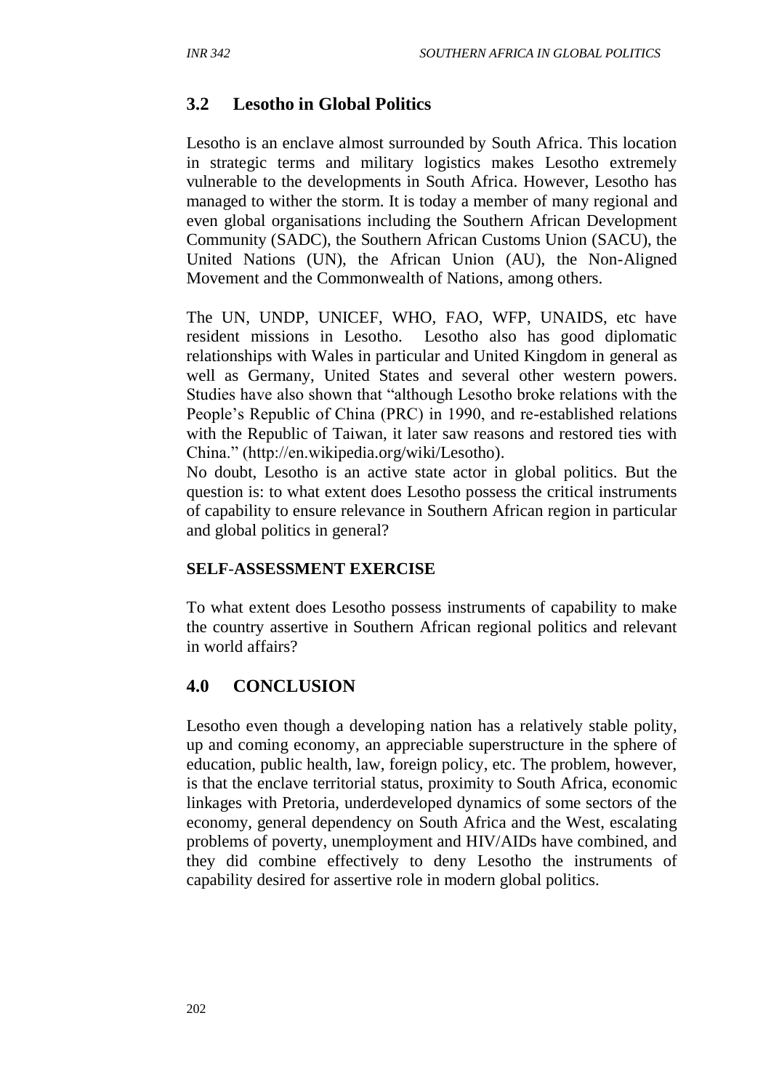# **3.2 Lesotho in Global Politics**

Lesotho is an enclave almost surrounded by South Africa. This location in strategic terms and military logistics makes Lesotho extremely vulnerable to the developments in South Africa. However, Lesotho has managed to wither the storm. It is today a member of many regional and even global organisations including the Southern African Development Community (SADC), the Southern African Customs Union (SACU), the United Nations (UN), the African Union (AU), the Non-Aligned Movement and the Commonwealth of Nations, among others.

The UN, UNDP, UNICEF, WHO, FAO, WFP, UNAIDS, etc have resident missions in Lesotho. Lesotho also has good diplomatic relationships with Wales in particular and United Kingdom in general as well as Germany, United States and several other western powers. Studies have also shown that "although Lesotho broke relations with the People's Republic of China (PRC) in 1990, and re-established relations with the Republic of Taiwan, it later saw reasons and restored ties with China." (http://en.wikipedia.org/wiki/Lesotho).

No doubt, Lesotho is an active state actor in global politics. But the question is: to what extent does Lesotho possess the critical instruments of capability to ensure relevance in Southern African region in particular and global politics in general?

#### **SELF**-**ASSESSMENT EXERCISE**

To what extent does Lesotho possess instruments of capability to make the country assertive in Southern African regional politics and relevant in world affairs?

### **4.0 CONCLUSION**

Lesotho even though a developing nation has a relatively stable polity, up and coming economy, an appreciable superstructure in the sphere of education, public health, law, foreign policy, etc. The problem, however, is that the enclave territorial status, proximity to South Africa, economic linkages with Pretoria, underdeveloped dynamics of some sectors of the economy, general dependency on South Africa and the West, escalating problems of poverty, unemployment and HIV/AIDs have combined, and they did combine effectively to deny Lesotho the instruments of capability desired for assertive role in modern global politics.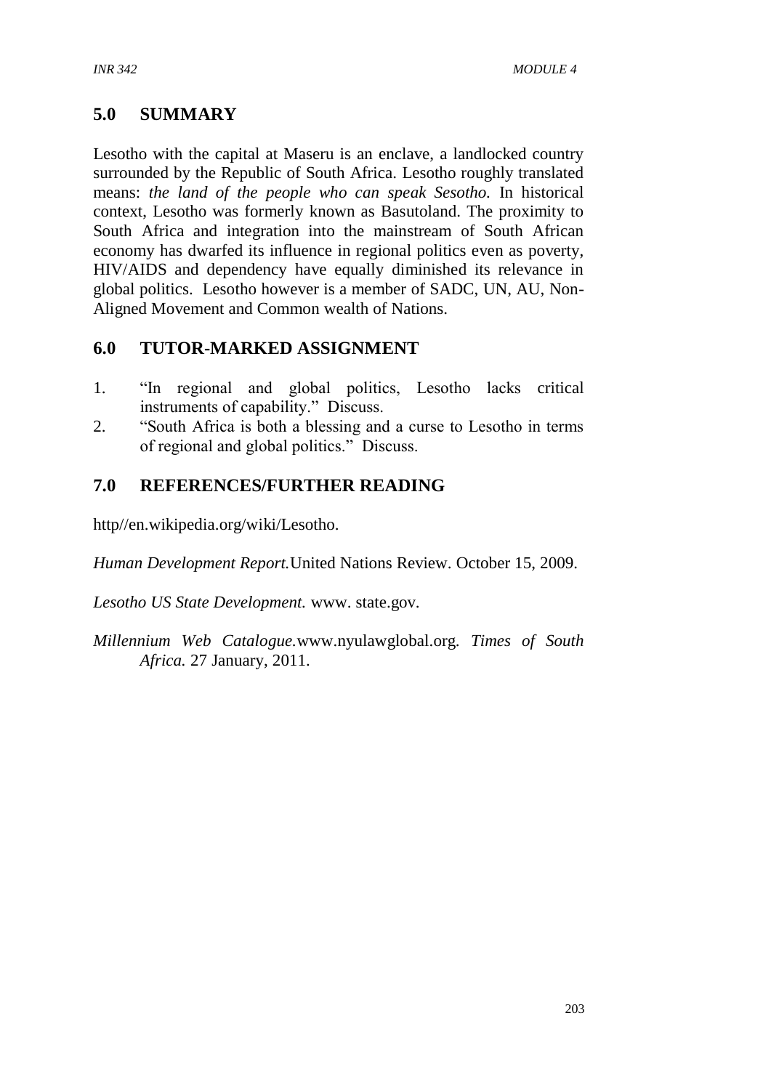## **5.0 SUMMARY**

Lesotho with the capital at Maseru is an enclave, a landlocked country surrounded by the Republic of South Africa. Lesotho roughly translated means: *the land of the people who can speak Sesotho.* In historical context, Lesotho was formerly known as Basutoland. The proximity to South Africa and integration into the mainstream of South African economy has dwarfed its influence in regional politics even as poverty, HIV/AIDS and dependency have equally diminished its relevance in global politics. Lesotho however is a member of SADC, UN, AU, Non-Aligned Movement and Common wealth of Nations.

## **6.0 TUTOR-MARKED ASSIGNMENT**

- 1. "In regional and global politics, Lesotho lacks critical instruments of capability." Discuss.
- 2. "South Africa is both a blessing and a curse to Lesotho in terms of regional and global politics." Discuss.

## **7.0 REFERENCES/FURTHER READING**

http//en.wikipedia.org/wiki/Lesotho.

*Human Development Report.*United Nations Review. October 15, 2009.

*Lesotho US State Development.* www. state.gov.

*Millennium Web Catalogue.*www.nyulawglobal.org. *Times of South Africa.* 27 January, 2011.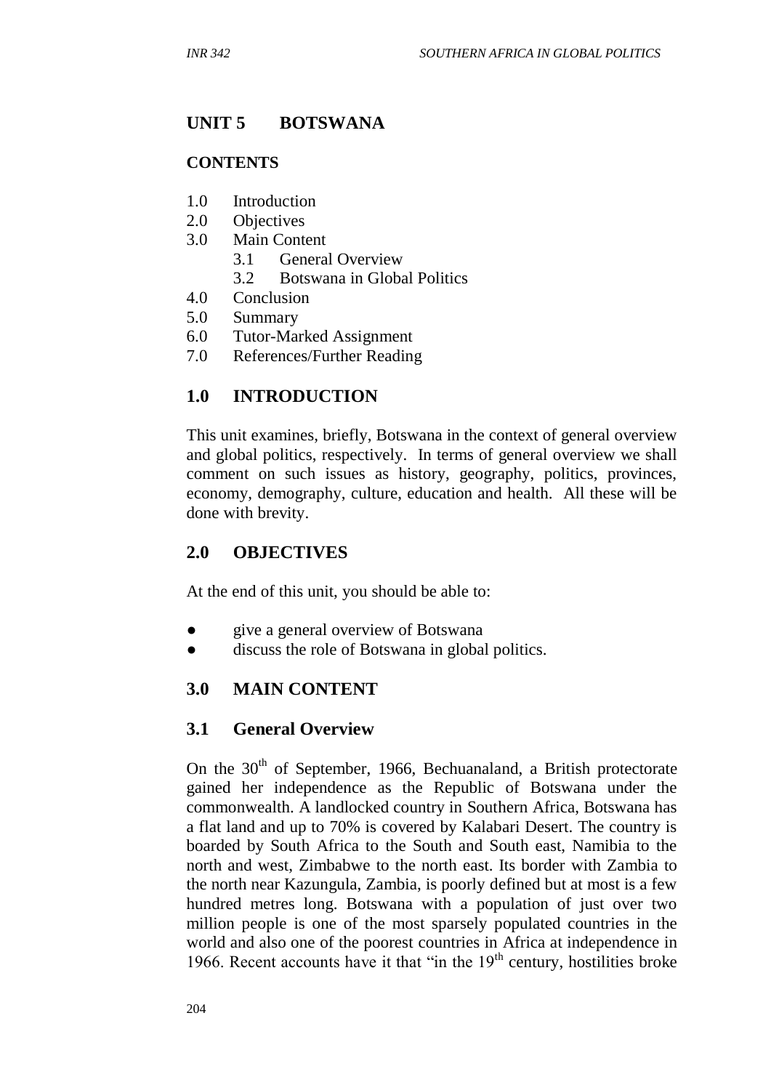# **UNIT 5 BOTSWANA**

#### **CONTENTS**

- 1.0 Introduction
- 2.0 Objectives
- 3.0 Main Content
	- 3.1 General Overview
	- 3.2 Botswana in Global Politics
- 4.0 Conclusion
- 5.0 Summary
- 6.0 Tutor-Marked Assignment
- 7.0 References/Further Reading

## **1.0 INTRODUCTION**

This unit examines, briefly, Botswana in the context of general overview and global politics, respectively. In terms of general overview we shall comment on such issues as history, geography, politics, provinces, economy, demography, culture, education and health. All these will be done with brevity.

### **2.0 OBJECTIVES**

At the end of this unit, you should be able to:

- give a general overview of Botswana
- discuss the role of Botswana in global politics.

## **3.0 MAIN CONTENT**

### **3.1 General Overview**

On the 30<sup>th</sup> of September, 1966, Bechuanaland, a British protectorate gained her independence as the Republic of Botswana under the commonwealth. A landlocked country in Southern Africa, Botswana has a flat land and up to 70% is covered by Kalabari Desert. The country is boarded by South Africa to the South and South east, Namibia to the north and west, Zimbabwe to the north east. Its border with Zambia to the north near Kazungula, Zambia, is poorly defined but at most is a few hundred metres long. Botswana with a population of just over two million people is one of the most sparsely populated countries in the world and also one of the poorest countries in Africa at independence in 1966. Recent accounts have it that "in the  $19<sup>th</sup>$  century, hostilities broke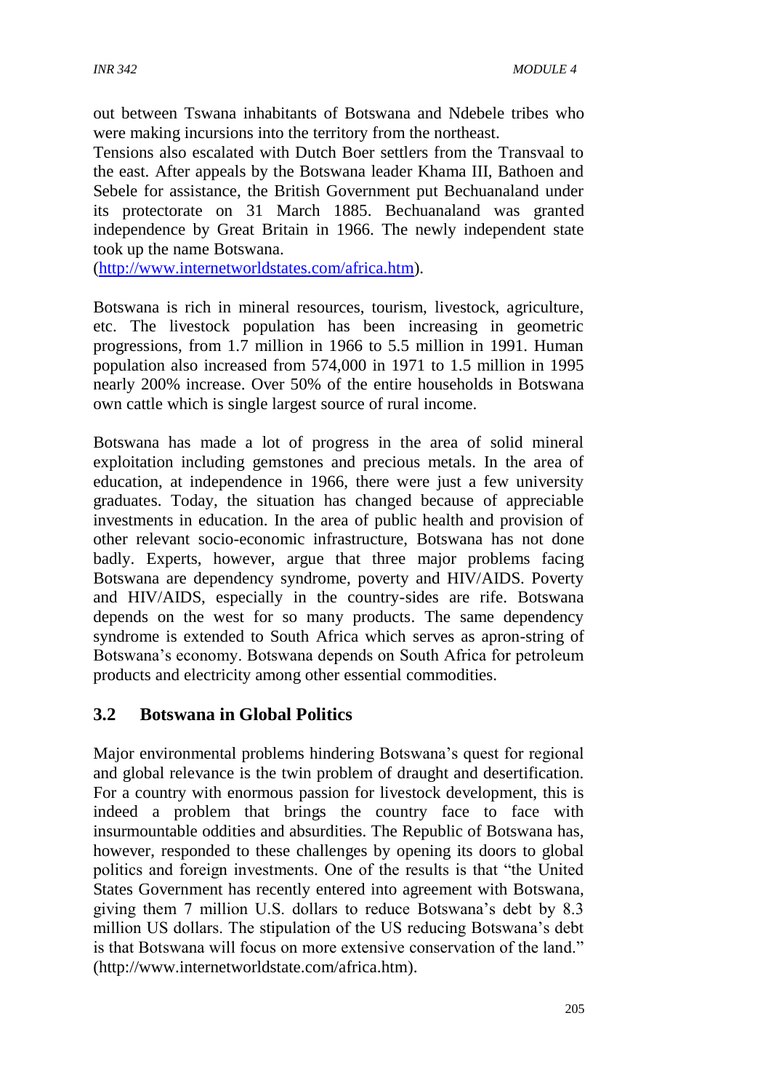out between Tswana inhabitants of Botswana and Ndebele tribes who were making incursions into the territory from the northeast.

Tensions also escalated with Dutch Boer settlers from the Transvaal to the east. After appeals by the Botswana leader Khama III, Bathoen and Sebele for assistance, the British Government put Bechuanaland under its protectorate on 31 March 1885. Bechuanaland was granted independence by Great Britain in 1966. The newly independent state took up the name Botswana.

[\(http://www.internetworldstates.com/africa.htm\)](http://www.internetworldstates.com/africa.htm).

Botswana is rich in mineral resources, tourism, livestock, agriculture, etc. The livestock population has been increasing in geometric progressions, from 1.7 million in 1966 to 5.5 million in 1991. Human population also increased from 574,000 in 1971 to 1.5 million in 1995 nearly 200% increase. Over 50% of the entire households in Botswana own cattle which is single largest source of rural income.

Botswana has made a lot of progress in the area of solid mineral exploitation including gemstones and precious metals. In the area of education, at independence in 1966, there were just a few university graduates. Today, the situation has changed because of appreciable investments in education. In the area of public health and provision of other relevant socio-economic infrastructure, Botswana has not done badly. Experts, however, argue that three major problems facing Botswana are dependency syndrome, poverty and HIV/AIDS. Poverty and HIV/AIDS, especially in the country-sides are rife. Botswana depends on the west for so many products. The same dependency syndrome is extended to South Africa which serves as apron-string of Botswana's economy. Botswana depends on South Africa for petroleum products and electricity among other essential commodities.

### **3.2 Botswana in Global Politics**

Major environmental problems hindering Botswana's quest for regional and global relevance is the twin problem of draught and desertification. For a country with enormous passion for livestock development, this is indeed a problem that brings the country face to face with insurmountable oddities and absurdities. The Republic of Botswana has, however, responded to these challenges by opening its doors to global politics and foreign investments. One of the results is that "the United States Government has recently entered into agreement with Botswana, giving them 7 million U.S. dollars to reduce Botswana's debt by 8.3 million US dollars. The stipulation of the US reducing Botswana's debt is that Botswana will focus on more extensive conservation of the land." (http://www.internetworldstate.com/africa.htm).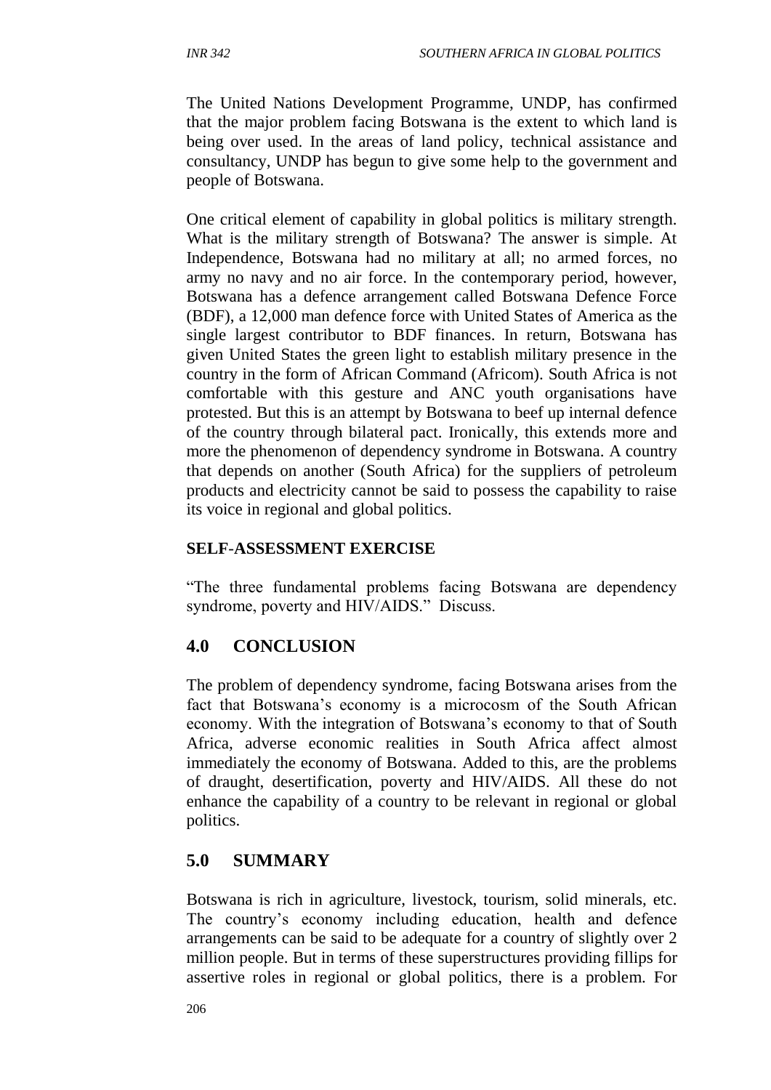The United Nations Development Programme, UNDP, has confirmed that the major problem facing Botswana is the extent to which land is being over used. In the areas of land policy, technical assistance and consultancy, UNDP has begun to give some help to the government and people of Botswana.

One critical element of capability in global politics is military strength. What is the military strength of Botswana? The answer is simple. At Independence, Botswana had no military at all; no armed forces, no army no navy and no air force. In the contemporary period, however, Botswana has a defence arrangement called Botswana Defence Force (BDF), a 12,000 man defence force with United States of America as the single largest contributor to BDF finances. In return, Botswana has given United States the green light to establish military presence in the country in the form of African Command (Africom). South Africa is not comfortable with this gesture and ANC youth organisations have protested. But this is an attempt by Botswana to beef up internal defence of the country through bilateral pact. Ironically, this extends more and more the phenomenon of dependency syndrome in Botswana. A country that depends on another (South Africa) for the suppliers of petroleum products and electricity cannot be said to possess the capability to raise its voice in regional and global politics.

#### **SELF**-**ASSESSMENT EXERCISE**

"The three fundamental problems facing Botswana are dependency syndrome, poverty and HIV/AIDS." Discuss.

## **4.0 CONCLUSION**

The problem of dependency syndrome, facing Botswana arises from the fact that Botswana's economy is a microcosm of the South African economy. With the integration of Botswana's economy to that of South Africa, adverse economic realities in South Africa affect almost immediately the economy of Botswana. Added to this, are the problems of draught, desertification, poverty and HIV/AIDS. All these do not enhance the capability of a country to be relevant in regional or global politics.

## **5.0 SUMMARY**

Botswana is rich in agriculture, livestock, tourism, solid minerals, etc. The country's economy including education, health and defence arrangements can be said to be adequate for a country of slightly over 2 million people. But in terms of these superstructures providing fillips for assertive roles in regional or global politics, there is a problem. For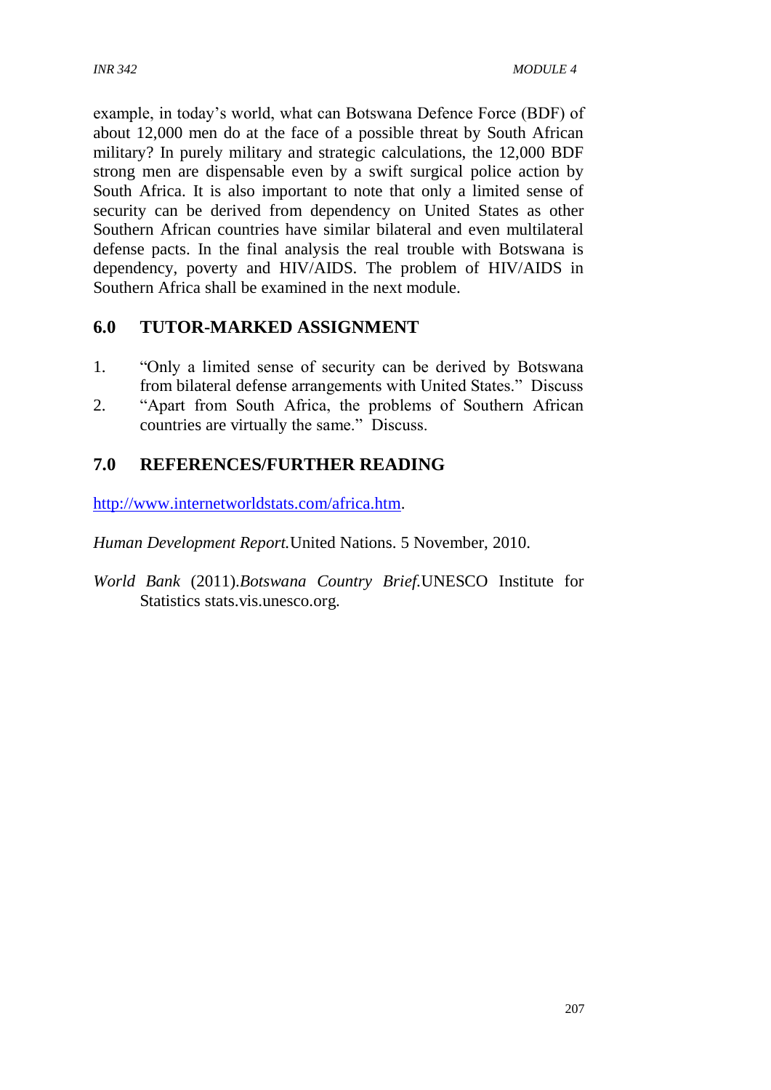example, in today's world, what can Botswana Defence Force (BDF) of about 12,000 men do at the face of a possible threat by South African military? In purely military and strategic calculations, the 12,000 BDF strong men are dispensable even by a swift surgical police action by South Africa. It is also important to note that only a limited sense of security can be derived from dependency on United States as other Southern African countries have similar bilateral and even multilateral defense pacts. In the final analysis the real trouble with Botswana is dependency, poverty and HIV/AIDS. The problem of HIV/AIDS in Southern Africa shall be examined in the next module.

## **6.0 TUTOR-MARKED ASSIGNMENT**

- 1. "Only a limited sense of security can be derived by Botswana from bilateral defense arrangements with United States." Discuss
- 2. "Apart from South Africa, the problems of Southern African countries are virtually the same." Discuss.

# **7.0 REFERENCES/FURTHER READING**

[http://www.internetworldstats.com/africa.htm.](http://www.internetworldstats.com/africa.htm)

*Human Development Report.*United Nations. 5 November, 2010.

*World Bank* (2011).*Botswana Country Brief.*UNESCO Institute for Statistics stats.vis.unesco.org.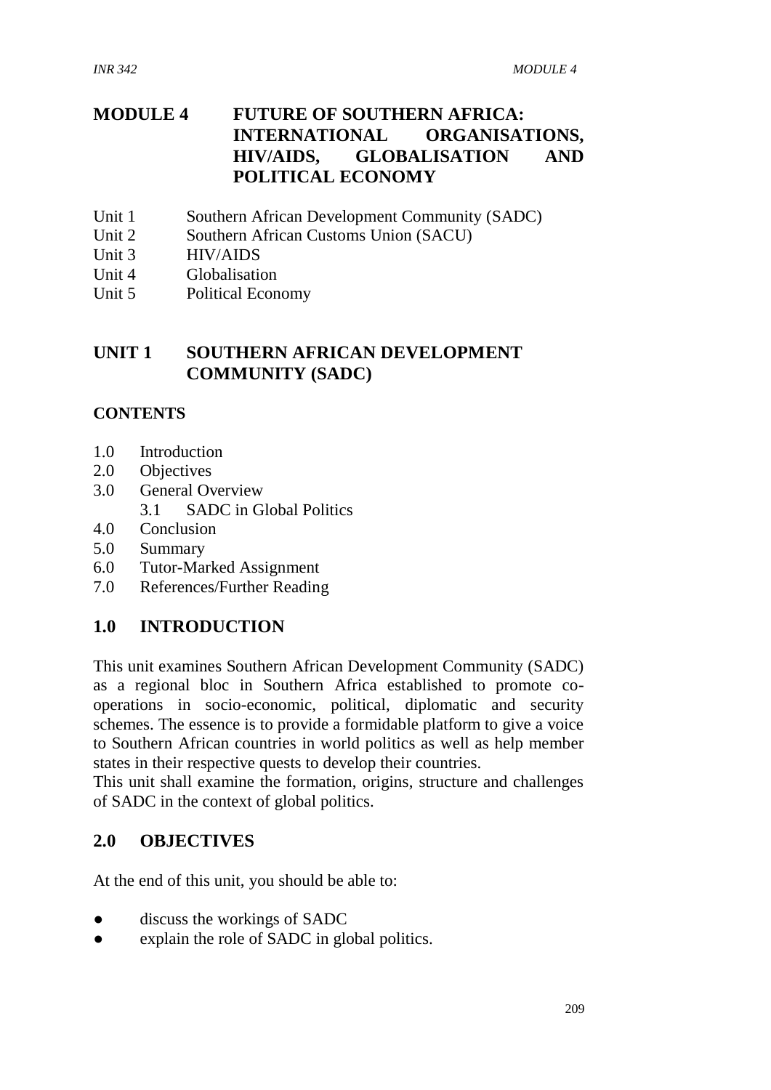# **MODULE 4 FUTURE OF SOUTHERN AFRICA: INTERNATIONAL ORGANISATIONS, HIV/AIDS, GLOBALISATION AND POLITICAL ECONOMY**

- Unit 1 Southern African Development Community (SADC)
- Unit 2 Southern African Customs Union (SACU)
- Unit 3 HIV/AIDS
- Unit 4 Globalisation
- Unit 5 Political Economy

## **UNIT 1 SOUTHERN AFRICAN DEVELOPMENT COMMUNITY (SADC)**

#### **CONTENTS**

- 1.0 Introduction
- 2.0 Objectives
- 3.0 General Overview 3.1 SADC in Global Politics
- 4.0 Conclusion
- 5.0 Summary
- 6.0 Tutor-Marked Assignment
- 7.0 References/Further Reading

#### **1.0 INTRODUCTION**

This unit examines Southern African Development Community (SADC) as a regional bloc in Southern Africa established to promote cooperations in socio-economic, political, diplomatic and security schemes. The essence is to provide a formidable platform to give a voice to Southern African countries in world politics as well as help member states in their respective quests to develop their countries.

This unit shall examine the formation, origins, structure and challenges of SADC in the context of global politics.

#### **2.0 OBJECTIVES**

At the end of this unit, you should be able to:

- discuss the workings of SADC
- explain the role of SADC in global politics.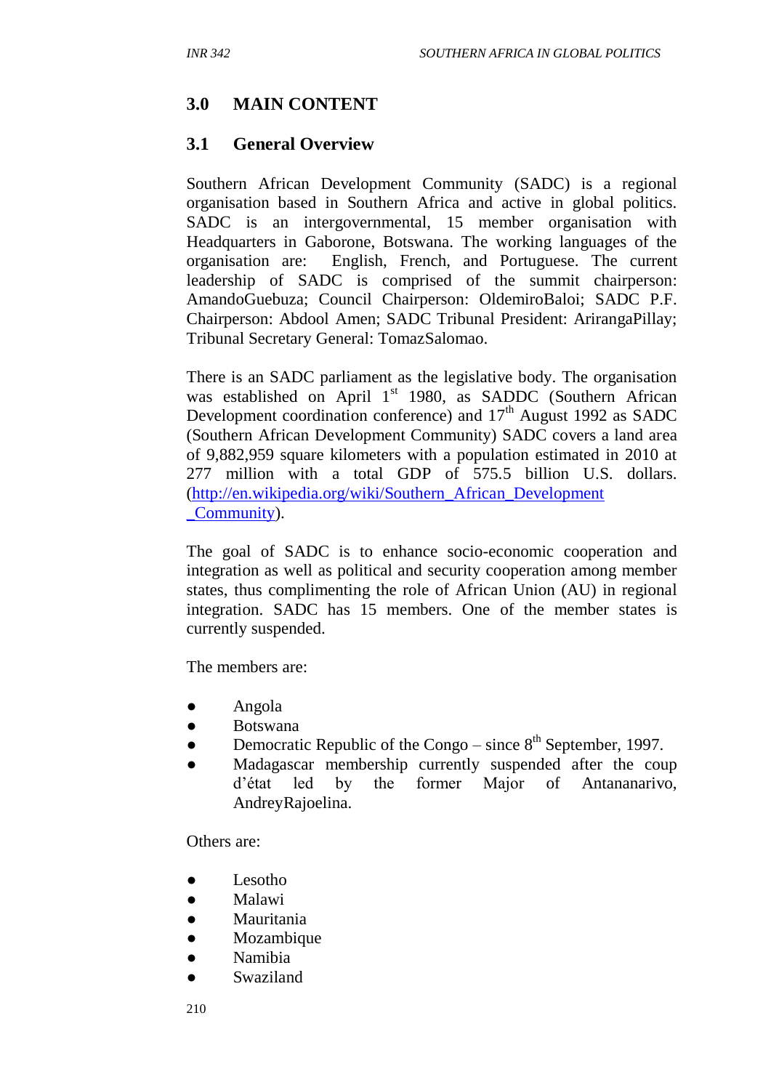# **3.0 MAIN CONTENT**

## **3.1 General Overview**

Southern African Development Community (SADC) is a regional organisation based in Southern Africa and active in global politics. SADC is an intergovernmental, 15 member organisation with Headquarters in Gaborone, Botswana. The working languages of the organisation are: English, French, and Portuguese. The current leadership of SADC is comprised of the summit chairperson: AmandoGuebuza; Council Chairperson: OldemiroBaloi; SADC P.F. Chairperson: Abdool Amen; SADC Tribunal President: ArirangaPillay; Tribunal Secretary General: TomazSalomao.

There is an SADC parliament as the legislative body. The organisation was established on April 1<sup>st</sup> 1980, as SADDC (Southern African Development coordination conference) and  $17<sup>th</sup>$  August 1992 as SADC (Southern African Development Community) SADC covers a land area of 9,882,959 square kilometers with a population estimated in 2010 at 277 million with a total GDP of 575.5 billion U.S. dollars. [\(http://en.wikipedia.org/wiki/Southern\\_African\\_Development](http://en.wikipedia.org/wiki/Southern_African_Development%20_Community)  [\\_Community\)](http://en.wikipedia.org/wiki/Southern_African_Development%20_Community).

The goal of SADC is to enhance socio-economic cooperation and integration as well as political and security cooperation among member states, thus complimenting the role of African Union (AU) in regional integration. SADC has 15 members. One of the member states is currently suspended.

The members are:

- Angola
- Botswana
- Democratic Republic of the Congo since  $8<sup>th</sup>$  September, 1997.
- Madagascar membership currently suspended after the coup d'état led by the former Major of Antananarivo, AndreyRajoelina.

Others are:

- Lesotho
- Malawi
- Mauritania
- Mozambique
- Namibia
- **Swaziland**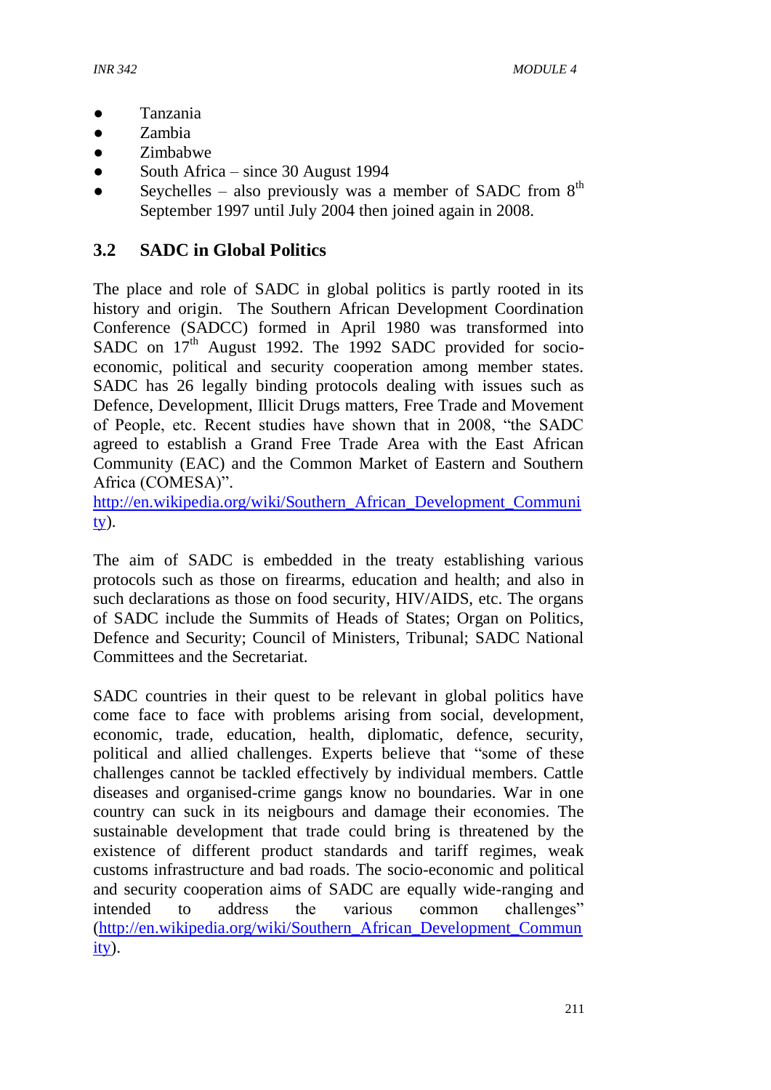- Tanzania
- Zambia
- Zimbabwe
- South Africa since 30 August 1994
- Seychelles also previously was a member of SADC from  $8<sup>th</sup>$ September 1997 until July 2004 then joined again in 2008.

### **3.2 SADC in Global Politics**

The place and role of SADC in global politics is partly rooted in its history and origin. The Southern African Development Coordination Conference (SADCC) formed in April 1980 was transformed into SADC on  $17<sup>th</sup>$  August 1992. The 1992 SADC provided for socioeconomic, political and security cooperation among member states. SADC has 26 legally binding protocols dealing with issues such as Defence, Development, Illicit Drugs matters, Free Trade and Movement of People, etc. Recent studies have shown that in 2008, "the SADC agreed to establish a Grand Free Trade Area with the East African Community (EAC) and the Common Market of Eastern and Southern Africa (COMESA)".

[http://en.wikipedia.org/wiki/Southern\\_African\\_Development\\_Communi](http://en.wikipedia.org/wiki/Southern_African_Development_Community) [ty\)](http://en.wikipedia.org/wiki/Southern_African_Development_Community).

The aim of SADC is embedded in the treaty establishing various protocols such as those on firearms, education and health; and also in such declarations as those on food security, HIV/AIDS, etc. The organs of SADC include the Summits of Heads of States; Organ on Politics, Defence and Security; Council of Ministers, Tribunal; SADC National Committees and the Secretariat.

SADC countries in their quest to be relevant in global politics have come face to face with problems arising from social, development, economic, trade, education, health, diplomatic, defence, security, political and allied challenges. Experts believe that "some of these challenges cannot be tackled effectively by individual members. Cattle diseases and organised-crime gangs know no boundaries. War in one country can suck in its neigbours and damage their economies. The sustainable development that trade could bring is threatened by the existence of different product standards and tariff regimes, weak customs infrastructure and bad roads. The socio-economic and political and security cooperation aims of SADC are equally wide-ranging and intended to address the various common challenges" [\(http://en.wikipedia.org/wiki/Southern\\_African\\_Development\\_Commun](http://en.wikipedia.org/wiki/Southern_African_Development_Community) [ity\)](http://en.wikipedia.org/wiki/Southern_African_Development_Community).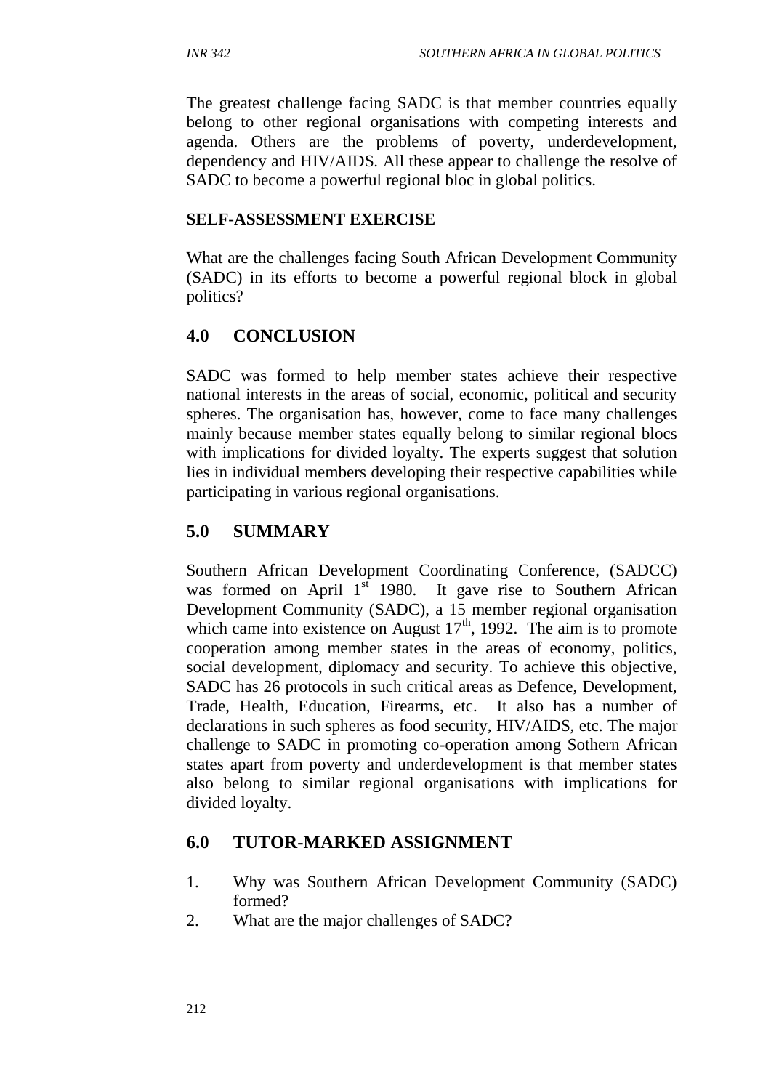The greatest challenge facing SADC is that member countries equally belong to other regional organisations with competing interests and agenda. Others are the problems of poverty, underdevelopment, dependency and HIV/AIDS. All these appear to challenge the resolve of SADC to become a powerful regional bloc in global politics.

#### **SELF**-**ASSESSMENT EXERCISE**

What are the challenges facing South African Development Community (SADC) in its efforts to become a powerful regional block in global politics?

## **4.0 CONCLUSION**

SADC was formed to help member states achieve their respective national interests in the areas of social, economic, political and security spheres. The organisation has, however, come to face many challenges mainly because member states equally belong to similar regional blocs with implications for divided loyalty. The experts suggest that solution lies in individual members developing their respective capabilities while participating in various regional organisations.

## **5.0 SUMMARY**

Southern African Development Coordinating Conference, (SADCC) was formed on April  $1<sup>st</sup>$  1980. It gave rise to Southern African Development Community (SADC), a 15 member regional organisation which came into existence on August  $17<sup>th</sup>$ , 1992. The aim is to promote cooperation among member states in the areas of economy, politics, social development, diplomacy and security. To achieve this objective, SADC has 26 protocols in such critical areas as Defence, Development, Trade, Health, Education, Firearms, etc. It also has a number of declarations in such spheres as food security, HIV/AIDS, etc. The major challenge to SADC in promoting co-operation among Sothern African states apart from poverty and underdevelopment is that member states also belong to similar regional organisations with implications for divided loyalty.

## **6.0 TUTOR-MARKED ASSIGNMENT**

- 1. Why was Southern African Development Community (SADC) formed?
- 2. What are the major challenges of SADC?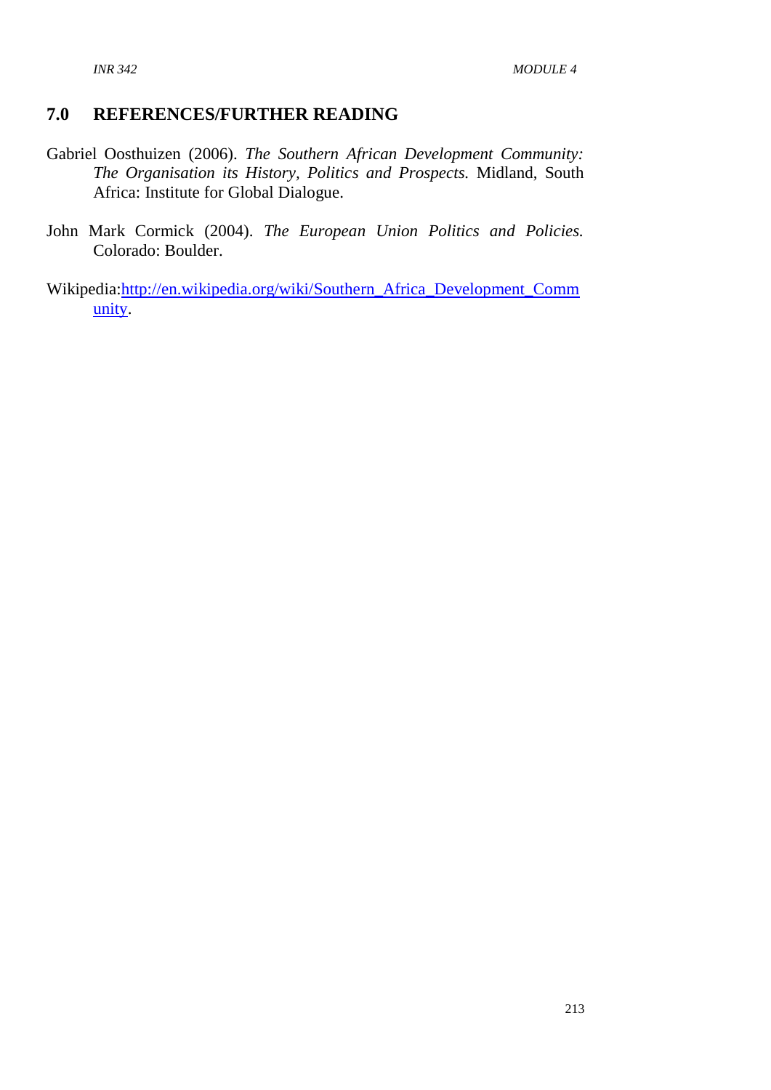#### **7.0 REFERENCES/FURTHER READING**

- Gabriel Oosthuizen (2006). *The Southern African Development Community: The Organisation its History, Politics and Prospects.* Midland, South Africa: Institute for Global Dialogue.
- John Mark Cormick (2004). *The European Union Politics and Policies.* Colorado: Boulder.
- Wikipedia[:http://en.wikipedia.org/wiki/Southern\\_Africa\\_Development\\_Comm](http://en.wikipedia.org/wiki/Southern_Africa_Development_Community) [unity.](http://en.wikipedia.org/wiki/Southern_Africa_Development_Community)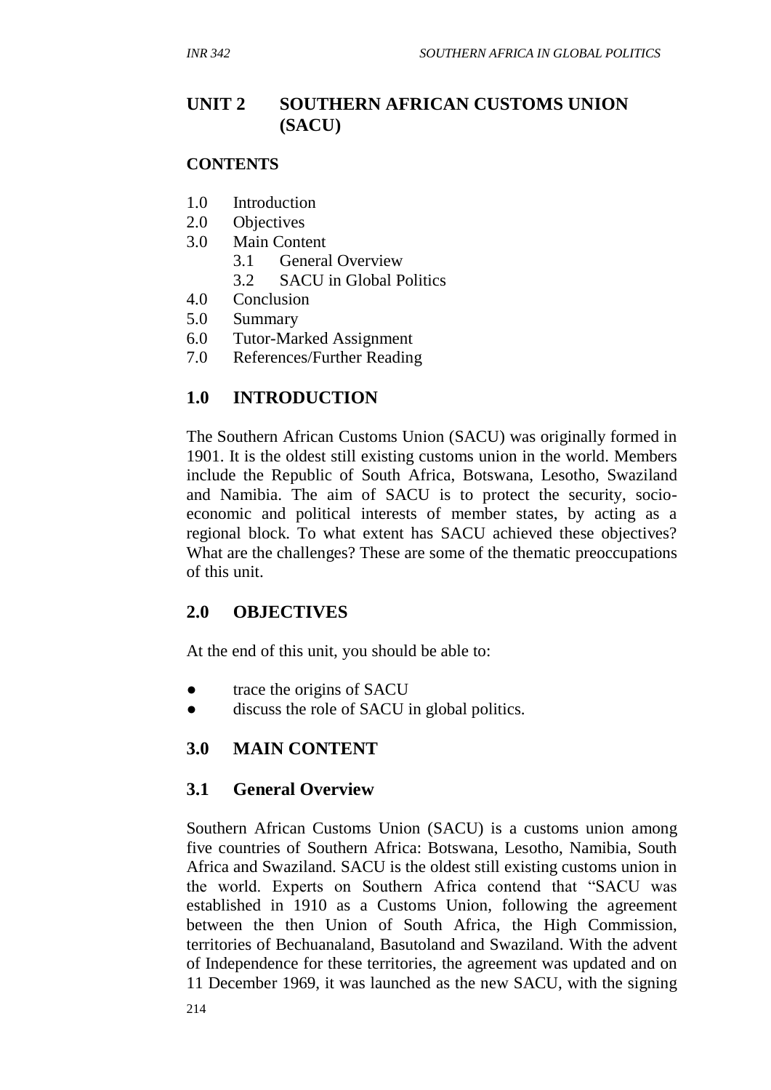# **UNIT 2 SOUTHERN AFRICAN CUSTOMS UNION (SACU)**

#### **CONTENTS**

- 1.0 Introduction
- 2.0 Objectives
- 3.0 Main Content
	- 3.1 General Overview
	- 3.2 SACU in Global Politics
- 4.0 Conclusion
- 5.0 Summary
- 6.0 Tutor-Marked Assignment
- 7.0 References/Further Reading

# **1.0 INTRODUCTION**

The Southern African Customs Union (SACU) was originally formed in 1901. It is the oldest still existing customs union in the world. Members include the Republic of South Africa, Botswana, Lesotho, Swaziland and Namibia. The aim of SACU is to protect the security, socioeconomic and political interests of member states, by acting as a regional block. To what extent has SACU achieved these objectives? What are the challenges? These are some of the thematic preoccupations of this unit.

## **2.0 OBJECTIVES**

At the end of this unit, you should be able to:

- trace the origins of SACU
- discuss the role of SACU in global politics.

# **3.0 MAIN CONTENT**

## **3.1 General Overview**

Southern African Customs Union (SACU) is a customs union among five countries of Southern Africa: Botswana, Lesotho, Namibia, South Africa and Swaziland. SACU is the oldest still existing customs union in the world. Experts on Southern Africa contend that "SACU was established in 1910 as a Customs Union, following the agreement between the then Union of South Africa, the High Commission, territories of Bechuanaland, Basutoland and Swaziland. With the advent of Independence for these territories, the agreement was updated and on 11 December 1969, it was launched as the new SACU, with the signing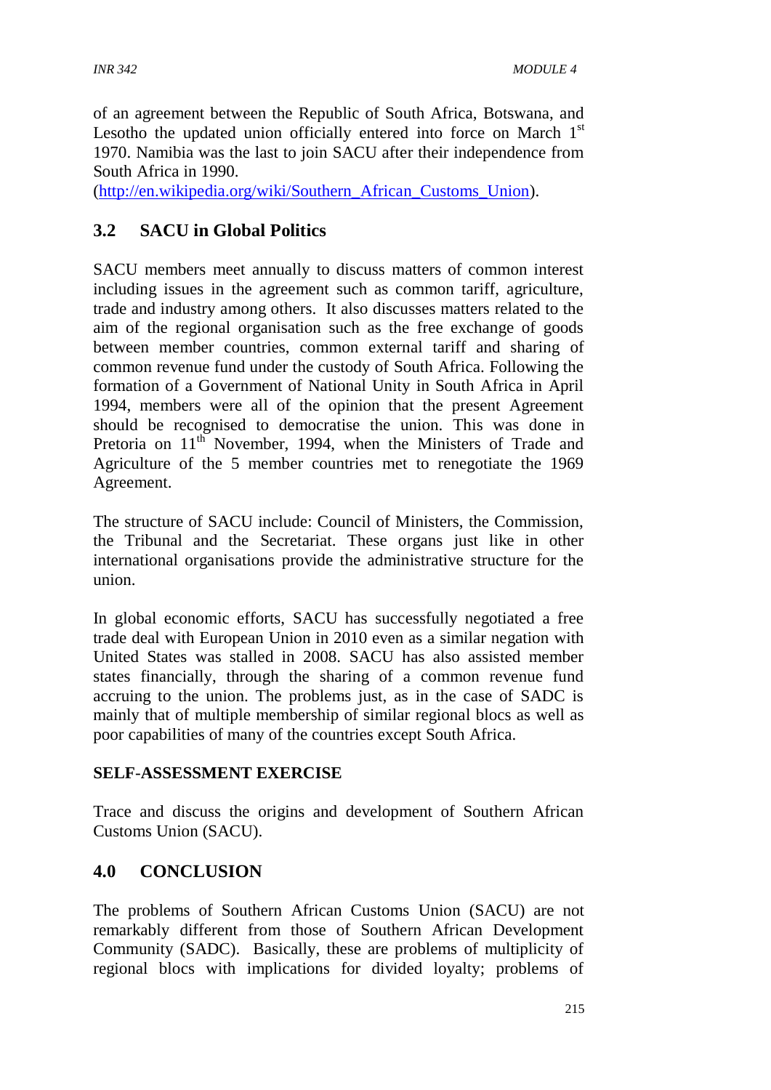of an agreement between the Republic of South Africa, Botswana, and Lesotho the updated union officially entered into force on March  $1<sup>st</sup>$ 1970. Namibia was the last to join SACU after their independence from South Africa in 1990.

[\(http://en.wikipedia.org/wiki/Southern\\_African\\_Customs\\_Union\)](http://en.wikipedia.org/wiki/Southern_African_Customs_Union).

# **3.2 SACU in Global Politics**

SACU members meet annually to discuss matters of common interest including issues in the agreement such as common tariff, agriculture, trade and industry among others. It also discusses matters related to the aim of the regional organisation such as the free exchange of goods between member countries, common external tariff and sharing of common revenue fund under the custody of South Africa. Following the formation of a Government of National Unity in South Africa in April 1994, members were all of the opinion that the present Agreement should be recognised to democratise the union. This was done in Pretoria on 11<sup>th</sup> November, 1994, when the Ministers of Trade and Agriculture of the 5 member countries met to renegotiate the 1969 Agreement.

The structure of SACU include: Council of Ministers, the Commission, the Tribunal and the Secretariat. These organs just like in other international organisations provide the administrative structure for the union.

In global economic efforts, SACU has successfully negotiated a free trade deal with European Union in 2010 even as a similar negation with United States was stalled in 2008. SACU has also assisted member states financially, through the sharing of a common revenue fund accruing to the union. The problems just, as in the case of SADC is mainly that of multiple membership of similar regional blocs as well as poor capabilities of many of the countries except South Africa.

#### **SELF**-**ASSESSMENT EXERCISE**

Trace and discuss the origins and development of Southern African Customs Union (SACU).

## **4.0 CONCLUSION**

The problems of Southern African Customs Union (SACU) are not remarkably different from those of Southern African Development Community (SADC). Basically, these are problems of multiplicity of regional blocs with implications for divided loyalty; problems of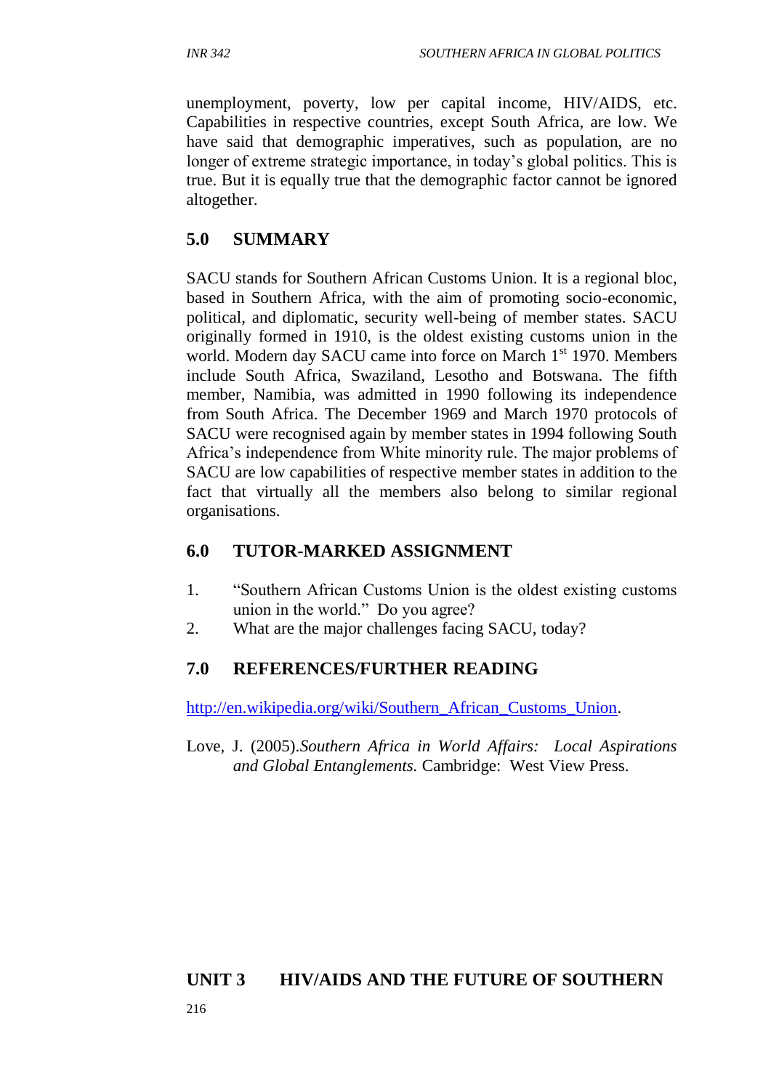unemployment, poverty, low per capital income, HIV/AIDS, etc. Capabilities in respective countries, except South Africa, are low. We have said that demographic imperatives, such as population, are no longer of extreme strategic importance, in today's global politics. This is true. But it is equally true that the demographic factor cannot be ignored altogether.

## **5.0 SUMMARY**

SACU stands for Southern African Customs Union. It is a regional bloc, based in Southern Africa, with the aim of promoting socio-economic, political, and diplomatic, security well-being of member states. SACU originally formed in 1910, is the oldest existing customs union in the world. Modern day SACU came into force on March 1<sup>st</sup> 1970. Members include South Africa, Swaziland, Lesotho and Botswana. The fifth member, Namibia, was admitted in 1990 following its independence from South Africa. The December 1969 and March 1970 protocols of SACU were recognised again by member states in 1994 following South Africa's independence from White minority rule. The major problems of SACU are low capabilities of respective member states in addition to the fact that virtually all the members also belong to similar regional organisations.

## **6.0 TUTOR-MARKED ASSIGNMENT**

- 1. "Southern African Customs Union is the oldest existing customs union in the world." Do you agree?
- 2. What are the major challenges facing SACU, today?

## **7.0 REFERENCES/FURTHER READING**

[http://en.wikipedia.org/wiki/Southern\\_African\\_Customs\\_Union.](http://en.wikipedia.org/wiki/Southern_African_Customs_Union)

Love, J. (2005).*Southern Africa in World Affairs: Local Aspirations and Global Entanglements.* Cambridge: West View Press.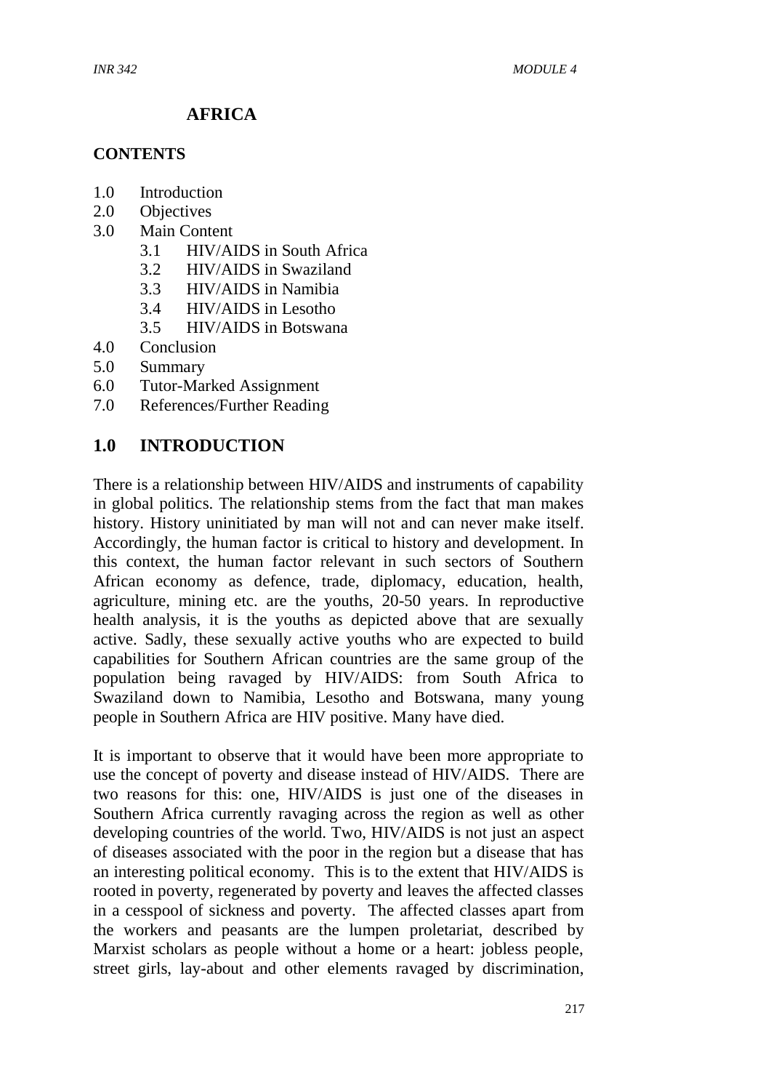# **AFRICA**

#### **CONTENTS**

- 1.0 Introduction
- 2.0 Objectives
- 3.0 Main Content
	- 3.1 HIV/AIDS in South Africa
	- 3.2 HIV/AIDS in Swaziland
	- 3.3 HIV/AIDS in Namibia
	- 3.4 HIV/AIDS in Lesotho
	- 3.5 HIV/AIDS in Botswana
- 4.0 Conclusion
- 5.0 Summary
- 6.0 Tutor-Marked Assignment
- 7.0 References/Further Reading

## **1.0 INTRODUCTION**

There is a relationship between HIV/AIDS and instruments of capability in global politics. The relationship stems from the fact that man makes history. History uninitiated by man will not and can never make itself. Accordingly, the human factor is critical to history and development. In this context, the human factor relevant in such sectors of Southern African economy as defence, trade, diplomacy, education, health, agriculture, mining etc. are the youths, 20-50 years. In reproductive health analysis, it is the youths as depicted above that are sexually active. Sadly, these sexually active youths who are expected to build capabilities for Southern African countries are the same group of the population being ravaged by HIV/AIDS: from South Africa to Swaziland down to Namibia, Lesotho and Botswana, many young people in Southern Africa are HIV positive. Many have died.

It is important to observe that it would have been more appropriate to use the concept of poverty and disease instead of HIV/AIDS. There are two reasons for this: one, HIV/AIDS is just one of the diseases in Southern Africa currently ravaging across the region as well as other developing countries of the world. Two, HIV/AIDS is not just an aspect of diseases associated with the poor in the region but a disease that has an interesting political economy. This is to the extent that HIV/AIDS is rooted in poverty, regenerated by poverty and leaves the affected classes in a cesspool of sickness and poverty. The affected classes apart from the workers and peasants are the lumpen proletariat, described by Marxist scholars as people without a home or a heart: jobless people, street girls, lay-about and other elements ravaged by discrimination,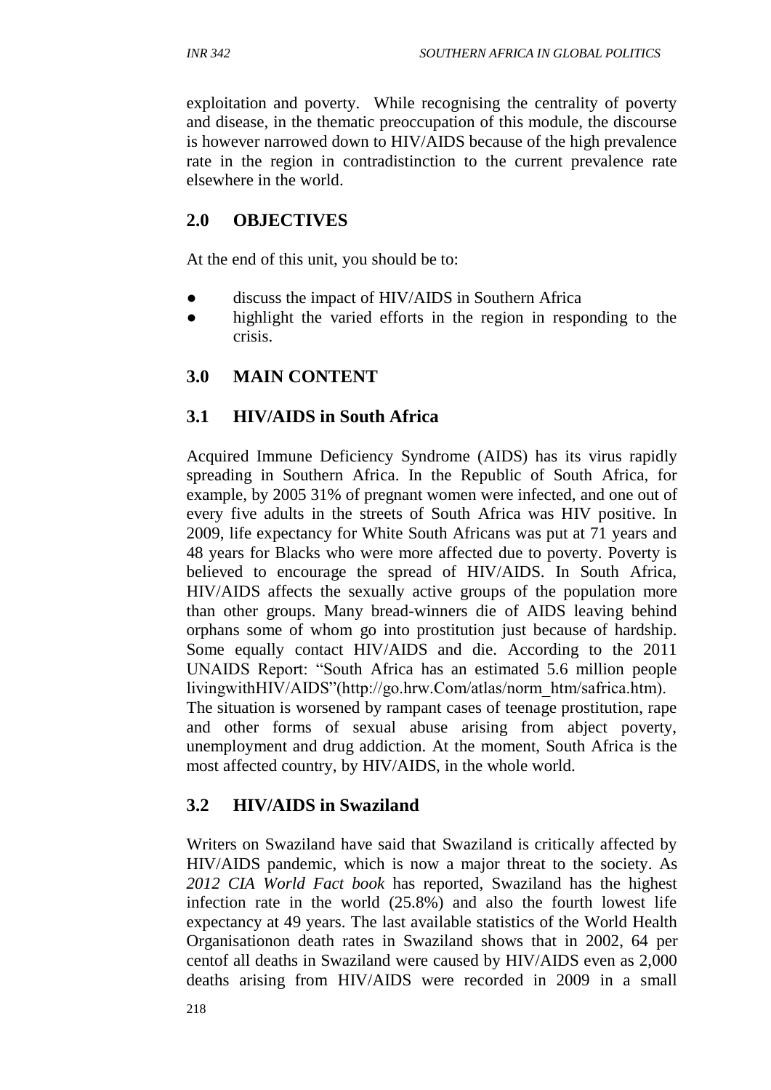exploitation and poverty. While recognising the centrality of poverty and disease, in the thematic preoccupation of this module, the discourse is however narrowed down to HIV/AIDS because of the high prevalence rate in the region in contradistinction to the current prevalence rate elsewhere in the world.

# **2.0 OBJECTIVES**

At the end of this unit, you should be to:

- discuss the impact of HIV/AIDS in Southern Africa
- highlight the varied efforts in the region in responding to the crisis.

## **3.0 MAIN CONTENT**

## **3.1 HIV/AIDS in South Africa**

Acquired Immune Deficiency Syndrome (AIDS) has its virus rapidly spreading in Southern Africa. In the Republic of South Africa, for example, by 2005 31% of pregnant women were infected, and one out of every five adults in the streets of South Africa was HIV positive. In 2009, life expectancy for White South Africans was put at 71 years and 48 years for Blacks who were more affected due to poverty. Poverty is believed to encourage the spread of HIV/AIDS. In South Africa, HIV/AIDS affects the sexually active groups of the population more than other groups. Many bread-winners die of AIDS leaving behind orphans some of whom go into prostitution just because of hardship. Some equally contact HIV/AIDS and die. According to the 2011 UNAIDS Report: "South Africa has an estimated 5.6 million people livingwithHIV/AIDS"(http://go.hrw.Com/atlas/norm\_htm/safrica.htm). The situation is worsened by rampant cases of teenage prostitution, rape and other forms of sexual abuse arising from abject poverty, unemployment and drug addiction. At the moment, South Africa is the most affected country, by HIV/AIDS, in the whole world.

# **3.2 HIV/AIDS in Swaziland**

Writers on Swaziland have said that Swaziland is critically affected by HIV/AIDS pandemic, which is now a major threat to the society. As *2012 CIA World Fact book* has reported, Swaziland has the highest infection rate in the world (25.8%) and also the fourth lowest life expectancy at 49 years. The last available statistics of the World Health Organisationon death rates in Swaziland shows that in 2002, 64 per centof all deaths in Swaziland were caused by HIV/AIDS even as 2,000 deaths arising from HIV/AIDS were recorded in 2009 in a small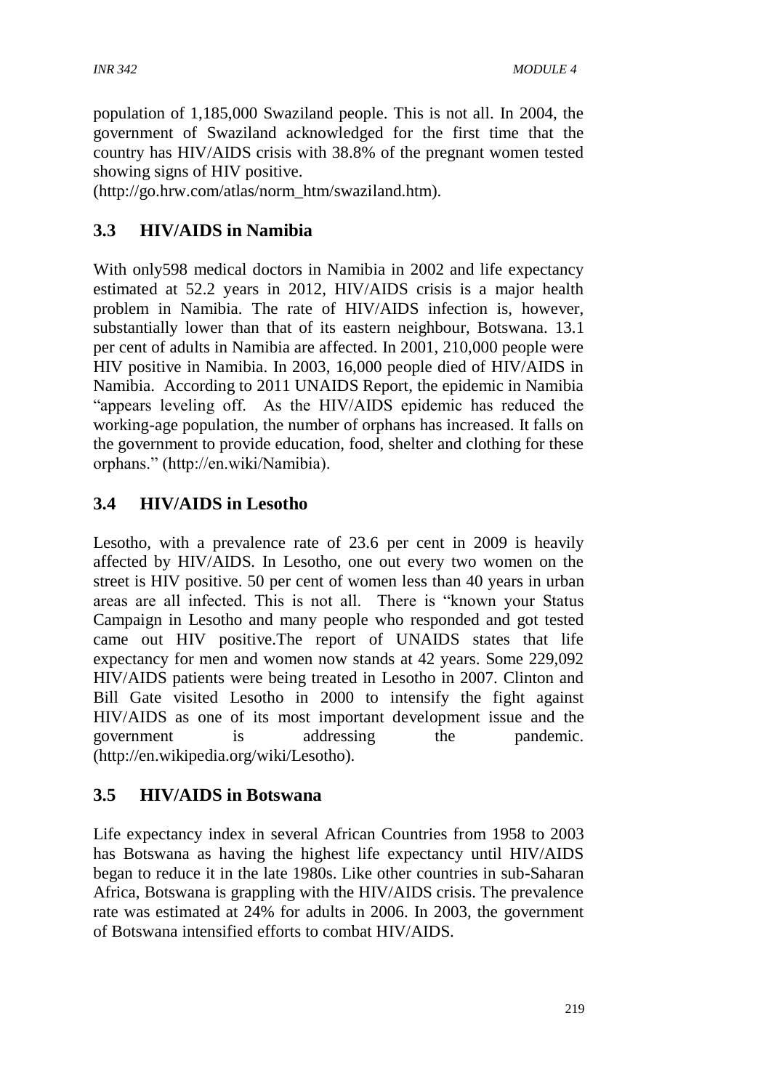population of 1,185,000 Swaziland people. This is not all. In 2004, the government of Swaziland acknowledged for the first time that the country has HIV/AIDS crisis with 38.8% of the pregnant women tested showing signs of HIV positive.

(http://go.hrw.com/atlas/norm\_htm/swaziland.htm).

# **3.3 HIV/AIDS in Namibia**

With only598 medical doctors in Namibia in 2002 and life expectancy estimated at 52.2 years in 2012, HIV/AIDS crisis is a major health problem in Namibia. The rate of HIV/AIDS infection is, however, substantially lower than that of its eastern neighbour, Botswana. 13.1 per cent of adults in Namibia are affected. In 2001, 210,000 people were HIV positive in Namibia. In 2003, 16,000 people died of HIV/AIDS in Namibia. According to 2011 UNAIDS Report, the epidemic in Namibia "appears leveling off. As the HIV/AIDS epidemic has reduced the working-age population, the number of orphans has increased. It falls on the government to provide education, food, shelter and clothing for these orphans." (http://en.wiki/Namibia).

# **3.4 HIV/AIDS in Lesotho**

Lesotho, with a prevalence rate of 23.6 per cent in 2009 is heavily affected by HIV/AIDS. In Lesotho, one out every two women on the street is HIV positive. 50 per cent of women less than 40 years in urban areas are all infected. This is not all. There is "known your Status Campaign in Lesotho and many people who responded and got tested came out HIV positive.The report of UNAIDS states that life expectancy for men and women now stands at 42 years. Some 229,092 HIV/AIDS patients were being treated in Lesotho in 2007. Clinton and Bill Gate visited Lesotho in 2000 to intensify the fight against HIV/AIDS as one of its most important development issue and the government is addressing the pandemic. (http://en.wikipedia.org/wiki/Lesotho).

# **3.5 HIV/AIDS in Botswana**

Life expectancy index in several African Countries from 1958 to 2003 has Botswana as having the highest life expectancy until HIV/AIDS began to reduce it in the late 1980s. Like other countries in sub-Saharan Africa, Botswana is grappling with the HIV/AIDS crisis. The prevalence rate was estimated at 24% for adults in 2006. In 2003, the government of Botswana intensified efforts to combat HIV/AIDS.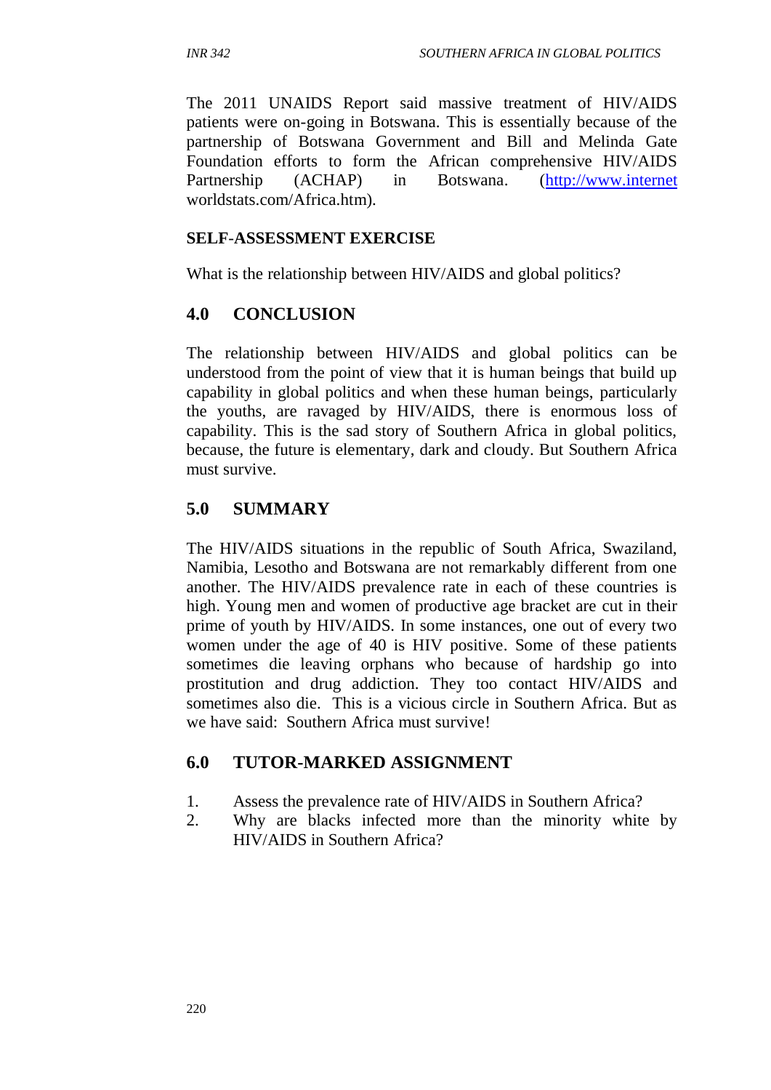The 2011 UNAIDS Report said massive treatment of HIV/AIDS patients were on-going in Botswana. This is essentially because of the partnership of Botswana Government and Bill and Melinda Gate Foundation efforts to form the African comprehensive HIV/AIDS Partnership (ACHAP) in Botswana. [\(http://www.internet](http://www.internet/) worldstats.com/Africa.htm).

#### **SELF**-**ASSESSMENT EXERCISE**

What is the relationship between HIV/AIDS and global politics?

## **4.0 CONCLUSION**

The relationship between HIV/AIDS and global politics can be understood from the point of view that it is human beings that build up capability in global politics and when these human beings, particularly the youths, are ravaged by HIV/AIDS, there is enormous loss of capability. This is the sad story of Southern Africa in global politics, because, the future is elementary, dark and cloudy. But Southern Africa must survive.

# **5.0 SUMMARY**

The HIV/AIDS situations in the republic of South Africa, Swaziland, Namibia, Lesotho and Botswana are not remarkably different from one another. The HIV/AIDS prevalence rate in each of these countries is high. Young men and women of productive age bracket are cut in their prime of youth by HIV/AIDS. In some instances, one out of every two women under the age of 40 is HIV positive. Some of these patients sometimes die leaving orphans who because of hardship go into prostitution and drug addiction. They too contact HIV/AIDS and sometimes also die. This is a vicious circle in Southern Africa. But as we have said: Southern Africa must survive!

## **6.0 TUTOR-MARKED ASSIGNMENT**

- 1. Assess the prevalence rate of HIV/AIDS in Southern Africa?
- 2. Why are blacks infected more than the minority white by HIV/AIDS in Southern Africa?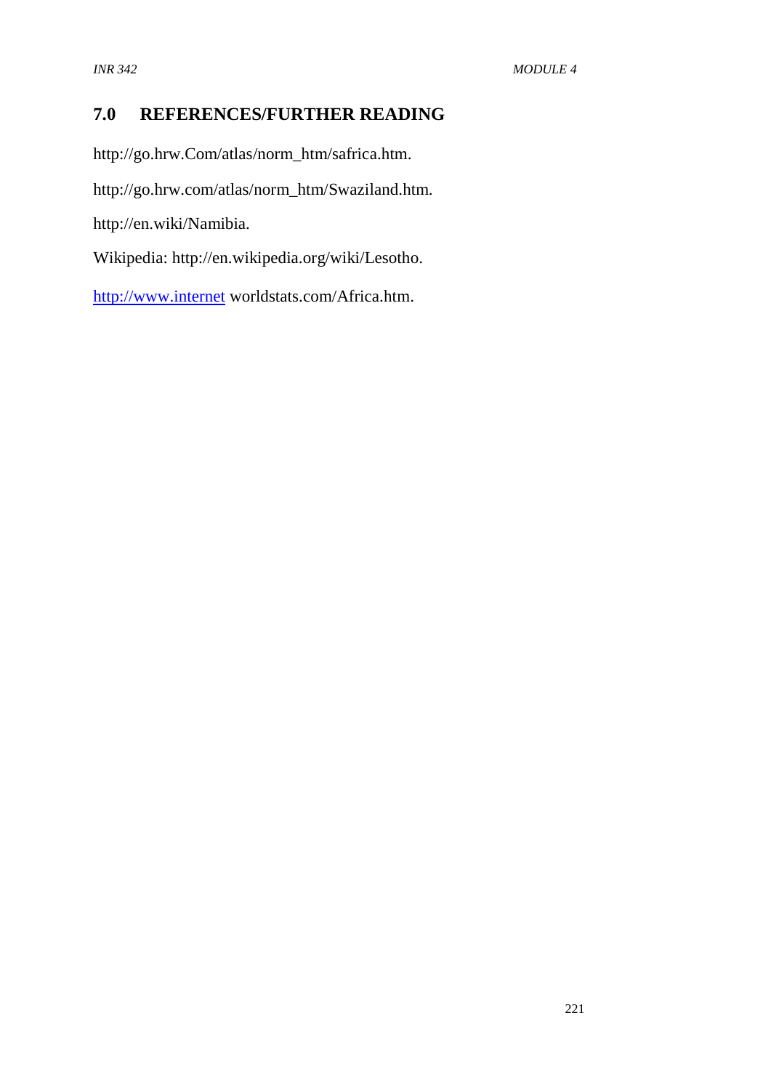# **7.0 REFERENCES/FURTHER READING**

http://go.hrw.Com/atlas/norm\_htm/safrica.htm.

http://go.hrw.com/atlas/norm\_htm/Swaziland.htm.

http://en.wiki/Namibia.

Wikipedia: http://en.wikipedia.org/wiki/Lesotho.

[http://www.internet](http://www.internet/) worldstats.com/Africa.htm.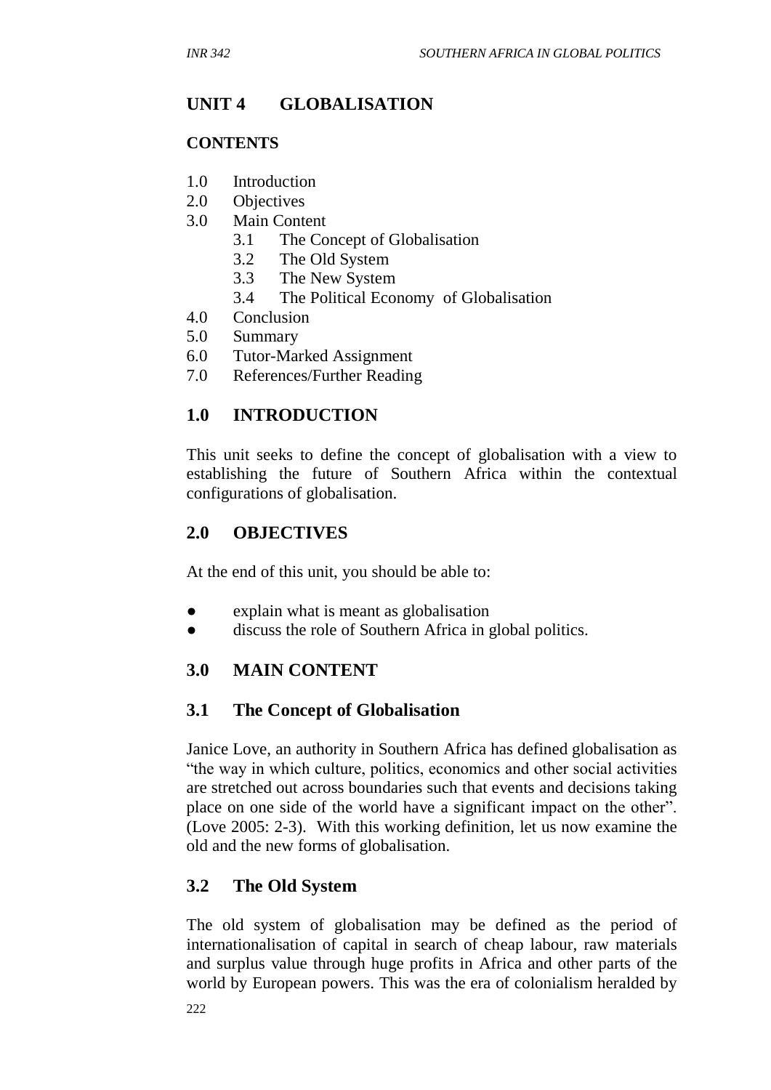# **UNIT 4 GLOBALISATION**

### **CONTENTS**

- 1.0 Introduction
- 2.0 Objectives
- 3.0 Main Content
	- 3.1 The Concept of Globalisation
	- 3.2 The Old System
	- 3.3 The New System
	- 3.4 The Political Economy of Globalisation
- 4.0 Conclusion
- 5.0 Summary
- 6.0 Tutor-Marked Assignment
- 7.0 References/Further Reading

## **1.0 INTRODUCTION**

This unit seeks to define the concept of globalisation with a view to establishing the future of Southern Africa within the contextual configurations of globalisation.

## **2.0 OBJECTIVES**

At the end of this unit, you should be able to:

- explain what is meant as globalisation
- discuss the role of Southern Africa in global politics.

## **3.0 MAIN CONTENT**

## **3.1 The Concept of Globalisation**

Janice Love, an authority in Southern Africa has defined globalisation as "the way in which culture, politics, economics and other social activities are stretched out across boundaries such that events and decisions taking place on one side of the world have a significant impact on the other". (Love 2005: 2-3). With this working definition, let us now examine the old and the new forms of globalisation.

## **3.2 The Old System**

The old system of globalisation may be defined as the period of internationalisation of capital in search of cheap labour, raw materials and surplus value through huge profits in Africa and other parts of the world by European powers. This was the era of colonialism heralded by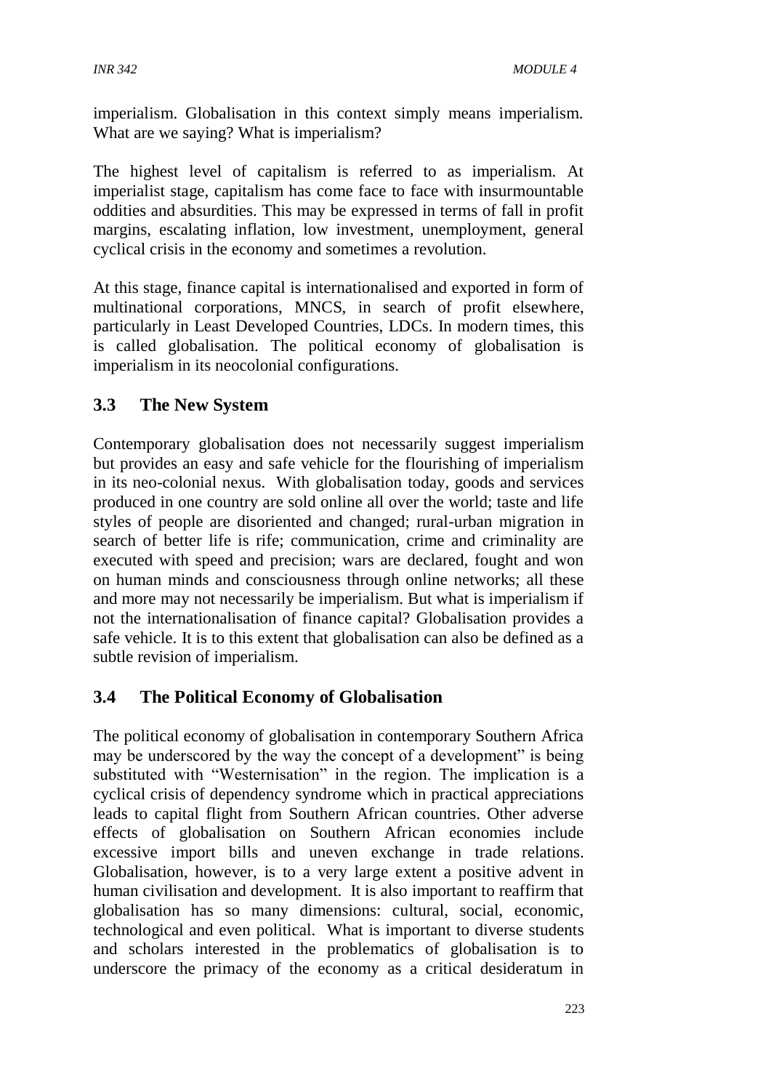imperialism. Globalisation in this context simply means imperialism. What are we saying? What is imperialism?

The highest level of capitalism is referred to as imperialism. At imperialist stage, capitalism has come face to face with insurmountable oddities and absurdities. This may be expressed in terms of fall in profit margins, escalating inflation, low investment, unemployment, general cyclical crisis in the economy and sometimes a revolution.

At this stage, finance capital is internationalised and exported in form of multinational corporations, MNCS, in search of profit elsewhere, particularly in Least Developed Countries, LDCs. In modern times, this is called globalisation. The political economy of globalisation is imperialism in its neocolonial configurations.

## **3.3 The New System**

Contemporary globalisation does not necessarily suggest imperialism but provides an easy and safe vehicle for the flourishing of imperialism in its neo-colonial nexus. With globalisation today, goods and services produced in one country are sold online all over the world; taste and life styles of people are disoriented and changed; rural-urban migration in search of better life is rife; communication, crime and criminality are executed with speed and precision; wars are declared, fought and won on human minds and consciousness through online networks; all these and more may not necessarily be imperialism. But what is imperialism if not the internationalisation of finance capital? Globalisation provides a safe vehicle. It is to this extent that globalisation can also be defined as a subtle revision of imperialism.

# **3.4 The Political Economy of Globalisation**

The political economy of globalisation in contemporary Southern Africa may be underscored by the way the concept of a development" is being substituted with "Westernisation" in the region. The implication is a cyclical crisis of dependency syndrome which in practical appreciations leads to capital flight from Southern African countries. Other adverse effects of globalisation on Southern African economies include excessive import bills and uneven exchange in trade relations. Globalisation, however, is to a very large extent a positive advent in human civilisation and development. It is also important to reaffirm that globalisation has so many dimensions: cultural, social, economic, technological and even political. What is important to diverse students and scholars interested in the problematics of globalisation is to underscore the primacy of the economy as a critical desideratum in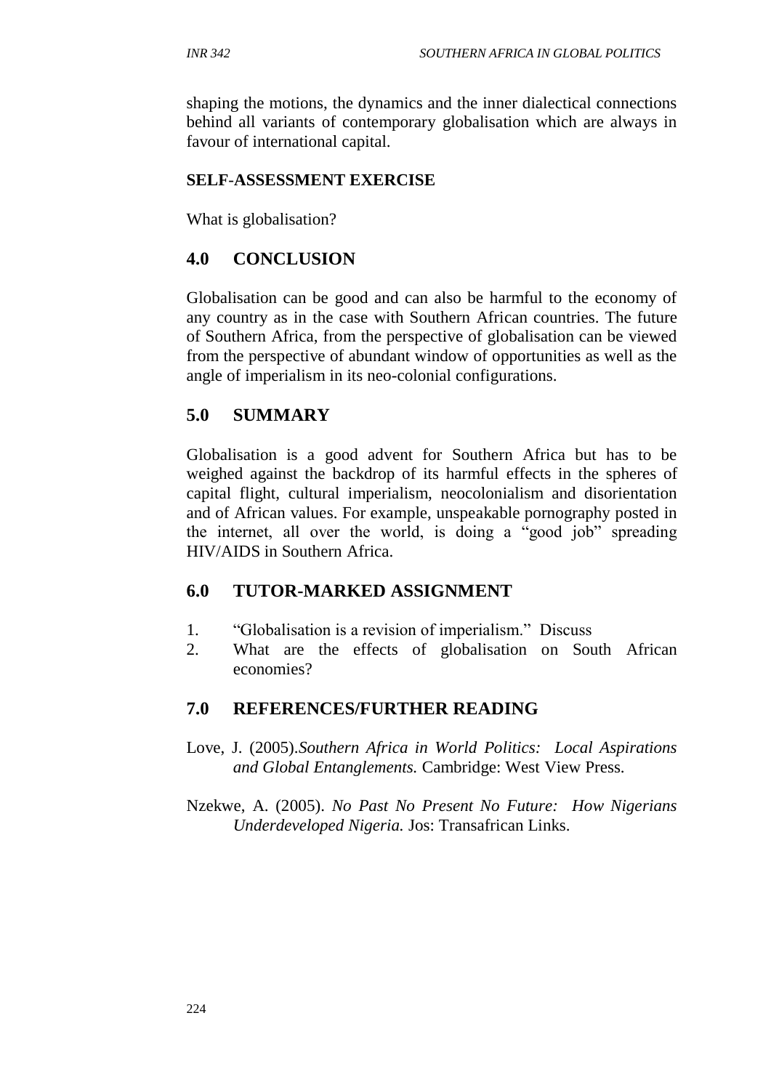shaping the motions, the dynamics and the inner dialectical connections behind all variants of contemporary globalisation which are always in favour of international capital.

#### **SELF**-**ASSESSMENT EXERCISE**

What is globalisation?

## **4.0 CONCLUSION**

Globalisation can be good and can also be harmful to the economy of any country as in the case with Southern African countries. The future of Southern Africa, from the perspective of globalisation can be viewed from the perspective of abundant window of opportunities as well as the angle of imperialism in its neo-colonial configurations.

## **5.0 SUMMARY**

Globalisation is a good advent for Southern Africa but has to be weighed against the backdrop of its harmful effects in the spheres of capital flight, cultural imperialism, neocolonialism and disorientation and of African values. For example, unspeakable pornography posted in the internet, all over the world, is doing a "good job" spreading HIV/AIDS in Southern Africa.

## **6.0 TUTOR-MARKED ASSIGNMENT**

- 1. "Globalisation is a revision of imperialism." Discuss
- 2. What are the effects of globalisation on South African economies?

## **7.0 REFERENCES/FURTHER READING**

- Love, J. (2005).*Southern Africa in World Politics: Local Aspirations and Global Entanglements.* Cambridge: West View Press.
- Nzekwe, A. (2005). *No Past No Present No Future: How Nigerians Underdeveloped Nigeria.* Jos: Transafrican Links.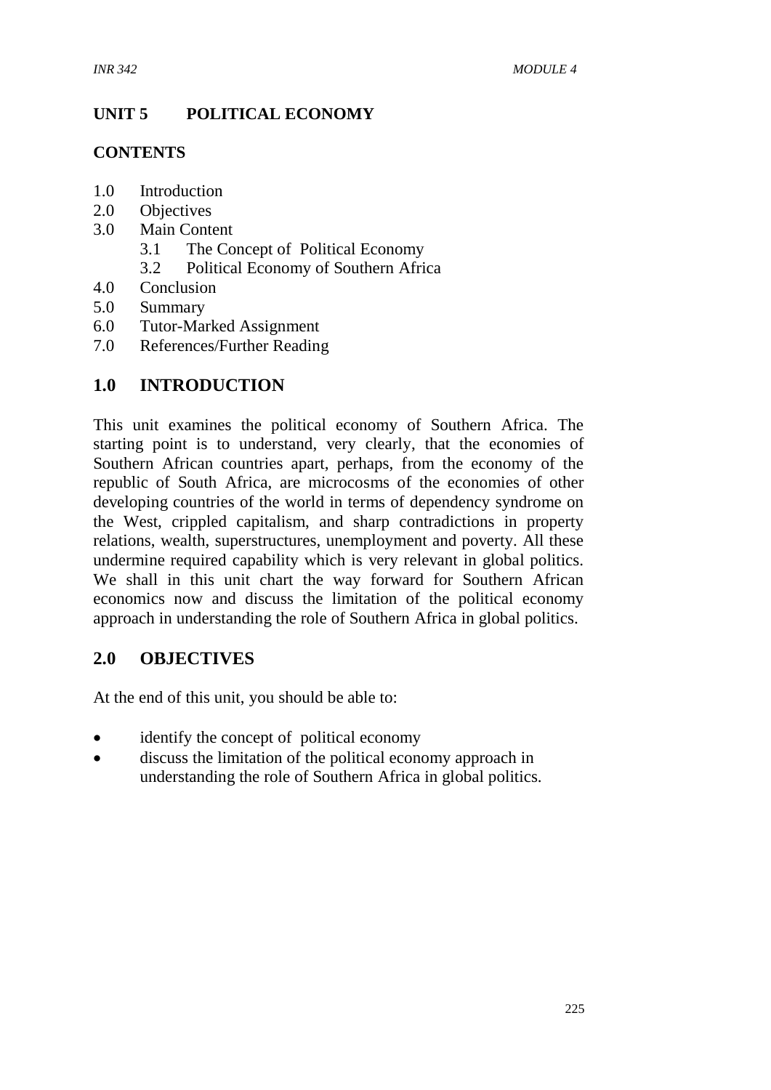#### **UNIT 5 POLITICAL ECONOMY**

#### **CONTENTS**

- 1.0 Introduction
- 2.0 Objectives
- 3.0 Main Content
	- 3.1 The Concept of Political Economy
	- 3.2 Political Economy of Southern Africa
- 4.0 Conclusion
- 5.0 Summary
- 6.0 Tutor-Marked Assignment
- 7.0 References/Further Reading

#### **1.0 INTRODUCTION**

This unit examines the political economy of Southern Africa. The starting point is to understand, very clearly, that the economies of Southern African countries apart, perhaps, from the economy of the republic of South Africa, are microcosms of the economies of other developing countries of the world in terms of dependency syndrome on the West, crippled capitalism, and sharp contradictions in property relations, wealth, superstructures, unemployment and poverty. All these undermine required capability which is very relevant in global politics. We shall in this unit chart the way forward for Southern African economics now and discuss the limitation of the political economy approach in understanding the role of Southern Africa in global politics.

#### **2.0 OBJECTIVES**

At the end of this unit, you should be able to:

- identify the concept of political economy
- discuss the limitation of the political economy approach in understanding the role of Southern Africa in global politics.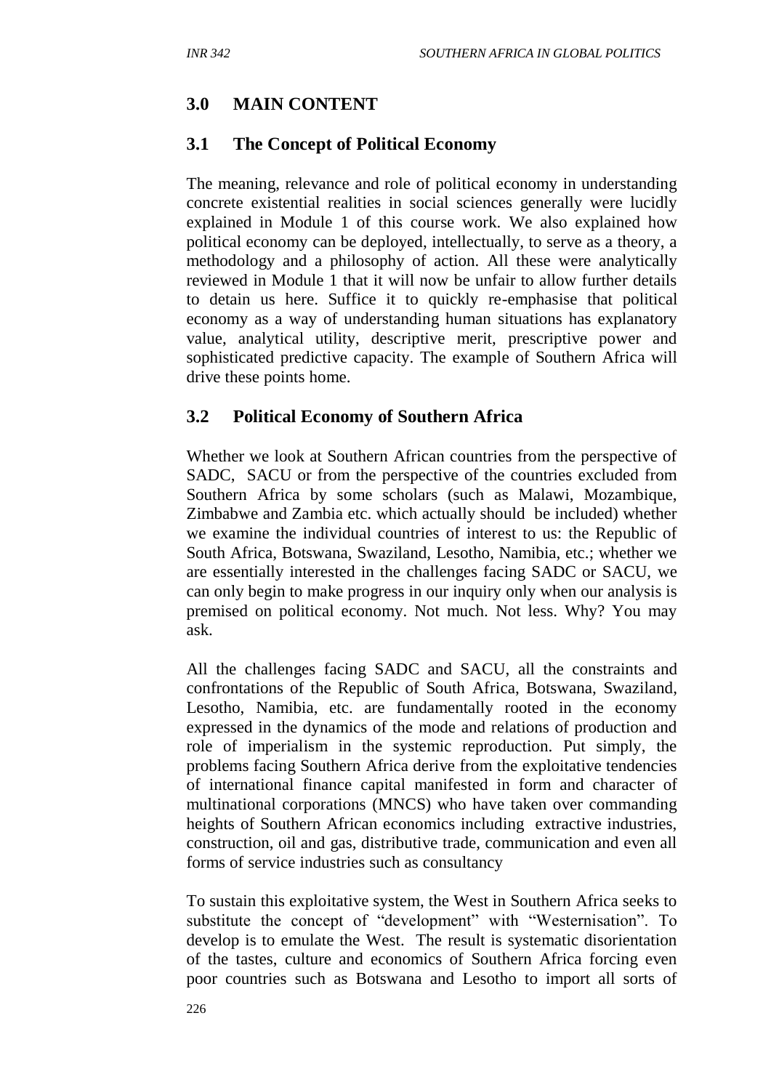# **3.0 MAIN CONTENT**

#### **3.1 The Concept of Political Economy**

The meaning, relevance and role of political economy in understanding concrete existential realities in social sciences generally were lucidly explained in Module 1 of this course work. We also explained how political economy can be deployed, intellectually, to serve as a theory, a methodology and a philosophy of action. All these were analytically reviewed in Module 1 that it will now be unfair to allow further details to detain us here. Suffice it to quickly re-emphasise that political economy as a way of understanding human situations has explanatory value, analytical utility, descriptive merit, prescriptive power and sophisticated predictive capacity. The example of Southern Africa will drive these points home.

#### **3.2 Political Economy of Southern Africa**

Whether we look at Southern African countries from the perspective of SADC, SACU or from the perspective of the countries excluded from Southern Africa by some scholars (such as Malawi, Mozambique, Zimbabwe and Zambia etc. which actually should be included) whether we examine the individual countries of interest to us: the Republic of South Africa, Botswana, Swaziland, Lesotho, Namibia, etc.; whether we are essentially interested in the challenges facing SADC or SACU, we can only begin to make progress in our inquiry only when our analysis is premised on political economy. Not much. Not less. Why? You may ask.

All the challenges facing SADC and SACU, all the constraints and confrontations of the Republic of South Africa, Botswana, Swaziland, Lesotho, Namibia, etc. are fundamentally rooted in the economy expressed in the dynamics of the mode and relations of production and role of imperialism in the systemic reproduction. Put simply, the problems facing Southern Africa derive from the exploitative tendencies of international finance capital manifested in form and character of multinational corporations (MNCS) who have taken over commanding heights of Southern African economics including extractive industries, construction, oil and gas, distributive trade, communication and even all forms of service industries such as consultancy

To sustain this exploitative system, the West in Southern Africa seeks to substitute the concept of "development" with "Westernisation". To develop is to emulate the West. The result is systematic disorientation of the tastes, culture and economics of Southern Africa forcing even poor countries such as Botswana and Lesotho to import all sorts of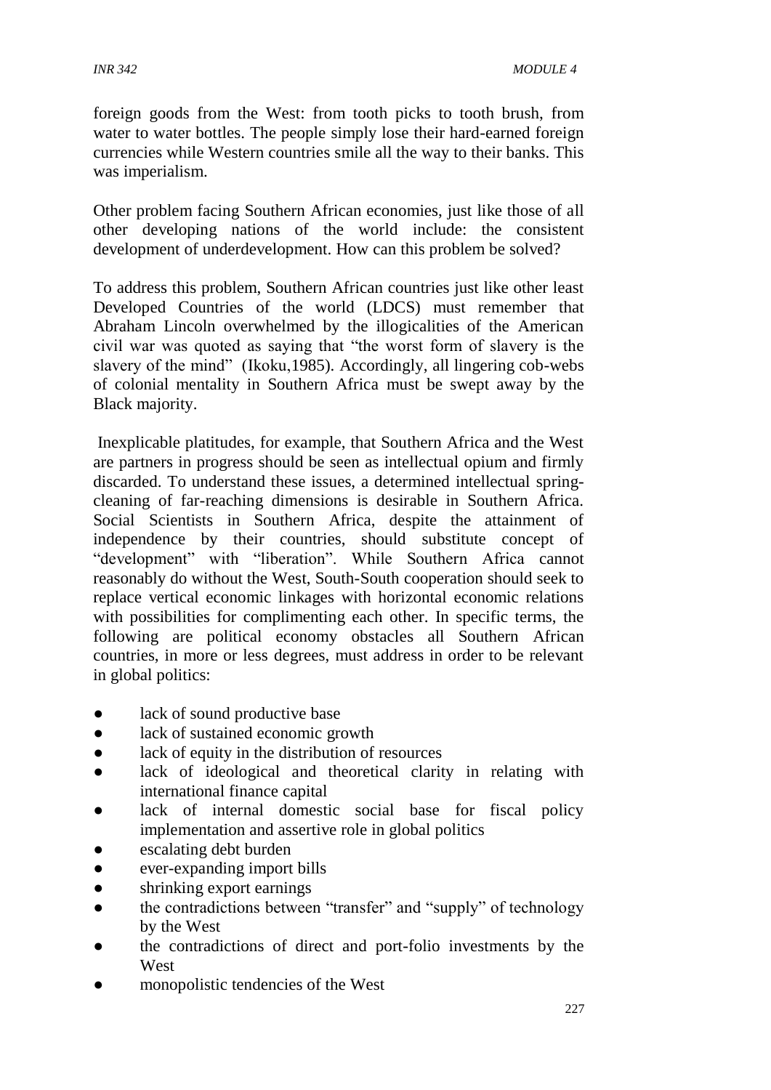foreign goods from the West: from tooth picks to tooth brush, from water to water bottles. The people simply lose their hard-earned foreign currencies while Western countries smile all the way to their banks. This was imperialism.

Other problem facing Southern African economies, just like those of all other developing nations of the world include: the consistent development of underdevelopment. How can this problem be solved?

To address this problem, Southern African countries just like other least Developed Countries of the world (LDCS) must remember that Abraham Lincoln overwhelmed by the illogicalities of the American civil war was quoted as saying that "the worst form of slavery is the slavery of the mind" (Ikoku,1985). Accordingly, all lingering cob-webs of colonial mentality in Southern Africa must be swept away by the Black majority.

Inexplicable platitudes, for example, that Southern Africa and the West are partners in progress should be seen as intellectual opium and firmly discarded. To understand these issues, a determined intellectual springcleaning of far-reaching dimensions is desirable in Southern Africa. Social Scientists in Southern Africa, despite the attainment of independence by their countries, should substitute concept of "development" with "liberation". While Southern Africa cannot reasonably do without the West, South-South cooperation should seek to replace vertical economic linkages with horizontal economic relations with possibilities for complimenting each other. In specific terms, the following are political economy obstacles all Southern African countries, in more or less degrees, must address in order to be relevant in global politics:

- lack of sound productive base
- lack of sustained economic growth
- lack of equity in the distribution of resources
- lack of ideological and theoretical clarity in relating with international finance capital
- lack of internal domestic social base for fiscal policy implementation and assertive role in global politics
- escalating debt burden
- ever-expanding import bills
- shrinking export earnings
- the contradictions between "transfer" and "supply" of technology by the West
- the contradictions of direct and port-folio investments by the West
- monopolistic tendencies of the West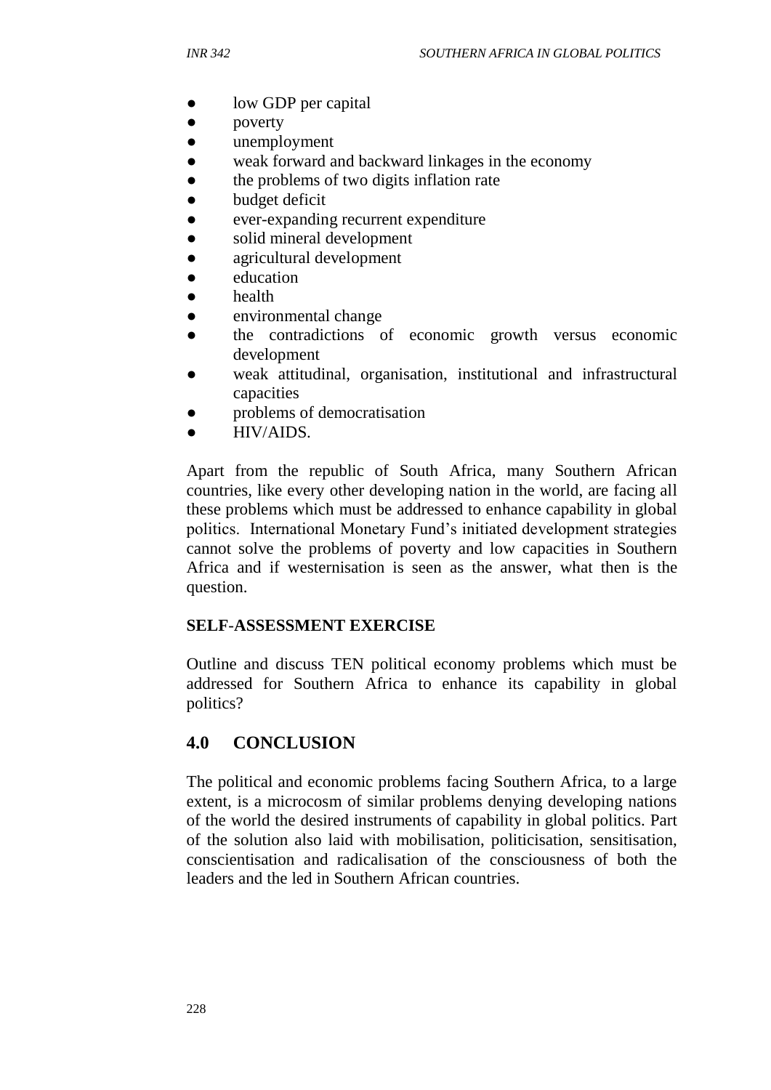- low GDP per capital
- poverty
- unemployment
- weak forward and backward linkages in the economy
- the problems of two digits inflation rate
- budget deficit
- ever-expanding recurrent expenditure
- solid mineral development
- agricultural development
- education
- health
- environmental change
- the contradictions of economic growth versus economic development
- weak attitudinal, organisation, institutional and infrastructural capacities
- problems of democratisation
- HIV/AIDS.

Apart from the republic of South Africa, many Southern African countries, like every other developing nation in the world, are facing all these problems which must be addressed to enhance capability in global politics. International Monetary Fund's initiated development strategies cannot solve the problems of poverty and low capacities in Southern Africa and if westernisation is seen as the answer, what then is the question.

#### **SELF**-**ASSESSMENT EXERCISE**

Outline and discuss TEN political economy problems which must be addressed for Southern Africa to enhance its capability in global politics?

## **4.0 CONCLUSION**

The political and economic problems facing Southern Africa, to a large extent, is a microcosm of similar problems denying developing nations of the world the desired instruments of capability in global politics. Part of the solution also laid with mobilisation, politicisation, sensitisation, conscientisation and radicalisation of the consciousness of both the leaders and the led in Southern African countries.